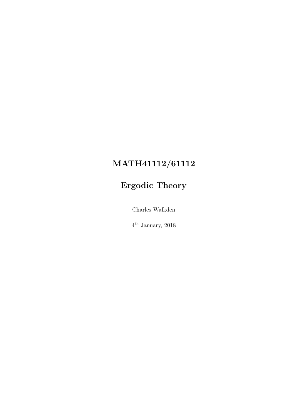# MATH41112/61112

# Ergodic Theory

Charles Walkden

4 th January, 2018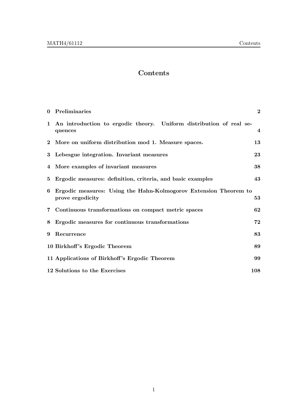## Contents

|   | 0 Preliminaries                                                                      | $\mathbf{2}$   |
|---|--------------------------------------------------------------------------------------|----------------|
|   | 1 An introduction to ergodic theory. Uniform distribution of real se-<br>quences     | $\overline{4}$ |
|   | 2 More on uniform distribution mod 1. Measure spaces.                                | 13             |
|   | 3 Lebesgue integration. Invariant measures                                           | 23             |
|   | 4 More examples of invariant measures                                                | 38             |
| 5 | Ergodic measures: definition, criteria, and basic examples                           | 43             |
| 6 | Ergodic measures: Using the Hahn-Kolmogorov Extension Theorem to<br>prove ergodicity | 53             |
|   | 7 Continuous transformations on compact metric spaces                                | 62             |
| 8 | Ergodic measures for continuous transformations                                      | 72             |
| 9 | Recurrence                                                                           | 83             |
|   | 10 Birkhoff's Ergodic Theorem                                                        | 89             |
|   | 11 Applications of Birkhoff's Ergodic Theorem                                        | 99             |
|   | 12 Solutions to the Exercises                                                        | 108            |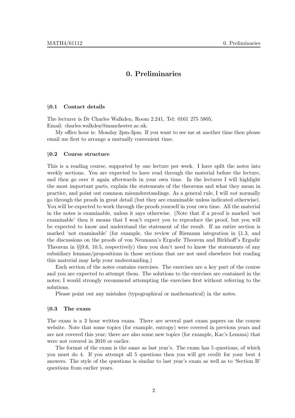### 0. Preliminaries

#### §0.1 Contact details

The lecturer is Dr Charles Walkden, Room 2.241, Tel: 0161 275 5805, Email: charles.walkden@manchester.ac.uk.

My office hour is: Monday 2pm-3pm. If you want to see me at another time then please email me first to arrange a mutually convenient time.

#### §0.2 Course structure

This is a reading course, supported by one lecture per week. I have split the notes into weekly sections. You are expected to have read through the material before the lecture, and then go over it again afterwards in your own time. In the lectures I will highlight the most important parts, explain the statements of the theorems and what they mean in practice, and point out common misunderstandings. As a general rule, I will not normally go through the proofs in great detail (but they are examinable unless indicated otherwise). You will be expected to work through the proofs yourself in your own time. All the material in the notes is examinable, unless it says otherwise. (Note that if a proof is marked 'not examinable' then it means that I won't expect you to reproduce the proof, but you will be expected to know and understand the statement of the result. If an entire section is marked 'not examinable' (for example, the review of Riemann integration in §1.3, and the discussions on the proofs of von Neumann's Ergodic Theorem and Birkhoff's Ergodic Theorem in §§9.6, 10.5, respectively) then you don't need to know the statements of any subsidiary lemmas/propositions in those sections that are not used elsewhere but reading this material may help your understanding.)

Each section of the notes contains exercises. The exercises are a key part of the course and you are expected to attempt them. The solutions to the exercises are contained in the notes; I would strongly recommend attempting the exercises first without referring to the solutions.

Please point out any mistakes (typographical or mathematical) in the notes.

#### §0.3 The exam

The exam is a 3 hour written exam. There are several past exam papers on the course website. Note that some topics (for example, entropy) were covered in previous years and are not covered this year; there are also some new topics (for example, Kac's Lemma) that were not covered in 2010 or earlier.

The format of the exam is the same as last year's. The exam has 5 questions, of which you must do 4. If you attempt all 5 questions then you will get credit for your best 4 answers. The style of the questions is similar to last year's exam as well as to 'Section B' questions from earlier years.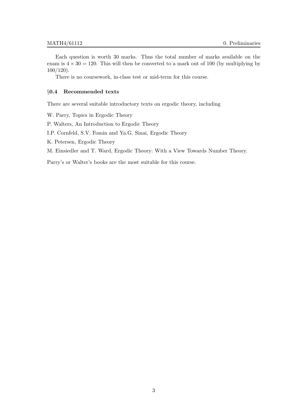Each question is worth 30 marks. Thus the total number of marks available on the exam is  $4 \times 30 = 120$ . This will then be converted to a mark out of 100 (by multiplying by 100/120).

There is no coursework, in-class test or mid-term for this course.

#### §0.4 Recommended texts

There are several suitable introductory texts on ergodic theory, including

W. Parry, Topics in Ergodic Theory

P. Walters, An Introduction to Ergodic Theory

I.P. Cornfeld, S.V. Fomin and Ya.G. Sinai, Ergodic Theory

K. Petersen, Ergodic Theory

M. Einsiedler and T. Ward, Ergodic Theory: With a View Towards Number Theory.

Parry's or Walter's books are the most suitable for this course.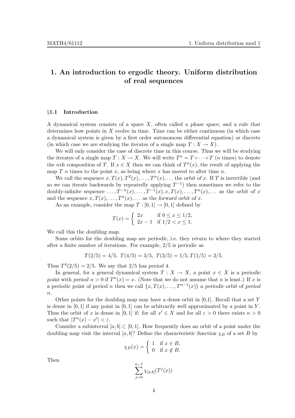### 1. An introduction to ergodic theory. Uniform distribution of real sequences

#### §1.1 Introduction

A dynamical system consists of a space X, often called a phase space, and a rule that determines how points in  $X$  evolve in time. Time can be either continuous (in which case a dynamical system is given by a first order autonomous differential equation) or discrete (in which case we are studying the iterates of a single map  $T: X \to X$ ).

We will only consider the case of discrete time in this course. Thus we will be studying the iterates of a single map  $T : X \to X$ . We will write  $T^n = T \circ \cdots \circ T$  (*n* times) to denote the *nth composition* of T. If  $x \in X$  then we can think of  $T^n(x)$ , the result of applying the map  $T$  n times to the point x, as being where x has moved to after time n.

We call the sequence  $x, T(x), T^2(x), \ldots, T^n(x), \ldots$  the orbit of x. If T is invertible (and so we can iterate backwards by repeatedly applying  $T^{-1}$ ) then sometimes we refer to the doubly-infinite sequence  $\dots, T^{-n}(x), \dots, T^{-1}(x), x, T(x), \dots, T^{n}(x), \dots$  as the orbit of x and the sequence  $x, T(x), \ldots, T^n(x), \ldots$  as the forward orbit of x.

As an example, consider the map  $T : [0, 1] \rightarrow [0, 1]$  defined by

$$
T(x) = \begin{cases} 2x & \text{if } 0 \le x \le 1/2, \\ 2x - 1 & \text{if } 1/2 < x \le 1. \end{cases}
$$

We call this the *doubling map*.

Some orbits for the doubling map are periodic, i.e. they return to where they started after a finite number of iterations. For example, 2/5 is periodic as

$$
T(2/5) = 4/5, T(4/5) = 3/5, T(3/5) = 1/5, T(1/5) = 2/5.
$$

Thus  $T^4(2/5) = 2/5$ . We say that  $2/5$  has period 4.

In general, for a general dynamical system  $T : X \to X$ , a point  $x \in X$  is a periodic point with period  $n > 0$  if  $T^n(x) = x$ . (Note that we do not assume that n is least.) If x is a periodic point of period n then we call  $\{x, T(x), \ldots, T^{n-1}(x)\}\$ a periodic orbit of period  $\boldsymbol{n}$ .

Other points for the doubling map may have a dense orbit in  $[0,1]$ . Recall that a set Y is dense in  $[0, 1]$  if any point in  $[0, 1]$  can be arbitrarily well approximated by a point in Y. Thus the orbit of x is dense in [0, 1] if: for all  $x' \in X$  and for all  $\varepsilon > 0$  there exists  $n > 0$ such that  $|T^n(x) - x'| < \varepsilon$ .

Consider a subinterval  $[a, b] \subset [0, 1]$ . How frequently does an orbit of a point under the doubling map visit the interval [a, b]? Define the characteristic function  $\chi_B$  of a set B by

$$
\chi_B(x) = \begin{cases} 1 & \text{if } x \in B, \\ 0 & \text{if } x \notin B. \end{cases}
$$

Then

$$
\sum_{j=0}^{n-1} \chi_{[a,b]}(T^j(x))
$$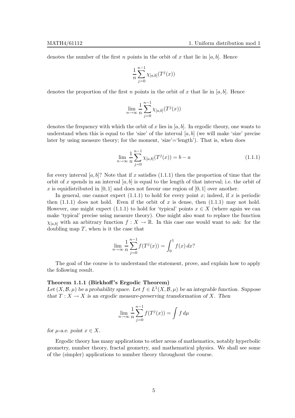denotes the number of the first n points in the orbit of x that lie in  $[a, b]$ . Hence

$$
\frac{1}{n} \sum_{j=0}^{n-1} \chi_{[a,b]}(T^j(x))
$$

denotes the proportion of the first n points in the orbit of x that lie in  $[a, b]$ . Hence

$$
\lim_{n \to \infty} \frac{1}{n} \sum_{j=0}^{n-1} \chi_{[a,b]}(T^j(x))
$$

denotes the frequency with which the orbit of x lies in  $[a, b]$ . In ergodic theory, one wants to understand when this is equal to the 'size' of the interval  $[a, b]$  (we will make 'size' precise later by using measure theory; for the moment, 'size'='length'). That is, when does

$$
\lim_{n \to \infty} \frac{1}{n} \sum_{j=0}^{n-1} \chi_{[a,b]}(T^j(x)) = b - a \tag{1.1.1}
$$

for every interval [a, b]? Note that if x satisfies  $(1.1.1)$  then the proportion of time that the orbit of x spends in an interval  $[a, b]$  is equal to the length of that interval; i.e. the orbit of x is equidistributed in [0, 1] and does not favour one region of [0, 1] over another.

In general, one cannot expect  $(1.1.1)$  to hold for every point x; indeed, if x is periodic then  $(1.1.1)$  does not hold. Even if the orbit of x is dense, then  $(1.1.1)$  may not hold. However, one might expect (1.1.1) to hold for 'typical' points  $x \in X$  (where again we can make 'typical' precise using measure theory). One might also want to replace the function  $\chi_{[a,b]}$  with an arbitrary function  $f: X \to \mathbb{R}$ . In this case one would want to ask: for the doubling map  $T$ , when is it the case that

$$
\lim_{n \to \infty} \frac{1}{n} \sum_{j=0}^{n-1} f(T^j(x)) = \int_0^1 f(x) \, dx?
$$

The goal of the course is to understand the statement, prove, and explain how to apply the following result.

#### Theorem 1.1.1 (Birkhoff 's Ergodic Theorem)

Let  $(X, \mathcal{B}, \mu)$  be a probability space. Let  $f \in L^1(X, \mathcal{B}, \mu)$  be an integrable function. Suppose that  $T : X \to X$  is an ergodic measure-preserving transformation of X. Then

$$
\lim_{n \to \infty} \frac{1}{n} \sum_{j=0}^{n-1} f(T^j(x)) = \int f d\mu
$$

for *u*-a.e. point  $x \in X$ .

Ergodic theory has many applications to other areas of mathematics, notably hyperbolic geometry, number theory, fractal geometry, and mathematical physics. We shall see some of the (simpler) applications to number theory throughout the course.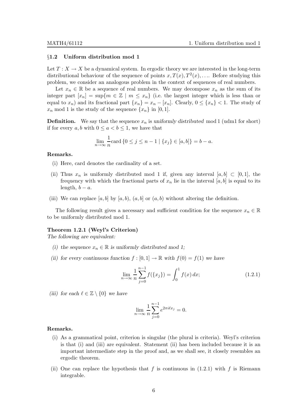#### §1.2 Uniform distribution mod 1

Let  $T: X \to X$  be a dynamical system. In ergodic theory we are interested in the long-term distributional behaviour of the sequence of points  $x, T(x), T<sup>2</sup>(x), \ldots$  Before studying this problem, we consider an analogous problem in the context of sequences of real numbers.

Let  $x_n \in \mathbb{R}$  be a sequence of real numbers. We may decompose  $x_n$  as the sum of its integer part  $[x_n] = \sup\{m \in \mathbb{Z} \mid m \leq x_n\}$  (i.e. the largest integer which is less than or equal to  $x_n$ ) and its fractional part  $\{x_n\} = x_n - [x_n]$ . Clearly,  $0 \leq \{x_n\} < 1$ . The study of  $x_n$  mod 1 is the study of the sequence  $\{x_n\}$  in [0, 1].

**Definition.** We say that the sequence  $x_n$  is uniformly distributed mod 1 (udm1 for short) if for every a, b with  $0 \le a \le b \le 1$ , we have that

$$
\lim_{n \to \infty} \frac{1}{n} \text{card} \{ 0 \le j \le n - 1 \mid \{ x_j \} \in [a, b] \} = b - a.
$$

#### Remarks.

- (i) Here, card denotes the cardinality of a set.
- (ii) Thus  $x_n$  is uniformly distributed mod 1 if, given any interval  $[a, b] \subset [0, 1]$ , the frequency with which the fractional parts of  $x_n$  lie in the interval  $[a, b]$  is equal to its length,  $b - a$ .
- (iii) We can replace [a, b] by [a, b),  $(a, b]$  or  $(a, b)$  without altering the definition.

The following result gives a necessary and sufficient condition for the sequence  $x_n \in \mathbb{R}$ to be uniformly distributed mod 1.

#### Theorem 1.2.1 (Weyl's Criterion)

The following are equivalent:

- (i) the sequence  $x_n \in \mathbb{R}$  is uniformly distributed mod 1;
- (ii) for every continuous function  $f : [0, 1] \to \mathbb{R}$  with  $f(0) = f(1)$  we have

$$
\lim_{n \to \infty} \frac{1}{n} \sum_{j=0}^{n-1} f(\{x_j\}) = \int_0^1 f(x) \, dx; \tag{1.2.1}
$$

(iii) for each  $\ell \in \mathbb{Z} \setminus \{0\}$  we have

$$
\lim_{n \to \infty} \frac{1}{n} \sum_{j=0}^{n-1} e^{2\pi i \ell x_j} = 0.
$$

#### Remarks.

- (i) As a grammatical point, criterion is singular (the plural is criteria). Weyl's criterion is that (i) and (iii) are equivalent. Statement (ii) has been included because it is an important intermediate step in the proof and, as we shall see, it closely resembles an ergodic theorem.
- (ii) One can replace the hypothesis that f is continuous in  $(1.2.1)$  with f is Riemann integrable.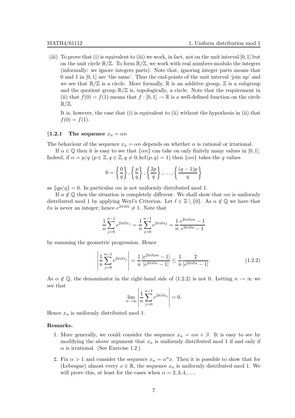(iii) To prove that (i) is equivalent to (iii) we work, in fact, not on the unit interval  $[0, 1]$  but on the unit circle  $\mathbb{R}/\mathbb{Z}$ . To form  $\mathbb{R}/\mathbb{Z}$ , we work with real numbers modulo the integers (informally: we ignore integers parts). Note that, ignoring integer parts means that 0 and 1 in [0, 1] are 'the same'. Thus the end-points of the unit interval 'join up' and we see that  $\mathbb{R}/\mathbb{Z}$  is a circle. More formally,  $\mathbb R$  is an additive group,  $\mathbb Z$  is a subgroup and the quotient group  $\mathbb{R}/\mathbb{Z}$  is, topologically, a circle. Note that the requirement in (ii) that  $f(0) = f(1)$  means that  $f : [0,1] \to \mathbb{R}$  is a well-defined function on the circle  $\mathbb{R}/\mathbb{Z}$ .

It is, however, the case that (i) is equivalent to (ii) without the hypothesis in (ii) that  $f(0) = f(1).$ 

#### §1.2.1 The sequence  $x_n = \alpha n$

The behaviour of the sequence  $x_n = \alpha n$  depends on whether  $\alpha$  is rational or irrational.

If  $\alpha \in \mathbb{Q}$  then it is easy to see that  $\{\alpha n\}$  can take on only finitely many values in [0, 1]. Indeed, if  $\alpha = p/q$   $(p \in \mathbb{Z}, q \in \mathbb{Z}, q \neq 0, \text{hcf}(p,q) = 1)$  then  $\{\alpha n\}$  takes the q values

$$
0 = \left\{ \frac{0}{q} \right\}, \left\{ \frac{p}{q} \right\}, \left\{ \frac{2p}{q} \right\}, \dots, \left\{ \frac{(q-1)p}{q} \right\}
$$

as  $\{qp/q\} = 0$ . In particular  $\alpha n$  is not uniformly distributed mod 1.

If  $\alpha \notin \mathbb{Q}$  then the situation is completely different. We shall show that  $\alpha n$  is uniformly distributed mod 1 by applying Weyl's Criterion. Let  $\ell \in \mathbb{Z} \setminus \{0\}$ . As  $\alpha \notin \mathbb{Q}$  we have that  $\ell \alpha$  is never an integer; hence  $e^{2\pi i \ell \alpha} \neq 1$ . Note that

$$
\frac{1}{n}\sum_{j=0}^{n-1}e^{2\pi i \ell x_j} = \frac{1}{n}\sum_{j=0}^{n-1}e^{2\pi i \ell \alpha j} = \frac{1}{n}\frac{e^{2\pi i \ell \alpha n} - 1}{e^{2\pi i \ell \alpha} - 1}
$$

by summing the geometric progression. Hence

$$
\left| \frac{1}{n} \sum_{j=0}^{n-1} e^{2\pi i \ell x_j} \right| = \frac{1}{n} \frac{|e^{2\pi i \ell \alpha n} - 1|}{|e^{2\pi i \ell \alpha} - 1|} \le \frac{1}{n} \frac{2}{|e^{2\pi i \ell \alpha} - 1|}. \tag{1.2.2}
$$

As  $\alpha \notin \mathbb{Q}$ , the denominator in the right-hand side of (1.2.2) is not 0. Letting  $n \to \infty$  we see that

$$
\lim_{n \to \infty} \left| \frac{1}{n} \sum_{j=0}^{n-1} e^{2\pi i \ell x_j} \right| = 0.
$$

Hence  $x_n$  is uniformly distributed mod 1.

#### Remarks.

- 1. More generally, we could consider the sequence  $x_n = \alpha n + \beta$ . It is easy to see by modifying the above argument that  $x_n$  is uniformly distributed mod 1 if and only if  $\alpha$  is irrational. (See Exercise 1.2.)
- 2. Fix  $\alpha > 1$  and consider the sequence  $x_n = \alpha^n x$ . Then it is possible to show that for (Lebesgue) almost every  $x \in \mathbb{R}$ , the sequence  $x_n$  is uniformly distributed mod 1. We will prove this, at least for the cases when  $\alpha = 2, 3, 4, \ldots$ .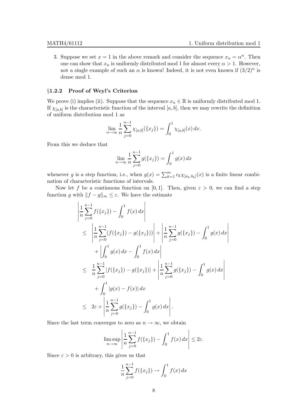$\mid$  $\overline{\phantom{a}}$  $\overline{\phantom{a}}$ I  $\overline{\phantom{a}}$  $\mid$ 

3. Suppose we set  $x = 1$  in the above remark and consider the sequence  $x_n = \alpha^n$ . Then one can show that  $x_n$  is uniformly distributed mod 1 for almost every  $\alpha > 1$ . However, not a single example of such an  $\alpha$  is known! Indeed, it is not even known if  $(3/2)^n$  is dense mod 1.

#### §1.2.2 Proof of Weyl's Criterion

We prove (i) implies (ii). Suppose that the sequence  $x_n \in \mathbb{R}$  is uniformly distributed mod 1. If  $\chi_{[a,b]}$  is the characteristic function of the interval  $[a,b]$ , then we may rewrite the definition of uniform distribution mod 1 as

$$
\lim_{n \to \infty} \frac{1}{n} \sum_{j=0}^{n-1} \chi_{[a,b]}(\{x_j\}) = \int_0^1 \chi_{[a,b]}(x) \, dx.
$$

From this we deduce that

$$
\lim_{n \to \infty} \frac{1}{n} \sum_{j=0}^{n-1} g(\{x_j\}) = \int_0^1 g(x) \, dx
$$

whenever g is a step function, i.e., when  $g(x) = \sum_{k=1}^{m} c_k \chi_{[a_k, b_k]}(x)$  is a finite linear combination of characteristic functions of intervals.

Now let f be a continuous function on [0,1]. Then, given  $\varepsilon > 0$ , we can find a step function g with  $||f - g||_{\infty} \leq \varepsilon$ . We have the estimate

$$
\begin{split}\n&\left|\frac{1}{n}\sum_{j=0}^{n-1}f(\{x_j\}) - \int_0^1 f(x) dx\right| \\
&\leq \left|\frac{1}{n}\sum_{j=0}^{n-1} (f(\{x_j\}) - g(\{x_j\}))\right| + \left|\frac{1}{n}\sum_{j=0}^{n-1} g(\{x_j\}) - \int_0^1 g(x) dx\right| \\
&+ \left|\int_0^1 g(x) dx - \int_0^1 f(x) dx\right| \\
&\leq \frac{1}{n}\sum_{j=0}^{n-1} |f(\{x_j\}) - g(\{x_j\})| + \left|\frac{1}{n}\sum_{j=0}^{n-1} g(\{x_j\}) - \int_0^1 g(x) dx\right| \\
&+ \int_0^1 |g(x) - f(x)| dx \\
&\leq 2\varepsilon + \left|\frac{1}{n}\sum_{j=0}^{n-1} g(\{x_j\}) - \int_0^1 g(x) dx\right|\n\end{split}
$$

Since the last term converges to zero as  $n \to \infty$ , we obtain

$$
\limsup_{n \to \infty} \left| \frac{1}{n} \sum_{j=0}^{n-1} f(\{x_j\}) - \int_0^1 f(x) \, dx \right| \leq 2\varepsilon.
$$

Since  $\varepsilon > 0$  is arbitrary, this gives us that

$$
\frac{1}{n}\sum_{j=0}^{n-1} f(\{x_j\}) \to \int_0^1 f(x) \, dx
$$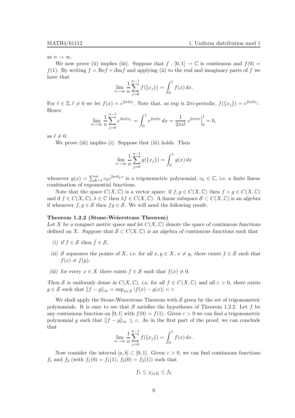as  $n \to \infty$ .

We now prove (ii) implies (iii). Suppose that  $f : [0, 1] \to \mathbb{C}$  is continuous and  $f(0) =$ f(1). By writing  $f = \text{Re} f + i \text{Im} f$  and applying (ii) to the real and imaginary parts of f we have that

$$
\lim_{n \to \infty} \frac{1}{n} \sum_{j=0}^{n-1} f(\{x_j\}) = \int_0^1 f(x) \, dx.
$$

For  $\ell \in \mathbb{Z}, \ell \neq 0$  we let  $f(x) = e^{2\pi i \ell x}$ . Note that, as exp is  $2\pi i$ -periodic,  $f(\lbrace x_j \rbrace) = e^{2\pi i \ell x_j}$ . Hence

$$
\lim_{n \to \infty} \frac{1}{n} \sum_{j=0}^{n-1} e^{2\pi i \ell x_j} = \int_0^1 e^{2\pi i \ell x} dx = \frac{1}{2\pi i \ell} e^{2\pi i \ell x} \Big|_0^1 = 0,
$$

as  $\ell \neq 0$ .

We prove (iii) implies (i). Suppose that (iii) holds. Then

$$
\lim_{n \to \infty} \frac{1}{n} \sum_{j=0}^{n-1} g(\{x_j\}) = \int_0^1 g(x) \, dx
$$

whenever  $g(x) = \sum_{k=1}^{m} c_k e^{2\pi i \ell_k x}$  is a trigonometric polynomial,  $c_k \in \mathbb{C}$ , i.e. a finite linear combination of exponential functions.

Note that the space  $C(X, \mathbb{C})$  is a vector space: if  $f, g \in C(X, \mathbb{C})$  then  $f + g \in C(X, \mathbb{C})$ and if  $f \in C(X, \mathbb{C}), \lambda \in \mathbb{C}$  then  $\lambda f \in C(X, \mathbb{C})$ . A linear subspace  $S \subset C(X, \mathbb{C})$  is an algebra if whenever  $f, g \in \mathcal{S}$  then  $fg \in \mathcal{S}$ . We will need the following result:

#### Theorem 1.2.2 (Stone-Weierstrass Theorem)

Let X be a compact metric space and let  $C(X, \mathbb{C})$  denote the space of continuous functions defined on X. Suppose that  $S \subset C(X, \mathbb{C})$  is an algebra of continuous functions such that

- (i) if  $f \in \mathcal{S}$  then  $\bar{f} \in \mathcal{S}$ ,
- (ii) S separates the points of X, i.e. for all  $x, y \in X$ ,  $x \neq y$ , there exists  $f \in S$  such that  $f(x) \neq f(y),$
- (iii) for every  $x \in X$  there exists  $f \in \mathcal{S}$  such that  $f(x) \neq 0$ .

Then S is uniformly dense in  $C(X, \mathbb{C})$ , i.e. for all  $f \in C(X, \mathbb{C})$  and all  $\varepsilon > 0$ , there exists  $g \in \mathcal{S}$  such that  $||f - g||_{\infty} = \sup_{x \in X} |f(x) - g(x)| < \varepsilon$ .

We shall apply the Stone-Weierstrass Theorem with  $S$  given by the set of trigonometric polynomials. It is easy to see that S satisfies the hypotheses of Theorem 1.2.2. Let f be any continuous function on [0, 1] with  $f(0) = f(1)$ . Given  $\varepsilon > 0$  we can find a trigonometric polynomial g such that  $||f - g||_{\infty} \leq \varepsilon$ . As in the first part of the proof, we can conclude that

$$
\lim_{n \to \infty} \frac{1}{n} \sum_{j=0}^{n-1} f(\{x_j\}) = \int_0^1 f(x) \, dx.
$$

Now consider the interval  $[a, b] \subset [0, 1]$ . Given  $\varepsilon > 0$ , we can find continuous functions  $f_1$  and  $f_2$  (with  $f_1(0) = f_1(1), f_2(0) = f_2(1)$ ) such that

$$
f_1 \leq \chi_{[a,b]} \leq f_2
$$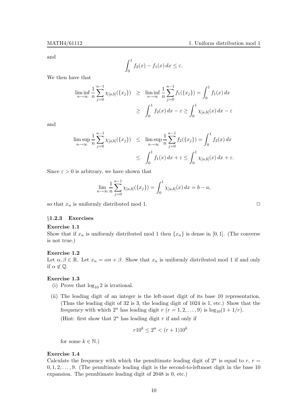and

$$
\int_0^1 f_2(x) - f_1(x) \, dx \le \varepsilon.
$$

We then have that

$$
\liminf_{n \to \infty} \frac{1}{n} \sum_{j=0}^{n-1} \chi_{[a,b]}(\{x_j\}) \ge \liminf_{n \to \infty} \frac{1}{n} \sum_{j=0}^{n-1} f_1(\{x_j\}) = \int_0^1 f_1(x) dx
$$
  
\n
$$
\ge \int_0^1 f_2(x) dx - \varepsilon \ge \int_0^1 \chi_{[a,b]}(x) dx - \varepsilon
$$

and

$$
\limsup_{n \to \infty} \frac{1}{n} \sum_{j=0}^{n-1} \chi_{[a,b]}(\{x_j\}) \leq \limsup_{n \to \infty} \frac{1}{n} \sum_{j=0}^{n-1} f_2(\{x_j\}) = \int_0^1 f_2(x) dx
$$
  

$$
\leq \int_0^1 f_1(x) dx + \varepsilon \leq \int_0^1 \chi_{[a,b]}(x) dx + \varepsilon.
$$

Since  $\varepsilon > 0$  is arbitrary, we have shown that

$$
\lim_{n \to \infty} \frac{1}{n} \sum_{j=0}^{n-1} \chi_{[a,b]}(\{x_j\}) = \int_0^1 \chi_{[a,b]}(x) dx = b - a,
$$

so that  $x_n$  is uniformly distributed mod 1.  $\Box$ 

#### §1.2.3 Exercises

#### Exercise 1.1

Show that if  $x_n$  is uniformly distributed mod 1 then  $\{x_n\}$  is dense in [0, 1]. (The converse is not true.)

#### Exercise 1.2

Let  $\alpha, \beta \in \mathbb{R}$ . Let  $x_n = \alpha n + \beta$ . Show that  $x_n$  is uniformly distributed mod 1 if and only if  $\alpha \notin \mathbb{Q}$ .

#### Exercise 1.3

- (i) Prove that  $log_{10} 2$  is irrational.
- (ii) The leading digit of an integer is the left-most digit of its base 10 representation. (Thus the leading digit of 32 is 3, the leading digit of 1024 is 1, etc.) Show that the frequency with which  $2^n$  has leading digit  $r (r = 1, 2, ..., 9)$  is  $\log_{10}(1 + 1/r)$ .

(Hint: first show that  $2^n$  has leading digit r if and only if

$$
r10^k \le 2^n < (r+1)10^k
$$

for some  $k \in \mathbb{N}$ .)

#### Exercise 1.4

Calculate the frequency with which the penultimate leading digit of  $2^n$  is equal to r,  $r =$  $0, 1, 2, \ldots, 9$ . (The penultimate leading digit is the second-to-leftmost digit in the base 10 expansion. The penultimate leading digit of 2048 is 0, etc.)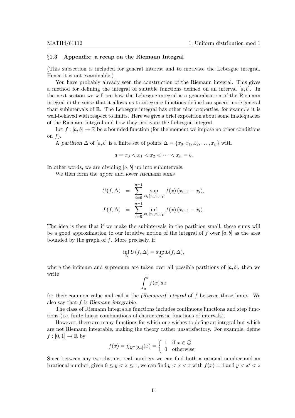#### §1.3 Appendix: a recap on the Riemann Integral

(This subsection is included for general interest and to motivate the Lebesgue integral. Hence it is not examinable.)

You have probably already seen the construction of the Riemann integral. This gives a method for defining the integral of suitable functions defined on an interval  $[a, b]$ . In the next section we will see how the Lebesgue integral is a generalisation of the Riemann integral in the sense that it allows us to integrate functions defined on spaces more general than subintervals of R. The Lebesgue integral has other nice properties, for example it is well-behaved with respect to limits. Here we give a brief exposition about some inadequacies of the Riemann integral and how they motivate the Lebesgue integral.

Let  $f : [a, b] \to \mathbb{R}$  be a bounded function (for the moment we impose no other conditions on  $f$ ).

A partition  $\Delta$  of [a, b] is a finite set of points  $\Delta = \{x_0, x_1, x_2, \ldots, x_n\}$  with

 $a = x_0 < x_1 < x_2 < \cdots < x_n = b$ .

In other words, we are dividing  $[a, b]$  up into subintervals.

We then form the upper and lower Riemann sums

$$
U(f, \Delta) = \sum_{i=0}^{n-1} \sup_{x \in [x_i, x_{i+1}]} f(x) (x_{i+1} - x_i),
$$
  

$$
L(f, \Delta) = \sum_{i=0}^{n-1} \inf_{x \in [x_i, x_{i+1}]} f(x) (x_{i+1} - x_i).
$$

The idea is then that if we make the subintervals in the partition small, these sums will be a good approximation to our intuitive notion of the integral of f over  $[a, b]$  as the area bounded by the graph of  $f$ . More precisely, if

$$
\inf_{\Delta} U(f, \Delta) = \sup_{\Delta} L(f, \Delta),
$$

where the infimum and supremum are taken over all possible partitions of  $[a, b]$ , then we write

$$
\int_{a}^{b} f(x) \, dx
$$

for their common value and call it the (Riemann) integral of f between those limits. We also say that f is Riemann integrable.

The class of Riemann integrable functions includes continuous functions and step functions (i.e. finite linear combinations of characteristic functions of intervals).

However, there are many functions for which one wishes to define an integral but which are not Riemann integrable, making the theory rather unsatisfactory. For example, define  $f:[0,1]\to\mathbb{R}$  by

$$
f(x) = \chi_{\mathbb{Q} \cap [0,1]}(x) = \begin{cases} 1 & \text{if } x \in \mathbb{Q} \\ 0 & \text{otherwise.} \end{cases}
$$

Since between any two distinct real numbers we can find both a rational number and an irrational number, given  $0 \le y < z \le 1$ , we can find  $y < x < z$  with  $f(x) = 1$  and  $y < x' < z$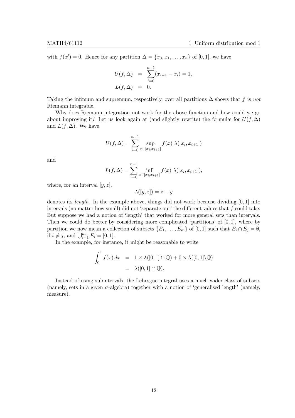with  $f(x') = 0$ . Hence for any partition  $\Delta = \{x_0, x_1, \ldots, x_n\}$  of [0, 1], we have

$$
U(f, \Delta) = \sum_{i=0}^{n-1} (x_{i+1} - x_i) = 1,
$$
  

$$
L(f, \Delta) = 0.
$$

Taking the infimum and supremum, respectively, over all partitions  $\Delta$  shows that f is not Riemann integrable.

Why does Riemann integration not work for the above function and how could we go about improving it? Let us look again at (and slightly rewrite) the formulæ for  $U(f, \Delta)$ and  $L(f, \Delta)$ . We have

$$
U(f, \Delta) = \sum_{i=0}^{n-1} \sup_{x \in [x_i, x_{i+1}]} f(x) \lambda([x_i, x_{i+1}])
$$

and

$$
L(f, \Delta) = \sum_{i=0}^{n-1} \inf_{x \in [x_i, x_{i+1}]} f(x) \lambda([x_i, x_{i+1}]),
$$

where, for an interval  $[y, z]$ ,

 $\lambda([y,z]) = z - y$ 

denotes its *length*. In the example above, things did not work because dividing  $[0, 1]$  into intervals (no matter how small) did not 'separate out' the different values that  $f$  could take. But suppose we had a notion of 'length' that worked for more general sets than intervals. Then we could do better by considering more complicated 'partitions' of  $[0, 1]$ , where by partition we now mean a collection of subsets  $\{E_1, \ldots, E_m\}$  of  $[0, 1]$  such that  $E_i \cap E_j = \emptyset$ , if  $i \neq j$ , and  $\bigcup_{i=1}^{m} E_i = [0, 1].$ 

In the example, for instance, it might be reasonable to write

$$
\int_0^1 f(x) dx = 1 \times \lambda([0,1] \cap \mathbb{Q}) + 0 \times \lambda([0,1] \setminus \mathbb{Q})
$$
  
=  $\lambda([0,1] \cap \mathbb{Q}).$ 

Instead of using subintervals, the Lebesgue integral uses a much wider class of subsets (namely, sets in a given  $\sigma$ -algebra) together with a notion of 'generalised length' (namely, measure).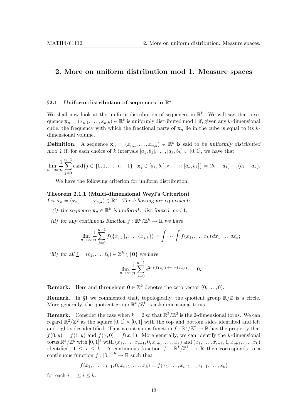### 2. More on uniform distribution mod 1. Measure spaces

### $\S 2.1$  Uniform distribution of sequences in  $\mathbb{R}^k$

We shall now look at the uniform distribution of sequences in  $\mathbb{R}^k$ . We will say that a sequence  $\mathbf{x}_n = (x_{n,1}, \dots, x_{n,k}) \in \mathbb{R}^k$  is uniformly distributed mod 1 if, given any k-dimensional cube, the frequency with which the fractional parts of  $x_n$  lie in the cube is equal to its kdimensional volume.

**Definition.** A sequence  $\mathbf{x}_n = (x_{n,1}, \ldots, x_{n,k}) \in \mathbb{R}^k$  is said to be uniformly distributed mod 1 if, for each choice of k intervals  $[a_1, b_1], \ldots, [a_k, b_k] \subset [0, 1]$ , we have that

$$
\lim_{n \to \infty} \frac{1}{n} \sum_{j=0}^{n-1} \text{card} \{ j \in \{0, 1, \dots, n-1\} \mid \mathbf{x}_j \in [a_1, b_1] \times \dots \times [a_k, b_k] \} = (b_1 - a_1) \cdots (b_k - a_k).
$$

We have the following criterion for uniform distribution.

#### Theorem 2.1.1 (Multi-dimensional Weyl's Criterion)

Let  $\mathbf{x}_n = (x_{n,1}, \dots, x_{n,k}) \in \mathbb{R}^k$ . The following are equivalent:

- (i) the sequence  $\mathbf{x}_n \in \mathbb{R}^k$  is uniformly distributed mod 1;
- (ii) for any continuous function  $f : \mathbb{R}^k / \mathbb{Z}^k \to \mathbb{R}$  we have

$$
\lim_{n \to \infty} \frac{1}{n} \sum_{j=0}^{n-1} f(\{x_{j,1}\}, \dots, \{x_{j,k}\}) = \int \cdots \int f(x_1, \dots, x_k) dx_1 \dots dx_k;
$$

(iii) for all  $\underline{\ell} = (\ell_1, \ldots, \ell_k) \in \mathbb{Z}^k \setminus \{0\}$  we have

$$
\lim_{n \to \infty} \frac{1}{n} \sum_{j=0}^{n-1} e^{2\pi i (\ell_1 x_{j,1} + \dots + \ell_k x_{j,k})} = 0.
$$

**Remark.** Here and throughout  $\mathbf{0} \in \mathbb{Z}^k$  denotes the zero vector  $(0, \ldots, 0)$ .

**Remark.** In §1 we commented that, topologically, the quotient group  $\mathbb{R}/\mathbb{Z}$  is a circle. More generally, the quotient group  $\mathbb{R}^k/\mathbb{Z}^k$  is a k-dimensional torus.

**Remark.** Consider the case when  $k = 2$  so that  $\mathbb{R}^2/\mathbb{Z}^2$  is the 2-dimensional torus. We can regard  $\mathbb{R}^2/\mathbb{Z}^2$  as the square  $[0,1] \times [0,1]$  with the top and bottom sides identified and left and right sides identified. Thus a continuous function  $f : \mathbb{R}^2/\mathbb{Z}^2 \to \mathbb{R}$  has the property that  $f(0, y) = f(1, y)$  and  $f(x, 0) = f(x, 1)$ . More generally, we can identify the k-dimensional torus  $\mathbb{R}^k/\mathbb{Z}^k$  with  $[0,1]^k$  with  $(x_1, \ldots, x_{i-1}, 0, x_{i+1}, \ldots, x_k)$  and  $(x_1, \ldots, x_{i-1}, 1, x_{i+1}, \ldots, x_k)$ identified,  $1 \leq i \leq k$ . A continuous function  $f : \mathbb{R}^k/\mathbb{Z}^k \to \mathbb{R}$  then corresponds to a continuous function  $f : [0,1]^k \to \mathbb{R}$  such that

$$
f(x_1,\ldots,x_{i-1},0,x_{i+1},\ldots,x_k)=f(x_1,\ldots,x_{i-1},1,x_{i+1},\ldots,x_k)
$$

for each i,  $1 \leq i \leq k$ .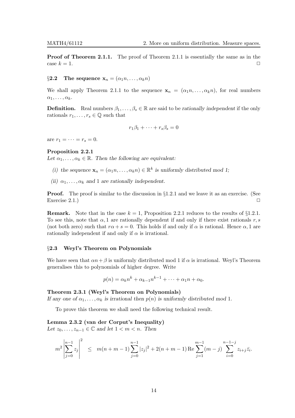**Proof of Theorem 2.1.1.** The proof of Theorem 2.1.1 is essentially the same as in the case  $k = 1$ .

§2.2 The sequence  $\mathbf{x}_n = (\alpha_1 n, \dots, \alpha_k n)$ 

We shall apply Theorem 2.1.1 to the sequence  $\mathbf{x}_n = (\alpha_1 n, \dots, \alpha_k n)$ , for real numbers  $\alpha_1, \ldots, \alpha_k$ .

**Definition.** Real numbers  $\beta_1, \ldots, \beta_s \in \mathbb{R}$  are said to be rationally independent if the only rationals  $r_1, \ldots, r_s \in \mathbb{Q}$  such that

$$
r_1\beta_1 + \dots + r_s\beta_s = 0
$$

are  $r_1 = \cdots = r_s = 0$ .

#### Proposition 2.2.1

Let  $\alpha_1, \ldots, \alpha_k \in \mathbb{R}$ . Then the following are equivalent:

- (i) the sequence  $\mathbf{x}_n = (\alpha_1 n, \dots, \alpha_k n) \in \mathbb{R}^k$  is uniformly distributed mod 1;
- (ii)  $\alpha_1, \ldots, \alpha_k$  and 1 are rationally independent.

**Proof.** The proof is similar to the discussion in §1.2.1 and we leave it as an exercise. (See Exercise 2.1.) Exercise  $2.1.$ )

**Remark.** Note that in the case  $k = 1$ , Proposition 2.2.1 reduces to the results of §1.2.1. To see this, note that  $\alpha$ , 1 are rationally dependent if and only if there exist rationals r, s (not both zero) such that  $r\alpha + s = 0$ . This holds if and only if  $\alpha$  is rational. Hence  $\alpha$ , 1 are rationally independent if and only if  $\alpha$  is irrational.

#### §2.3 Weyl's Theorem on Polynomials

We have seen that  $\alpha n+\beta$  is uniformly distributed mod 1 if  $\alpha$  is irrational. Weyl's Theorem generalises this to polynomials of higher degree. Write

$$
p(n) = \alpha_k n^k + \alpha_{k-1} n^{k-1} + \dots + \alpha_1 n + \alpha_0.
$$

#### Theorem 2.3.1 (Weyl's Theorem on Polynomials)

If any one of  $\alpha_1, \ldots, \alpha_k$  is irrational then  $p(n)$  is uniformly distributed mod 1.

To prove this theorem we shall need the following technical result.

#### Lemma 2.3.2 (van der Corput's Inequality)

Let  $z_0, \ldots, z_{n-1} \in \mathbb{C}$  and let  $1 < m < n$ . Then

$$
m^{2} \left| \sum_{j=0}^{n-1} z_{j} \right|^{2} \leq m(n+m-1) \sum_{j=0}^{n-1} |z_{j}|^{2} + 2(n+m-1) \operatorname{Re} \sum_{j=1}^{m-1} (m-j) \sum_{i=0}^{n-1-j} z_{i+j} \overline{z}_{i}.
$$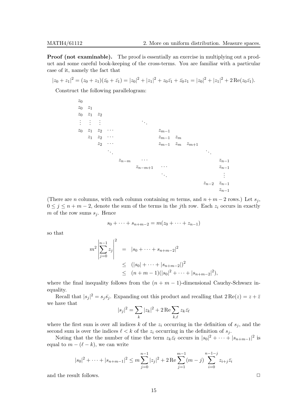**Proof (not examinable).** The proof is essentially an exercise in multiplying out a product and some careful book-keeping of the cross-terms. You are familiar with a particular case of it, namely the fact that

 $|z_0 + z_1|^2 = (z_0 + z_1)(\bar{z_0} + \bar{z_1}) = |z_0|^2 + |z_1|^2 + z_0\bar{z_1} + \bar{z_0}z_1 = |z_0|^2 + |z_1|^2 + 2\operatorname{Re}(z_0\bar{z_1}).$ 

Construct the following parallelogram:

 $z_0$  $z_0$   $z_1$  $z_0$   $z_1$   $z_2$ . . . . . . . . . . . .  $z_0$   $z_1$   $z_2$   $\cdots$   $z_{m-1}$  $z_1$   $z_2$  · · ·  $z_{m-1}$   $z_m$ <br> $z_2$  · · ·  $z_{m-1}$   $z_m$  $z_{m-1}$   $z_m$   $z_{m+1}$ . . . . . .  $z_{n-m}$  · · · · · · · · · · · · · · · · · ·  $z_{n-1}$  $z_{n-m+1}$  · · · ·  $z_{n-1}$ . . . . . .  $z_{n-2}$   $z_{n-1}$  $z_{n-1}$ 

(There are *n* columns, with each column containing m terms, and  $n + m - 2$  rows.) Let  $s_i$ ,  $0 \leq j \leq n+m-2$ , denote the sum of the terms in the jth row. Each  $z_i$  occurs in exactly m of the row sums  $s_i$ . Hence

$$
s_0 + \dots + s_{n+m-2} = m(z_0 + \dots + z_{n-1})
$$

so that

$$
m^{2} \left| \sum_{j=0}^{n-1} z_{j} \right|^{2} = |s_{0} + \dots + s_{n+m-2}|^{2}
$$
  
\$\leq (|s\_{0}| + \dots + |s\_{n+m-2}|)^{2}\$  
\$\leq (n+m-1)(|s\_{0}|^{2} + \dots + |s\_{n+m-2}|^{2})\$,

where the final inequality follows from the  $(n + m - 1)$ -dimensional Cauchy-Schwarz inequality.

Recall that  $|s_j|^2 = s_j \bar{s_j}$ . Expanding out this product and recalling that  $2 \text{Re}(z) = z + \bar{z}$ we have that

$$
|s_j|^2 = \sum_k |z_k|^2 + 2 \operatorname{Re} \sum_{k,\ell} z_k \bar{z_\ell}
$$

where the first sum is over all indices k of the  $z_i$  occurring in the definition of  $s_i$ , and the second sum is over the indices  $\ell < k$  of the  $z_i$  occurring in the definition of  $s_j$ .

Noting that the the number of time the term  $z_k\bar{z}_\ell$  occurs in  $|s_0|^2 + \cdots + |s_{n+m-1}|^2$  is equal to  $m - (\ell - k)$ , we can write

$$
|s_0|^2 + \dots + |s_{n+m-1}|^2 \le m \sum_{j=0}^{n-1} |z_j|^2 + 2 \operatorname{Re} \sum_{j=1}^{m-1} (m-j) \sum_{i=0}^{n-1-j} z_{i+j} \overline{z}_i
$$

and the result follows.  $\Box$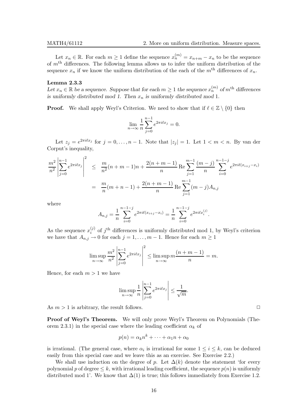Let  $x_n \in \mathbb{R}$ . For each  $m \geq 1$  define the sequence  $x_n^{(m)} = x_{n+m} - x_n$  to be the sequence of  $m<sup>th</sup>$  differences. The following lemma allows us to infer the uniform distribution of the sequence  $x_n$  if we know the uniform distribution of the each of the  $m<sup>th</sup>$  differences of  $x_n$ .

#### Lemma 2.3.3

Let  $x_n \in \mathbb{R}$  be a sequence. Suppose that for each  $m \geq 1$  the sequence  $x_n^{(m)}$  of  $m^{\text{th}}$  differences is uniformly distributed mod 1. Then  $x_n$  is uniformly distributed mod 1.

**Proof.** We shall apply Weyl's Criterion. We need to show that if  $\ell \in \mathbb{Z} \setminus \{0\}$  then

$$
\lim_{n \to \infty} \frac{1}{n} \sum_{j=0}^{n-1} e^{2\pi i \ell x_j} = 0.
$$

Let  $z_j = e^{2\pi i \ell x_j}$  for  $j = 0, \ldots, n - 1$ . Note that  $|z_j| = 1$ . Let  $1 < m < n$ . By van der Corput's inequality,

$$
\frac{m^2}{n^2} \left| \sum_{j=0}^{n-1} e^{2\pi i \ell x_j} \right|^2 \leq \frac{m}{n^2} (n+m-1)n + \frac{2(n+m-1)}{n} \operatorname{Re} \sum_{j=1}^{m-1} \frac{(m-j)}{n} \sum_{i=0}^{n-1-j} e^{2\pi i \ell (x_{i+j} - x_i)}
$$

$$
= \frac{m}{n} (m+n-1) + \frac{2(n+m-1)}{n} \operatorname{Re} \sum_{j=1}^{m-1} (m-j) A_{n,j}
$$

where

$$
A_{n,j} = \frac{1}{n} \sum_{i=0}^{n-1-j} e^{2\pi i \ell (x_{i+j} - x_i)} = \frac{1}{n} \sum_{i=0}^{n-1-j} e^{2\pi i \ell x_i^{(j)}}.
$$

As the sequence  $x_i^{(j)}$  $i^{(j)}$  of  $j^{\text{th}}$  differences is uniformly distributed mod 1, by Weyl's criterion we have that  $A_{n,j} \to 0$  for each  $j = 1, \ldots, m - 1$ . Hence for each  $m \ge 1$ 

$$
\limsup_{n \to \infty} \frac{m^2}{n^2} \left| \sum_{j=0}^{n-1} e^{2\pi i \ell x_j} \right|^2 \le \limsup_{n \to \infty} m \frac{(n+m-1)}{n} = m.
$$

Hence, for each  $m > 1$  we have

$$
\limsup_{n \to \infty} \frac{1}{n} \left| \sum_{j=0}^{n-1} e^{2\pi i \ell x_j} \right| \le \frac{1}{\sqrt{m}}.
$$

As  $m > 1$  is arbitrary, the result follows.

Proof of Weyl's Theorem. We will only prove Weyl's Theorem on Polynomials (Theorem 2.3.1) in the special case where the leading coefficient  $\alpha_k$  of

$$
p(n) = \alpha_k n^k + \dots + \alpha_1 n + \alpha_0
$$

is irrational. (The general case, where  $\alpha_i$  is irrational for some  $1 \leq i \leq k$ , can be deduced easily from this special case and we leave this as an exercise. See Exercise 2.2.)

We shall use induction on the degree of p. Let  $\Delta(k)$  denote the statement 'for every polynomial p of degree  $\leq k$ , with irrational leading coefficient, the sequence  $p(n)$  is uniformly distributed mod 1'. We know that  $\Delta(1)$  is true; this follows immediately from Exercise 1.2.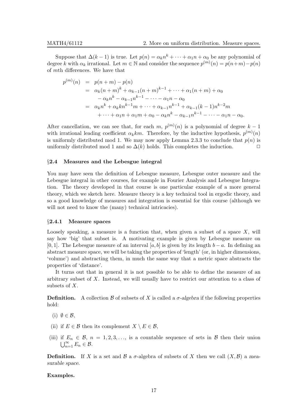Suppose that  $\Delta(k-1)$  is true. Let  $p(n) = \alpha_k n^k + \cdots + \alpha_1 n + \alpha_0$  be any polynomial of degree k with  $\alpha_k$  irrational. Let  $m \in \mathbb{N}$  and consider the sequence  $p^{(m)}(n) = p(n+m) - p(n)$ of mth differences. We have that

$$
p^{(m)}(n) = p(n+m) - p(n)
$$
  
=  $\alpha_k (n+m)^k + \alpha_{k-1} (n+m)^{k-1} + \dots + \alpha_1 (n+m) + \alpha_0$   
 $-\alpha_k n^k - \alpha_{k-1} n^{k-1} - \dots - \alpha_1 n - \alpha_0$   
=  $\alpha_k n^k + \alpha_k k n^{k-1} m + \dots + \alpha_{k-1} n^{k-1} + \alpha_{k-1} (k-1) n^{k-2} m$   
 $+\dots + \alpha_1 n + \alpha_1 m + \alpha_0 - \alpha_k n^k - \alpha_{k-1} n^{k-1} - \dots - \alpha_1 n - \alpha_0.$ 

After cancellation, we can see that, for each m,  $p^{(m)}(n)$  is a polynomial of degree  $k-1$ with irrational leading coefficient  $\alpha_k km$ . Therefore, by the inductive hypothesis,  $p^{(m)}(n)$ is uniformly distributed mod 1. We may now apply Lemma 2.3.3 to conclude that  $p(n)$  is uniformly distributed mod 1 and so  $\Delta(k)$  holds. This completes the induction.  $\Box$ 

#### §2.4 Measures and the Lebesgue integral

You may have seen the definition of Lebesgue measure, Lebesgue outer measure and the Lebesgue integral in other courses, for example in Fourier Analysis and Lebesgue Integration. The theory developed in that course is one particular example of a more general theory, which we sketch here. Measure theory is a key technical tool in ergodic theory, and so a good knowledge of measures and integration is essential for this course (although we will not need to know the (many) technical intricacies).

#### §2.4.1 Measure spaces

Loosely speaking, a measure is a function that, when given a subset of a space  $X$ , will say how 'big' that subset is. A motivating example is given by Lebesgue measure on [0, 1]. The Lebesgue measure of an interval [a, b] is given by its length  $b - a$ . In defining an abstract measure space, we will be taking the properties of 'length' (or, in higher dimensions, 'volume') and abstracting them, in much the same way that a metric space abstracts the properties of 'distance'.

It turns out that in general it is not possible to be able to define the measure of an arbitrary subset of  $X$ . Instead, we will usually have to restrict our attention to a class of subsets of  $X$ .

**Definition.** A collection B of subsets of X is called a  $\sigma$ -algebra if the following properties hold:

- (i)  $\emptyset \in \mathcal{B}$ ,
- (ii) if  $E \in \mathcal{B}$  then its complement  $X \setminus E \in \mathcal{B}$ ,
- (iii) if  $E_n \in \mathcal{B}$ ,  $n = 1, 2, 3, \ldots$ , is a countable sequence of sets in  $\mathcal{B}$  then their union  $\bigcup_{n=1}^{\infty} E_n \in \mathcal{B}.$

**Definition.** If X is a set and  $\mathcal{B}$  a  $\sigma$ -algebra of subsets of X then we call  $(X,\mathcal{B})$  a measurable space.

#### Examples.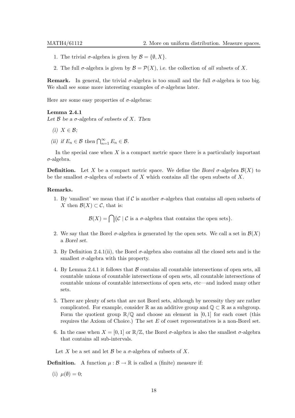- 1. The trivial  $\sigma$ -algebra is given by  $\mathcal{B} = \{\emptyset, X\}.$
- 2. The full  $\sigma$ -algebra is given by  $\mathcal{B} = \mathcal{P}(X)$ , i.e. the collection of all subsets of X.

**Remark.** In general, the trivial  $\sigma$ -algebra is too small and the full  $\sigma$ -algebra is too big. We shall see some more interesting examples of  $\sigma$ -algebras later.

Here are some easy properties of  $\sigma$ -algebras:

#### Lemma 2.4.1

Let  $\mathcal B$  be a  $\sigma$ -algebra of subsets of X. Then

- (i)  $X \in \mathcal{B}$ ;
- (ii) if  $E_n \in \mathcal{B}$  then  $\bigcap_{n=1}^{\infty} E_n \in \mathcal{B}$ .

In the special case when  $X$  is a compact metric space there is a particularly important  $\sigma$ -algebra.

**Definition.** Let X be a compact metric space. We define the Borel  $\sigma$ -algebra  $\mathcal{B}(X)$  to be the smallest  $\sigma$ -algebra of subsets of X which contains all the open subsets of X.

#### Remarks.

1. By 'smallest' we mean that if C is another  $\sigma$ -algebra that contains all open subsets of X then  $\mathcal{B}(X) \subset \mathcal{C}$ , that is:

 $\mathcal{B}(X) = \bigcap \{ \mathcal{C} \mid \mathcal{C} \text{ is a } \sigma\text{-algebra that contains the open sets} \}.$ 

- 2. We say that the Borel  $\sigma$ -algebra is generated by the open sets. We call a set in  $\mathcal{B}(X)$ a Borel set.
- 3. By Definition 2.4.1(ii), the Borel  $\sigma$ -algebra also contains all the closed sets and is the smallest  $\sigma$ -algebra with this property.
- 4. By Lemma 2.4.1 it follows that  $\beta$  contains all countable intersections of open sets, all countable unions of countable intersections of open sets, all countable intersections of countable unions of countable intersections of open sets, etc—and indeed many other sets.
- 5. There are plenty of sets that are not Borel sets, although by necessity they are rather complicated. For example, consider R as an additive group and  $\mathbb{O} \subset \mathbb{R}$  as a subgroup. Form the quotient group  $\mathbb{R}/\mathbb{Q}$  and choose an element in [0, 1] for each coset (this requires the Axiom of Choice.) The set  $E$  of coset representatives is a non-Borel set.
- 6. In the case when  $X = [0, 1]$  or  $\mathbb{R}/\mathbb{Z}$ , the Borel  $\sigma$ -algebra is also the smallest  $\sigma$ -algebra that contains all sub-intervals.

Let X be a set and let  $\beta$  be a  $\sigma$ -algebra of subsets of X.

**Definition.** A function  $\mu : \mathcal{B} \to \mathbb{R}$  is called a (finite) measure if:

(i)  $\mu(\emptyset) = 0$ ;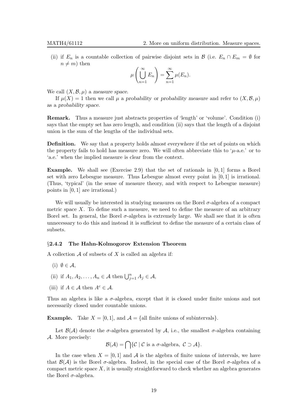(ii) if  $E_n$  is a countable collection of pairwise disjoint sets in B (i.e.  $E_n \cap E_m = \emptyset$  for  $n \neq m$ ) then

$$
\mu\left(\bigcup_{n=1}^{\infty} E_n\right) = \sum_{n=1}^{\infty} \mu(E_n).
$$

We call  $(X, \mathcal{B}, \mu)$  a measure space.

If  $\mu(X) = 1$  then we call  $\mu$  a probability or probability measure and refer to  $(X, \mathcal{B}, \mu)$ as a probability space.

Remark. Thus a measure just abstracts properties of 'length' or 'volume'. Condition (i) says that the empty set has zero length, and condition (ii) says that the length of a disjoint union is the sum of the lengths of the individual sets.

Definition. We say that a property holds almost everywhere if the set of points on which the property fails to hold has measure zero. We will often abbreviate this to ' $\mu$ -a.e.' or to 'a.e.' when the implied measure is clear from the context.

**Example.** We shall see (Exercise 2.9) that the set of rationals in  $[0,1]$  forms a Borel set with zero Lebesgue measure. Thus Lebesgue almost every point in [0, 1] is irrational. (Thus, 'typical' (in the sense of measure theory, and with respect to Lebesgue measure) points in [0, 1] are irrational.)

We will usually be interested in studying measures on the Borel  $\sigma$ -algebra of a compact metric space  $X$ . To define such a measure, we need to define the measure of an arbitrary Borel set. In general, the Borel  $\sigma$ -algebra is extremely large. We shall see that it is often unnecessary to do this and instead it is sufficient to define the measure of a certain class of subsets.

#### §2.4.2 The Hahn-Kolmogorov Extension Theorem

A collection  $A$  of subsets of  $X$  is called an algebra if:

- (i)  $\emptyset \in \mathcal{A}$ ,
- (ii) if  $A_1, A_2, \ldots, A_n \in \mathcal{A}$  then  $\bigcup_{j=1}^n A_j \in \mathcal{A}$ ,
- (iii) if  $A \in \mathcal{A}$  then  $A^c \in \mathcal{A}$ .

Thus an algebra is like a  $\sigma$ -algebra, except that it is closed under finite unions and not necessarily closed under countable unions.

**Example.** Take  $X = [0, 1]$ , and  $\mathcal{A} = \{$ all finite unions of subintervals $\}$ .

Let  $\mathcal{B}(\mathcal{A})$  denote the  $\sigma$ -algebra generated by  $\mathcal{A}$ , i.e., the smallest  $\sigma$ -algebra containing A. More precisely:

 $\mathcal{B}(\mathcal{A}) = \bigcap \{ \mathcal{C} \mid \mathcal{C} \text{ is a } \sigma\text{-algebra}, \ \mathcal{C} \supset \mathcal{A} \}.$ 

In the case when  $X = [0, 1]$  and A is the algebra of finite unions of intervals, we have that  $\mathcal{B}(\mathcal{A})$  is the Borel  $\sigma$ -algebra. Indeed, in the special case of the Borel  $\sigma$ -algebra of a compact metric space  $X$ , it is usually straightforward to check whether an algebra generates the Borel  $\sigma$ -algebra.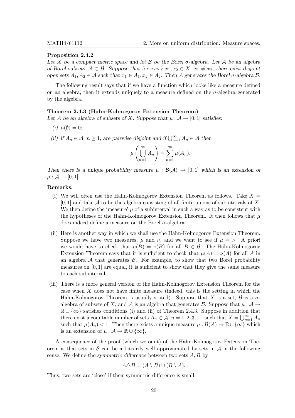#### Proposition 2.4.2

Let X be a compact metric space and let  $\mathcal B$  be the Borel  $\sigma$ -algebra. Let A be an algebra of Borel subsets,  $A \subset \mathcal{B}$ . Suppose that for every  $x_1, x_2 \in X$ ,  $x_1 \neq x_2$ , there exist disjoint open sets  $A_1, A_2 \in \mathcal{A}$  such that  $x_1 \in A_1, x_2 \in A_2$ . Then  $\mathcal{A}$  generates the Borel  $\sigma$ -algebra  $\mathcal{B}$ .

The following result says that if we have a function which looks like a measure defined on an algebra, then it extends uniquely to a measure defined on the  $\sigma$ -algebra generated by the algebra.

#### Theorem 2.4.3 (Hahn-Kolmogorov Extension Theorem)

Let A be an algebra of subsets of X. Suppose that  $\mu : \mathcal{A} \to [0,1]$  satisfies:

- (i)  $\mu(\emptyset) = 0;$
- (ii) if  $A_n \in \mathcal{A}$ ,  $n \geq 1$ , are pairwise disjoint and if  $\bigcup_{n=1}^{\infty} A_n \in \mathcal{A}$  then

$$
\mu\left(\bigcup_{n=1}^{\infty} A_n\right) = \sum_{n=1}^{\infty} \mu(A_n).
$$

Then there is a unique probability measure  $\mu : \mathcal{B}(\mathcal{A}) \to [0,1]$  which is an extension of  $\mu : \mathcal{A} \rightarrow [0,1].$ 

#### Remarks.

- (i) We will often use the Hahn-Kolmogorov Extension Theorem as follows. Take  $X =$  $[0, 1]$  and take A to be the algebra consisting of all finite unions of subintervals of X. We then define the 'measure'  $\mu$  of a subinterval in such a way as to be consistent with the hypotheses of the Hahn-Kolmogorov Extension Theorem. It then follows that  $\mu$ does indeed define a measure on the Borel  $\sigma$ -algebra.
- (ii) Here is another way in which we shall use the Hahn-Kolmogorov Extension Theorem. Suppose we have two measures,  $\mu$  and  $\nu$ , and we want to see if  $\mu = \nu$ . A priori we would have to check that  $\mu(B) = \nu(B)$  for all  $B \in \mathcal{B}$ . The Hahn-Kolmogorov Extension Theorem says that it is sufficient to check that  $\mu(A) = \nu(A)$  for all A in an algebra  $A$  that generates  $B$ . For example, to show that two Borel probability measures on  $[0, 1]$  are equal, it is sufficient to show that they give the same measure to each subinterval.
- (iii) There is a more general version of the Hahn-Kolmogorov Extension Theorem for the case when X does not have finite measure (indeed, this is the setting in which the Hahn-Kolmogorov Theorem is usually stated). Suppose that X is a set,  $\beta$  is a  $\sigma$ algebra of subsets of X, and A is an algebra that generates B. Suppose that  $\mu : A \rightarrow$  $\mathbb{R} \cup {\infty}$  satisfies conditions (i) and (ii) of Theorem 2.4.3. Suppose in addition that there exist a countable number of sets  $A_n \in \mathcal{A}$ ,  $n = 1, 2, 3, \dots$  such that  $X = \bigcup_{n=1}^{\infty} A_n$ such that  $\mu(A_n) < 1$ . Then there exists a unique measure  $\mu : \mathcal{B}(\mathcal{A}) \to \mathbb{R} \cup \{\infty\}$  which is an extension of  $\mu : \mathcal{A} \to \mathbb{R} \cup \{\infty\}.$

A consequence of the proof (which we omit) of the Hahn-Kolmogorov Extension Theorem is that sets in  $\beta$  can be arbitrarily well approximated by sets in  $\mathcal A$  in the following sense. We define the symmetric difference between two sets  $A, B$  by

$$
A \triangle B = (A \setminus B) \cup (B \setminus A).
$$

Thus, two sets are 'close' if their symmetric difference is small.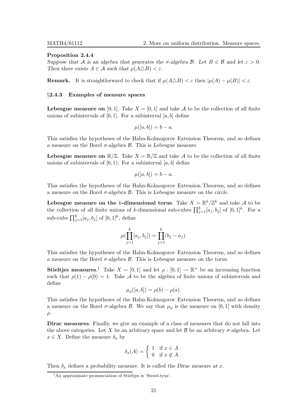#### Proposition 2.4.4

Suppose that A is an algebra that generates the  $\sigma$ -algebra B. Let  $B \in \mathcal{B}$  and let  $\varepsilon > 0$ . Then there exists  $A \in \mathcal{A}$  such that  $\mu(A \triangle B) < \varepsilon$ .

**Remark.** It is straightforward to check that if  $\mu(A \triangle B) < \varepsilon$  then  $|\mu(A) - \mu(B)| < \varepsilon$ .

#### §2.4.3 Examples of measure spaces

**Lebesgue measure on** [0, 1]. Take  $X = [0, 1]$  and take A to be the collection of all finite unions of subintervals of  $[0, 1]$ . For a subinterval  $[a, b]$  define

$$
\mu([a,b]) = b - a.
$$

This satisfies the hypotheses of the Hahn-Kolmogorov Extension Theorem, and so defines a measure on the Borel  $\sigma$ -algebra  $\beta$ . This is Lebesgue measure.

**Lebesgue measure on**  $\mathbb{R}/\mathbb{Z}$ . Take  $X = \mathbb{R}/\mathbb{Z}$  and take A to be the collection of all finite unions of subintervals of  $[0, 1)$ . For a subinterval  $[a, b]$  define

$$
\mu([a,b]) = b - a.
$$

This satisfies the hypotheses of the Hahn-Kolmogorov Extension Theorem, and so defines a measure on the Borel  $\sigma$ -algebra  $\beta$ . This is Lebesgue measure on the circle.

Lebesgue measure on the k-dimensional torus. Take  $X = \mathbb{R}^k / \mathbb{Z}^k$  and take A to be the collection of all finite unions of k-dimensional sub-cubes  $\prod_{j=1}^{k} [a_j, b_j]$  of  $[0, 1]^k$ . For a sub-cube  $\prod_{j=1}^{k} [a_j, b_j]$  of  $[0, 1]^k$ , define

$$
\mu(\prod_{j=1}^k [a_j, b_j]) = \prod_{j=1}^k (b_j - a_j).
$$

This satisfies the hypotheses of the Hahn-Kolmogorov Extension Theorem, and so defines a measure on the Borel  $\sigma$ -algebra  $\beta$ . This is Lebesgue measure on the torus.

Stieltjes measures.<sup>1</sup> Take  $X = [0, 1]$  and let  $\rho : [0, 1] \to \mathbb{R}^+$  be an increasing function such that  $\rho(1) - \rho(0) = 1$ . Take A to be the algebra of finite unions of subintervals and define

$$
\mu_{\rho}([a,b]) = \rho(b) - \rho(a).
$$

This satisfies the hypotheses of the Hahn-Kolmogorov Extension Theorem, and so defines a measure on the Borel  $\sigma$ -algebra  $\beta$ . We say that  $\mu_{\rho}$  is the measure on [0, 1] with density  $\rho$ .

Dirac measures. Finally, we give an example of a class of measures that do not fall into the above categories. Let X be an arbitrary space and let B be an arbitrary  $\sigma$ -algebra. Let  $x \in X$ . Define the measure  $\delta_x$  by

$$
\delta_x(A) = \begin{cases} 1 & \text{if } x \in A \\ 0 & \text{if } x \notin A. \end{cases}
$$

Then  $\delta_x$  defines a probability measure. It is called the Dirac measure at x.

<sup>&</sup>lt;sup>1</sup>An approximate pronunciation of Stieltjes is 'Steeel-tyuz'.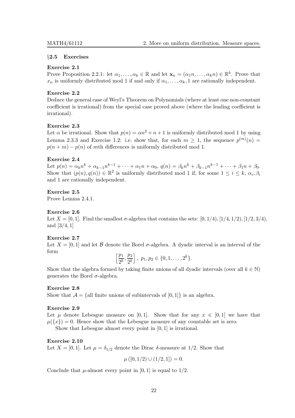#### §2.5 Exercises

#### Exercise 2.1

Prove Proposition 2.2.1: let  $\alpha_1, \ldots, \alpha_k \in \mathbb{R}$  and let  $\mathbf{x}_n = (\alpha_1 n, \ldots, \alpha_k n) \in \mathbb{R}^k$ . Prove that  $x_n$  is uniformly distributed mod 1 if and only if  $\alpha_1, \ldots, \alpha_k$ , 1 are rationally independent.

#### Exercise 2.2

Deduce the general case of Weyl's Theorem on Polynomials (where at least one non-constant coefficient is irrational) from the special case proved above (where the leading coefficient is irrational).

#### Exercise 2.3

Let  $\alpha$  be irrational. Show that  $p(n) = \alpha n^2 + n + 1$  is uniformly distributed mod 1 by using Lemma 2.3.3 and Exercise 1.2: i.e. show that, for each  $m \geq 1$ , the sequence  $p^{(m)}(n) =$  $p(n + m) - p(n)$  of mth differences is uniformly distributed mod 1.

#### Exercise 2.4

Let  $p(n) = \alpha_k n^k + \alpha_{k-1} n^{k-1} + \cdots + \alpha_1 n + \alpha_0, q(n) = \beta_k n^k + \beta_{k-1} n^{k-1} + \cdots + \beta_1 n + \beta_0.$ Show that  $(p(n), q(n)) \in \mathbb{R}^2$  is uniformly distributed mod 1 if, for some  $1 \leq i \leq k$ ,  $\alpha_i, \beta_i$ and 1 are rationally independent.

#### Exercise 2.5

Prove Lemma 2.4.1.

#### Exercise 2.6

Let  $X = [0, 1]$ . Find the smallest  $\sigma$ -algebra that contains the sets:  $[0, 1/4)$ ,  $[1/4, 1/2)$ ,  $[1/2, 3/4)$ , and [3/4, 1]

#### Exercise 2.7

Let  $X = [0, 1]$  and let B denote the Borel  $\sigma$ -algebra. A dyadic interval is an interval of the form

$$
\left[\frac{p_1}{2^k}, \frac{p_2}{2^k}\right], p_1, p_2 \in \{0, 1, \ldots, 2^k\}.
$$

Show that the algebra formed by taking finite unions of all dyadic intervals (over all  $k \in \mathbb{N}$ ) generates the Borel  $\sigma$ -algebra.

#### Exercise 2.8

Show that  $A = \{$ all finite unions of subintervals of [0, 1] $\}$  is an algebra.

#### Exercise 2.9

Let  $\mu$  denote Lebesgue measure on [0,1]. Show that for any  $x \in [0,1]$  we have that  $\mu({x}) = 0$ . Hence show that the Lebesgue measure of any countable set is zero.

Show that Lebesgue almost every point in [0, 1] is irrational.

#### Exercise 2.10

Let  $X = [0, 1]$ . Let  $\mu = \delta_{1/2}$  denote the Dirac  $\delta$ -measure at 1/2. Show that

$$
\mu([0,1/2) \cup (1/2,1]) = 0.
$$

Conclude that  $\mu$ -almost every point in [0, 1] is equal to 1/2.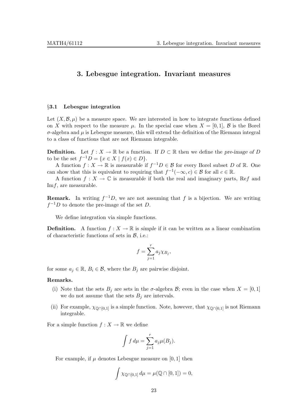#### 3. Lebesgue integration. Invariant measures

#### §3.1 Lebesgue integration

Let  $(X,\mathcal{B},\mu)$  be a measure space. We are interested in how to integrate functions defined on X with respect to the measure  $\mu$ . In the special case when  $X = [0, 1]$ , B is the Borel  $\sigma$ -algebra and  $\mu$  is Lebesgue measure, this will extend the definition of the Riemann integral to a class of functions that are not Riemann integrable.

**Definition.** Let  $f : X \to \mathbb{R}$  be a function. If  $D \subset \mathbb{R}$  then we define the pre-image of D to be the set  $f^{-1}D = \{x \in X \mid f(x) \in D\}.$ 

A function  $f: X \to \mathbb{R}$  is measurable if  $f^{-1}D \in \mathcal{B}$  for every Borel subset D of  $\mathbb{R}$ . One can show that this is equivalent to requiring that  $f^{-1}(-\infty, c) \in \mathcal{B}$  for all  $c \in \mathbb{R}$ .

A function  $f: X \to \mathbb{C}$  is measurable if both the real and imaginary parts, Ref and Imf, are measurable.

**Remark.** In writing  $f^{-1}D$ , we are not assuming that f is a bijection. We are writing  $f^{-1}D$  to denote the pre-image of the set D.

We define integration via simple functions.

**Definition.** A function  $f : X \to \mathbb{R}$  is simple if it can be written as a linear combination of characteristic functions of sets in  $\beta$ , i.e.:

$$
f = \sum_{j=1}^{r} a_j \chi_{B_j},
$$

for some  $a_j \in \mathbb{R}, B_i \in \mathcal{B}$ , where the  $B_j$  are pairwise disjoint.

#### Remarks.

- (i) Note that the sets  $B_i$  are sets in the  $\sigma$ -algebra  $\mathcal{B}$ ; even in the case when  $X = [0, 1]$ we do not assume that the sets  $B_i$  are intervals.
- (ii) For example,  $\chi_{\text{0}\cap\text{0,1}}$  is a simple function. Note, however, that  $\chi_{\text{0}\cap\text{0,1}}$  is not Riemann integrable.

For a simple function  $f: X \to \mathbb{R}$  we define

$$
\int f d\mu = \sum_{j=1}^r a_j \mu(B_j).
$$

For example, if  $\mu$  denotes Lebesgue measure on [0, 1] then

$$
\int \chi_{\mathbb{Q}\cap[0,1]} d\mu = \mu(\mathbb{Q}\cap[0,1]) = 0,
$$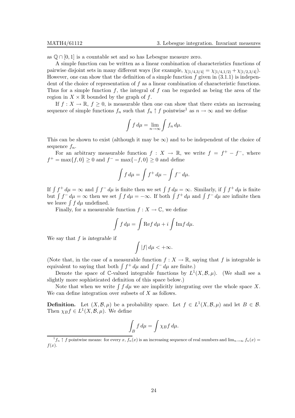as  $\mathbb{Q} \cap [0,1]$  is a countable set and so has Lebesgue measure zero.

A simple function can be written as a linear combination of characteristics functions of pairwise disjoint sets in many different ways (for example,  $\chi_{[1/4,3/4]} = \chi_{[1/4,1/2)} + \chi_{[1/2,3/4]}$ ). However, one can show that the definition of a simple function  $f$  given in  $(3.1.1)$  is independent of the choice of representation of  $f$  as a linear combination of characteristic functions. Thus for a simple function f, the integral of f can be regarded as being the area of the region in  $X \times \mathbb{R}$  bounded by the graph of f.

If  $f: X \to \mathbb{R}, f \geq 0$ , is measurable then one can show that there exists an increasing sequence of simple functions  $f_n$  such that  $f_n \uparrow f$  pointwise<sup>1</sup> as  $n \to \infty$  and we define

$$
\int f d\mu = \lim_{n \to \infty} \int f_n d\mu.
$$

This can be shown to exist (although it may be  $\infty$ ) and to be independent of the choice of sequence  $f_n$ .

For an arbitrary measurable function  $f: X \to \mathbb{R}$ , we write  $f = f^+ - f^-$ , where  $f^+ = \max\{f, 0\} \ge 0$  and  $f^- = \max\{-f, 0\} \ge 0$  and define

$$
\int f d\mu = \int f^+ d\mu - \int f^- d\mu.
$$

If  $\int f^+ d\mu = \infty$  and  $\int f^- d\mu$  is finite then we set  $\int f d\mu = \infty$ . Similarly, if  $\int f^+ d\mu$  is finite but  $\int f^{-} d\mu = \infty$  then we set  $\int f d\mu = -\infty$ . If both  $\int f^{+} d\mu$  and  $\int f^{-} d\mu$  are infinite then we leave  $\int f d\mu$  undefined.

Finally, for a measurable function  $f : X \to \mathbb{C}$ , we define

$$
\int f d\mu = \int \text{Re} f d\mu + i \int \text{Im} f d\mu.
$$

We say that  $f$  is integrable if

$$
\int |f| \, d\mu < +\infty.
$$

(Note that, in the case of a measurable function  $f: X \to \mathbb{R}$ , saying that f is integrable is equivalent to saying that both  $\int f^+ d\mu$  and  $\int f^- d\mu$  are finite.)

Denote the space of  $\mathbb{C}$ -valued integrable functions by  $L^1(X, \mathcal{B}, \mu)$ . (We shall see a slightly more sophisticated definition of this space below.)

Note that when we write  $\int f d\mu$  we are implicitly integrating over the whole space X. We can define integration over subsets of  $X$  as follows.

**Definition.** Let  $(X, \mathcal{B}, \mu)$  be a probability space. Let  $f \in L^1(X, \mathcal{B}, \mu)$  and let  $B \in \mathcal{B}$ . Then  $\chi_B f \in L^1(X, \mathcal{B}, \mu)$ . We define

$$
\int_B f \, d\mu = \int \chi_B f \, d\mu.
$$

 $\int_{1}^{1} f_n \uparrow f$  pointwise means: for every x,  $f_n(x)$  is an increasing sequence of real numbers and  $\lim_{n\to\infty} f_n(x) =$  $f(x)$ .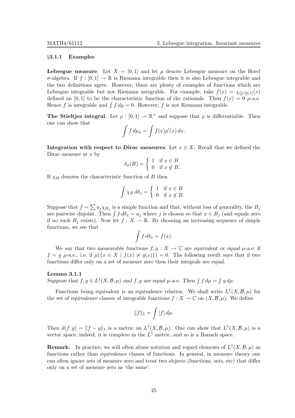#### §3.1.1 Examples

**Lebesgue measure.** Let  $X = [0, 1]$  and let  $\mu$  denote Lebesgue measure on the Borel σ-algebra. If f : [0, 1] → R is Riemann integrable then it is also Lebesgue integrable and the two definitions agree. However, there are plenty of examples of functions which are Lebesgue integrable but not Riemann integrable. For example, take  $f(x) = \chi_{\text{O}\cap[0,1]}(x)$ defined on [0, 1] to be the characteristic function of the rationals. Then  $f(x) = 0$   $\mu$ -a.e. Hence f is integrable and  $\int f d\mu = 0$ . However, f is not Riemann integrable.

**The Stieltjes integral.** Let  $\rho : [0,1] \to \mathbb{R}^+$  and suppose that  $\rho$  is differentiable. Then one can show that

$$
\int f d\mu_{\rho} = \int f(x) \rho'(x) dx.
$$

Integration with respect to Dirac measures. Let  $x \in X$ . Recall that we defined the Dirac measure at  $x$  by

$$
\delta_x(B) = \begin{cases} 1 & \text{if } x \in B \\ 0 & \text{if } x \notin B. \end{cases}
$$

If  $\chi_B$  denotes the characteristic function of B then

$$
\int \chi_B d\delta_x = \begin{cases} 1 & \text{if } x \in B \\ 0 & \text{if } x \notin B. \end{cases}
$$

Suppose that  $f = \sum a_j \chi_{B_j}$  is a simple function and that, without loss of generality, the  $B_j$ are pairwise disjoint. Then  $\int f d\delta_x = a_j$  where j is chosen so that  $x \in B_j$  (and equals zero if no such  $B_i$  exists). Now let  $f: X \to \mathbb{R}$ . By choosing an increasing sequence of simple functions, we see that

$$
\int f \, d\delta_x = f(x).
$$

We say that two measurable functions  $f, g: X \to \mathbb{C}$  are equivalent or equal  $\mu$ -a.e. if  $f = g \mu$ -a.e., i.e. if  $\mu({x \in X \mid f(x) \neq g(x)}) = 0$ . The following result says that if two functions differ only on a set of measure zero then their integrals are equal.

#### Lemma 3.1.1

Suppose that  $f, g \in L^1(X, \mathcal{B}, \mu)$  and  $f, g$  are equal  $\mu$ -a.e. Then  $\int f d\mu = \int g d\mu$ .

Functions being equivalent is an equivalence relation. We shall write  $L^1(X, \mathcal{B}, \mu)$  for the set of equivalence classes of integrable functions  $f : X \to \mathbb{C}$  on  $(X, \mathcal{B}, \mu)$ . We define

$$
||f||_1 = \int |f| d\mu.
$$

Then  $d(f,g) = ||f - g||_1$  is a metric on  $L^1(X,\mathcal{B},\mu)$ . One can show that  $L^1(X,\mathcal{B},\mu)$  is a vector space; indeed, it is complete in the  $L^1$  metric, and so is a Banach space.

**Remark.** In practice, we will often abuse notation and regard elements of  $L^1(X, \mathcal{B}, \mu)$  as functions rather than equivalence classes of functions. In general, in measure theory one can often ignore sets of measure zero and treat two objects (functions, sets, etc) that differ only on a set of measure zero as 'the same'.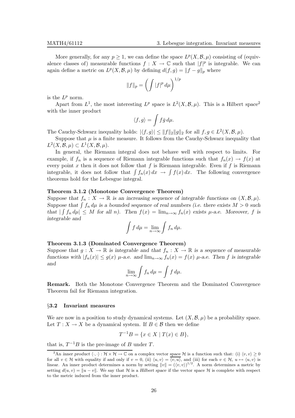More generally, for any  $p \geq 1$ , we can define the space  $L^p(X, \mathcal{B}, \mu)$  consisting of (equivalence classes of) measurable functions  $f: X \to \mathbb{C}$  such that  $|f|^p$  is integrable. We can again define a metric on  $L^p(X, \mathcal{B}, \mu)$  by defining  $d(f, g) = ||f - g||_p$  where

$$
||f||_p = \left(\int |f|^p \, d\mu\right)^{1/p}
$$

is the  $L^p$  norm.

Apart from  $L^1$ , the most interesting  $L^p$  space is  $L^2(X, \mathcal{B}, \mu)$ . This is a Hilbert space<sup>2</sup> with the inner product

$$
\langle f,g\rangle=\int f\bar{g}\,d\mu.
$$

The Cauchy-Schwarz inequality holds:  $|\langle f, g \rangle| \le ||f||_2 ||g||_2$  for all  $f, g \in L^2(X, \mathcal{B}, \mu)$ .

Suppose that  $\mu$  is a finite measure. It follows from the Cauchy-Schwarz inequality that  $L^2(X, \mathcal{B}, \mu) \subset L^1(X, \mathcal{B}, \mu).$ 

In general, the Riemann integral does not behave well with respect to limits. For example, if  $f_n$  is a sequence of Riemann integrable functions such that  $f_n(x) \to f(x)$  at every point x then it does not follow that f is Riemann integrable. Even if f is Riemann integrable, it does not follow that  $\int f_n(x) dx \to \int f(x) dx$ . The following convergence theorems hold for the Lebesgue integral.

#### Theorem 3.1.2 (Monotone Convergence Theorem)

Suppose that  $f_n: X \to \mathbb{R}$  is an increasing sequence of integrable functions on  $(X, \mathcal{B}, \mu)$ . Suppose that  $\int f_n d\mu$  is a bounded sequence of real numbers (i.e. there exists  $M > 0$  such that  $\left| \int f_n d\mu \right| \leq M$  for all n). Then  $f(x) = \lim_{n \to \infty} f_n(x)$  exists  $\mu$ -a.e. Moreover, f is integrable and

$$
\int f d\mu = \lim_{n \to \infty} \int f_n d\mu.
$$

#### Theorem 3.1.3 (Dominated Convergence Theorem)

Suppose that  $g: X \to \mathbb{R}$  is integrable and that  $f_n: X \to \mathbb{R}$  is a sequence of measurable functions with  $|f_n(x)| \le g(x)$   $\mu$ -a.e. and  $\lim_{n\to\infty} f_n(x) = f(x)$   $\mu$ -a.e. Then f is integrable and

$$
\lim_{n\to\infty}\int f_n\,d\mu=\int f\,d\mu.
$$

Remark. Both the Monotone Convergence Theorem and the Dominated Convergence Theorem fail for Riemann integration.

#### §3.2 Invariant measures

We are now in a position to study dynamical systems. Let  $(X, \mathcal{B}, \mu)$  be a probability space. Let  $T: X \to X$  be a dynamical system. If  $B \in \mathcal{B}$  then we define

$$
T^{-1}B = \{ x \in X \mid T(x) \in B \},\
$$

that is,  $T^{-1}B$  is the pre-image of B under T.

<sup>&</sup>lt;sup>2</sup>An inner product  $\langle \cdot, \cdot \rangle : \mathcal{H} \times \mathcal{H} \to \mathbb{C}$  on a complex vector space  $\mathcal{H}$  is a function such that: (i)  $\langle v, v \rangle \ge 0$ for all  $v \in \mathcal{H}$  with equality if and only if  $v = 0$ , (ii)  $\langle u, v \rangle = \langle v, u \rangle$ , and (iii) for each  $v \in \mathcal{H}$ ,  $u \mapsto \langle u, v \rangle$  is linear. An inner product determines a norm by setting  $||v|| = (\langle v, v \rangle)^{1/2}$ . A norm determines a metric by setting  $d(u, v) = ||u - v||$ . We say that H is a Hilbert space if the vector space H is complete with respect to the metric induced from the inner product.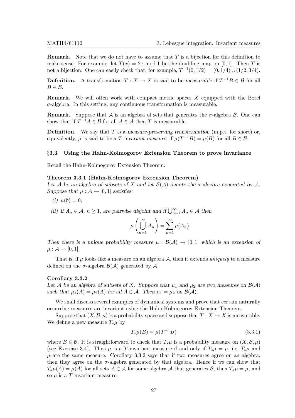**Remark.** Note that we do not have to assume that  $T$  is a bijection for this definition to make sense. For example, let  $T(x) = 2x \mod 1$  be the doubling map on [0, 1]. Then T is not a bijection. One can easily check that, for example,  $T^{-1}(0, 1/2) = (0, 1/4) \cup (1/2, 3/4)$ .

**Definition.** A transformation  $T : X \to X$  is said to be measurable if  $T^{-1}B \in \mathcal{B}$  for all  $B \in \mathcal{B}$ .

**Remark.** We will often work with compact metric spaces  $X$  equipped with the Borel  $\sigma$ -algebra. In this setting, any continuous transformation is measurable.

**Remark.** Suppose that A is an algebra of sets that generates the  $\sigma$ -algebra B. One can show that if  $T^{-1}A \in \mathcal{B}$  for all  $A \in \mathcal{A}$  then T is measurable.

**Definition.** We say that  $T$  is a measure-preserving transformation (m.p.t. for short) or, equivalently,  $\mu$  is said to be a T-invariant measure, if  $\mu(T^{-1}B) = \mu(B)$  for all  $B \in \mathcal{B}$ .

#### §3.3 Using the Hahn-Kolmogorov Extension Theorem to prove invariance

Recall the Hahn-Kolmogorov Extension Theorem:

#### Theorem 3.3.1 (Hahn-Kolmogorov Extension Theorem)

Let A be an algebra of subsets of X and let  $\mathcal{B}(\mathcal{A})$  denote the  $\sigma$ -algebra generated by A. Suppose that  $\mu : \mathcal{A} \to [0,1]$  satisfies:

(i)  $\mu(\emptyset) = 0;$ 

(ii) if  $A_n \in \mathcal{A}$ ,  $n \geq 1$ , are pairwise disjoint and if  $\bigcup_{n=1}^{\infty} A_n \in \mathcal{A}$  then

$$
\mu\left(\bigcup_{n=1}^{\infty} A_n\right) = \sum_{n=1}^{\infty} \mu(A_n).
$$

Then there is a unique probability measure  $\mu : \mathcal{B}(\mathcal{A}) \to [0,1]$  which is an extension of  $\mu : \mathcal{A} \rightarrow [0,1].$ 

That is, if  $\mu$  looks like a measure on an algebra  $\mathcal{A}$ , then it extends *uniquely* to a measure defined on the  $\sigma$ -algebra  $\mathcal{B}(\mathcal{A})$  generated by  $\mathcal{A}$ .

#### Corollary 3.3.2

Let A be an algebra of subsets of X. Suppose that  $\mu_1$  and  $\mu_2$  are two measures on  $\mathcal{B}(\mathcal{A})$ such that  $\mu_1(A) = \mu_2(A)$  for all  $A \in \mathcal{A}$ . Then  $\mu_1 = \mu_2$  on  $\mathcal{B}(\mathcal{A})$ .

We shall discuss several examples of dynamical systems and prove that certain naturally occurring measures are invariant using the Hahn-Kolmogorov Extension Theorem.

Suppose that  $(X, \mathcal{B}, \mu)$  is a probability space and suppose that  $T : X \to X$  is measurable. We define a new measure  $T_*\mu$  by

$$
T_*\mu(B) = \mu(T^{-1}B)
$$
\n(3.3.1)

where  $B \in \mathcal{B}$ . It is straightforward to check that  $T_*\mu$  is a probability measure on  $(X,\mathcal{B},\mu)$ (see Exercise 3.4). Thus  $\mu$  is a T-invariant measure if and only if  $T_*\mu = \mu$ , i.e.  $T_*\mu$  and  $\mu$  are the same measure. Corollary 3.3.2 says that if two measures agree on an algebra, then they agree on the  $\sigma$ -algebra generated by that algebra. Hence if we can show that  $T_*\mu(A) = \mu(A)$  for all sets  $A \in \mathcal{A}$  for some algebra  $\mathcal{A}$  that generates  $\mathcal{B}$ , then  $T_*\mu = \mu$ , and so  $\mu$  is a T-invariant measure.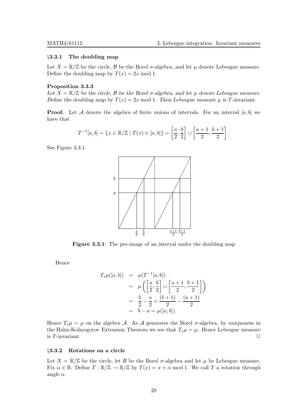#### §3.3.1 The doubling map

Let  $X = \mathbb{R}/\mathbb{Z}$  be the circle,  $\beta$  be the Borel  $\sigma$ -algebra, and let  $\mu$  denote Lebesgue measure. Define the doubling map by  $T(x) = 2x \text{ mod } 1$ .

#### Proposition 3.3.3

Let  $X = \mathbb{R}/\mathbb{Z}$  be the circle,  $\beta$  be the Borel  $\sigma$ -algebra, and let  $\mu$  denote Lebesgue measure. Define the doubling map by  $T(x) = 2x \text{ mod } 1$ . Then Lebesgue measure  $\mu$  is T-invariant.

**Proof.** Let A denote the algebra of finite unions of intervals. For an interval [a, b] we have that

$$
T^{-1}[a, b] = \{x \in \mathbb{R}/\mathbb{Z} \mid T(x) \in [a, b]\} = \left[\frac{a}{2}, \frac{b}{2}\right] \cup \left[\frac{a+1}{2}, \frac{b+1}{2}\right].
$$

See Figure 3.3.1.



Figure 3.3.1: The pre-image of an interval under the doubling map

Hence

$$
T_*\mu([a, b]) = \mu(T^{-1}[a, b])
$$
  
=  $\mu\left(\left[\frac{a}{2}, \frac{b}{2}\right] \cup \left[\frac{a+1}{2}, \frac{b+1}{2}\right]\right)$   
=  $\frac{b}{2} - \frac{a}{2} + \frac{(b+1)}{2} - \frac{(a+1)}{2}$   
=  $b - a = \mu([a, b]).$ 

Hence  $T_*\mu = \mu$  on the algebra A. As A generates the Borel  $\sigma$ -algebra, by uniqueness in the Hahn-Kolmogorov Extension Theorem we see that  $T_*\mu = \mu$ . Hence Lebesgue measure is  $T$ -invariant.  $\Box$ 

#### §3.3.2 Rotations on a circle

Let  $X = \mathbb{R}/\mathbb{Z}$  be the circle, let  $\beta$  be the Borel  $\sigma$ -algebra and let  $\mu$  be Lebesgue measure. Fix  $\alpha \in \mathbb{R}$ . Define  $T : \mathbb{R}/\mathbb{Z} \to \mathbb{R}/\mathbb{Z}$  by  $T(x) = x + \alpha \mod 1$ . We call T a rotation through angle  $\alpha$ .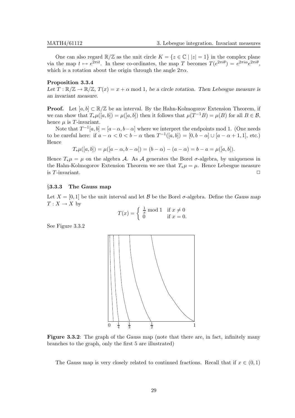One can also regard  $\mathbb{R}/\mathbb{Z}$  as the unit circle  $K = \{z \in \mathbb{C} \mid |z| = 1\}$  in the complex plane via the map  $t \mapsto e^{2\pi i t}$ . In these co-ordinates, the map T becomes  $T(e^{2\pi i \theta}) = e^{2\pi i \alpha} e^{2\pi i \theta}$ , which is a rotation about the origin through the angle  $2\pi\alpha$ .

#### Proposition 3.3.4

Let  $T : \mathbb{R}/\mathbb{Z} \to \mathbb{R}/\mathbb{Z}$ ,  $T(x) = x + \alpha \mod 1$ , be a circle rotation. Then Lebesgue measure is an invariant measure.

**Proof.** Let  $[a, b] \subset \mathbb{R}/\mathbb{Z}$  be an interval. By the Hahn-Kolmogorov Extension Theorem, if we can show that  $T_*\mu([a, b]) = \mu([a, b])$  then it follows that  $\mu(T^{-1}B) = \mu(B)$  for all  $B \in \mathcal{B}$ , hence  $\mu$  is T-invariant.

Note that  $T^{-1}[a, b] = [a - \alpha, b - \alpha]$  where we interpret the endpoints mod 1. (One needs to be careful here: if  $a - \alpha < 0 < b - \alpha$  then  $T^{-1}([a, b]) = [0, b - \alpha] \cup [a - \alpha + 1, 1]$ , etc.) Hence

$$
T_*\mu([a,b]) = \mu([a-\alpha,b-\alpha]) = (b-\alpha) - (a-\alpha) = b-a = \mu([a,b]).
$$

Hence  $T_*\mu = \mu$  on the algebra A. As A generates the Borel  $\sigma$ -algebra, by uniqueness in the Hahn-Kolmogorov Extension Theorem we see that  $T_*\mu = \mu$ . Hence Lebesgue measure is  $T$ -invariant.  $\Box$ 

#### §3.3.3 The Gauss map

Let  $X = [0, 1]$  be the unit interval and let  $\beta$  be the Borel  $\sigma$ -algebra. Define the Gauss map  $T: X \to X$  by

$$
T(x) = \begin{cases} \frac{1}{x} \mod 1 & \text{if } x \neq 0\\ 0 & \text{if } x = 0. \end{cases}
$$

See Figure 3.3.2



Figure 3.3.2: The graph of the Gauss map (note that there are, in fact, infinitely many branches to the graph, only the first 5 are illustrated)

The Gauss map is very closely related to continued fractions. Recall that if  $x \in (0,1)$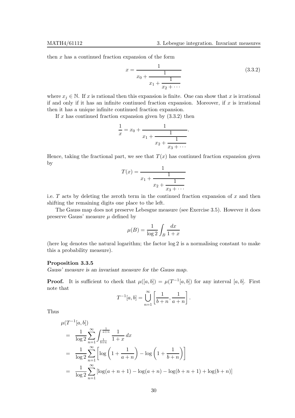then  $x$  has a continued fraction expansion of the form

$$
x = \frac{1}{x_0 + \frac{1}{x_1 + \frac{1}{x_2 + \dotsb}}}
$$
(3.3.2)

where  $x_j \in \mathbb{N}$ . If x is rational then this expansion is finite. One can show that x is irrational if and only if it has an infinite continued fraction expansion. Moreover, if  $x$  is irrational then it has a unique infinite continued fraction expansion.

If  $x$  has continued fraction expansion given by  $(3.3.2)$  then

$$
\frac{1}{x} = x_0 + \cfrac{1}{x_1 + \cfrac{1}{x_2 + \cfrac{1}{x_3 + \cdots}}}.
$$

Hence, taking the fractional part, we see that  $T(x)$  has continued fraction expansion given by

$$
T(x) = \cfrac{1}{x_1 + \cfrac{1}{x_2 + \cfrac{1}{x_3 + \cdots}}}
$$

i.e.  $T$  acts by deleting the zeroth term in the continued fraction expansion of  $x$  and then shifting the remaining digits one place to the left.

The Gauss map does not preserve Lebesgue measure (see Exercise 3.5). However it does preserve Gauss' measure  $\mu$  defined by

$$
\mu(B) = \frac{1}{\log 2} \int_B \frac{dx}{1+x}
$$

(here log denotes the natural logarithm; the factor log 2 is a normalising constant to make this a probability measure).

#### Proposition 3.3.5

Gauss' measure is an invariant measure for the Gauss map.

**Proof.** It is sufficient to check that  $\mu([a, b]) = \mu(T^{-1}[a, b])$  for any interval [a, b]. First note that

$$
T^{-1}[a,b] = \bigcup_{n=1}^{\infty} \left[ \frac{1}{b+n}, \frac{1}{a+n} \right].
$$

Thus

$$
\mu(T^{-1}[a,b])
$$
\n
$$
= \frac{1}{\log 2} \sum_{n=1}^{\infty} \int_{\frac{1}{b+n}}^{\frac{1}{a+n}} \frac{1}{1+x} dx
$$
\n
$$
= \frac{1}{\log 2} \sum_{n=1}^{\infty} \left[ \log \left( 1 + \frac{1}{a+n} \right) - \log \left( 1 + \frac{1}{b+n} \right) \right]
$$
\n
$$
= \frac{1}{\log 2} \sum_{n=1}^{\infty} \left[ \log(a+n+1) - \log(a+n) - \log(b+n+1) + \log(b+n) \right]
$$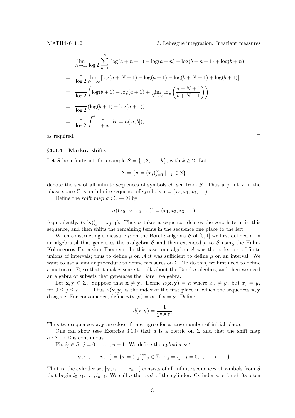$$
= \lim_{N \to \infty} \frac{1}{\log 2} \sum_{n=1}^{N} [\log(a+n+1) - \log(a+n) - \log(b+n+1) + \log(b+n)]
$$
  
\n
$$
= \frac{1}{\log 2} \lim_{N \to \infty} [\log(a+N+1) - \log(a+1) - \log(b+N+1) + \log(b+1)]
$$
  
\n
$$
= \frac{1}{\log 2} \left( \log(b+1) - \log(a+1) + \lim_{N \to \infty} \log \left( \frac{a+N+1}{b+N+1} \right) \right)
$$
  
\n
$$
= \frac{1}{\log 2} (\log(b+1) - \log(a+1))
$$
  
\n
$$
= \frac{1}{\log 2} \int_{a}^{b} \frac{1}{1+x} dx = \mu([a, b]),
$$

as required.  $\Box$ 

#### §3.3.4 Markov shifts

Let S be a finite set, for example  $S = \{1, 2, \ldots, k\}$ , with  $k \geq 2$ . Let

$$
\Sigma = \{ \mathbf{x} = (x_j)_{j=0}^{\infty} \mid x_j \in S \}
$$

denote the set of all infinite sequences of symbols chosen from  $S$ . Thus a point  $\bf{x}$  in the phase space  $\Sigma$  is an infinite sequence of symbols  $\mathbf{x} = (x_0, x_1, x_2, \ldots)$ .

Define the shift map  $\sigma : \Sigma \to \Sigma$  by

$$
\sigma((x_0, x_1, x_2, \ldots)) = (x_1, x_2, x_3, \ldots)
$$

(equivalently,  $(\sigma(\mathbf{x}))_j = x_{j+1}$ ). Thus  $\sigma$  takes a sequence, deletes the zeroth term in this sequence, and then shifts the remaining terms in the sequence one place to the left.

When constructing a measure  $\mu$  on the Borel  $\sigma$ -algebra  $\beta$  of [0, 1] we first defined  $\mu$  on an algebra A that generates the  $\sigma$ -algebra B and then extended  $\mu$  to B using the Hahn-Kolmogorov Extension Theorem. In this case, our algebra  $A$  was the collection of finite unions of intervals; thus to define  $\mu$  on  $\mathcal A$  it was sufficient to define  $\mu$  on an interval. We want to use a similar procedure to define measures on  $\Sigma$ . To do this, we first need to define a metric on  $\Sigma$ , so that it makes sense to talk about the Borel  $\sigma$ -algebra, and then we need an algebra of subsets that generates the Borel  $\sigma$ -algebra.

Let  $\mathbf{x}, \mathbf{y} \in \Sigma$ . Suppose that  $\mathbf{x} \neq \mathbf{y}$ . Define  $n(\mathbf{x}, \mathbf{y}) = n$  where  $x_n \neq y_n$  but  $x_j = y_j$ for  $0 \leq j \leq n-1$ . Thus  $n(x, y)$  is the index of the first place in which the sequences x, y disagree. For convenience, define  $n(\mathbf{x}, \mathbf{y}) = \infty$  if  $\mathbf{x} = \mathbf{y}$ . Define

$$
d(\mathbf{x}, \mathbf{y}) = \frac{1}{2^{n(\mathbf{x}, \mathbf{y})}}.
$$

Thus two sequences  $x, y$  are close if they agree for a large number of initial places.

One can show (see Exercise 3.10) that d is a metric on  $\Sigma$  and that the shift map  $\sigma : \Sigma \to \Sigma$  is continuous.

Fix  $i_j \in S$ ,  $j = 0, 1, \ldots, n-1$ . We define the cylinder set

$$
[i_0, i_1, \ldots, i_{n-1}] = \{ \mathbf{x} = (x_j)_{j=0}^{\infty} \in \Sigma \mid x_j = i_j, \ j = 0, 1, \ldots, n-1 \}.
$$

That is, the cylinder set  $[i_0, i_1, \ldots, i_{n-1}]$  consists of all infinite sequences of symbols from S that begin  $i_0, i_1, \ldots, i_{n-1}$ . We call n the rank of the cylinder. Cylinder sets for shifts often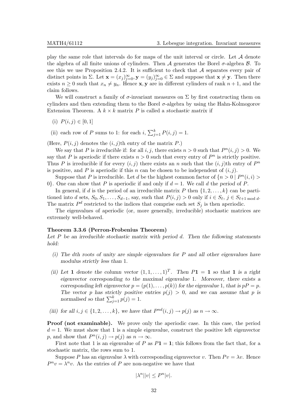play the same role that intervals do for maps of the unit interval or circle. Let  $A$  denote the algebra of all finite unions of cylinders. Then A generates the Borel  $\sigma$ -algebra  $\beta$ . To see this we use Proposition 2.4.2. It is sufficient to check that  $A$  separates every pair of distinct points in  $\Sigma$ . Let  $\mathbf{x} = (x_j)_{j=0}^{\infty}, \mathbf{y} = (y_j)_{j=0}^{\infty} \in \Sigma$  and suppose that  $\mathbf{x} \neq \mathbf{y}$ . Then there exists  $n \geq 0$  such that  $x_n \neq y_n$ . Hence **x**, **y** are in different cylinders of rank  $n + 1$ , and the claim follows.

We will construct a family of  $\sigma$ -invariant measures on  $\Sigma$  by first constructing them on cylinders and then extending them to the Borel σ-algebra by using the Hahn-Kolmogorov Extension Theorem. A  $k \times k$  matrix P is called a stochastic matrix if

(i)  $P(i, j) \in [0, 1]$ 

(ii) each row of P sums to 1: for each  $i$ ,  $\sum_{j=1}^{k} P(i, j) = 1$ .

(Here,  $P(i, j)$  denotes the  $(i, j)$ th entry of the matrix P.)

We say that P is irreducible if: for all i, j, there exists  $n > 0$  such that  $P<sup>n</sup>(i, j) > 0$ . We say that P is aperiodic if there exists  $n > 0$  such that every entry of  $P^n$  is strictly positive. Thus P is irreducible if for every  $(i, j)$  there exists an n such that the  $(i, j)$ th entry of  $P<sup>n</sup>$ is positive, and P is aperiodic if this n can be chosen to be independent of  $(i, j)$ .

Suppose that P is irreducible. Let d be the highest common factor of  $\{n > 0 \mid P^n(i, i) >$ 0. One can show that P is aperiodic if and only if  $d = 1$ . We call d the period of P.

In general, if d is the period of an irreducible matrix P then  $\{1, 2, \ldots, k\}$  can be partitioned into d sets,  $S_0, S_1, \ldots, S_{d-1}$ , say, such that  $P(i, j) > 0$  only if  $i \in S_{\ell}, j \in S_{\ell+1 \mod d}$ . The matrix  $P<sup>d</sup>$  restricted to the indices that comprise each set  $S<sub>j</sub>$  is then aperiodic.

The eigenvalues of aperiodic (or, more generally, irreducible) stochastic matrices are extremely well-behaved.

#### Theorem 3.3.6 (Perron-Frobenius Theorem)

Let  $P$  be an irreducible stochastic matrix with period  $d$ . Then the following statements hold:

- (i) The dth roots of unity are simple eigenvalues for P and all other eigenvalues have modulus strictly less than 1.
- (ii) Let 1 denote the column vector  $(1, 1, \ldots, 1)^T$ . Then  $P1 = 1$  so that 1 is a right eigenvector corresponding to the maximal eigenvalue 1. Moreover, there exists a corresponding left eigenvector  $p = (p(1), \ldots, p(k))$  for the eigenvalue 1, that is  $pP = p$ . The vector p has strictly positive entries  $p(j) > 0$ , and we can assume that p is normalised so that  $\sum_{j=1}^{k} p(j) = 1$ .
- (iii) for all  $i, j \in \{1, 2, ..., k\}$ , we have that  $P^{nd}(i, j) \rightarrow p(j)$  as  $n \rightarrow \infty$ .

Proof (not examinable). We prove only the aperiodic case. In this case, the period  $d = 1$ . We must show that 1 is a simple eigenvalue, construct the positive left eigenvector p, and show that  $P^n(i, j) \to p(j)$  as  $n \to \infty$ .

First note that 1 is an eigenvalue of P as  $P1 = 1$ ; this follows from the fact that, for a stochastic matrix, the rows sum to 1.

Suppose P has an eigenvalue  $\lambda$  with corresponding eigenvector v. Then  $Pv = \lambda v$ . Hence  $P^n v = \lambda^n v$ . As the entries of P are non-negative we have that

$$
|\lambda^n||v| \le P^n|v|.
$$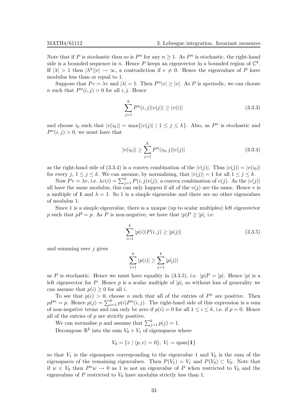Note that if P is stochastic then so is  $P^n$  for any  $n \geq 1$ . As  $P^n$  is stochastic, the right-hand side is a bounded sequence in n. Hence P keeps an eigenvector in a bounded region of  $\mathbb{C}^k$ . If  $|\lambda| > 1$  then  $|\lambda^n||v| \to \infty$ , a contradiction if  $v \neq 0$ . Hence the eigenvalues of P have modulus less than or equal to 1.

Suppose that  $Pv = \lambda v$  and  $|\lambda| = 1$ . Then  $P<sup>n</sup>|v| \ge |v|$ . As P is aperiodic, we can choose *n* such that  $P<sup>n</sup>(i, j) > 0$  for all *i*, *j*. Hence

$$
\sum_{j=1}^{k} P^{n}(i,j)|v(j)| \ge |v(i)| \tag{3.3.3}
$$

and choose  $i_0$  such that  $|v(i_0)| = \max\{|v(j)| \mid 1 \le j \le k\}$ . Also, as  $P^n$  is stochastic and  $P<sup>n</sup>(i, j) > 0$ , we must have that

$$
|v(i_0)| \ge \sum_{j=1}^{k} P^n(i_0, j)|v(j)| \tag{3.3.4}
$$

as the right-hand side of (3.3.4) is a convex combination of the  $|v(j)|$ . Thus  $|v(j)| = |v(i_0)|$ for every  $j, 1 \le j \le k$ . We can assume, by normalising, that  $|v(j)| = 1$  for all  $1 \le j \le k$ .

Now  $Pv = \lambda v$ , i.e.  $\lambda v(i) = \sum_{j=1}^{k} P(i, j)v(j)$ , a convex combination of  $v(j)$ . As the  $|v(j)|$ all have the same modulus, this can only happen if all of the  $v(j)$  are the same. Hence v is a multiple of 1 and  $\lambda = 1$ . So 1 is a simple eigenvalue and there are no other eigenvalues of modulus 1.

Since 1 is a simple eigenvalue, there is a unique (up to scalar multiples) left eigenvector p such that  $pP = p$ . As P is non-negative, we have that  $|p|P \ge |p|$ , i.e.

$$
\sum_{i=1}^{k} |p(i)| P(i,j) \ge |p(j)| \tag{3.3.5}
$$

and summing over  $j$  gives

$$
\sum_{i=1}^{k} |p(i)| \ge \sum_{j=1}^{k} |p(j)|
$$

as P is stochastic. Hence we must have equality in (3.3.5), i.e.  $|p|P = |p|$ . Hence  $|p|$  is a left eigenvector for P. Hence p is a scalar multiple of  $|p|$ , so without loss of generality we can assume that  $p(i) \geq 0$  for all *i*.

To see that  $p(i) > 0$ , choose *n* such that all of the entries of  $P^n$  are positive. Then  $pP^{n} = p$ . Hence  $p(j) = \sum_{i=1}^{k} p(i)P^{n}(i, j)$ . The right-hand side of this expression is a sum of non-negative terms and can only be zero if  $p(i) = 0$  for all  $1 \leq i \leq k$ , i.e. if  $p = 0$ . Hence all of the entries of  $p$  are strictly positive.

We can normalise p and assume that  $\sum_{j=1}^{k} p(j) = 1$ .

Decompose  $\mathbb{R}^k$  into the sum  $V_0 + V_1$  of eigenspaces where

$$
V_0 = \{v \mid \langle p, v \rangle = 0\}, \ V_1 = \text{span}\{\mathbf{1}\}\
$$

so that  $V_1$  is the eigenspace corresponding to the eigenvalue 1 and  $V_0$  is the sum of the eigenspaces of the remaining eigenvalues. Then  $P(V_1) = V_1$  and  $P(V_0) \subset V_0$ . Note that if  $w \in V_0$  then  $P^n w \to 0$  as 1 is not an eigenvalue of P when restricted to  $V_0$  and the eigenvalues of  $P$  restricted to  $V_0$  have modulus strictly less than 1.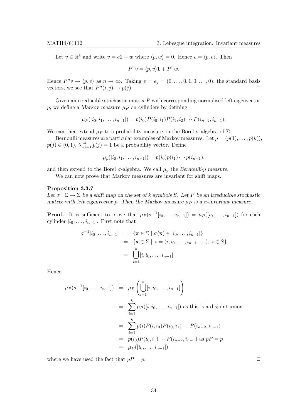Let  $v \in \mathbb{R}^k$  and write  $v = c\mathbf{1} + w$  where  $\langle p, w \rangle = 0$ . Hence  $c = \langle p, v \rangle$ . Then

$$
P^n v = \langle p, v \rangle \mathbf{1} + P^n w.
$$

Hence  $P^n v \to \langle p, v \rangle$  as  $n \to \infty$ . Taking  $v = e_j = (0, \ldots, 0, 1, 0, \ldots, 0)$ , the standard basis vectors, we see that  $P^n(i, j) \to p(j)$ .

Given an irreducible stochastic matrix  $P$  with corresponding normalised left eigenvector p, we define a Markov measure  $\mu$  p on cylinders by defining

$$
\mu_P([i_0, i_1, \ldots, i_{n-1}]) = p(i_0)P(i_0, i_1)P(i_1, i_2) \cdots P(i_{n-2}, i_{n-1}).
$$

We can then extend  $\mu_P$  to a probability measure on the Borel  $\sigma$ -algebra of  $\Sigma$ .

Bernoulli measures are particular examples of Markov measures. Let  $p = (p(1), \ldots, p(k)),$  $p(j) \in (0, 1), \sum_{j=1}^{k} p(j) = 1$  be a probability vector. Define

$$
\mu_p([i_0, i_1, \ldots, i_{n-1}]) = p(i_0)p(i_1)\cdots p(i_{n-1}).
$$

and then extend to the Borel  $\sigma$ -algebra. We call  $\mu_p$  the Bernoulli-p measure.

We can now prove that Markov measures are invariant for shift maps.

#### Proposition 3.3.7

Let  $\sigma : \Sigma \to \Sigma$  be a shift map on the set of k symbols S. Let P be an irreducible stochastic matrix with left eigenvector p. Then the Markov measure  $\mu_P$  is a  $\sigma$ -invariant measure.

**Proof.** It is sufficient to prove that  $\mu_P(\sigma^{-1}[i_0,\ldots,i_{n-1}]) = \mu_P([i_0,\ldots,i_{n-1}])$  for each cylinder  $[i_0, \ldots, i_{n-1}]$ . First note that

$$
\sigma^{-1}[i_0, \dots, i_{n-1}] = \{ \mathbf{x} \in \Sigma \mid \sigma(\mathbf{x}) \in [i_0, \dots, i_{n-1}]\}
$$
  
=  $\{ \mathbf{x} \in \Sigma \mid \mathbf{x} = (i, i_0, \dots, i_{n-1}, \dots), i \in S \}$   
=  $\bigcup_{i=1}^k [i, i_0, \dots, i_{n-1}].$ 

Hence

$$
\mu_P(\sigma^{-1}[i_0, \dots, i_{n-1}]) = \mu_P\left(\bigcup_{i=1}^k [i, i_0, \dots, i_{n-1}]\right)
$$
  
= 
$$
\sum_{i=1}^k \mu_P([i, i_0, \dots, i_{n-1}])
$$
 as this is a disjoint union  
= 
$$
\sum_{i=1}^k p(i)P(i, i_0)P(i_0, i_1) \cdots P(i_{n-2}, i_{n-1})
$$
  
= 
$$
p(i_0)P(i_0, i_1) \cdots P(i_{n-2}, i_{n-1})
$$
 as  $pP = p$   
= 
$$
\mu_P([i_0, \dots, i_{n-1}])
$$

where we have used the fact that  $pP = p$ .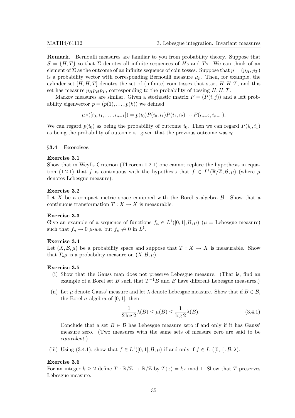Remark. Bernoulli measures are familiar to you from probability theory. Suppose that  $S = \{H, T\}$  so that  $\Sigma$  denotes all infinite sequences of Hs and Ts. We can think of an element of  $\Sigma$  as the outcome of an infinite sequence of coin tosses. Suppose that  $p = (p_H, p_T)$ is a probability vector with corresponding Bernoulli measure  $\mu_p$ . Then, for example, the cylinder set  $[H, H, T]$  denotes the set of (infinite) coin tosses that start  $H, H, T$ , and this set has measure  $p_H p_H p_T$ , corresponding to the probability of tossing  $H, H, T$ .

Markov measures are similar. Given a stochastic matrix  $P = (P(i, j))$  and a left probability eigenvector  $p = (p(1), \ldots, p(k))$  we defined

$$
\mu_P([i_0, i_1, \ldots, i_{n-1}]) = p(i_0)P(i_0, i_1)P(i_1, i_2) \cdots P(i_{n-2}, i_{n-1}).
$$

We can regard  $p(i_0)$  as being the probability of outcome  $i_0$ . Then we can regard  $P(i_0, i_1)$ as being the probability of outcome  $i_1$ , given that the previous outcome was  $i_0$ .

#### §3.4 Exercises

#### Exercise 3.1

Show that in Weyl's Criterion (Theorem 1.2.1) one cannot replace the hypothesis in equation (1.2.1) that f is continuous with the hypothesis that  $f \in L^1(\mathbb{R}/\mathbb{Z}, \mathcal{B}, \mu)$  (where  $\mu$ denotes Lebesgue measure).

#### Exercise 3.2

Let X be a compact metric space equipped with the Borel  $\sigma$ -algebra  $\beta$ . Show that a continuous transformation  $T : X \to X$  is measurable.

#### Exercise 3.3

Give an example of a sequence of functions  $f_n \in L^1([0,1], \mathcal{B}, \mu)$   $(\mu =$  Lebesgue measure) such that  $f_n \to 0$   $\mu$ -a.e. but  $f_n \to 0$  in  $L^1$ .

#### Exercise 3.4

Let  $(X,\mathcal{B},\mu)$  be a probability space and suppose that  $T : X \to X$  is measurable. Show that  $T_*\mu$  is a probability measure on  $(X,\mathcal{B},\mu)$ .

#### Exercise 3.5

- (i) Show that the Gauss map does not preserve Lebesgue measure. (That is, find an example of a Borel set B such that  $T^{-1}B$  and B have different Lebesgue measures.)
- (ii) Let  $\mu$  denote Gauss' measure and let  $\lambda$  denote Lebesgue measure. Show that if  $B \in \mathcal{B}$ , the Borel  $\sigma$ -algebra of [0, 1], then

$$
\frac{1}{2\log 2}\lambda(B) \le \mu(B) \le \frac{1}{\log 2}\lambda(B). \tag{3.4.1}
$$

Conclude that a set  $B \in \mathcal{B}$  has Lebesgue measure zero if and only if it has Gauss' measure zero. (Two measures with the same sets of measure zero are said to be equivalent.)

(iii) Using (3.4.1), show that  $f \in L^1([0,1], \mathcal{B}, \mu)$  if and only if  $f \in L^1([0,1], \mathcal{B}, \lambda)$ .

#### Exercise 3.6

For an integer  $k \geq 2$  define  $T : \mathbb{R}/\mathbb{Z} \to \mathbb{R}/\mathbb{Z}$  by  $T(x) = kx \mod 1$ . Show that T preserves Lebesgue measure.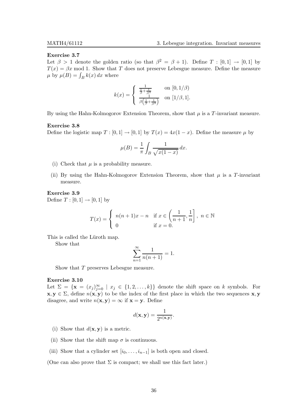### Exercise 3.7

Let  $\beta > 1$  denote the golden ratio (so that  $\beta^2 = \beta + 1$ ). Define  $T : [0,1] \rightarrow [0,1]$  by  $T(x) = \beta x \mod 1$ . Show that T does not preserve Lebesgue measure. Define the measure  $\mu$  by  $\mu(B) = \int_B k(x) dx$  where

$$
k(x) = \begin{cases} \frac{1}{\frac{1}{\beta} + \frac{1}{\beta^3}} & \text{on } [0, 1/\beta) \\ \frac{1}{\beta(\frac{1}{\beta} + \frac{1}{\beta^3})} & \text{on } [1/\beta, 1]. \end{cases}
$$

By using the Hahn-Kolmogorov Extension Theorem, show that  $\mu$  is a T-invariant measure.

#### Exercise 3.8

Define the logistic map  $T : [0,1] \to [0,1]$  by  $T(x) = 4x(1-x)$ . Define the measure  $\mu$  by

$$
\mu(B) = \frac{1}{\pi} \int_B \frac{1}{\sqrt{x(1-x)}} dx.
$$

- (i) Check that  $\mu$  is a probability measure.
- (ii) By using the Hahn-Kolmogorov Extension Theorem, show that  $\mu$  is a T-invariant measure.

Exercise 3.9 Define  $T : [0, 1] \to [0, 1]$  by

$$
T(x) = \begin{cases} n(n+1)x - n & \text{if } x \in \left(\frac{1}{n+1}, \frac{1}{n}\right], \ n \in \mathbb{N} \\ 0 & \text{if } x = 0. \end{cases}
$$

This is called the Lüroth map.

Show that

$$
\sum_{n=1}^{\infty} \frac{1}{n(n+1)} = 1.
$$

Show that T preserves Lebesgue measure.

#### Exercise 3.10

Let  $\Sigma = {\mathbf{x} = (x_j)_{j=0}^{\infty} \mid x_j \in \{1, 2, ..., k\}}$  denote the shift space on k symbols. For  $x, y \in \Sigma$ , define  $n(x, y)$  to be the index of the first place in which the two sequences x, y disagree, and write  $n(\mathbf{x}, \mathbf{y}) = \infty$  if  $\mathbf{x} = \mathbf{y}$ . Define

$$
d(\mathbf{x}, \mathbf{y}) = \frac{1}{2^{n(\mathbf{x}, \mathbf{y})}}.
$$

- (i) Show that  $d(\mathbf{x}, \mathbf{y})$  is a metric.
- (ii) Show that the shift map  $\sigma$  is continuous.
- (iii) Show that a cylinder set  $[i_0, \ldots, i_{n-1}]$  is both open and closed.

(One can also prove that  $\Sigma$  is compact; we shall use this fact later.)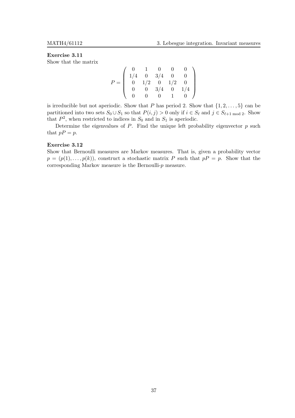# Exercise 3.11

Show that the matrix

$$
P = \left(\begin{array}{cccccc} 0 & 1 & 0 & 0 & 0 \\ 1/4 & 0 & 3/4 & 0 & 0 \\ 0 & 1/2 & 0 & 1/2 & 0 \\ 0 & 0 & 3/4 & 0 & 1/4 \\ 0 & 0 & 0 & 1 & 0 \end{array}\right)
$$

is irreducible but not aperiodic. Show that P has period 2. Show that  $\{1, 2, \ldots, 5\}$  can be partitioned into two sets  $S_0 \cup S_1$  so that  $P(i, j) > 0$  only if  $i \in S_\ell$  and  $j \in S_{\ell+1 \mod 2}$ . Show that  $P^2$ , when restricted to indices in  $S_0$  and in  $S_1$  is aperiodic.

Determine the eigenvalues of  $P$ . Find the unique left probability eigenvector  $p$  such that  $pP = p$ .

#### Exercise 3.12

Show that Bernoulli measures are Markov measures. That is, given a probability vector  $p = (p(1), \ldots, p(k))$ , construct a stochastic matrix P such that  $pP = p$ . Show that the corresponding Markov measure is the Bernoulli-p measure.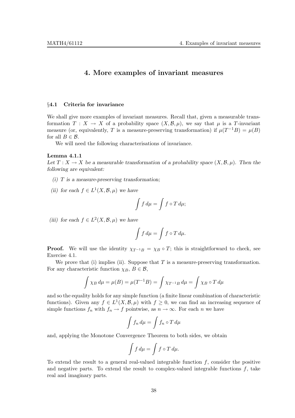# 4. More examples of invariant measures

# §4.1 Criteria for invariance

We shall give more examples of invariant measures. Recall that, given a measurable transformation  $T : X \to X$  of a probability space  $(X, \mathcal{B}, \mu)$ , we say that  $\mu$  is a T-invariant measure (or, equivalently, T is a measure-preserving transformation) if  $\mu(T^{-1}B) = \mu(B)$ for all  $B \in \mathcal{B}$ .

We will need the following characterisations of invariance.

#### Lemma 4.1.1

Let  $T: X \to X$  be a measurable transformation of a probability space  $(X, \mathcal{B}, \mu)$ . Then the following are equivalent:

- (i)  $T$  is a measure-preserving transformation;
- (ii) for each  $f \in L^1(X, \mathcal{B}, \mu)$  we have

$$
\int f d\mu = \int f \circ T d\mu;
$$

(iii) for each  $f \in L^2(X, \mathcal{B}, \mu)$  we have

$$
\int f d\mu = \int f \circ T d\mu.
$$

**Proof.** We will use the identity  $\chi_{T^{-1}B} = \chi_B \circ T$ ; this is straightforward to check, see Exercise 4.1.

We prove that (i) implies (ii). Suppose that  $T$  is a measure-preserving transformation. For any characteristic function  $\chi_B$ ,  $B \in \mathcal{B}$ ,

$$
\int \chi_B d\mu = \mu(B) = \mu(T^{-1}B) = \int \chi_{T^{-1}B} d\mu = \int \chi_B \circ T d\mu
$$

and so the equality holds for any simple function (a finite linear combination of characteristic functions). Given any  $f \in L^1(X, \mathcal{B}, \mu)$  with  $f \geq 0$ , we can find an increasing sequence of simple functions  $f_n$  with  $f_n \to f$  pointwise, as  $n \to \infty$ . For each n we have

$$
\int f_n \, d\mu = \int f_n \circ T \, d\mu
$$

and, applying the Monotone Convergence Theorem to both sides, we obtain

$$
\int f d\mu = \int f \circ T d\mu.
$$

To extend the result to a general real-valued integrable function  $f$ , consider the positive and negative parts. To extend the result to complex-valued integrable functions  $f$ , take real and imaginary parts.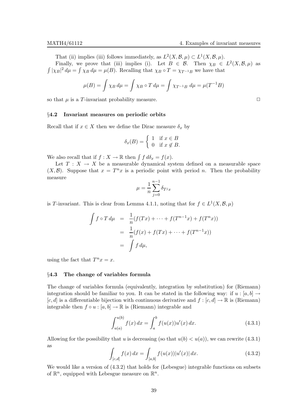That (ii) implies (iii) follows immediately, as  $L^2(X, \mathcal{B}, \mu) \subset L^1(X, \mathcal{B}, \mu)$ . Finally, we prove that (iii) implies (i). Let  $B \in \mathcal{B}$ . Then  $\chi_B \in L^2(X, \mathcal{B}, \mu)$  as  $\int |\chi_B|^2 d\mu = \int \chi_B d\mu = \mu(B)$ . Recalling that  $\chi_B \circ T = \chi_{T^{-1}B}$  we have that

$$
\mu(B) = \int \chi_B \, d\mu = \int \chi_B \circ T \, d\mu = \int \chi_{T^{-1}B} \, d\mu = \mu(T^{-1}B)
$$

so that  $\mu$  is a T-invariant probability measure.  $\Box$ 

# §4.2 Invariant measures on periodic orbits

Recall that if  $x \in X$  then we define the Dirac measure  $\delta_x$  by

$$
\delta_x(B) = \begin{cases} 1 & \text{if } x \in B \\ 0 & \text{if } x \notin B. \end{cases}
$$

We also recall that if  $f: X \to \mathbb{R}$  then  $\int f d\delta_x = f(x)$ .

Let  $T : X \to X$  be a measurable dynamical system defined on a measurable space  $(X, \mathcal{B})$ . Suppose that  $x = T^n x$  is a periodic point with period *n*. Then the probability measure

$$
\mu = \frac{1}{n} \sum_{j=0}^{n-1} \delta_{T^j x}
$$

is T-invariant. This is clear from Lemma 4.1.1, noting that for  $f \in L^1(X, \mathcal{B}, \mu)$ 

$$
\int f \circ T d\mu = \frac{1}{n} (f(Tx) + \dots + f(T^{n-1}x) + f(T^n x))
$$
  
= 
$$
\frac{1}{n} (f(x) + f(Tx) + \dots + f(T^{n-1}x))
$$
  
= 
$$
\int f d\mu,
$$

using the fact that  $T^n x = x$ .

# §4.3 The change of variables formula

The change of variables formula (equivalently, integration by substitution) for (Riemann) integration should be familiar to you. It can be stated in the following way: if  $u : [a, b] \rightarrow$  $[c, d]$  is a differentiable bijection with continuous derivative and  $f : [c, d] \to \mathbb{R}$  is (Riemann) integrable then  $f \circ u : [a, b] \to \mathbb{R}$  is (Riemann) integrable and

$$
\int_{u(a)}^{u(b)} f(x) dx = \int_{a}^{b} f(u(x))u'(x) dx.
$$
 (4.3.1)

Allowing for the possibility that u is decreasing (so that  $u(b) < u(a)$ ), we can rewrite (4.3.1) as

$$
\int_{[c,d]} f(x) dx = \int_{[a,b]} f(u(x)) |u'(x)| dx.
$$
\n(4.3.2)

We would like a version of  $(4.3.2)$  that holds for (Lebesgue) integrable functions on subsets of  $\mathbb{R}^n$ , equipped with Lebesgue measure on  $\mathbb{R}^n$ .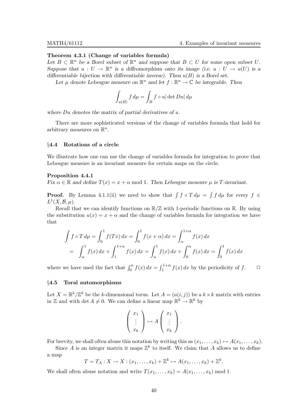# Theorem 4.3.1 (Change of variables formula)

Let  $B \subset \mathbb{R}^n$  be a Borel subset of  $\mathbb{R}^n$  and suppose that  $B \subset U$  for some open subset U. Suppose that  $u: U \to \mathbb{R}^n$  is a diffeomorphism onto its image (i.e.  $u: U \to u(U)$  is a differentiable bijection with differentiable inverse). Then  $u(B)$  is a Borel set.

Let  $\mu$  denote Lebesgue measure on  $\mathbb{R}^n$  and let  $f : \mathbb{R}^n \to \mathbb{C}$  be integrable. Then

$$
\int_{u(B)} f d\mu = \int_B f \circ u |\det Du| d\mu
$$

where  $Du$  denotes the matrix of partial derivatives of  $u$ .

There are more sophisticated versions of the change of variables formula that hold for arbitrary measures on  $\mathbb{R}^n$ .

# §4.4 Rotations of a circle

We illustrate how one can use the change of variables formula for integration to prove that Lebesgue measure is an invariant measure for certain maps on the circle.

### Proposition 4.4.1

Fix  $\alpha \in \mathbb{R}$  and define  $T(x) = x + \alpha \mod 1$ . Then Lebesgue measure  $\mu$  is T-invariant.

**Proof.** By Lemma 4.1.1(ii) we need to show that  $\int f \circ T d\mu = \int f d\mu$  for every  $f \in$  $L^1(X,\mathcal{B},\mu).$ 

Recall that we can identify functions on  $\mathbb{R}/\mathbb{Z}$  with 1-periodic functions on  $\mathbb{R}$ . By using the substitution  $u(x) = x + \alpha$  and the change of variables formula for integration we have that

$$
\int f \circ T d\mu = \int_0^1 f(Tx) dx = \int_0^1 f(x + \alpha) dx = \int_{\alpha}^{1+\alpha} f(x) dx
$$

$$
= \int_{\alpha}^1 f(x) dx + \int_1^{1+\alpha} f(x) dx = \int_{\alpha}^1 f(x) dx + \int_0^{\alpha} f(x) dx = \int_0^1 f(x) dx
$$

where we have used the fact that  $\int_0^{\alpha} f(x) dx = \int_1^{1+\alpha} f(x) dx$  by the periodicity of f.  $\Box$ 

# §4.5 Toral automorphisms

Let  $X = \mathbb{R}^k / \mathbb{Z}^k$  be the k-dimensional torus. Let  $A = (a(i, j))$  be a  $k \times k$  matrix with entries in Z and with  $\det A \neq 0$ . We can define a linear map  $\mathbb{R}^k \to \mathbb{R}^k$  by

$$
\left(\begin{array}{c}x_1\\ \vdots\\ x_k\end{array}\right)\mapsto A\left(\begin{array}{c}x_1\\ \vdots\\ x_k\end{array}\right).
$$

For brevity, we shall often abuse this notation by writing this as  $(x_1, \ldots, x_k) \mapsto A(x_1, \ldots, x_k)$ .

Since A is an integer matrix it maps  $\mathbb{Z}^k$  to itself. We claim that A allows us to define a map

$$
T = T_A: X \to X: (x_1, \ldots, x_k) + \mathbb{Z}^k \mapsto A(x_1, \ldots, x_k) + \mathbb{Z}^k.
$$

We shall often abuse notation and write  $T(x_1, \ldots, x_k) = A(x_1, \ldots, x_k) \text{ mod } 1$ .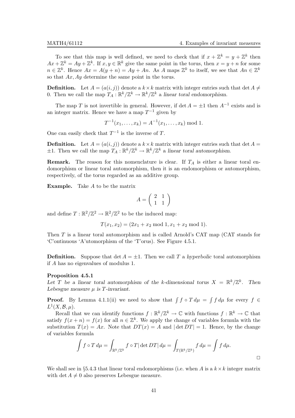To see that this map is well defined, we need to check that if  $x + \mathbb{Z}^k = y + \mathbb{Z}^k$  then  $Ax + \mathbb{Z}^k = Ay + \mathbb{Z}^k$ . If  $x, y \in \mathbb{R}^k$  give the same point in the torus, then  $x = y + n$  for some  $n \in \mathbb{Z}^k$ . Hence  $Ax = A(y+n) = Ay + An$ . As A maps  $\mathbb{Z}^k$  to itself, we see that  $An \in \mathbb{Z}^k$ so that Ax, Ay determine the same point in the torus.

**Definition.** Let  $A = (a(i, j))$  denote a  $k \times k$  matrix with integer entries such that det  $A \neq$ 0. Then we call the map  $T_A: \mathbb{R}^k/\mathbb{Z}^k \to \mathbb{R}^k/\mathbb{Z}^k$  a linear toral endomorphism.

The map T is not invertible in general. However, if det  $A = \pm 1$  then  $A^{-1}$  exists and is an integer matrix. Hence we have a map  $T^{-1}$  given by

$$
T^{-1}(x_1, \ldots, x_k) = A^{-1}(x_1, \ldots, x_k) \bmod 1.
$$

One can easily check that  $T^{-1}$  is the inverse of T.

**Definition.** Let  $A = (a(i, j))$  denote a  $k \times k$  matrix with integer entries such that det  $A =$  $\pm 1$ . Then we call the map  $T_A: \mathbb{R}^k/\mathbb{Z}^k \to \mathbb{R}^k/\mathbb{Z}^k$  a linear toral automorphism.

**Remark.** The reason for this nomenclature is clear. If  $T_A$  is either a linear toral endomorphism or linear toral automorphism, then it is an endomorphism or automorphism, respectively, of the torus regarded as an additive group.

**Example.** Take  $A$  to be the matrix

$$
A = \left(\begin{array}{cc} 2 & 1 \\ 1 & 1 \end{array}\right)
$$

and define  $T: \mathbb{R}^2/\mathbb{Z}^2 \to \mathbb{R}^2/\mathbb{Z}^2$  to be the induced map:

$$
T(x_1, x_2) = (2x_1 + x_2 \mod 1, x_1 + x_2 \mod 1).
$$

Then  $T$  is a linear toral automorphism and is called Arnold's CAT map (CAT stands for 'C'ontinuous 'A'utomorphism of the 'T'orus). See Figure 4.5.1.

**Definition.** Suppose that  $\det A = \pm 1$ . Then we call T a hyperbolic toral automorphism if A has no eigenvalues of modulus 1.

#### Proposition 4.5.1

Let T be a linear toral automorphism of the k-dimensional torus  $X = \mathbb{R}^k / \mathbb{Z}^k$ . Then Lebesgue measure  $\mu$  is T-invariant.

**Proof.** By Lemma 4.1.1(ii) we need to show that  $\int f \circ T d\mu = \int f d\mu$  for every  $f \in$  $L^1(X,\mathcal{B},\mu).$ 

Recall that we can identify functions  $f : \mathbb{R}^k / \mathbb{Z}^k \to \mathbb{C}$  with functions  $f : \mathbb{R}^k \to \mathbb{C}$  that satisfy  $f(x+n) = f(x)$  for all  $n \in \mathbb{Z}^k$ . We apply the change of variables formula with the substitution  $T(x) = Ax$ . Note that  $DT(x) = A$  and  $|\det DT| = 1$ . Hence, by the change of variables formula

$$
\int f \circ T d\mu = \int_{\mathbb{R}^k/\mathbb{Z}^k} f \circ T |\det DT| d\mu = \int_{T(\mathbb{R}^k/\mathbb{Z}^k)} f d\mu = \int f d\mu.
$$

We shall see in §5.4.3 that linear toral endomorphisms (i.e. when A is a  $k \times k$  integer matrix with det  $A \neq 0$  also preserves Lebesgue measure.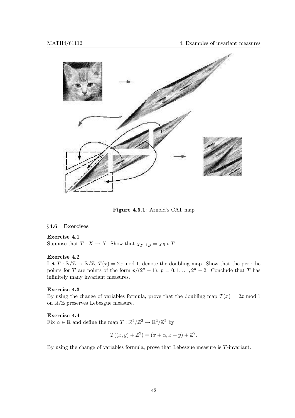

Figure 4.5.1: Arnold's CAT map

# §4.6 Exercises

# Exercise 4.1

Suppose that  $T: X \to X$ . Show that  $\chi_{T^{-1}B} = \chi_B \circ T$ .

# Exercise 4.2

Let  $T : \mathbb{R}/\mathbb{Z} \to \mathbb{R}/\mathbb{Z}$ ,  $T(x) = 2x \mod 1$ , denote the doubling map. Show that the periodic points for T are points of the form  $p/(2^{n}-1)$ ,  $p=0,1,\ldots,2^{n}-2$ . Conclude that T has infinitely many invariant measures.

# Exercise 4.3

By using the change of variables formula, prove that the doubling map  $T(x) = 2x \text{ mod } 1$ on R/Z preserves Lebesgue measure.

# Exercise 4.4

Fix  $\alpha \in \mathbb{R}$  and define the map  $T : \mathbb{R}^2/\mathbb{Z}^2 \to \mathbb{R}^2/\mathbb{Z}^2$  by

$$
T((x, y) + \mathbb{Z}^{2}) = (x + \alpha, x + y) + \mathbb{Z}^{2}.
$$

By using the change of variables formula, prove that Lebesgue measure is T-invariant.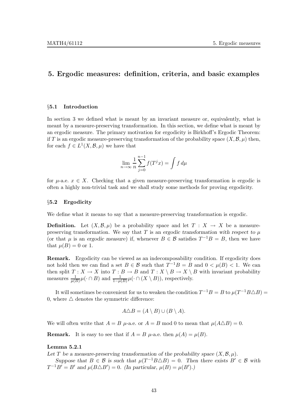# 5. Ergodic measures: definition, criteria, and basic examples

# §5.1 Introduction

In section 3 we defined what is meant by an invariant measure or, equivalently, what is meant by a measure-preserving transformation. In this section, we define what is meant by an ergodic measure. The primary motivation for ergodicity is Birkhoff's Ergodic Theorem: if T is an ergodic measure-preserving transformation of the probability space  $(X,\mathcal{B},\mu)$  then, for each  $f \in L^1(X, \mathcal{B}, \mu)$  we have that

$$
\lim_{n \to \infty} \frac{1}{n} \sum_{j=0}^{n-1} f(T^j x) = \int f d\mu
$$

for  $\mu$ -a.e.  $x \in X$ . Checking that a given measure-preserving transformation is ergodic is often a highly non-trivial task and we shall study some methods for proving ergodicity.

### §5.2 Ergodicity

We define what it means to say that a measure-preserving transformation is ergodic.

**Definition.** Let  $(X, \mathcal{B}, \mu)$  be a probability space and let  $T : X \to X$  be a measurepreserving transformation. We say that T is an ergodic transformation with respect to  $\mu$ (or that  $\mu$  is an ergodic measure) if, whenever  $B \in \mathcal{B}$  satisfies  $T^{-1}B = B$ , then we have that  $\mu(B) = 0$  or 1.

Remark. Ergodicity can be viewed as an indecomposability condition. If ergodicity does not hold then we can find a set  $B \in \mathcal{B}$  such that  $T^{-1}B = B$  and  $0 < \mu(B) < 1$ . We can then split  $T : X \to X$  into  $T : B \to B$  and  $T : X \setminus B \to X \setminus B$  with invariant probability measures  $\frac{1}{\mu(B)}\mu(\cdot \cap B)$  and  $\frac{1}{1-\mu(B)}\mu(\cdot \cap (X \setminus B))$ , respectively.

It will sometimes be convenient for us to weaken the condition  $T^{-1}B = B$  to  $\mu(T^{-1}B \triangle B) =$ 0, where  $\triangle$  denotes the symmetric difference:

$$
A \triangle B = (A \setminus B) \cup (B \setminus A).
$$

We will often write that  $A = B$   $\mu$ -a.e. or  $A = B$  mod 0 to mean that  $\mu(A \triangle B) = 0$ .

**Remark.** It is easy to see that if  $A = B$  u-a.e. then  $\mu(A) = \mu(B)$ .

# Lemma 5.2.1

Let T be a measure-preserving transformation of the probability space  $(X, \mathcal{B}, \mu)$ .

Suppose that  $B \in \mathcal{B}$  is such that  $\mu(T^{-1}B\triangle B) = 0$ . Then there exists  $B' \in \mathcal{B}$  with  $T^{-1}B' = B'$  and  $\mu(B \triangle B') = 0$ . (In particular,  $\mu(B) = \mu(B')$ .)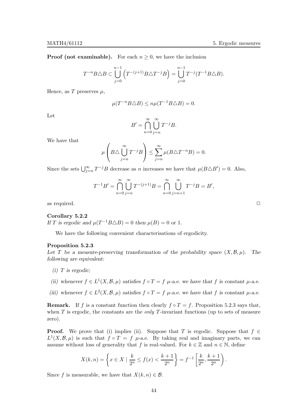**Proof (not examinable).** For each  $n \geq 0$ , we have the inclusion

$$
T^{-n}B\triangle B\subset \bigcup_{j=0}^{n-1}\left(T^{-(j+1)}B\triangle T^{-j}B\right)=\bigcup_{j=0}^{n-1}T^{-j}(T^{-1}B\triangle B).
$$

Hence, as T preserves  $\mu$ ,

$$
\mu(T^{-n}B\triangle B) \le n\mu(T^{-1}B\triangle B) = 0.
$$

Let

$$
B' = \bigcap_{n=0}^{\infty} \bigcup_{j=n}^{\infty} T^{-j}B.
$$

We have that

$$
\mu\left(B\triangle\bigcup_{j=n}^{\infty}T^{-j}B\right)\leq\sum_{j=n}^{\infty}\mu(B\triangle T^{-n}B)=0.
$$

Since the sets  $\bigcup_{j=n}^{\infty} T^{-j}B$  decrease as n increases we have that  $\mu(B \triangle B') = 0$ . Also,

$$
T^{-1}B' = \bigcap_{n=0}^{\infty} \bigcup_{j=n}^{\infty} T^{-(j+1)}B = \bigcap_{n=0}^{\infty} \bigcup_{j=n+1}^{\infty} T^{-j}B = B',
$$

as required.  $\Box$ 

### Corollary 5.2.2

If T is ergodic and  $\mu(T^{-1}B\triangle B) = 0$  then  $\mu(B) = 0$  or 1.

We have the following convenient characterisations of ergodicity.

#### Proposition 5.2.3

Let T be a measure-preserving transformation of the probability space  $(X, \mathcal{B}, \mu)$ . The following are equivalent:

- $(i)$  T is ergodic;
- (ii) whenever  $f \in L^1(X, \mathcal{B}, \mu)$  satisfies  $f \circ T = f \mu$ -a.e. we have that f is constant  $\mu$ -a.e.
- (iii) whenever  $f \in L^2(X, \mathcal{B}, \mu)$  satisfies  $f \circ T = f \mu$ -a.e. we have that f is constant  $\mu$ -a.e.

**Remark.** If f is a constant function then clearly  $f \circ T = f$ . Proposition 5.2.3 says that, when  $T$  is ergodic, the constants are the *only T*-invariant functions (up to sets of measure zero).

**Proof.** We prove that (i) implies (ii). Suppose that T is ergodic. Suppose that  $f \in$  $L^1(X,\mathcal{B},\mu)$  is such that  $f \circ T = f$   $\mu$ -a.e. By taking real and imaginary parts, we can assume without loss of generality that f is real-valued. For  $k \in \mathbb{Z}$  and  $n \in \mathbb{N}$ , define

$$
X(k,n) = \left\{ x \in X \mid \frac{k}{2^n} \le f(x) < \frac{k+1}{2^n} \right\} = f^{-1} \left[ \frac{k}{2^n}, \frac{k+1}{2^n} \right).
$$

Since f is measurable, we have that  $X(k, n) \in \mathcal{B}$ .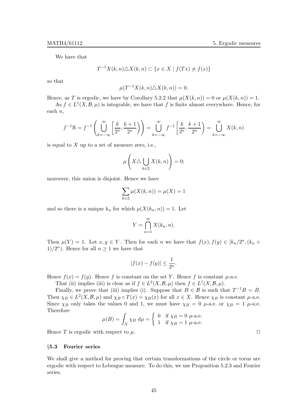We have that

$$
T^{-1}X(k,n)\triangle X(k,n)\subset\{x\in X\mid f(Tx)\neq f(x)\}
$$

so that

$$
\mu(T^{-1}X(k,n)\triangle X(k,n))=0.
$$

Hence, as T is ergodic, we have by Corollary 5.2.2 that  $\mu(X(k,n)) = 0$  or  $\mu(X(k,n)) = 1$ . As  $f \in L^1(X, \mathcal{B}, \mu)$  is integrable, we have that f is finite almost everywhere. Hence, for

$$
each\, n,
$$

$$
f^{-1}\mathbb{R} = f^{-1}\left(\bigcup_{k=-\infty}^{\infty} \left[\frac{k}{2^n}, \frac{k+1}{2^n}\right]\right) = \bigcup_{k=-\infty}^{\infty} f^{-1}\left[\frac{k}{2^n}, \frac{k+1}{2^n}\right] = \bigcup_{k=-\infty}^{\infty} X(k, n)
$$

is equal to  $X$  up to a set of measure zero, i.e.,

$$
\mu\left(X\triangle\bigcup_{k\in\mathbb{Z}}X(k,n)\right)=0;
$$

moreover, this union is disjoint. Hence we have

$$
\sum_{k\in\mathbb{Z}}\mu(X(k,n))=\mu(X)=1
$$

and so there is a unique  $k_n$  for which  $\mu(X(k_n, n)) = 1$ . Let

$$
Y = \bigcap_{n=1}^{\infty} X(k_n, n).
$$

Then  $\mu(Y) = 1$ . Let  $x, y \in Y$ . Then for each n we have that  $f(x), f(y) \in [k_n/2^n, (k_n +$ 1)/2<sup>*n*</sup>). Hence for all  $n \ge 1$  we have that

$$
|f(x) - f(y)| \le \frac{1}{2^n}.
$$

Hence  $f(x) = f(y)$ . Hence f is constant on the set Y. Hence f is constant  $\mu$ -a.e.

That (ii) implies (iii) is clear as if  $f \in L^2(X, \mathcal{B}, \mu)$  then  $f \in L^1(X, \mathcal{B}, \mu)$ .

Finally, we prove that (iii) implies (i). Suppose that  $B \in \mathcal{B}$  is such that  $T^{-1}B = B$ . Then  $\chi_B \in L^2(X, \mathcal{B}, \mu)$  and  $\chi_B \circ T(x) = \chi_B(x)$  for all  $x \in X$ . Hence  $\chi_B$  is constant  $\mu$ -a.e. Since  $\chi_B$  only takes the values 0 and 1, we must have  $\chi_B = 0$   $\mu$ -a.e. or  $\chi_B = 1$   $\mu$ -a.e. Therefore

$$
\mu(B) = \int_X \chi_B \, d\mu = \begin{cases} \n0 & \text{if } \chi_B = 0 \text{ } \mu\text{-a.e.} \\ \n1 & \text{if } \chi_B = 1 \text{ } \mu\text{-a.e.} \n\end{cases}
$$

Hence T is ergodic with respect to  $\mu$ .

#### §5.3 Fourier series

We shall give a method for proving that certain transformations of the circle or torus are ergodic with respect to Lebesgue measure. To do this, we use Proposition 5.2.3 and Fourier series.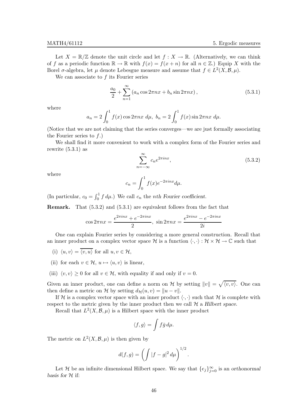Let  $X = \mathbb{R}/\mathbb{Z}$  denote the unit circle and let  $f : X \to \mathbb{R}$ . (Alternatively, we can think of f as a periodic function  $\mathbb{R} \to \mathbb{R}$  with  $f(x) = f(x+n)$  for all  $n \in \mathbb{Z}$ .) Equip X with the Borel  $\sigma$ -algebra, let  $\mu$  denote Lebesgue measure and assume that  $f \in L^2(X, \mathcal{B}, \mu)$ .

We can associate to f its Fourier series

$$
\frac{a_0}{2} + \sum_{n=1}^{\infty} (a_n \cos 2\pi nx + b_n \sin 2\pi nx), \qquad (5.3.1)
$$

where

$$
a_n = 2 \int_0^1 f(x) \cos 2\pi nx \ d\mu, \ b_n = 2 \int_0^1 f(x) \sin 2\pi nx \ d\mu.
$$

(Notice that we are not claiming that the series converges—we are just formally associating the Fourier series to  $f$ .)

We shall find it more convenient to work with a complex form of the Fourier series and rewrite  $(5.3.1)$  as

$$
\sum_{n=-\infty}^{\infty} c_n e^{2\pi i n x},\tag{5.3.2}
$$

where

$$
c_n = \int_0^1 f(x)e^{-2\pi inx} d\mu.
$$

(In particular,  $c_0 = \int_0^1 f d\mu$ .) We call  $c_n$  the *nth Fourier coefficient*.

Remark. That (5.3.2) and (5.3.1) are equivalent follows from the fact that

$$
\cos 2\pi nx = \frac{e^{2\pi inx} + e^{-2\pi inx}}{2}, \quad \sin 2\pi nx = \frac{e^{2\pi inx} - e^{-2\pi inx}}{2i}
$$

One can explain Fourier series by considering a more general construction. Recall that an inner product on a complex vector space H is a function  $\langle \cdot, \cdot \rangle : \mathcal{H} \times \mathcal{H} \to \mathbb{C}$  such that

- (i)  $\langle u, v \rangle = \overline{\langle v, u \rangle}$  for all  $u, v \in \mathcal{H}$ ,
- (ii) for each  $v \in \mathcal{H}$ ,  $u \mapsto \langle u, v \rangle$  is linear,
- (iii)  $\langle v, v \rangle \ge 0$  for all  $v \in \mathcal{H}$ , with equality if and only if  $v = 0$ .

Given an inner product, one can define a norm on H by setting  $||v|| = \sqrt{\langle v, v \rangle}$ . One can then define a metric on H by setting  $d_{\mathcal{H}}(u, v) = ||u - v||$ .

If H is a complex vector space with an inner product  $\langle \cdot, \cdot \rangle$  such that H is complete with respect to the metric given by the inner product then we call  $H$  a Hilbert space.

Recall that  $L^2(X, \mathcal{B}, \mu)$  is a Hilbert space with the inner product

$$
\langle f, g \rangle = \int f \bar{g} \, d\mu.
$$

The metric on  $L^2(X, \mathcal{B}, \mu)$  is then given by

$$
d(f,g) = \left( \int |f - g|^2 \, d\mu \right)^{1/2}.
$$

Let H be an infinite dimensional Hilbert space. We say that  ${e_j}_{j=0}^{\infty}$  is an orthonormal basis for  $H$  if: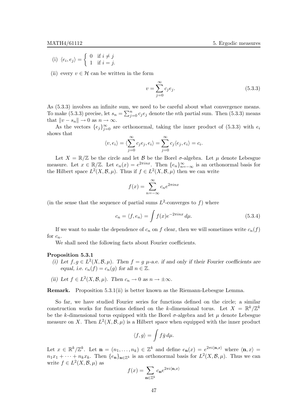(i)  $\langle e_i, e_j \rangle = \begin{cases} 0 & \text{if } i \neq j \\ 1 & \text{if } i = j \end{cases}$ 1 if  $i = j$ .

(ii) every  $v \in \mathcal{H}$  can be written in the form

$$
v = \sum_{j=0}^{\infty} c_j e_j.
$$
 (5.3.3)

As (5.3.3) involves an infinite sum, we need to be careful about what convergence means. To make (5.3.3) precise, let  $s_n = \sum_{j=0}^n c_j e_j$  denote the *n*th partial sum. Then (5.3.3) means that  $||v - s_n|| \to 0$  as  $n \to \infty$ .

As the vectors  $\{e_j\}_{j=0}^{\infty}$  are orthonormal, taking the inner product of (5.3.3) with  $e_i$ shows that

$$
\langle v, e_i \rangle = \langle \sum_{j=0}^{\infty} c_j e_j, e_i \rangle = \sum_{j=0}^{\infty} c_j \langle e_j, e_i \rangle = c_i.
$$

Let  $X = \mathbb{R}/\mathbb{Z}$  be the circle and let  $\mathcal B$  be the Borel  $\sigma$ -algebra. Let  $\mu$  denote Lebesgue measure. Let  $x \in \mathbb{R}/\mathbb{Z}$ . Let  $e_n(x) = e^{2\pi inx}$ . Then  $\{e_n\}_{n=-\infty}^{\infty}$  is an orthonormal basis for the Hilbert space  $L^2(X, \mathcal{B}, \mu)$ . Thus if  $f \in L^2(X, \mathcal{B}, \mu)$  then we can write

$$
f(x) = \sum_{n = -\infty}^{\infty} c_n e^{2\pi i nx}
$$

(in the sense that the sequence of partial sums  $L^2$ -converges to f) where

$$
c_n = \langle f, e_n \rangle = \int f(x)e^{-2\pi inx} d\mu.
$$
 (5.3.4)

If we want to make the dependence of  $c_n$  on f clear, then we will sometimes write  $c_n(f)$ for  $c_n$ .

We shall need the following facts about Fourier coefficients.

### Proposition 5.3.1

- (i) Let  $f, g \in L^2(X, \mathcal{B}, \mu)$ . Then  $f = g$   $\mu$ -a.e. if and only if their Fourier coefficients are equal, i.e.  $c_n(f) = c_n(g)$  for all  $n \in \mathbb{Z}$ .
- (ii) Let  $f \in L^2(X, \mathcal{B}, \mu)$ . Then  $c_n \to 0$  as  $n \to \pm \infty$ .

Remark. Proposition 5.3.1(ii) is better known as the Riemann-Lebesgue Lemma.

So far, we have studied Fourier series for functions defined on the circle; a similar construction works for functions defined on the k-dimensional torus. Let  $X = \mathbb{R}^k / \mathbb{Z}^k$ be the k-dimensional torus equipped with the Borel  $\sigma$ -algebra and let  $\mu$  denote Lebesgue measure on X. Then  $L^2(X, \mathcal{B}, \mu)$  is a Hilbert space when equipped with the inner product

$$
\langle f,g\rangle = \int f\bar{g}\,d\mu.
$$

Let  $x \in \mathbb{R}^k/\mathbb{Z}^k$ . Let  $\mathbf{n} = (n_1, \ldots, n_k) \in \mathbb{Z}^k$  and define  $e_{\mathbf{n}}(x) = e^{2\pi i \langle \mathbf{n}, x \rangle}$  where  $\langle \mathbf{n}, x \rangle =$  $n_1x_1 + \cdots + n_kx_k$ . Then  $\{e_n\}_{n\in\mathbb{Z}^k}$  is an orthonormal basis for  $L^2(X,\mathcal{B},\mu)$ . Thus we can write  $f \in L^2(X, \mathcal{B}, \mu)$  as

$$
f(x) = \sum_{\mathbf{n} \in \mathbb{Z}^k} c_{\mathbf{n}} e^{2\pi i \langle \mathbf{n}, x \rangle}
$$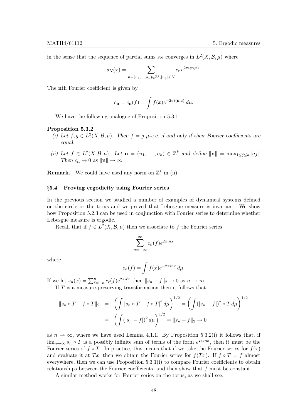in the sense that the sequence of partial sums  $s_N$  converges in  $L^2(X, \mathcal{B}, \mu)$  where

$$
s_N(x)=\sum_{\mathbf{n}=(n_1,\ldots,n_k)\in\mathbb{Z}^k,|n_j|\leq N}c_{\mathbf{n}}e^{2\pi i\langle \mathbf{n},x\rangle}.
$$

The nth Fourier coefficient is given by

$$
c_{\mathbf{n}} = c_{\mathbf{n}}(f) = \int f(x)e^{-2\pi i \langle \mathbf{n}, x \rangle} d\mu.
$$

We have the following analogue of Proposition 5.3.1:

# Proposition 5.3.2

- (i) Let  $f, g \in L^2(X, \mathcal{B}, \mu)$ . Then  $f = g$   $\mu$ -a.e. if and only if their Fourier coefficients are equal.
- (ii) Let  $f \in L^2(X, \mathcal{B}, \mu)$ . Let  $\mathbf{n} = (n_1, \ldots, n_k) \in \mathbb{Z}^k$  and define  $\|\mathbf{n}\| = \max_{1 \leq j \leq k} |n_j|$ . Then  $c_n \to 0$  as  $\|\mathbf{n}\| \to \infty$ .

**Remark.** We could have used any norm on  $\mathbb{Z}^k$  in (ii).

# §5.4 Proving ergodicity using Fourier series

In the previous section we studied a number of examples of dynamical systems defined on the circle or the torus and we proved that Lebesgue measure is invariant. We show how Proposition 5.2.3 can be used in conjunction with Fourier series to determine whether Lebesgue measure is ergodic.

Recall that if  $f \in L^2(X, \mathcal{B}, \mu)$  then we associate to f the Fourier series

$$
\sum_{n=-\infty}^{\infty} c_n(f) e^{2\pi i n x}
$$

where

$$
c_n(f) = \int f(x)e^{-2\pi inx} d\mu.
$$

If we let  $s_n(x) = \sum_{\ell=-n}^n c_\ell(f) e^{2\pi i \ell x}$  then  $||s_n - f||_2 \to 0$  as  $n \to \infty$ .

If T is a measure-preserving transformation then it follows that

$$
\|s_n \circ T - f \circ T\|_2 = \left( \int |s_n \circ T - f \circ T|^2 d\mu \right)^{1/2} = \left( \int (|s_n - f|)^2 \circ T d\mu \right)^{1/2}
$$

$$
= \left( \int (|s_n - f|)^2 d\mu \right)^{1/2} = \|s_n - f\|_2 \to 0
$$

as  $n \to \infty$ , where we have used Lemma 4.1.1. By Proposition 5.3.2(i) it follows that, if  $\lim_{n\to\infty} s_n \circ T$  is a possibly infinite sum of terms of the form  $e^{2\pi inx}$ , then it must be the Fourier series of  $f \circ T$ . In practice, this means that if we take the Fourier series for  $f(x)$ and evaluate it at Tx, then we obtain the Fourier series for  $f(Tx)$ . If  $f \circ T = f$  almost everywhere, then we can use Proposition 5.3.1(i) to compare Fourier coefficients to obtain relationships between the Fourier coefficients, and then show that f must be constant.

A similar method works for Fourier series on the torus, as we shall see.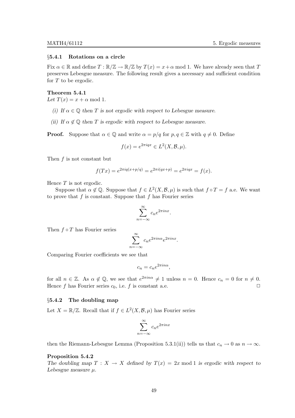#### §5.4.1 Rotations on a circle

Fix  $\alpha \in \mathbb{R}$  and define  $T : \mathbb{R}/\mathbb{Z} \to \mathbb{R}/\mathbb{Z}$  by  $T(x) = x + \alpha \mod 1$ . We have already seen that T preserves Lebesgue measure. The following result gives a necessary and sufficient condition for  $T$  to be ergodic.

#### Theorem 5.4.1

Let  $T(x) = x + \alpha \mod 1$ .

- (i) If  $\alpha \in \mathbb{Q}$  then T is not ergodic with respect to Lebesgue measure.
- (ii) If  $\alpha \notin \mathbb{Q}$  then T is ergodic with respect to Lebesgue measure.

**Proof.** Suppose that  $\alpha \in \mathbb{Q}$  and write  $\alpha = p/q$  for  $p, q \in \mathbb{Z}$  with  $q \neq 0$ . Define

$$
f(x) = e^{2\pi iqx} \in L^2(X, \mathcal{B}, \mu).
$$

Then f is not constant but

$$
f(Tx) = e^{2\pi i q(x + p/q)} = e^{2\pi i (qx + p)} = e^{2\pi i qx} = f(x).
$$

Hence  $T$  is not ergodic.

Suppose that  $\alpha \notin \mathbb{Q}$ . Suppose that  $f \in L^2(X, \mathcal{B}, \mu)$  is such that  $f \circ T = f$  a.e. We want to prove that  $f$  is constant. Suppose that  $f$  has Fourier series

$$
\sum_{n=-\infty}^{\infty} c_n e^{2\pi i n x}.
$$

Then  $f \circ T$  has Fourier series

$$
\sum_{n=-\infty}^{\infty} c_n e^{2\pi i n \alpha} e^{2\pi i n x}.
$$

Comparing Fourier coefficients we see that

$$
c_n = c_n e^{2\pi i n \alpha},
$$

for all  $n \in \mathbb{Z}$ . As  $\alpha \notin \mathbb{Q}$ , we see that  $e^{2\pi in\alpha} \neq 1$  unless  $n = 0$ . Hence  $c_n = 0$  for  $n \neq 0$ . Hence f has Fourier series  $c_0$ , i.e. f is constant a.e.

# §5.4.2 The doubling map

Let  $X = \mathbb{R}/\mathbb{Z}$ . Recall that if  $f \in L^2(X, \mathcal{B}, \mu)$  has Fourier series

 $\overline{n}$ 

$$
\sum_{n=-\infty}^{\infty} c_n e^{2\pi i n x}
$$

then the Riemann-Lebesgue Lemma (Proposition 5.3.1(ii)) tells us that  $c_n \to 0$  as  $n \to \infty$ .

# Proposition 5.4.2

The doubling map  $T : X \to X$  defined by  $T(x) = 2x \text{ mod } 1$  is ergodic with respect to Lebesgue measure  $\mu$ .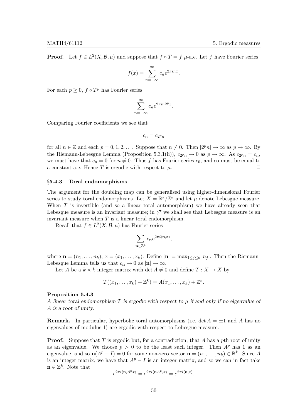**Proof.** Let  $f \in L^2(X, \mathcal{B}, \mu)$  and suppose that  $f \circ T = f \mu$ -a.e. Let f have Fourier series

$$
f(x) = \sum_{n = -\infty}^{\infty} c_n e^{2\pi i n x}.
$$

For each  $p \geq 0$ ,  $f \circ T^p$  has Fourier series

$$
\sum_{n=-\infty}^{\infty} c_n e^{2\pi i n 2^p x}.
$$

Comparing Fourier coefficients we see that

$$
c_n=c_{2^pn}\,
$$

for all  $n \in \mathbb{Z}$  and each  $p = 0, 1, 2, \ldots$ . Suppose that  $n \neq 0$ . Then  $|2^p n| \to \infty$  as  $p \to \infty$ . By the Riemann-Lebesgue Lemma (Proposition 5.3.1(ii)),  $c_{2^p n} \to 0$  as  $p \to \infty$ . As  $c_{2^p n} = c_n$ , we must have that  $c_n = 0$  for  $n \neq 0$ . Thus f has Fourier series  $c_0$ , and so must be equal to a constant a e. Hence T is ergodic with respect to u. a constant a.e. Hence  $T$  is ergodic with respect to  $\mu$ .

# §5.4.3 Toral endomorphisms

The argument for the doubling map can be generalised using higher-dimensional Fourier series to study toral endomorphisms. Let  $X = \mathbb{R}^k / \mathbb{Z}^k$  and let  $\mu$  denote Lebesgue measure. When  $T$  is invertible (and so a linear toral automorphism) we have already seen that Lebesgue measure is an invariant measure; in  $\S7$  we shall see that Lebesgue measure is an invariant measure when  $T$  is a linear toral endomorphism.

Recall that  $f \in L^2(X, \mathcal{B}, \mu)$  has Fourier series

$$
\sum_{\mathbf{n}\in\mathbb{Z}^k}c_{\mathbf{n}}e^{2\pi i\langle\mathbf{n},x\rangle},
$$

where  $\mathbf{n} = (n_1, \ldots, n_k)$ ,  $x = (x_1, \ldots, x_k)$ . Define  $|\mathbf{n}| = \max_{1 \leq j \leq k} |n_j|$ . Then the Riemann-Lebesgue Lemma tells us that  $c_n \to 0$  as  $|\mathbf{n}| \to \infty$ .

Let A be a  $k \times k$  integer matrix with det  $A \neq 0$  and define  $T : X \to X$  by

$$
T((x_1,\ldots,x_k)+\mathbb{Z}^k)=A(x_1,\ldots,x_k)+\mathbb{Z}^k.
$$

#### Proposition 5.4.3

A linear toral endomorphism  $T$  is ergodic with respect to  $\mu$  if and only if no eigenvalue of A is a root of unity.

**Remark.** In particular, hyperbolic toral automorphisms (i.e. det  $A = \pm 1$  and A has no eigenvalues of modulus 1) are ergodic with respect to Lebesgue measure.

**Proof.** Suppose that T is ergodic but, for a contradiction, that A has a pth root of unity as an eigenvalue. We choose  $p > 0$  to be the least such integer. Then  $A^p$  has 1 as an eigenvalue, and so  $\mathbf{n}(A^p - I) = 0$  for some non-zero vector  $\mathbf{n} = (n_1, \dots, n_k) \in \mathbb{R}^k$ . Since A is an integer matrix, we have that  $A^p - I$  is an integer matrix, and so we can in fact take  $\mathbf{n} \in \mathbb{Z}^k$ . Note that

$$
e^{2\pi i \langle \mathbf{n}, A^p x \rangle} = e^{2\pi i \langle \mathbf{n} A^p, x \rangle} = e^{2\pi i \langle \mathbf{n}, x \rangle}.
$$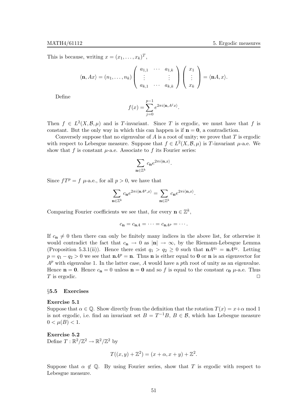This is because, writing  $x = (x_1, \ldots, x_k)^T$ ,

$$
\langle \mathbf{n}, Ax \rangle = (n_1, \dots, n_k) \begin{pmatrix} a_{1,1} & \cdots & a_{1,k} \\ \vdots & & \vdots \\ a_{k,1} & \cdots & a_{k,k} \end{pmatrix} \begin{pmatrix} x_1 \\ \vdots \\ x_k \end{pmatrix} = \langle \mathbf{n}A, x \rangle.
$$

Define

$$
f(x) = \sum_{j=0}^{p-1} e^{2\pi i \langle \mathbf{n}, A^j x \rangle}.
$$

Then  $f \in L^2(X, \mathcal{B}, \mu)$  and is T-invariant. Since T is ergodic, we must have that f is constant. But the only way in which this can happen is if  $n = 0$ , a contradiction.

Conversely suppose that no eigenvalue of  $A$  is a root of unity; we prove that  $T$  is ergodic with respect to Lebesgue measure. Suppose that  $f \in L^2(X, \mathcal{B}, \mu)$  is T-invariant  $\mu$ -a.e. We show that f is constant  $\mu$ -a.e. Associate to f its Fourier series:

$$
\sum_{\mathbf{n}\in\mathbb{Z}^k}c_{\mathbf{n}}e^{2\pi i\langle\mathbf{n},x\rangle}.
$$

Since  $fT^p = f \mu$ -a.e., for all  $p > 0$ , we have that

$$
\sum_{\mathbf{n}\in\mathbb{Z}^k}c_{\mathbf{n}}e^{2\pi i\langle\mathbf{n} A^p,x\rangle}=\sum_{\mathbf{n}\in\mathbb{Z}^k}c_{\mathbf{n}}e^{2\pi i\langle\mathbf{n},x\rangle}.
$$

Comparing Fourier coefficients we see that, for every  $\mathbf{n} \in \mathbb{Z}^k$ ,

$$
c_{\mathbf{n}}=c_{\mathbf{n}A}=\cdots=c_{\mathbf{n}A^{p}}=\cdots.
$$

If  $c_n \neq 0$  then there can only be finitely many indices in the above list, for otherwise it would contradict the fact that  $c_n \to 0$  as  $|\mathbf{n}| \to \infty$ , by the Riemann-Lebesgue Lemma (Proposition 5.3.1(ii)). Hence there exist  $q_1 > q_2 \ge 0$  such that  $\mathbf{n}A^{q_1} = \mathbf{n}A^{q_2}$ . Letting  $p = q_1 - q_2 > 0$  we see that  $nA^p = n$ . Thus **n** is either equal to **0** or **n** is an eigenvector for  $A^p$  with eigenvalue 1. In the latter case, A would have a pth root of unity as an eigenvalue. Hence  $n = 0$ . Hence  $c_n = 0$  unless  $n = 0$  and so f is equal to the constant  $c_0$   $\mu$ -a.e. Thus T is ergodic.  $\Box$ 

# §5.5 Exercises

#### Exercise 5.1

Suppose that  $\alpha \in \mathbb{Q}$ . Show directly from the definition that the rotation  $T(x) = x + \alpha$  mod 1 is not ergodic, i.e. find an invariant set  $B = T^{-1}B$ ,  $B \in \mathcal{B}$ , which has Lebesgue measure  $0 < \mu(B) < 1.$ 

Exercise 5.2 Define  $T : \mathbb{R}^2/\mathbb{Z}^2 \to \mathbb{R}^2/\mathbb{Z}^2$  by

$$
T((x, y) + \mathbb{Z}^{2}) = (x + \alpha, x + y) + \mathbb{Z}^{2}.
$$

Suppose that  $\alpha \notin \mathbb{Q}$ . By using Fourier series, show that T is ergodic with respect to Lebesgue measure.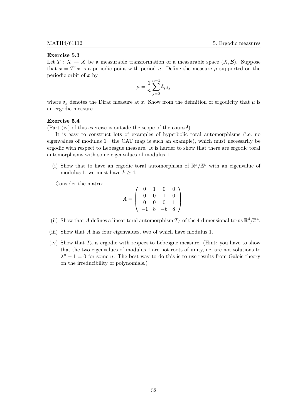#### Exercise 5.3

Let  $T : X \to X$  be a measurable transformation of a measurable space  $(X, \mathcal{B})$ . Suppose that  $x = T^n x$  is a periodic point with period n. Define the measure  $\mu$  supported on the periodic orbit of  $x$  by

$$
\mu = \frac{1}{n} \sum_{j=0}^{n-1} \delta_{T^j x}
$$

where  $\delta_x$  denotes the Dirac measure at x. Show from the definition of ergodicity that  $\mu$  is an ergodic measure.

#### Exercise 5.4

(Part (iv) of this exercise is outside the scope of the course!)

It is easy to construct lots of examples of hyperbolic toral automorphisms (i.e. no eigenvalues of modulus 1—the CAT map is such an example), which must necessarily be ergodic with respect to Lebesgue measure. It is harder to show that there are ergodic toral automorphisms with some eigenvalues of modulus 1.

(i) Show that to have an ergodic toral automorphism of  $\mathbb{R}^k/\mathbb{Z}^k$  with an eigenvalue of modulus 1, we must have  $k > 4$ .

Consider the matrix

$$
A = \left(\begin{array}{rrr} 0 & 1 & 0 & 0 \\ 0 & 0 & 1 & 0 \\ 0 & 0 & 0 & 1 \\ -1 & 8 & -6 & 8 \end{array}\right).
$$

- (ii) Show that A defines a linear toral automorphism  $T_A$  of the 4-dimensional torus  $\mathbb{R}^4/\mathbb{Z}^4$ .
- (iii) Show that A has four eigenvalues, two of which have modulus 1.
- (iv) Show that  $T_A$  is ergodic with respect to Lebesgue measure. (Hint: you have to show that the two eigenvalues of modulus 1 are not roots of unity, i.e. are not solutions to  $\lambda^n - 1 = 0$  for some *n*. The best way to do this is to use results from Galois theory on the irreducibility of polynomials.)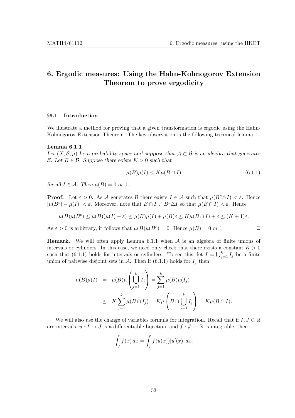# 6. Ergodic measures: Using the Hahn-Kolmogorov Extension Theorem to prove ergodicity

# §6.1 Introduction

We illustrate a method for proving that a given transformation is ergodic using the Hahn-Kolmogorov Extension Theorem. The key observation is the following technical lemma.

# Lemma 6.1.1

Let  $(X,\mathcal{B},\mu)$  be a probability space and suppose that  $\mathcal{A} \subset \mathcal{B}$  is an algebra that generates  $\mathcal{B}$ . Let  $B \in \mathcal{B}$ . Suppose there exists  $K > 0$  such that

$$
\mu(B)\mu(I) \le K\mu(B \cap I) \tag{6.1.1}
$$

for all  $I \in \mathcal{A}$ . Then  $\mu(B) = 0$  or 1.

**Proof.** Let  $\varepsilon > 0$ . As A generates B there exists  $I \in \mathcal{A}$  such that  $\mu(B^c \Delta I) < \varepsilon$ . Hence  $|\mu(B^c) - \mu(I)| < \varepsilon$ . Moreover, note that  $B \cap I \subset B^c \triangle I$  so that  $\mu(B \cap I) < \varepsilon$ . Hence

$$
\mu(B)\mu(B^c) \le \mu(B)(\mu(I) + \varepsilon) \le \mu(B)\mu(I) + \mu(B)\varepsilon \le K\mu(B \cap I) + \varepsilon \le (K+1)\varepsilon.
$$

As  $\varepsilon > 0$  is arbitrary, it follows that  $\mu(B)\mu(B^c) = 0$ . Hence  $\mu(B) = 0$  or 1.

**Remark.** We will often apply Lemma 6.1.1 when  $A$  is an algebra of finite unions of intervals or cylinders. In this case, we need only check that there exists a constant  $K > 0$ such that (6.1.1) holds for intervals or cylinders. To see this, let  $I = \bigcup_{j=1}^{k} I_j$  be a finite union of pairwise disjoint sets in  $A$ . Then if (6.1.1) holds for  $I_j$  then

$$
\mu(B)\mu(I) = \mu(B)\mu\left(\bigcup_{j=1}^k I_j\right) = \sum_{j=1}^k \mu(B)\mu(I_j)
$$
  
 
$$
\leq K \sum_{j=1}^k \mu(B \cap I_j) = K\mu\left(B \cap \bigcup_{j=1}^k I_j\right) = K\mu(B \cap I).
$$

We will also use the change of variables formula for integration. Recall that if  $I, J \subset \mathbb{R}$ are intervals,  $u : I \to J$  is a differentiable bijection, and  $f : J \to \mathbb{R}$  is integrable, then

$$
\int_J f(x) dx = \int_I f(u(x)) |u'(x)| dx.
$$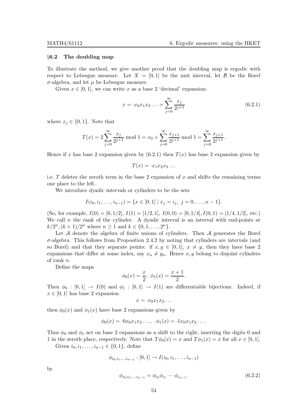#### §6.2 The doubling map

To illustrate the method, we give another proof that the doubling map is ergodic with respect to Lebesgue measure. Let  $X = [0, 1]$  be the unit interval, let  $\mathcal{B}$  be the Borel  $\sigma$ -algebra, and let  $\mu$  be Lebesgue measure.

Given  $x \in [0, 1]$ , we can write x as a base 2 'decimal' expansion:

$$
x = \cdot x_0 x_1 x_2 \dots = \sum_{j=0}^{\infty} \frac{x_j}{2^{j+1}} \tag{6.2.1}
$$

where  $x_j \in \{0,1\}$ . Note that

$$
T(x) = 2\sum_{j=0}^{\infty} \frac{x_j}{2^{j+1}} \mod 1 = x_0 + \sum_{j=0}^{\infty} \frac{x_{j+1}}{2^{j+1}} \mod 1 = \sum_{j=0}^{\infty} \frac{x_{j+1}}{2^{j+1}}.
$$

Hence if x has base 2 expansion given by  $(6.2.1)$  then  $T(x)$  has base 2 expansion given by

$$
T(x) = \cdot x_1 x_2 x_3 \dots
$$

i.e. T deletes the zeroth term in the base 2 expansion of x and shifts the remaining terms one place to the left.

We introduce dyadic intervals or cylinders to be the sets

$$
I(i_0, i_1, \ldots, i_{n-1}) = \{x \in [0,1] \mid x_j = i_j, \ j = 0, \ldots, n-1\}.
$$

(So, for example,  $I(0) = \begin{bmatrix} 0 \\ 1 \\ 2 \end{bmatrix}$ ,  $I(1) = \begin{bmatrix} 1/2 \\ 1 \end{bmatrix}$ ,  $I(0, 0) = \begin{bmatrix} 0 \\ 1 \\ 4 \end{bmatrix}$ ,  $I(0, 1) = \begin{bmatrix} 1/4 \\ 1/2 \end{bmatrix}$ , etc.) We call  $n$  the rank of the cylinder. A dyadic interval is an interval with end-points at  $k/2^n, (k+1)/2^n$  where  $n \ge 1$  and  $k \in \{0, 1, ..., 2^n\}.$ 

Let  $A$  denote the algebra of finite unions of cylinders. Then  $A$  generates the Borel  $\sigma$ -algebra. This follows from Proposition 2.4.2 by noting that cylinders are intervals (and so Borel) and that they separate points: if  $x, y \in [0, 1], x \neq y$ , then they have base 2 expansions that differ at some index, say  $x_n \neq y_n$ . Hence x, y belong to disjoint cylinders of rank n.

Define the maps

$$
\phi_0(x) = \frac{x}{2}, \ \phi_1(x) = \frac{x+1}{2}.
$$

Then  $\phi_0 : [0,1] \rightarrow I(0)$  and  $\phi_1 : [0,1] \rightarrow I(1)$  are differentiable bijections. Indeed, if  $x \in [0, 1]$  has base 2 expansion

$$
x = \cdot x_0 x_1 x_2 \dots
$$

then  $\phi_0(x)$  and  $\phi_1(x)$  have base 2 expansions given by

$$
\phi_0(x) = 0x_0x_1x_2..., \quad \phi_1(x) = 1x_0x_1x_2...
$$

Thus  $\phi_0$  and  $\phi_1$  act on base 2 expansions as a shift to the right, inserting the digits 0 and 1 in the zeroth place, respectively. Note that  $T\phi_0(x) = x$  and  $T\phi_1(x) = x$  for all  $x \in [0,1]$ .

Given  $i_0, i_1, \ldots, i_{n-1} \in \{0, 1\}$ , define

$$
\phi_{i_0,i_1,...,i_{n-1}}:[0,1]\to I(i_0,i_1,\ldots,i_{n-1})
$$

by

$$
\phi_{i_0, i_1, \dots, i_{n-1}} = \phi_{i_0} \phi_{i_1} \cdots \phi_{i_{n-1}}.
$$
\n(6.2.2)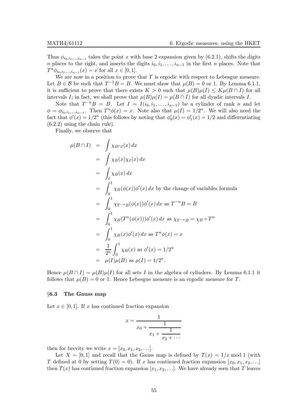Thus  $\phi_{i_0,i_1,...,i_{n-1}}$  takes the point x with base 2 expansion given by (6.2.1), shifts the digits n places to the right, and inserts the digits  $i_0, i_1, \ldots, i_{n-1}$  in the first n places. Note that  $T^n \phi_{i_0, i_1, \dots, i_{n-1}}(x) = x$  for all  $x \in [0, 1]$ .

We are now in a position to prove that  $T$  is ergodic with respect to Lebesgue measure. Let  $B \in \mathcal{B}$  be such that  $T^{-1}B = B$ . We must show that  $\mu(B) = 0$  or 1. By Lemma 6.1.1, it is sufficient to prove that there exists  $K > 0$  such that  $\mu(B)\mu(I) \leq K\mu(B \cap I)$  for all intervals I; in fact, we shall prove that  $\mu(B)\mu(I) = \mu(B \cap I)$  for all dyadic intervals I.

Note that  $T^{-n}B = B$ . Let  $I = I(i_0, i_1, \ldots, i_{n-1})$  be a cylinder of rank n and let  $\phi = \phi_{i_0, i_1, \dots, i_{n-1}}$ . Then  $T^n \phi(x) = x$ . Note also that  $\mu(I) = 1/2^n$ . We will also need the fact that  $\phi'(x) = 1/2^n$  (this follows by noting that  $\phi'_0(x) = \phi'_1(x) = 1/2$  and differentiating (6.2.2) using the chain rule).

Finally, we observe that

$$
\mu(B \cap I) = \int \chi_{B \cap I}(x) dx
$$
  
\n
$$
= \int \chi_B(x) \chi_I(x) dx
$$
  
\n
$$
= \int_I \chi_B(x) dx
$$
  
\n
$$
= \int_0^1 \chi_B(\phi(x)) \phi'(x) dx \text{ by the change of variables formula}
$$
  
\n
$$
= \int_0^1 \chi_{T^{-n}B}(\phi(x)) \phi'(x) dx \text{ as } T^{-n}B = B
$$
  
\n
$$
= \int_0^1 \chi_B(T^n(\phi(x))) \phi'(x) dx \text{ as } \chi_{T^{-n}B} = \chi_B \circ T^n
$$
  
\n
$$
= \int_0^1 \chi_B(x) \phi'(x) dx \text{ as } T^n \phi(x) = x
$$
  
\n
$$
= \frac{1}{2^n} \int_0^1 \chi_B(x) \text{ as } \phi'(x) = 1/2^n
$$
  
\n
$$
= \mu(I) \mu(B) \text{ as } \mu(I) = 1/2^n.
$$

Hence  $\mu(B \cap I) = \mu(B)\mu(I)$  for all sets I in the algebra of cylinders. By Lemma 6.1.1 it follows that  $\mu(B) = 0$  or 1. Hence Lebesgue measure is an ergodic measure for T.

#### §6.3 The Gauss map

Let  $x \in [0, 1]$ . If x has continued fraction expansion

$$
x = \frac{1}{x_0 + \frac{1}{x_1 + \frac{1}{x_2 + \dotsb}}}
$$

then for brevity we write  $x = [x_0, x_1, x_2, \ldots]$ .

Let  $X = [0, 1]$  and recall that the Gauss map is defined by  $T(x) = 1/x \mod 1$  (with T defined at 0 by setting  $T(0) = 0$ . If x has continued fraction expansion  $[x_0, x_1, x_2, \ldots]$ then  $T(x)$  has continued fraction expansion  $[x_1, x_2, \ldots]$ . We have already seen that T leaves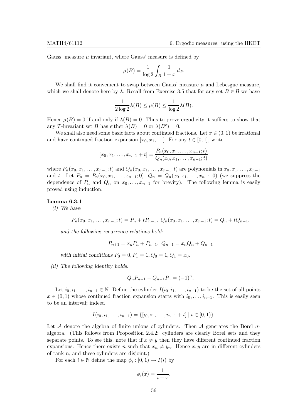Gauss' measure  $\mu$  invariant, where Gauss' measure is defined by

$$
\mu(B) = \frac{1}{\log 2} \int_B \frac{1}{1+x} \, dx.
$$

We shall find it convenient to swap between Gauss' measure  $\mu$  and Lebesgue measure, which we shall denote here by  $\lambda$ . Recall from Exercise 3.5 that for any set  $B \in \mathcal{B}$  we have

$$
\frac{1}{2\log 2}\lambda(B) \le \mu(B) \le \frac{1}{\log 2}\lambda(B).
$$

Hence  $\mu(B) = 0$  if and only if  $\lambda(B) = 0$ . Thus to prove ergodicity it suffices to show that any T-invariant set B has either  $\lambda(B) = 0$  or  $\lambda(B^c) = 0$ .

We shall also need some basic facts about continued fractions. Let  $x \in (0,1)$  be irrational and have continued fraction expansion  $[x_0, x_1, \ldots]$ . For any  $t \in [0, 1]$ , write

$$
[x_0, x_1, \dots, x_{n-1} + t] = \frac{P_n(x_0, x_1, \dots, x_{n-1}; t)}{Q_n(x_0, x_1, \dots, x_{n-1}; t)}
$$

where  $P_n(x_0, x_1, \ldots, x_{n-1};t)$  and  $Q_n(x_0, x_1, \ldots, x_{n-1};t)$  are polynomials in  $x_0, x_1, \ldots, x_{n-1}$ and t. Let  $P_n = P_n(x_0, x_1, \ldots, x_{n-1}; 0), Q_n = Q_n(x_0, x_1, \ldots, x_{n-1}; 0)$  (we suppress the dependence of  $P_n$  and  $Q_n$  on  $x_0, \ldots, x_{n-1}$  for brevity). The following lemma is easily proved using induction.

#### Lemma 6.3.1

(i) We have

$$
P_n(x_0, x_1, \ldots, x_{n-1}; t) = P_n + t P_{n-1}, \ Q_n(x_0, x_1, \ldots, x_{n-1}; t) = Q_n + t Q_{n-1}.
$$

and the following recurrence relations hold:

$$
P_{n+1} = x_n P_n + P_{n-1}, \ Q_{n+1} = x_n Q_n + Q_{n-1}
$$

with initial conditions  $P_0 = 0, P_1 = 1, Q_0 = 1, Q_1 = x_0$ .

(ii) The following identity holds:

$$
Q_n P_{n-1} - Q_{n-1} P_n = (-1)^n.
$$

Let  $i_0, i_1, \ldots, i_{n-1} \in \mathbb{N}$ . Define the cylinder  $I(i_0, i_1, \ldots, i_{n-1})$  to be the set of all points  $x \in (0,1)$  whose continued fraction expansion starts with  $i_0, \ldots, i_{n-1}$ . This is easily seen to be an interval; indeed

$$
I(i_0,i_1,\ldots,i_{n-1})=\{[i_0,i_1,\ldots,i_{n-1}+t] \mid t\in [0,1)\}.
$$

Let A denote the algebra of finite unions of cylinders. Then A generates the Borel  $\sigma$ algebra. (This follows from Proposition 2.4.2: cylinders are clearly Borel sets and they separate points. To see this, note that if  $x \neq y$  then they have different continued fraction expansions. Hence there exists n such that  $x_n \neq y_n$ . Hence x, y are in different cylinders of rank  $n$ , and these cylinders are disjoint.)

For each  $i \in \mathbb{N}$  define the map  $\phi_i : [0,1) \to I(i)$  by

$$
\phi_i(x) = \frac{1}{i+x}.
$$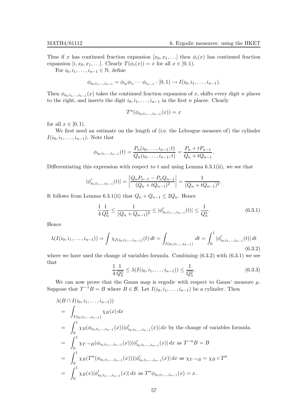.

Thus if x has continued fraction expansion  $[x_0, x_1, \ldots]$  then  $\phi_i(x)$  has continued fraction expansion  $[i, x_0, x_1, \ldots]$ . Clearly  $T(\phi_i(x)) = x$  for all  $x \in [0, 1)$ .

For  $i_0, i_1, \ldots, i_{n-1} \in \mathbb{N}$ , define

$$
\phi_{i_0,i_1,\dots,i_{n-1}}=\phi_{i_0}\phi_{i_1}\cdots\phi_{i_{n-1}}:[0,1)\to I(i_0,i_1,\dots,i_{n-1}).
$$

Then  $\phi_{i_0,i_1,...,i_{n-1}}(x)$  takes the continued fraction expansion of x, shifts every digit n places to the right, and inserts the digit  $i_0, i_1, \ldots, i_{n-1}$  in the first n places. Clearly

$$
T^n(\phi_{i_0,i_1,...,i_{n-1}}(x)) = x
$$

for all  $x \in [0, 1)$ .

We first need an estimate on the length of (i.e. the Lebesgue measure of) the cylinder  $I(i_0, i_1, \ldots, i_{n-1})$ . Note that

$$
\phi_{i_0,i_1,\dots,i_{n-1}}(t) = \frac{P_n(i_0,\dots,i_{n-1};t)}{Q_n(i_0,\dots,i_{n-1};t)} = \frac{P_n + tP_{n-1}}{Q_n + tQ_{n-1}}.
$$

Differentiating this expression with respect to t and using Lemma  $6.3.1(ii)$ , we see that

$$
|\phi'_{i_0,i_1,\dots,i_{n-1}}(t)| = \left| \frac{Q_n P_{n-1} - P_n Q_{n-1}}{(Q_n + t Q_{n-1})^2} \right| = \frac{1}{(Q_n + t Q_{n-1})^2}
$$

It follows from Lemma 6.3.1(ii) that  $Q_n + Q_{n-1} \leq 2Q_n$ . Hence

$$
\frac{1}{4}\frac{1}{Q_n^2} \le \frac{1}{(Q_n + Q_{n-1})^2} \le |\phi'_{i_0, i_1, \dots, i_{n-1}}(t)| \le \frac{1}{Q_n^2}.\tag{6.3.1}
$$

Hence

$$
\lambda(I(i_0, i_1, \dots, i_{n-1})) = \int \chi_{I(i_0, i_1, \dots, i_{n-1})}(t) dt = \int_{I(i_0, i_1, \dots, i_{n-1})} dt = \int_0^1 |\phi'_{i_0, i_1, \dots, i_{n-1}}(t)| dt
$$
\n(6.3.2)

where we have used the change of variables formula. Combining  $(6.3.2)$  with  $(6.3.1)$  we see that

$$
\frac{1}{4} \frac{1}{Q_n^2} \le \lambda (I(i_0, i_1, \dots, i_{n-1})) \le \frac{1}{Q_n^2}.
$$
\n(6.3.3)

We can now prove that the Gauss map is ergodic with respect to Gauss' measure  $\mu$ . Suppose that  $T^{-1}B = B$  where  $B \in \mathcal{B}$ . Let  $I(i_0, i_1, \ldots, i_{n-1})$  be a cylinder. Then

$$
\lambda(B \cap I(i_0, i_1, \ldots, i_{n-1}))
$$
\n
$$
= \int_{I(i_0, i_1, \ldots, i_{n-1})} \chi_B(x) dx
$$
\n
$$
= \int_0^1 \chi_B(\phi_{i_0, i_1, \ldots, i_{n-1}}(x)) |\phi'_{i_0, i_1, \ldots, i_{n-1}}(x)| dx \text{ by the change of variables formula.}
$$
\n
$$
= \int_0^1 \chi_{T^{-n}B}(\phi_{i_0, i_1, \ldots, i_{n-1}}(x)) |\phi'_{i_0, i_1, \ldots, i_{n-1}}(x)| dx \text{ as } T^{-n}B = B
$$
\n
$$
= \int_0^1 \chi_B(T^n(\phi_{i_0, i_1, \ldots, i_{n-1}}(x))) |\phi'_{i_0, i_1, \ldots, i_{n-1}}(x)| dx \text{ as } \chi_{T^{-n}B} = \chi_B \circ T^n
$$
\n
$$
= \int_0^1 \chi_B(x) |\phi'_{i_0, i_1, \ldots, i_{n-1}}(x)| dx \text{ as } T^n \phi_{i_0, i_1, \ldots, i_{n-1}}(x) = x.
$$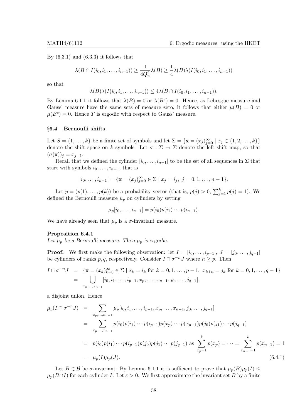By  $(6.3.1)$  and  $(6.3.3)$  it follows that

$$
\lambda(B \cap I(i_0, i_1, \dots, i_{n-1})) \ge \frac{1}{4Q_n^2} \lambda(B) \ge \frac{1}{4} \lambda(B) \lambda(I(i_0, i_1, \dots, i_{n-1}))
$$

so that

$$
\lambda(B)\lambda(I(i_0,i_1,\ldots,i_{n-1}))\leq 4\lambda(B\cap I(i_0,i_1,\ldots,i_{n-1})).
$$

By Lemma 6.1.1 it follows that  $\lambda(B) = 0$  or  $\lambda(B^c) = 0$ . Hence, as Lebesgue measure and Gauss' measure have the same sets of measure zero, it follows that either  $\mu(B) = 0$  or  $\mu(B^c) = 0$ . Hence T is ergodic with respect to Gauss' measure.

### §6.4 Bernoulli shifts

Let  $S = \{1, \ldots, k\}$  be a finite set of symbols and let  $\Sigma = \{\mathbf{x} = (x_j)_{j=0}^{\infty} \mid x_j \in \{1, 2, \ldots, k\}\}\$ denote the shift space on k symbols. Let  $\sigma : \Sigma \to \Sigma$  denote the left shift map, so that  $(\sigma(\mathbf{x}))_j = x_{j+1}.$ 

Recall that we defined the cylinder  $[i_0, \ldots, i_{n-1}]$  to be the set of all sequences in  $\Sigma$  that start with symbols  $i_0, \ldots, i_{n-1}$ , that is

$$
[i_0,\ldots,i_{n-1}] = \{ \mathbf{x} = (x_j)_{j=0}^\infty \in \Sigma \mid x_j = i_j, \ j = 0,1,\ldots,n-1 \}.
$$

Let  $p = (p(1), \ldots, p(k))$  be a probability vector (that is,  $p(j) > 0$ ,  $\sum_{j=1}^{k} p(j) = 1$ ). We defined the Bernoulli measure  $\mu_p$  on cylinders by setting

$$
\mu_p[i_0,\ldots,i_{n-1}] = p(i_0)p(i_1)\cdots p(i_{n-1}).
$$

We have already seen that  $\mu_p$  is a  $\sigma$ -invariant measure.

#### Proposition 6.4.1

Let  $\mu_p$  be a Bernoulli measure. Then  $\mu_p$  is ergodic.

**Proof.** We first make the following observation: let  $I = [i_0, \ldots, i_{p-1}], J = [j_0, \ldots, j_{q-1}]$ be cylinders of ranks  $p, q$ , respectively. Consider  $I \cap \sigma^{-n}J$  where  $n \geq p$ . Then

$$
I \cap \sigma^{-n} J = \{ \mathbf{x} = (x_k)_{k=0}^{\infty} \in \Sigma \mid x_k = i_k \text{ for } k = 0, 1, \dots, p-1, \ x_{k+n} = j_k \text{ for } k = 0, 1, \dots, q-1 \}
$$
  
= 
$$
\bigcup_{x_p, \dots, x_{n-1}} [i_0, i_1, \dots, i_{p-1}, x_p, \dots, x_{n-1}, j_0, \dots, j_{q-1}],
$$

a disjoint union. Hence

$$
\mu_p(I \cap \sigma^{-n} J) = \sum_{x_p, \dots, x_{n-1}} \mu_p[i_0, i_1, \dots, i_{p-1}, x_p, \dots, x_{n-1}, j_0, \dots, j_{q-1}]
$$
  
\n
$$
= \sum_{x_p, \dots, x_{n-1}} p(i_0) p(i_1) \cdots p(i_{p-1}) p(x_p) \cdots p(x_{n-1}) p(j_0) p(j_1) \cdots p(j_{q-1})
$$
  
\n
$$
= p(i_0) p(i_1) \cdots p(i_{p-1}) p(j_0) p(j_1) \cdots p(j_{q-1}) \text{ as } \sum_{x_p=1}^k p(x_p) = \cdots = \sum_{x_{n-1}=1}^k p(x_{n-1}) = 1
$$
  
\n
$$
= \mu_p(I) \mu_p(J).
$$
\n(6.4.1)

Let  $B \in \mathcal{B}$  be  $\sigma$ -invariant. By Lemma 6.1.1 it is sufficient to prove that  $\mu_p(B)\mu_p(I) \leq$  $\mu_p(B \cap I)$  for each cylinder I. Let  $\varepsilon > 0$ . We first approximate the invariant set B by a finite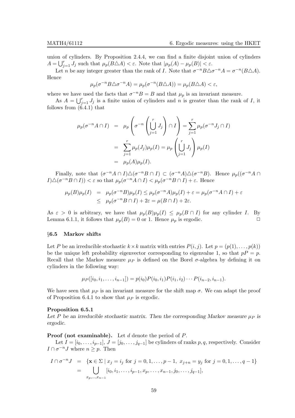union of cylinders. By Proposition 2.4.4, we can find a finite disjoint union of cylinders  $A = \bigcup_{j=1}^r J_j$  such that  $\mu_p(B \triangle A) < \varepsilon$ . Note that  $|\mu_p(A) - \mu_p(B)| < \varepsilon$ .

Let *n* be any integer greater than the rank of *I*. Note that  $\sigma^{-n}B\triangle \sigma^{-n}A = \sigma^{-n}(B\triangle A)$ . Hence

$$
\mu_p(\sigma^{-n}B\triangle\sigma^{-n}A)=\mu_p(\sigma^{-n}(B\triangle A))=\mu_p(B\triangle A)<\varepsilon,
$$

where we have used the facts that  $\sigma^{-n}B = B$  and that  $\mu_p$  is an invariant measure.

As  $A = \bigcup_{j=1}^r J_j$  is a finite union of cylinders and n is greater than the rank of I, it follows from  $(6.4.1)$  that

$$
\mu_p(\sigma^{-n}A \cap I) = \mu_p\left(\sigma^{-n}\left(\bigcup_{j=1}^r J_j\right) \cap I\right) = \sum_{j=1}^r \mu_p(\sigma^{-n}J_j \cap I)
$$

$$
= \sum_{j=1}^r \mu_p(J_j)\mu_p(I) = \mu_p\left(\bigcup_{j=1}^r J_j\right)\mu_p(I)
$$

$$
= \mu_p(A)\mu_p(I).
$$

Finally, note that  $(\sigma^{-n}A \cap I) \triangle (\sigma^{-n}B \cap I) \subset (\sigma^{-n}A) \triangle (\sigma^{-n}B)$ . Hence  $\mu_p((\sigma^{-n}A \cap I) \triangle (\sigma^{-n}B \cap I) \subset (I \cap I)$  $I(\Delta(\sigma^{-n}B \cap I)) < \varepsilon$  so that  $\mu_p(\sigma^{-n}A \cap I) < \mu_p(\sigma^{-n}B \cap I) + \varepsilon$ . Hence

$$
\mu_p(B)\mu_p(I) = \mu_p(\sigma^{-n}B)\mu_p(I) \le \mu_p(\sigma^{-n}A)\mu_p(I) + \varepsilon = \mu_p(\sigma^{-n}A \cap I) + \varepsilon
$$
  
 
$$
\le \mu_p(\sigma^{-n}B \cap I) + 2\varepsilon = \mu(B \cap I) + 2\varepsilon.
$$

As  $\varepsilon > 0$  is arbitrary, we have that  $\mu_p(B)\mu_p(I) \leq \mu_p(B \cap I)$  for any cylinder I. By<br>Lemma 6.1.1 it follows that  $\mu_B(B) = 0$  or 1. Hence  $\mu$  is ergodic Lemma 6.1.1, it follows that  $\mu_p(B) = 0$  or 1. Hence  $\mu_p$  is ergodic.

#### §6.5 Markov shifts

Let P be an irreducible stochastic  $k \times k$  matrix with entries  $P(i, j)$ . Let  $p = (p(1), \ldots, p(k))$ be the unique left probability eigenvector corresponding to eigenvalue 1, so that  $pP = p$ . Recall that the Markov measure  $\mu$  is defined on the Borel  $\sigma$ -algebra by defining it on cylinders in the following way:

$$
\mu_P([i_0, i_1, \ldots, i_{n-1}]) = p(i_0)P(i_0, i_1)P(i_1, i_2) \cdots P(i_{n-2}, i_{n-1}).
$$

We have seen that  $\mu_P$  is an invariant measure for the shift map  $\sigma$ . We can adapt the proof of Proposition 6.4.1 to show that  $\mu$ *P* is ergodic.

#### Proposition 6.5.1

Let P be an irreducible stochastic matrix. Then the corresponding Markov measure  $\mu_P$  is ergodic.

**Proof (not examinable).** Let  $d$  denote the period of  $P$ .

Let  $I = [i_0, \ldots, i_{p-1}], J = [j_0, \ldots, j_{q-1}]$  be cylinders of ranks p, q, respectively. Consider  $I \cap \sigma^{-n}J$  where  $n \geq p$ . Then

$$
I \cap \sigma^{-n} J = \{ \mathbf{x} \in \Sigma \mid x_j = i_j \text{ for } j = 0, 1, ..., p - 1, x_{j+n} = y_j \text{ for } j = 0, 1, ..., q - 1 \}
$$
  
= 
$$
\bigcup_{x_p, ..., x_{n-1}} [i_0, i_1, ..., i_{p-1}, x_p, ..., x_{n-1}, j_0, ..., j_{q-1}],
$$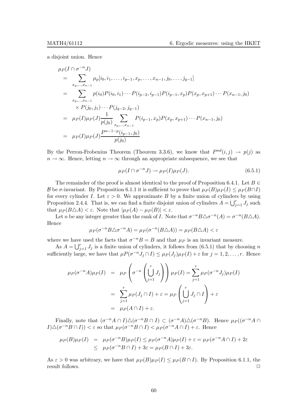a disjoint union. Hence

$$
\mu_P(I \cap \sigma^{-n} J)
$$
\n
$$
= \sum_{x_p, \dots, x_{n-1}} \mu_p[i_0, i_1, \dots, i_{p-1}, x_p, \dots, x_{n-1}, j_0, \dots, j_{q-1}]
$$
\n
$$
= \sum_{x_p, \dots, x_{n-1}} p(i_0) P(i_0, i_1) \cdots P(i_{p-2}, i_{p-1}) P(i_{p-1}, x_p) P(x_p, x_{p+1}) \cdots P(x_{n-1}, j_0)
$$
\n
$$
\times P(j_0, j_1) \cdots P(j_{q-2}, j_{q-1})
$$
\n
$$
= \mu_P(I) \mu_P(J) \frac{1}{p(j_0)} \sum_{x_p, \dots, x_{n-1}} P(i_{p-1}, x_p) P(x_p, x_{p+1}) \cdots P(x_{n-1}, j_0)
$$
\n
$$
= \mu_P(I) \mu_P(J) \frac{P^{n-1-p}(i_{p-1}, j_0)}{p(j_0)}
$$

By the Perron-Frobenius Theorem (Theorem 3.3.6), we know that  $P^{nd}(i, j) \rightarrow p(j)$  as  $n \to \infty$ . Hence, letting  $n \to \infty$  through an appropriate subsequence, we see that

$$
\mu_P(I \cap \sigma^{-n}J) \to \mu_P(I)\mu_P(J). \tag{6.5.1}
$$

The remainder of the proof is almost identical to the proof of Proposition 6.4.1. Let  $B \in$ B be  $\sigma$ -invariant. By Proposition 6.1.1 it is sufficient to prove that  $\mu_P(B)\mu_P(I) \leq \mu_P(B\cap I)$ for every cylinder I. Let  $\varepsilon > 0$ . We approximate B by a finite union of cylinders by using Proposition 2.4.4. That is, we can find a finite disjoint union of cylinders  $A = \bigcup_{j=1}^{r} J_j$  such that  $\mu_P(B\triangle A) < \varepsilon$ . Note that  $|\mu_P(A) - \mu_P(B)| < \varepsilon$ .

Let *n* be any integer greater than the rank of *I*. Note that  $\sigma^{-n}B\triangle \sigma^{-n}(A) = \sigma^{-n}(B\triangle A)$ . Hence

$$
\mu_P(\sigma^{-n}B\triangle\sigma^{-n}A) = \mu_P(\sigma^{-n}(B\triangle A)) = \mu_P(B\triangle A) < \varepsilon
$$

where we have used the facts that  $\sigma^{-n}B = B$  and that  $\mu_P$  is an invariant measure.

As  $A = \bigcup_{j=1}^r J_j$  is a finite union of cylinders, it follows from (6.5.1) that by choosing n sufficiently large, we have that  $\mu P(\sigma^{-n} J_j \cap I) \leq \mu_P(J_j) \mu_P(I) + \varepsilon$  for  $j = 1, 2, ..., r$ . Hence

$$
\mu_P(\sigma^{-n}A)\mu_P(I) = \mu_P\left(\sigma^{-n}\left(\bigcup_{j=1}^r J_j\right)\right)\mu_P(I) = \sum_{j=1}^r \mu_P(\sigma^{-n}J_j)\mu_P(I)
$$

$$
= \sum_{j=1}^r \mu_P(J_j \cap I) + \varepsilon = \mu_P\left(\bigcup_{j=1}^r J_j \cap I\right) + \varepsilon
$$

$$
= \mu_P(A \cap I) + \varepsilon.
$$

Finally, note that  $(\sigma^{-n}A \cap I) \triangle (\sigma^{-n}B \cap I) \subset (\sigma^{-n}A) \triangle (\sigma^{-n}B)$ . Hence  $\mu_P((\sigma^{-n}A \cap I) \triangle (\sigma^{-n}B \cap I) \subset (I \cap I)$  $I(\Delta(\sigma^{-n}B \cap I)) < \varepsilon$  so that  $\mu_P(\sigma^{-n}B \cap I) < \mu_P(\sigma^{-n}A \cap I) + \varepsilon$ . Hence

$$
\mu_P(B)\mu_P(I) = \mu_P(\sigma^{-n}B)\mu_P(I) \le \mu_P(\sigma^{-n}A)\mu_P(I) + \varepsilon = \mu_P(\sigma^{-n}A \cap I) + 2\varepsilon
$$
  
 
$$
\le \mu_P(\sigma^{-n}B \cap I) + 3\varepsilon = \mu_P(B \cap I) + 3\varepsilon.
$$

As  $\varepsilon > 0$  was arbitrary, we have that  $\mu_P(B)\mu_P(I) \leq \mu_P(B \cap I)$ . By Proposition 6.1.1, the result follows result follows.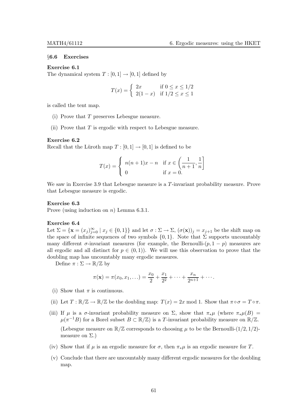#### §6.6 Exercises

#### Exercise 6.1

The dynamical system  $T : [0,1] \rightarrow [0,1]$  defined by

$$
T(x) = \begin{cases} 2x & \text{if } 0 \le x \le 1/2 \\ 2(1-x) & \text{if } 1/2 \le x \le 1 \end{cases}
$$

is called the tent map.

- (i) Prove that T preserves Lebesgue measure.
- (ii) Prove that  $T$  is ergodic with respect to Lebesgue measure.

#### Exercise 6.2

Recall that the Lüroth map  $T : [0, 1] \rightarrow [0, 1]$  is defined to be

$$
T(x) = \begin{cases} n(n+1)x - n & \text{if } x \in \left(\frac{1}{n+1}, \frac{1}{n}\right] \\ 0 & \text{if } x = 0. \end{cases}
$$

We saw in Exercise 3.9 that Lebesgue measure is a T-invariant probability measure. Prove that Lebesgue measure is ergodic.

# Exercise 6.3

Prove (using induction on  $n$ ) Lemma 6.3.1.

#### Exercise 6.4

Let  $\Sigma = {\mathbf{x} = (x_j)_{j=0}^{\infty} | x_j \in \{0,1\}}$  and let  $\sigma : \Sigma \to \Sigma$ ,  $(\sigma(\mathbf{x}))_j = x_{j+1}$  be the shift map on the space of infinite sequences of two symbols  $\{0, 1\}$ . Note that  $\Sigma$  supports uncountably many different  $\sigma$ -invariant measures (for example, the Bernoulli- $(p, 1 - p)$ ) measures are all ergodic and all distinct for  $p \in (0,1)$ . We will use this observation to prove that the doubling map has uncountably many ergodic measures.

Define  $\pi : \Sigma \to \mathbb{R}/\mathbb{Z}$  by

$$
\pi(\mathbf{x}) = \pi(x_0, x_1, \ldots) = \frac{x_0}{2} + \frac{x_1}{2^2} + \cdots + \frac{x_n}{2^{n+1}} + \cdots
$$

- (i) Show that  $\pi$  is continuous.
- (ii) Let  $T : \mathbb{R}/\mathbb{Z} \to \mathbb{R}/\mathbb{Z}$  be the doubling map:  $T(x) = 2x \mod 1$ . Show that  $\pi \circ \sigma = T \circ \pi$ .
- (iii) If  $\mu$  is a  $\sigma$ -invariant probability measure on  $\Sigma$ , show that  $\pi_*\mu$  (where  $\pi_*\mu(B)$ ) =  $\mu(\pi^{-1}B)$  for a Borel subset  $B \subset \mathbb{R}/\mathbb{Z}$ ) is a T-invariant probability measure on  $\mathbb{R}/\mathbb{Z}$ . (Lebesgue measure on  $\mathbb{R}/\mathbb{Z}$  corresponds to choosing  $\mu$  to be the Bernoulli-(1/2, 1/2)measure on  $\Sigma$ .)
- (iv) Show that if  $\mu$  is an ergodic measure for  $\sigma$ , then  $\pi_*\mu$  is an ergodic measure for T.
- (v) Conclude that there are uncountably many different ergodic measures for the doubling map.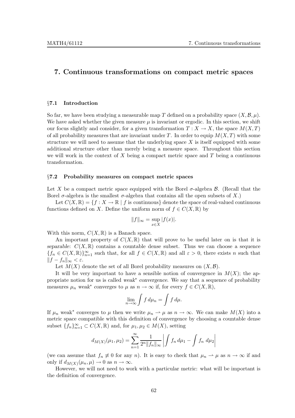# 7. Continuous transformations on compact metric spaces

# §7.1 Introduction

So far, we have been studying a measurable map T defined on a probability space  $(X,\mathcal{B},\mu)$ . We have asked whether the given measure  $\mu$  is invariant or ergodic. In this section, we shift our focus slightly and consider, for a given transformation  $T : X \to X$ , the space  $M(X,T)$ of all probability measures that are invariant under T. In order to equip  $M(X,T)$  with some structure we will need to assume that the underlying space  $X$  is itself equipped with some additional structure other than merely being a measure space. Throughout this section we will work in the context of X being a compact metric space and  $T$  being a continuous transformation.

# §7.2 Probability measures on compact metric spaces

Let X be a compact metric space equipped with the Borel  $\sigma$ -algebra  $\beta$ . (Recall that the Borel  $\sigma$ -algebra is the smallest  $\sigma$ -algebra that contains all the open subsets of X.)

Let  $C(X, \mathbb{R}) = \{f : X \to \mathbb{R} \mid f \text{ is continuous}\}\$  denote the space of real-valued continuous functions defined on X. Define the uniform norm of  $f \in C(X,\mathbb{R})$  by

$$
||f||_{\infty} = \sup_{x \in X} |f(x)|.
$$

With this norm,  $C(X, \mathbb{R})$  is a Banach space.

An important property of  $C(X,\mathbb{R})$  that will prove to be useful later on is that it is separable:  $C(X,\mathbb{R})$  contains a countable dense subset. Thus we can choose a sequence  ${f_n \in C(X, \mathbb{R})}_{n=1}^{\infty}$  such that, for all  $f \in C(X, \mathbb{R})$  and all  $\varepsilon > 0$ , there exists n such that  $||f - f_n||_{\infty} < \varepsilon.$ 

Let  $M(X)$  denote the set of all Borel probability measures on  $(X,\mathcal{B})$ .

It will be very important to have a sensible notion of convergence in  $M(X)$ ; the appropriate notion for us is called weak<sup>\*</sup> convergence. We say that a sequence of probability measures  $\mu_n$  weak<sup>\*</sup> converges to  $\mu$  as  $n \to \infty$  if, for every  $f \in C(X, \mathbb{R})$ ,

$$
\lim_{n\to\infty}\int f\,d\mu_n=\int f\,d\mu.
$$

If  $\mu_n$  weak<sup>\*</sup> converges to  $\mu$  then we write  $\mu_n \rightharpoonup \mu$  as  $n \to \infty$ . We can make  $M(X)$  into a metric space compatible with this definition of convergence by choosing a countable dense subset  $\{f_n\}_{n=1}^{\infty} \subset C(X,\mathbb{R})$  and, for  $\mu_1, \mu_2 \in M(X)$ , setting

$$
d_{M(X)}(\mu_1, \mu_2) = \sum_{n=1}^{\infty} \frac{1}{2^n \|f_n\|_{\infty}} \left| \int f_n d\mu_1 - \int f_n d\mu_2 \right|
$$

(we can assume that  $f_n \neq 0$  for any n). It is easy to check that  $\mu_n \rightharpoonup \mu$  as  $n \to \infty$  if and only if  $d_{M(X)}(\mu_n, \mu) \to 0$  as  $n \to \infty$ .

However, we will not need to work with a particular metric: what will be important is the definition of convergence.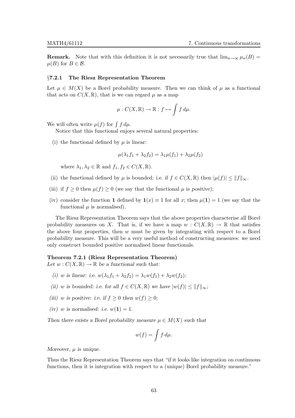**Remark.** Note that with this definition it is not necessarily true that  $\lim_{n\to\infty} \mu_n(B) =$  $\mu(B)$  for  $B \in \mathcal{B}$ .

#### §7.2.1 The Riesz Representation Theorem

Let  $\mu \in M(X)$  be a Borel probability measure. Then we can think of  $\mu$  as a functional that acts on  $C(X, \mathbb{R})$ , that is we can regard  $\mu$  as a map

$$
\mu: C(X, \mathbb{R}) \to \mathbb{R} : f \mapsto \int f d\mu.
$$

We will often write  $\mu(f)$  for  $\int f d\mu$ .

Notice that this functional enjoys several natural properties:

(i) the functional defined by  $\mu$  is linear:

$$
\mu(\lambda_1 f_1 + \lambda_2 f_2) = \lambda_1 \mu(f_1) + \lambda_2 \mu(f_2)
$$

where  $\lambda_1, \lambda_2 \in \mathbb{R}$  and  $f_1, f_2 \in C(X, \mathbb{R})$ .

- (ii) the functional defined by  $\mu$  is bounded: i.e. if  $f \in C(X,\mathbb{R})$  then  $|\mu(f)| \leq ||f||_{\infty}$ .
- (iii) if  $f \geq 0$  then  $\mu(f) \geq 0$  (we say that the functional  $\mu$  is positive);
- (iv) consider the function 1 defined by  $1(x) \equiv 1$  for all x; then  $\mu(1) = 1$  (we say that the functional  $\mu$  is normalised).

The Riesz Representation Theorem says that the above properties characterise all Borel probability measures on X. That is, if we have a map  $w : C(X, \mathbb{R}) \to \mathbb{R}$  that satisfies the above four properties, then  $w$  must be given by integrating with respect to a Borel probability measure. This will be a very useful method of constructing measures: we need only construct bounded positive normalised linear functionals.

# Theorem 7.2.1 (Riesz Representation Theorem)

Let  $w: C(X, \mathbb{R}) \to \mathbb{R}$  be a functional such that:

- (i) w is linear: i.e.  $w(\lambda_1 f_1 + \lambda_2 f_2) = \lambda_1 w(f_1) + \lambda_2 w(f_2)$ ;
- (ii) w is bounded: i.e. for all  $f \in C(X, \mathbb{R})$  we have  $|w(f)| \leq ||f||_{\infty}$ ;
- (iii) w is positive: i.e. if  $f \geq 0$  then  $w(f) \geq 0$ ;
- (iv) w is normalised: i.e.  $w(1) = 1$ .

Then there exists a Borel probability measure  $\mu \in M(X)$  such that

$$
w(f) = \int f d\mu.
$$

Moreover,  $\mu$  is unique.

Thus the Riesz Representation Theorem says that "if it looks like integration on continuous functions, then it is integration with respect to a (unique) Borel probability measure."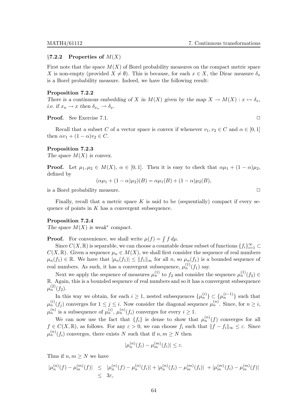# $\S7.2.2$  Properties of  $M(X)$

First note that the space  $M(X)$  of Borel probability measures on the compact metric space X is non-empty (provided  $X \neq \emptyset$ ). This is because, for each  $x \in X$ , the Dirac measure  $\delta_x$ is a Borel probability measure. Indeed, we have the following result:

#### Proposition 7.2.2

There is a continuous embedding of X in  $M(X)$  given by the map  $X \to M(X) : x \mapsto \delta_x$ , i.e. if  $x_n \to x$  then  $\delta_{x_n} \to \delta_x$ .

Proof. See Exercise 7.1. ◯

Recall that a subset C of a vector space is convex if whenever  $v_1, v_2 \in C$  and  $\alpha \in [0, 1]$ then  $\alpha v_1 + (1 - \alpha)v_2 \in C$ .

# Proposition 7.2.3

The space  $M(X)$  is convex.

**Proof.** Let  $\mu_1, \mu_2 \in M(X)$ ,  $\alpha \in [0, 1]$ . Then it is easy to check that  $\alpha \mu_1 + (1 - \alpha) \mu_2$ , defined by

$$
(\alpha \mu_1 + (1 - \alpha)\mu_2)(B) = \alpha \mu_1(B) + (1 - \alpha)\mu_2(B),
$$

is a Borel probability measure.  $\Box$ 

Finally, recall that a metric space  $K$  is said to be (sequentially) compact if every sequence of points in  $K$  has a convergent subsequence.

# Proposition 7.2.4

The space  $M(X)$  is weak<sup>\*</sup> compact.

**Proof.** For convenience, we shall write  $\mu(f) = \int f d\mu$ .

Since  $C(X, \mathbb{R})$  is separable, we can choose a countable dense subset of functions  $\{f_i\}_{i=1}^{\infty} \subset$  $C(X,\mathbb{R})$ . Given a sequence  $\mu_n \in M(X)$ , we shall first consider the sequence of real numbers  $\mu_n(f_1) \in \mathbb{R}$ . We have that  $|\mu_n(f_1)| \leq ||f_1||_{\infty}$  for all n, so  $\mu_n(f_1)$  is a bounded sequence of real numbers. As such, it has a convergent subsequence,  $\mu_n^{(1)}(f_1)$  say.

Next we apply the sequence of measures  $\mu_n^{(1)}$  to  $f_2$  and consider the sequence  $\mu_n^{(1)}(f_2) \in$ R. Again, this is a bounded sequence of real numbers and so it has a convergent subsequence  $\mu_n^{(2)}(f_2)$ .

In this way we obtain, for each  $i \geq 1$ , nested subsequences  $\{\mu_n^{(i)}\} \subset \{\mu_n^{(i-1)}\}$  such that  $\mu_n^{(i)}(f_j)$  converges for  $1 \leq j \leq i$ . Now consider the diagonal sequence  $\mu_n^{(n)}$ . Since, for  $n \geq i$ ,  $\mu_n^{(n)}$  is a subsequence of  $\mu_n^{(i)}$ ,  $\mu_n^{(n)}(f_i)$  converges for every  $i \geq 1$ .

We can now use the fact that  ${f_i}$  is dense to show that  $\mu_n^{(n)}(f)$  converges for all  $f \in C(X, \mathbb{R})$ , as follows. For any  $\varepsilon > 0$ , we can choose  $f_i$  such that  $||f - f_i||_{\infty} \leq \varepsilon$ . Since  $\mu_n^{(n)}(f_i)$  converges, there exists N such that if  $n, m \geq N$  then

$$
|\mu_n^{(n)}(f_i) - \mu_m^{(m)}(f_i)| \le \varepsilon.
$$

Thus if  $n, m \geq N$  we have

$$
|\mu_n^{(n)}(f) - \mu_m^{(m)}(f)| \leq |\mu_n^{(n)}(f) - \mu_n^{(n)}(f_i)| + |\mu_n^{(n)}(f_i) - \mu_m^{(m)}(f_i)| + |\mu_m^{(m)}(f_i) - \mu_m^{(m)}(f)|
$$
  

$$
\leq 3\varepsilon,
$$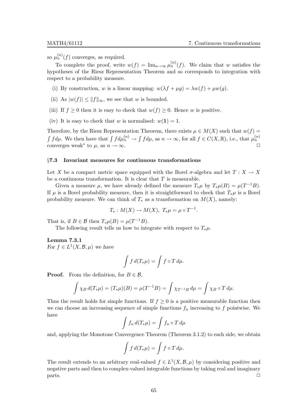so  $\mu_n^{(n)}(f)$  converges, as required.

To complete the proof, write  $w(f) = \lim_{n \to \infty} \mu_n^{(n)}(f)$ . We claim that w satisfies the hypotheses of the Riesz Representation Theorem and so corresponds to integration with respect to a probability measure.

- (i) By construction, w is a linear mapping:  $w(\lambda f + \mu g) = \lambda w(f) + \mu w(g)$ .
- (ii) As  $|w(f)| \leq ||f||_{\infty}$ , we see that w is bounded.
- (iii) If  $f \geq 0$  then it is easy to check that  $w(f) \geq 0$ . Hence w is positive.
- (iv) It is easy to check that w is normalised:  $w(1) = 1$ .

Therefore, by the Riesz Representation Theorem, there exists  $\mu \in M(X)$  such that  $w(f)$  =  $\int f d\mu$ . We then have that  $\int f d\mu_n^{(n)} \to \int f d\mu$ , as  $n \to \infty$ , for all  $f \in C(X, \mathbb{R})$ , i.e., that  $\mu_n^{(n)}$ converges weak<sup>\*</sup> to  $\mu$ , as  $n \to \infty$ .

# §7.3 Invariant measures for continuous transformations

Let X be a compact metric space equipped with the Borel  $\sigma$ -algebra and let  $T : X \to X$ be a continuous transformation. It is clear that  $T$  is measurable.

Given a measure  $\mu$ , we have already defined the measure  $T_*\mu$  by  $T_*\mu(B) = \mu(T^{-1}B)$ . If  $\mu$  is a Borel probability measure, then it is straightforward to check that  $T_*\mu$  is a Borel probability measure. We can think of  $T_*$  as a transformation on  $M(X)$ , namely:

$$
T_*: M(X) \to M(X), T_*\mu = \mu \circ T^{-1}.
$$

That is, if  $B \in \mathcal{B}$  then  $T_*\mu(B) = \mu(T^{-1}B)$ .

The following result tells us how to integrate with respect to  $T_*\mu$ .

Lemma 7.3.1 For  $f \in L^1(X, \mathcal{B}, \mu)$  we have

$$
\int f d(T_* \mu) = \int f \circ T d\mu.
$$

**Proof.** From the definition, for  $B \in \mathcal{B}$ ,

$$
\int \chi_B d(T_* \mu) = (T_* \mu)(B) = \mu(T^{-1}B) = \int \chi_{T^{-1}B} d\mu = \int \chi_B \circ T d\mu.
$$

Thus the result holds for simple functions. If  $f \geq 0$  is a positive measurable function then we can choose an increasing sequence of simple functions  $f_n$  increasing to f pointwise. We have

$$
\int f_n d(T_*\mu) = \int f_n \circ T d\mu
$$

and, applying the Monotone Convergence Theorem (Theorem 3.1.2) to each side, we obtain

$$
\int f d(T_* \mu) = \int f \circ T d\mu.
$$

The result extends to an arbitrary real-valued  $f \in L^1(X, \mathcal{B}, \mu)$  by considering positive and negative parts and then to complex-valued integrable functions by taking real and imaginary  $\Box$  parts.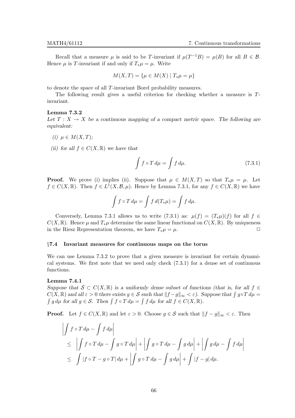Recall that a measure  $\mu$  is said to be T-invariant if  $\mu(T^{-1}B) = \mu(B)$  for all  $B \in \mathcal{B}$ . Hence  $\mu$  is T-invariant if and only if  $T_*\mu = \mu$ . Write

$$
M(X,T) = \{ \mu \in M(X) \mid T_*\mu = \mu \}
$$

to denote the space of all T-invariant Borel probability measures.

The following result gives a useful criterion for checking whether a measure is Tinvariant.

#### Lemma 7.3.2

Let  $T : X \to X$  be a continuous mapping of a compact metric space. The following are equivalent:

- (i)  $\mu \in M(X,T);$
- (ii) for all  $f \in C(X, \mathbb{R})$  we have that

$$
\int f \circ T d\mu = \int f d\mu. \tag{7.3.1}
$$

**Proof.** We prove (i) implies (ii). Suppose that  $\mu \in M(X,T)$  so that  $T_*\mu = \mu$ . Let  $f \in C(X, \mathbb{R})$ . Then  $f \in L^1(X, \mathcal{B}, \mu)$ . Hence by Lemma 7.3.1, for any  $f \in C(X, \mathbb{R})$  we have

$$
\int f \circ T d\mu = \int f d(T_*\mu) = \int f d\mu.
$$

Conversely, Lemma 7.3.1 allows us to write (7.3.1) as:  $\mu(f) = (T_*\mu)(f)$  for all  $f \in$  $C(X, \mathbb{R})$ . Hence  $\mu$  and  $T_*\mu$  determine the same linear functional on  $C(X, \mathbb{R})$ . By uniqueness in the Riesz Representation theorem, we have  $T_*\mu = \mu$ .

#### §7.4 Invariant measures for continuous maps on the torus

We can use Lemma 7.3.2 to prove that a given measure is invariant for certain dynamical systems. We first note that we need only check (7.3.1) for a dense set of continuous functions.

# Lemma 7.4.1

Suppose that  $S \subset C(X,\mathbb{R})$  is a uniformly dense subset of functions (that is, for all  $f \in$  $C(X, \mathbb{R})$  and all  $\varepsilon > 0$  there exists  $g \in \mathcal{S}$  such that  $||f - g||_{\infty} < \varepsilon$ ). Suppose that  $\int g \circ T d\mu = \int g d\mu$  for all  $g \in \mathcal{S}$ . Then  $\int f \circ T d\mu = \int f d\mu$  for all  $f \in C(X, \mathbb{R})$ .  $g d\mu$  for all  $g \in \mathcal{S}$ . Then  $\int f \circ T d\mu = \int f d\mu$  for all  $f \in C(X, \mathbb{R})$ .

**Proof.** Let  $f \in C(X,\mathbb{R})$  and let  $\varepsilon > 0$ . Choose  $g \in \mathcal{S}$  such that  $||f - g||_{\infty} < \varepsilon$ . Then

$$
\left| \int f \circ T d\mu - \int f d\mu \right|
$$
  
\n
$$
\leq \left| \int f \circ T d\mu - \int g \circ T d\mu \right| + \left| \int g \circ T d\mu - \int g d\mu \right| + \left| \int g d\mu - \int f d\mu \right|
$$
  
\n
$$
\leq \int |f \circ T - g \circ T| d\mu + \left| \int g \circ T d\mu - \int g d\mu \right| + \int |f - g| d\mu.
$$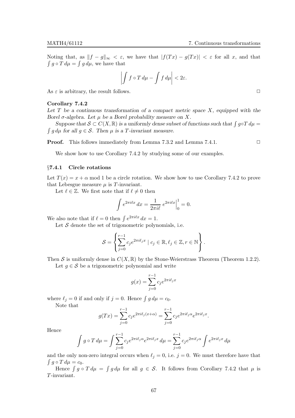Noting that, as  $||f - g||_{\infty} < \varepsilon$ , we have that  $|f(Tx) - g(Tx)| < \varepsilon$  for all x, and that  $\int g \circ T d\mu = \int g d\mu$ , we have that

$$
\left| \int f \circ T \, d\mu - \int f \, d\mu \right| < 2\varepsilon.
$$

As  $\varepsilon$  is arbitrary, the result follows.  $\Box$ 

#### Corollary 7.4.2

Let  $T$  be a continuous transformation of a compact metric space  $X$ , equipped with the Borel  $\sigma$ -algebra. Let  $\mu$  be a Borel probability measure on X.

Suppose that  $S \subset C(X, \mathbb{R})$  is a uniformly dense subset of functions such that  $\int g \circ T d\mu =$   $\int g d\mu$  for all  $g \in S$ . Then  $\mu$  is a T-invariant measure.  $\int g d\mu$  for all  $g \in \mathcal{S}$ . Then  $\mu$  is a T-invariant measure.

**Proof.** This follows immediately from Lemma 7.3.2 and Lemma 7.4.1. □

We show how to use Corollary 7.4.2 by studying some of our examples.

# §7.4.1 Circle rotations

Let  $T(x) = x + \alpha$  mod 1 be a circle rotation. We show how to use Corollary 7.4.2 to prove that Lebesgue measure  $\mu$  is T-invariant.

Let  $\ell \in \mathbb{Z}$ . We first note that if  $\ell \neq 0$  then

$$
\int e^{2\pi i \ell x} dx = \frac{1}{2\pi i \ell} e^{2\pi i \ell x} \Big|_0^1 = 0.
$$

We also note that if  $\ell = 0$  then  $\int e^{2\pi i \ell x} dx = 1$ .

Let  $S$  denote the set of trigonometric polynomials, i.e.

$$
S = \left\{ \sum_{j=0}^{r-1} c_j e^{2\pi i \ell_j x} \mid c_j \in \mathbb{R}, \ell_j \in \mathbb{Z}, r \in \mathbb{N} \right\}.
$$

Then S is uniformly dense in  $C(X, \mathbb{R})$  by the Stone-Weierstrass Theorem (Theorem 1.2.2).

Let  $g \in \mathcal{S}$  be a trigonometric polynomial and write

$$
g(x) = \sum_{j=0}^{r-1} c_j e^{2\pi i \ell_j x}
$$

where  $\ell_j = 0$  if and only if  $j = 0$ . Hence  $\int g d\mu = c_0$ . Note that

$$
g(Tx) = \sum_{j=0}^{r-1} c_j e^{2\pi i \ell_j (x+\alpha)} = \sum_{j=0}^{r-1} c_j e^{2\pi i \ell_j \alpha} e^{2\pi i \ell_j x}.
$$

Hence

$$
\int g \circ T d\mu = \int \sum_{j=0}^{r-1} c_j e^{2\pi i \ell_j \alpha} e^{2\pi i \ell_j x} d\mu = \sum_{j=0}^{r-1} c_j e^{2\pi i \ell_j \alpha} \int e^{2\pi i \ell_j x} d\mu
$$

and the only non-zero integral occurs when  $\ell_i = 0$ , i.e.  $j = 0$ . We must therefore have that  $\int g \circ T d\mu = c_0.$ 

Hence  $\int g \circ T d\mu = \int g d\mu$  for all  $g \in S$ . It follows from Corollary 7.4.2 that  $\mu$  is T-invariant.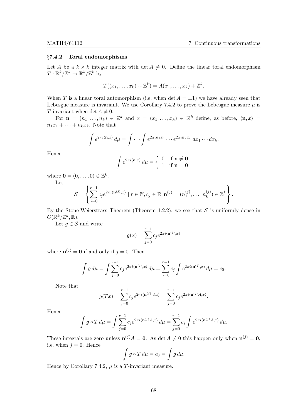# §7.4.2 Toral endomorphisms

Let A be a  $k \times k$  integer matrix with  $\det A \neq 0$ . Define the linear toral endomorphism  $T: \mathbb{R}^k/\mathbb{Z}^k \to \mathbb{R}^k/\mathbb{Z}^k$  by

$$
T((x_1,\ldots,x_k)+\mathbb{Z}^k)=A(x_1,\ldots,x_k)+\mathbb{Z}^k.
$$

When T is a linear toral automorphism (i.e. when  $\det A = \pm 1$ ) we have already seen that Lebesgue measure is invariant. We use Corollary 7.4.2 to prove the Lebesgue measure  $\mu$  is T-invariant when det  $A \neq 0$ .

For  $\mathbf{n} = (n_1, \ldots, n_k) \in \mathbb{Z}^k$  and  $x = (x_1, \ldots, x_k) \in \mathbb{R}^k$  define, as before,  $\langle \mathbf{n}, x \rangle =$  $n_1x_1 + \cdots + n_kx_k$ . Note that

$$
\int e^{2\pi i \langle \mathbf{n}, x \rangle} d\mu = \int \cdots \int e^{2\pi i n_1 x_1} \cdots e^{2\pi i n_k x_k} dx_1 \cdots dx_k.
$$

Hence

$$
\int e^{2\pi i \langle \mathbf{n}, x \rangle} d\mu = \begin{cases} 0 & \text{if } \mathbf{n} \neq \mathbf{0} \\ 1 & \text{if } \mathbf{n} = \mathbf{0} \end{cases}
$$

where  $\mathbf{0} = (0, \ldots, 0) \in \mathbb{Z}^k$ .

Let

$$
S = \left\{ \sum_{j=0}^{r-1} c_j e^{2\pi i \langle \mathbf{n}^{(j)}, x \rangle} \mid r \in \mathbb{N}, c_j \in \mathbb{R}, \mathbf{n}^{(j)} = (n_1^{(j)}, \dots, n_k^{(j)}) \in \mathbb{Z}^k \right\}.
$$

By the Stone-Weierstrass Theorem (Theorem 1.2.2), we see that  $S$  is uniformly dense in  $C(\mathbb{R}^k/\mathbb{Z}^k,\mathbb{R}).$ 

Let  $q \in \mathcal{S}$  and write

$$
g(x) = \sum_{j=0}^{r-1} c_j e^{2\pi i \langle \mathbf{n}^{(j)}, x \rangle}
$$

where  $\mathbf{n}^{(j)} = \mathbf{0}$  if and only if  $j = 0$ . Then

$$
\int g d\mu = \int \sum_{j=0}^{r-1} c_j e^{2\pi i \langle \mathbf{n}^{(j)}, x \rangle} d\mu = \sum_{j=0}^{r-1} c_j \int e^{2\pi i \langle \mathbf{n}^{(j)}, x \rangle} d\mu = c_0.
$$

Note that

$$
g(Tx) = \sum_{j=0}^{r-1} c_j e^{2\pi i \langle \mathbf{n}^{(j)}, Ax \rangle} = \sum_{j=0}^{r-1} c_j e^{2\pi i \langle \mathbf{n}^{(j)}, Ax \rangle}.
$$

Hence

$$
\int g \circ T d\mu = \int \sum_{j=0}^{r-1} c_j e^{2\pi i \langle \mathbf{n}^{(j)} A, x \rangle} d\mu = \sum_{j=0}^{r-1} c_j \int e^{2\pi i \langle \mathbf{n}^{(j)} A, x \rangle} d\mu.
$$

These integrals are zero unless  $\mathbf{n}^{(j)}A = \mathbf{0}$ . As det  $A \neq 0$  this happen only when  $\mathbf{n}^{(j)} = \mathbf{0}$ , i.e. when  $j = 0$ . Hence

$$
\int g \circ T d\mu = c_0 = \int g d\mu.
$$

Hence by Corollary 7.4.2,  $\mu$  is a T-invariant measure.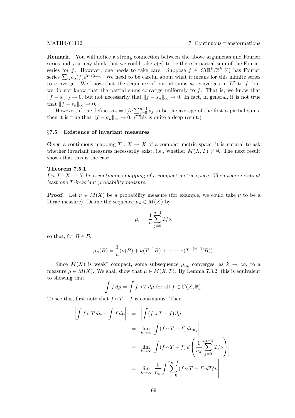Remark. You will notice a strong connection between the above arguments and Fourier series and you may think that we could take  $q(x)$  to be the nth partial sum of the Fourier series for f. However, one needs to take care. Suppose  $f \in C(\mathbb{R}^k/\mathbb{Z}^k,\mathbb{R})$  has Fourier series  $\sum_{\mathbf{n}} c_{\mathbf{n}}(f) e^{2\pi i \langle \mathbf{n},x \rangle}$ . We need to be careful about what it means for this infinite series to converge. We know that the sequence of partial sums  $s_n$  converges in  $L^2$  to f, but we do not know that the partial sums converge uniformly to  $f$ . That is, we know that  $||f - s_n||_2 \to 0$ , but not necessarily that  $||f - s_n||_{\infty} \to 0$ . In fact, in general, it is not true that  $||f - s_n||_{\infty} \to 0$ .

However, if one defines  $\sigma_n = 1/n \sum_{j=0}^{n-1} s_j$  to be the average of the first n partial sums, then it is true that  $||f - \sigma_n||_{\infty} \to 0$ . (This is quite a deep result.)

#### §7.5 Existence of invariant measures

Given a continuous mapping  $T : X \to X$  of a compact metric space, it is natural to ask whether invariant measures necessarily exist, i.e., whether  $M(X,T) \neq \emptyset$ . The next result shows that this is the case.

#### Theorem 7.5.1

Let  $T : X \to X$  be a continuous mapping of a compact metric space. Then there exists at least one T-invariant probability measure.

**Proof.** Let  $\nu \in M(X)$  be a probability measure (for example, we could take  $\nu$  to be a Dirac measure). Define the sequence  $\mu_n \in M(X)$  by

$$
\mu_n = \frac{1}{n} \sum_{j=0}^{n-1} T_*^j \nu,
$$

so that, for  $B \in \mathcal{B}$ ,

$$
\mu_n(B) = \frac{1}{n}(\nu(B) + \nu(T^{-1}B) + \dots + \nu(T^{-(n-1)}B)).
$$

Since  $M(X)$  is weak<sup>\*</sup> compact, some subsequence  $\mu_{n_k}$  converges, as  $k \to \infty$ , to a measure  $\mu \in M(X)$ . We shall show that  $\mu \in M(X,T)$ . By Lemma 7.3.2, this is equivalent to showing that

$$
\int f d\mu = \int f \circ T d\mu \text{ for all } f \in C(X, \mathbb{R}).
$$

To see this, first note that  $f \circ T - f$  is continuous. Then

$$
\left| \int f \circ T d\mu - \int f d\mu \right| = \left| \int (f \circ T - f) d\mu \right|
$$
  
= 
$$
\lim_{k \to \infty} \left| \int (f \circ T - f) d\mu_{n_k} \right|
$$
  
= 
$$
\lim_{k \to \infty} \left| \int (f \circ T - f) d \left( \frac{1}{n_k} \sum_{j=0}^{n_k - 1} T^j_{*} \nu \right) \right|
$$
  
= 
$$
\lim_{k \to \infty} \left| \frac{1}{n_k} \int \sum_{j=0}^{n_k - 1} (f \circ T - f) dT^j_{*} \nu \right|
$$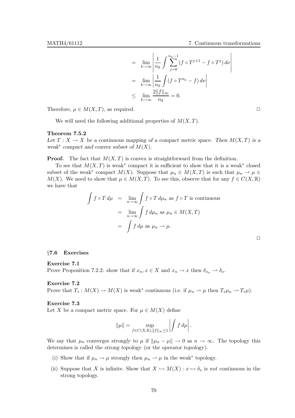$$
= \lim_{k \to \infty} \left| \frac{1}{n_k} \int \sum_{j=0}^{n_k - 1} (f \circ T^{j+1} - f \circ T^j) \, d\nu \right|
$$

$$
= \lim_{k \to \infty} \left| \frac{1}{n_k} \int (f \circ T^{n_k} - f) \, d\nu \right|
$$

$$
\leq \lim_{k \to \infty} \frac{2||f||_{\infty}}{n_k} = 0.
$$

Therefore,  $\mu \in M(X,T)$ , as required.  $\square$ 

We will need the following additional properties of  $M(X,T)$ .

#### Theorem 7.5.2

Let  $T : X \to X$  be a continuous mapping of a compact metric space. Then  $M(X,T)$  is a weak<sup>\*</sup> compact and convex subset of  $M(X)$ .

**Proof.** The fact that  $M(X,T)$  is convex is straightforward from the definition.

To see that  $M(X,T)$  is weak<sup>\*</sup> compact it is sufficient to show that it is a weak<sup>\*</sup> closed subset of the weak<sup>\*</sup> compact  $M(X)$ . Suppose that  $\mu_n \in M(X,T)$  is such that  $\mu_n \to \mu \in$  $M(X)$ . We need to show that  $\mu \in M(X,T)$ . To see this, observe that for any  $f \in C(X,\mathbb{R})$ we have that

$$
\int f \circ T d\mu = \lim_{n \to \infty} \int f \circ T d\mu_n \text{ as } f \circ T \text{ is continuous}
$$

$$
= \lim_{n \to \infty} \int f d\mu_n \text{ as } \mu_n \in M(X, T)
$$

$$
= \int f d\mu \text{ as } \mu_n \to \mu.
$$

# §7.6 Exercises

#### Exercise 7.1

Prove Proposition 7.2.2: show that if  $x_n, x \in X$  and  $x_n \to x$  then  $\delta_{x_n} \to \delta_x$ .

#### Exercise 7.2

Prove that  $T_*: M(X) \to M(X)$  is weak<sup>\*</sup> continuous (i.e. if  $\mu_n \to \mu$  then  $T_*\mu_n \to T_*\mu$ ).

# Exercise 7.3

Let X be a compact metric space. For  $\mu \in M(X)$  define

$$
\|\mu\| = \sup_{f \in C(X,\mathbb{R}), \|f\|_{\infty} \le 1} \left| \int f d\mu \right|.
$$

l.

We say that  $\mu_n$  converges strongly to  $\mu$  if  $\|\mu_n - \mu\| \to 0$  as  $n \to \infty$ . The topology this determines is called the strong topology (or the operator topology).

- (i) Show that if  $\mu_n \to \mu$  strongly then  $\mu_n \to \mu$  in the weak\* topology.
- (ii) Suppose that X is infinite. Show that  $X \hookrightarrow M(X) : x \mapsto \delta_x$  is not continuous in the strong topology.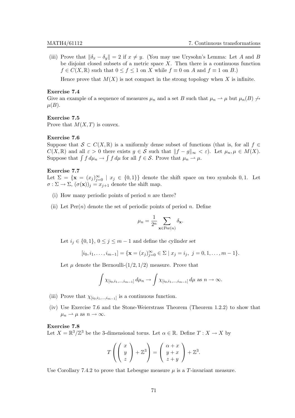(iii) Prove that  $\|\delta_x - \delta_y\| = 2$  if  $x \neq y$ . (You may use Urysohn's Lemma: Let A and B be disjoint closed subsets of a metric space  $X$ . Then there is a continuous function  $f \in C(X, \mathbb{R})$  such that  $0 \le f \le 1$  on X while  $f \equiv 0$  on A and  $f \equiv 1$  on B.)

Hence prove that  $M(X)$  is not compact in the strong topology when X is infinite.

### Exercise 7.4

Give an example of a sequence of measures  $\mu_n$  and a set B such that  $\mu_n \rightharpoonup \mu$  but  $\mu_n(B) \nightharpoonup \mu$  $\mu(B)$ .

# Exercise 7.5

Prove that  $M(X,T)$  is convex.

# Exercise 7.6

Suppose that  $S \subset C(X,\mathbb{R})$  is a uniformly dense subset of functions (that is, for all  $f \in$  $C(X, \mathbb{R})$  and all  $\varepsilon > 0$  there exists  $g \in \mathcal{S}$  such that  $||f - g||_{\infty} < \varepsilon$ ). Let  $\mu_n, \mu \in M(X)$ . Suppose that  $\int f d\mu_n \to \int f d\mu$  for all  $f \in S$ . Prove that  $\mu_n \to \mu$ .

# Exercise 7.7

Let  $\Sigma = {\mathbf{x} = (x_j)_{j=0}^{\infty} \mid x_j \in \{0,1\}}$  denote the shift space on two symbols 0,1. Let  $\sigma : \Sigma \to \Sigma$ ,  $(\sigma(\mathbf{x}))_i = x_{i+1}$  denote the shift map.

- (i) How many periodic points of period  $n$  are there?
- (ii) Let  $\text{Per}(n)$  denote the set of periodic points of period n. Define

$$
\mu_n = \frac{1}{2^n} \sum_{\mathbf{x} \in \text{Per}(n)} \delta_{\mathbf{x}}.
$$

Let  $i_j \in \{0,1\}$ ,  $0 \leq j \leq m-1$  and define the cylinder set

$$
[i_0, i_1, \ldots, i_{m-1}] = \{ \mathbf{x} = (x_j)_{j=0}^{\infty} \in \Sigma \mid x_j = i_j, \ j = 0, 1, \ldots, m-1 \}.
$$

Let  $\mu$  denote the Bernoulli- $(1/2, 1/2)$  measure. Prove that

$$
\int \chi_{[i_0,i_1,...,i_{m-1}]} d\mu_n \to \int \chi_{[i_0,i_1,...,i_{m-1}]} d\mu \text{ as } n \to \infty.
$$

- (iii) Prove that  $\chi_{[i_0,i_1,\ldots,i_{m-1}]}$  is a continuous function.
- (iv) Use Exercise 7.6 and the Stone-Weierstrass Theorem (Theorem 1.2.2) to show that  $\mu_n \rightharpoonup \mu$  as  $n \to \infty$ .

### Exercise 7.8

Let  $X = \mathbb{R}^3/\mathbb{Z}^3$  be the 3-dimensional torus. Let  $\alpha \in \mathbb{R}$ . Define  $T : X \to X$  by

$$
T\left(\left(\begin{array}{c}x\\y\\z\end{array}\right)+\mathbb{Z}^3\right)=\left(\begin{array}{c}\alpha+x\\y+x\\z+y\end{array}\right)+\mathbb{Z}^3.
$$

Use Corollary 7.4.2 to prove that Lebesgue measure  $\mu$  is a T-invariant measure.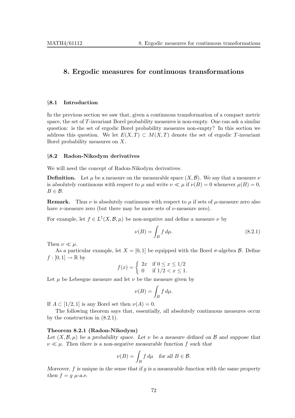# 8. Ergodic measures for continuous transformations

#### §8.1 Introduction

In the previous section we saw that, given a continuous transformation of a compact metric space, the set of T-invariant Borel probability measures is non-empty. One can ask a similar question: is the set of ergodic Borel probability measures non-empty? In this section we address this question. We let  $E(X,T) \subset M(X,T)$  denote the set of ergodic T-invariant Borel probability measures on X.

## §8.2 Radon-Nikodym derivatives

We will need the concept of Radon-Nikodym derivatives.

**Definition.** Let  $\mu$  be a measure on the measurable space  $(X, \mathcal{B})$ . We say that a measure  $\nu$ is absolutely continuous with respect to  $\mu$  and write  $\nu \ll \mu$  if  $\nu(B) = 0$  whenever  $\mu(B) = 0$ ,  $B \in \mathcal{B}$ .

**Remark.** Thus  $\nu$  is absolutely continuous with respect to  $\mu$  if sets of  $\mu$ -measure zero also have  $\nu$ -measure zero (but there may be more sets of  $\nu$ -measure zero).

For example, let  $f \in L^1(X, \mathcal{B}, \mu)$  be non-negative and define a measure  $\nu$  by

$$
\nu(B) = \int_B f d\mu. \tag{8.2.1}
$$

Then  $\nu \ll \mu$ .

As a particular example, let  $X = [0, 1]$  be equipped with the Borel  $\sigma$ -algebra  $\beta$ . Define  $f:[0,1]\to\mathbb{R}$  by

$$
f(x) = \begin{cases} 2x & \text{if } 0 \le x \le 1/2 \\ 0 & \text{if } 1/2 < x \le 1. \end{cases}
$$

Let  $\mu$  be Lebesgue measure and let  $\nu$  be the measure given by

$$
\nu(B) = \int_B f \, d\mu.
$$

If  $A \subset [1/2, 1]$  is any Borel set then  $\nu(A) = 0$ .

The following theorem says that, essentially, all absolutely continuous measures occur by the construction in (8.2.1).

## Theorem 8.2.1 (Radon-Nikodym)

Let  $(X,\mathcal{B},\mu)$  be a probability space. Let  $\nu$  be a measure defined on  $\mathcal{B}$  and suppose that  $\nu \ll \mu$ . Then there is a non-negative measurable function f such that

$$
\nu(B) = \int_B f \, d\mu \quad \text{for all } B \in \mathcal{B}.
$$

Moreover,  $f$  is unique in the sense that if  $g$  is a measurable function with the same property then  $f = g \mu$ -a.e.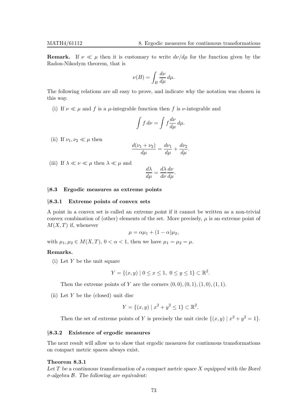**Remark.** If  $\nu \ll \mu$  then it is customary to write  $d\nu/d\mu$  for the function given by the Radon-Nikodym theorem, that is

$$
\nu(B) = \int_B \frac{d\nu}{d\mu} \, d\mu.
$$

The following relations are all easy to prove, and indicate why the notation was chosen in this way.

(i) If  $\nu \ll \mu$  and f is a  $\mu$ -integrable function then f is  $\nu$ -integrable and

$$
\int f \, d\nu = \int f \frac{d\nu}{d\mu} \, d\mu.
$$

(ii) If  $\nu_1, \nu_2 \ll \mu$  then

$$
\frac{d(\nu_1 + \nu_2)}{d\mu} = \frac{d\nu_1}{d\mu} + \frac{d\nu_2}{d\mu}.
$$

(iii) If  $\lambda \ll \nu \ll \mu$  then  $\lambda \ll \mu$  and

$$
\frac{d\lambda}{d\mu} = \frac{d\lambda}{d\nu}\frac{d\nu}{d\mu}.
$$

## §8.3 Ergodic measures as extreme points

#### §8.3.1 Extreme points of convex sets

A point in a convex set is called an extreme point if it cannot be written as a non-trivial convex combination of (other) elements of the set. More precisely,  $\mu$  is an extreme point of  $M(X,T)$  if, whenever

$$
\mu = \alpha \mu_1 + (1 - \alpha) \mu_2,
$$

with  $\mu_1, \mu_2 \in M(X,T)$ ,  $0 < \alpha < 1$ , then we have  $\mu_1 = \mu_2 = \mu$ .

# Remarks.

(i) Let Y be the unit square

$$
Y = \{(x, y) \mid 0 \le x \le 1, \ 0 \le y \le 1\} \subset \mathbb{R}^2.
$$

Then the extreme points of Y are the corners  $(0, 0), (0, 1), (1, 0), (1, 1).$ 

(ii) Let  $Y$  be the (closed) unit disc

$$
Y = \{(x, y) \mid x^2 + y^2 \le 1\} \subset \mathbb{R}^2.
$$

Then the set of extreme points of Y is precisely the unit circle  $\{(x, y) | x^2 + y^2 = 1\}.$ 

#### §8.3.2 Existence of ergodic measures

The next result will allow us to show that ergodic measures for continuous transformations on compact metric spaces always exist.

# Theorem 8.3.1

Let  $T$  be a continuous transformation of a compact metric space  $X$  equipped with the Borel  $\sigma$ -algebra  $\beta$ . The following are equivalent: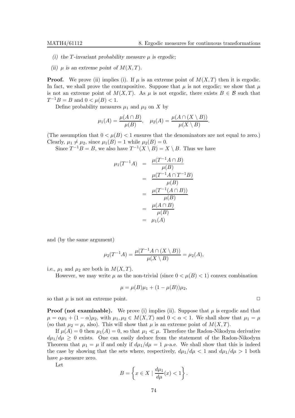- (i) the T-invariant probability measure  $\mu$  is ergodic;
- (ii)  $\mu$  is an extreme point of  $M(X,T)$ .

**Proof.** We prove (ii) implies (i). If  $\mu$  is an extreme point of  $M(X,T)$  then it is ergodic. In fact, we shall prove the contrapositive. Suppose that  $\mu$  is not ergodic; we show that  $\mu$ is not an extreme point of  $M(X,T)$ . As  $\mu$  is not ergodic, there exists  $B \in \mathcal{B}$  such that  $T^{-1}B = B$  and  $0 < \mu(B) < 1$ .

Define probability measures  $\mu_1$  and  $\mu_2$  on X by

$$
\mu_1(A) = \frac{\mu(A \cap B)}{\mu(B)}, \quad \mu_2(A) = \frac{\mu(A \cap (X \setminus B))}{\mu(X \setminus B)}.
$$

(The assumption that  $0 < \mu(B) < 1$  ensures that the denominators are not equal to zero.) Clearly,  $\mu_1 \neq \mu_2$ , since  $\mu_1(B) = 1$  while  $\mu_2(B) = 0$ .

Since  $T^{-1}B = B$ , we also have  $T^{-1}(X \setminus B) = X \setminus B$ . Thus we have

$$
\mu_1(T^{-1}A) = \frac{\mu(T^{-1}A \cap B)}{\mu(B)}
$$

$$
= \frac{\mu(T^{-1}A \cap T^{-1}B)}{\mu(B)}
$$

$$
= \frac{\mu(T^{-1}(A \cap B))}{\mu(B)}
$$

$$
= \frac{\mu(A \cap B)}{\mu(B)}
$$

$$
= \mu_1(A)
$$

and (by the same argument)

$$
\mu_2(T^{-1}A) = \frac{\mu(T^{-1}A \cap (X \setminus B))}{\mu(X \setminus B)} = \mu_2(A),
$$

i.e.,  $\mu_1$  and  $\mu_2$  are both in  $M(X,T)$ .

However, we may write  $\mu$  as the non-trivial (since  $0 < \mu(B) < 1$ ) convex combination

$$
\mu = \mu(B)\mu_1 + (1 - \mu(B))\mu_2,
$$

so that  $\mu$  is not an extreme point.  $\Box$ 

**Proof (not examinable).** We prove (i) implies (ii). Suppose that  $\mu$  is ergodic and that  $\mu = \alpha \mu_1 + (1 - \alpha) \mu_2$ , with  $\mu_1, \mu_2 \in M(X,T)$  and  $0 < \alpha < 1$ . We shall show that  $\mu_1 = \mu$ (so that  $\mu_2 = \mu$ , also). This will show that  $\mu$  is an extreme point of  $M(X,T)$ .

If  $\mu(A) = 0$  then  $\mu_1(A) = 0$ , so that  $\mu_1 \ll \mu$ . Therefore the Radon-Nikodym derivative  $d\mu_1/d\mu \geq 0$  exists. One can easily deduce from the statement of the Radon-Nikodym Theorem that  $\mu_1 = \mu$  if and only if  $d\mu_1/d\mu = 1$   $\mu$ -a.e. We shall show that this is indeed the case by showing that the sets where, respectively,  $d\mu_1/d\mu < 1$  and  $d\mu_1/d\mu > 1$  both have  $\mu$ -measure zero.

Let

$$
B = \left\{ x \in X \mid \frac{d\mu_1}{d\mu}(x) < 1 \right\}.
$$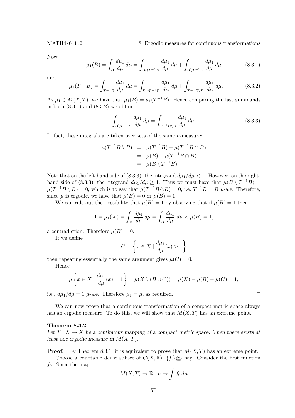Now

$$
\mu_1(B) = \int_B \frac{d\mu_1}{d\mu} d\mu = \int_{B \cap T^{-1}B} \frac{d\mu_1}{d\mu} d\mu + \int_{B \setminus T^{-1}B} \frac{d\mu_1}{d\mu} d\mu \tag{8.3.1}
$$

and

$$
\mu_1(T^{-1}B) = \int_{T^{-1}B} \frac{d\mu_1}{d\mu} d\mu = \int_{B \cap T^{-1}B} \frac{d\mu_1}{d\mu} d\mu + \int_{T^{-1}B \setminus B} \frac{d\mu_1}{d\mu} d\mu. \tag{8.3.2}
$$

As  $\mu_1 \in M(X,T)$ , we have that  $\mu_1(B) = \mu_1(T^{-1}B)$ . Hence comparing the last summands in both  $(8.3.1)$  and  $(8.3.2)$  we obtain

$$
\int_{B\setminus T^{-1}B} \frac{d\mu_1}{d\mu} d\mu = \int_{T^{-1}B\setminus B} \frac{d\mu_1}{d\mu} d\mu.
$$
\n(8.3.3)

In fact, these integrals are taken over sets of the same  $\mu$ -measure:

$$
\mu(T^{-1}B \setminus B) = \mu(T^{-1}B) - \mu(T^{-1}B \cap B)
$$
  
= 
$$
\mu(B) - \mu(T^{-1}B \cap B)
$$
  
= 
$$
\mu(B \setminus T^{-1}B).
$$

Note that on the left-hand side of (8.3.3), the integrand  $d\mu_1/d\mu < 1$ . However, on the righthand side of (8.3.3), the integrand  $d\mu_1/d\mu \geq 1$ . Thus we must have that  $\mu(B \setminus T^{-1}B)$  =  $\mu(T^{-1}B \setminus B) = 0$ , which is to say that  $\mu(T^{-1}B \triangle B) = 0$ , i.e.  $T^{-1}B = B$   $\mu$ -a.e. Therefore, since  $\mu$  is ergodic, we have that  $\mu(B) = 0$  or  $\mu(B) = 1$ .

We can rule out the possibility that  $\mu(B) = 1$  by observing that if  $\mu(B) = 1$  then

$$
1 = \mu_1(X) = \int_X \frac{d\mu_1}{d\mu} d\mu = \int_B \frac{d\mu_1}{d\mu} d\mu < \mu(B) = 1,
$$

a contradiction. Therefore  $\mu(B) = 0$ .

If we define

$$
C = \left\{ x \in X \mid \frac{d\mu_1}{d\mu}(x) > 1 \right\}
$$

then repeating essentially the same argument gives  $\mu(C) = 0$ .

Hence

$$
\mu\left\{x \in X \mid \frac{d\mu_1}{d\mu}(x) = 1\right\} = \mu(X \setminus (B \cup C)) = \mu(X) - \mu(B) - \mu(C) = 1,
$$

i.e.,  $d\mu_1/d\mu = 1$   $\mu$ -a.e. Therefore  $\mu_1 = \mu$ , as required.

We can now prove that a continuous transformation of a compact metric space always has an ergodic measure. To do this, we will show that  $M(X,T)$  has an extreme point.

# Theorem 8.3.2

Let  $T : X \to X$  be a continuous mapping of a compact metric space. Then there exists at least one ergodic measure in  $M(X,T)$ .

**Proof.** By Theorem 8.3.1, it is equivalent to prove that  $M(X,T)$  has an extreme point.

Choose a countable dense subset of  $C(X, \mathbb{R})$ ,  $\{f_i\}_{i=0}^{\infty}$  say. Consider the first function  $f_0$ . Since the map

$$
M(X,T) \to \mathbb{R} : \mu \mapsto \int f_0 \, d\mu
$$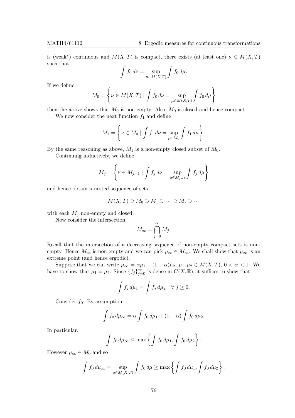is (weak<sup>\*</sup>) continuous and  $M(X,T)$  is compact, there exists (at least one)  $\nu \in M(X,T)$ such that

$$
\int f_0 \, d\nu = \sup_{\mu \in M(X,T)} \int f_0 \, d\mu.
$$

If we define

$$
M_0 = \left\{ \nu \in M(X, T) \mid \int f_0 \, d\nu = \sup_{\mu \in M(X, T)} \int f_0 \, d\mu \right\}
$$

then the above shows that  $M_0$  is non-empty. Also,  $M_0$  is closed and hence compact.

We now consider the next function  $f_1$  and define

$$
M_1 = \left\{ \nu \in M_0 \mid \int f_1 \, d\nu = \sup_{\mu \in M_0} \int f_1 \, d\mu \right\}.
$$

By the same reasoning as above,  $M_1$  is a non-empty closed subset of  $M_0$ .

Continuing inductively, we define

$$
M_j = \left\{ \nu \in M_{j-1} \mid \int f_j \, d\nu = \sup_{\mu \in M_{j-1}} \int f_j \, d\mu \right\}
$$

and hence obtain a nested sequence of sets

$$
M(X,T) \supset M_0 \supset M_1 \supset \cdots \supset M_j \supset \cdots
$$

with each  $M_j$  non-empty and closed.

Now consider the intersection

$$
M_{\infty} = \bigcap_{j=0}^{\infty} M_j.
$$

Recall that the intersection of a decreasing sequence of non-empty compact sets is nonempty. Hence  $M_{\infty}$  is non-empty and we can pick  $\mu_{\infty} \in M_{\infty}$ . We shall show that  $\mu_{\infty}$  is an extreme point (and hence ergodic).

Suppose that we can write  $\mu_{\infty} = \alpha \mu_1 + (1 - \alpha) \mu_2$ ,  $\mu_1, \mu_2 \in M(X,T)$ ,  $0 < \alpha < 1$ . We have to show that  $\mu_1 = \mu_2$ . Since  $\{f_j\}_{j=0}^{\infty}$  is dense in  $C(X, \mathbb{R})$ , it suffices to show that

$$
\int f_j d\mu_1 = \int f_j d\mu_2 \quad \forall \ j \ge 0.
$$

Consider  $f_0$ . By assumption

$$
\int f_0 d\mu_{\infty} = \alpha \int f_0 d\mu_1 + (1 - \alpha) \int f_0 d\mu_2.
$$

In particular,

$$
\int f_0 d\mu_{\infty} \leq \max \left\{ \int f_0 d\mu_1, \int f_0 d\mu_2 \right\}.
$$

However  $\mu_{\infty} \in M_0$  and so

$$
\int f_0 d\mu_{\infty} = \sup_{\mu \in M(X,T)} \int f_0 d\mu \ge \max \left\{ \int f_0 d\mu_1, \int f_0 d\mu_2 \right\}.
$$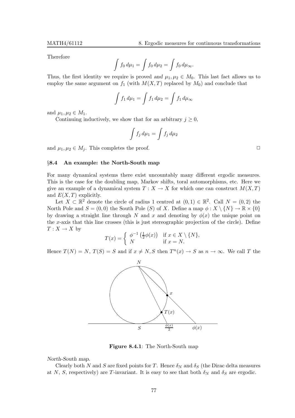Therefore

$$
\int f_0 d\mu_1 = \int f_0 d\mu_2 = \int f_0 d\mu_\infty.
$$

Thus, the first identity we require is proved and  $\mu_1, \mu_2 \in M_0$ . This last fact allows us to employ the same argument on  $f_1$  (with  $M(X,T)$  replaced by  $M_0$ ) and conclude that

$$
\int f_1 d\mu_1 = \int f_1 d\mu_2 = \int f_1 d\mu_\infty
$$

and  $\mu_1, \mu_2 \in M_1$ .

Continuing inductively, we show that for an arbitrary  $j \geq 0$ ,

$$
\int f_j \, d\mu_1 = \int f_j \, d\mu_2
$$

and  $\mu_1, \mu_2 \in M_i$ . This completes the proof.  $\Box$ 

#### §8.4 An example: the North-South map

For many dynamical systems there exist uncountably many different ergodic measures. This is the case for the doubling map, Markov shifts, toral automorphisms, etc. Here we give an example of a dynamical system  $T : X \to X$  for which one can construct  $M(X,T)$ and  $E(X,T)$  explicitly.

Let  $X \subset \mathbb{R}^2$  denote the circle of radius 1 centred at  $(0,1) \in \mathbb{R}^2$ . Call  $N = (0,2)$  the North Pole and  $S = (0,0)$  the South Pole  $(S)$  of X. Define a map  $\phi : X \setminus \{N\} \to \mathbb{R} \times \{0\}$ by drawing a straight line through N and x and denoting by  $\phi(x)$  the unique point on the x-axis that this line crosses (this is just stereographic projection of the circle). Define  $T: X \to X$  by

$$
T(x) = \begin{cases} \phi^{-1}\left(\frac{1}{2}\phi(x)\right) & \text{if } x \in X \setminus \{N\}, \\ N & \text{if } x = N. \end{cases}
$$

Hence  $T(N) = N$ ,  $T(S) = S$  and if  $x \neq N$ , S then  $T^n(x) \to S$  as  $n \to \infty$ . We call T the



Figure 8.4.1: The North-South map

North-South map.

Clearly both N and S are fixed points for T. Hence  $\delta_N$  and  $\delta_S$  (the Dirac delta measures at N, S, respectively) are T-invariant. It is easy to see that both  $\delta_N$  and  $\delta_S$  are ergodic.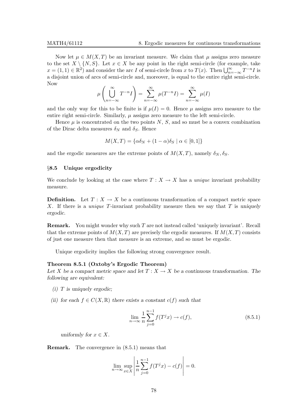Now let  $\mu \in M(X,T)$  be an invariant measure. We claim that  $\mu$  assigns zero measure to the set  $X \setminus \{N, S\}$ . Let  $x \in X$  be any point in the right semi-circle (for example, take  $x = (1, 1) \in \mathbb{R}^2$  and consider the arc I of semi-circle from x to  $T(x)$ . Then  $\bigcup_{n=-\infty}^{\infty} T^{-n} I$  is a disjoint union of arcs of semi-circle and, moreover, is equal to the entire right semi-circle. Now

$$
\mu\left(\bigcup_{n=-\infty}^{\infty} T^{-n} I\right) = \sum_{n=-\infty}^{\infty} \mu(T^{-n} I) = \sum_{n=-\infty}^{\infty} \mu(I)
$$

and the only way for this to be finite is if  $\mu(I) = 0$ . Hence  $\mu$  assigns zero measure to the entire right semi-circle. Similarly,  $\mu$  assigns zero measure to the left semi-circle.

Hence  $\mu$  is concentrated on the two points N, S, and so must be a convex combination of the Dirac delta measures  $\delta_N$  and  $\delta_S$ . Hence

$$
M(X,T) = \{ \alpha \delta_N + (1-\alpha)\delta_S \mid \alpha \in [0,1] \}
$$

and the ergodic measures are the extreme points of  $M(X,T)$ , namely  $\delta_N, \delta_S$ .

# §8.5 Unique ergodicity

We conclude by looking at the case where  $T : X \to X$  has a unique invariant probability measure.

**Definition.** Let  $T : X \to X$  be a continuous transformation of a compact metric space X. If there is a *unique T*-invariant probability measure then we say that T is uniquely ergodic.

Remark. You might wonder why such T are not instead called 'uniquely invariant'. Recall that the extreme points of  $M(X,T)$  are precisely the ergodic measures. If  $M(X,T)$  consists of just one measure then that measure is an extreme, and so must be ergodic.

Unique ergodicity implies the following strong convergence result.

#### Theorem 8.5.1 (Oxtoby's Ergodic Theorem)

Let X be a compact metric space and let  $T : X \to X$  be a continuous transformation. The following are equivalent:

- $(i)$  T is uniquely ergodic;
- (ii) for each  $f \in C(X,\mathbb{R})$  there exists a constant  $c(f)$  such that

$$
\lim_{n \to \infty} \frac{1}{n} \sum_{j=0}^{n-1} f(T^j x) \to c(f),
$$
\n(8.5.1)

uniformly for  $x \in X$ .

Remark. The convergence in (8.5.1) means that

$$
\lim_{n \to \infty} \sup_{x \in X} \left| \frac{1}{n} \sum_{j=0}^{n-1} f(T^j x) - c(f) \right| = 0.
$$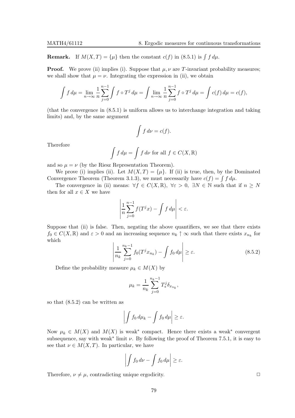**Remark.** If  $M(X,T) = \{\mu\}$  then the constant  $c(f)$  in (8.5.1) is  $\int f d\mu$ .

**Proof.** We prove (ii) implies (i). Suppose that  $\mu, \nu$  are T-invariant probability measures; we shall show that  $\mu = \nu$ . Integrating the expression in (ii), we obtain

$$
\int f d\mu = \lim_{n \to \infty} \frac{1}{n} \sum_{j=0}^{n-1} \int f \circ T^j d\mu = \int \lim_{n \to \infty} \frac{1}{n} \sum_{j=0}^{n-1} f \circ T^j d\mu = \int c(f) d\mu = c(f),
$$

(that the convergence in (8.5.1) is uniform allows us to interchange integration and taking limits) and, by the same argument

$$
\int f \, d\nu = c(f).
$$

Therefore

$$
\int f d\mu = \int f d\nu \text{ for all } f \in C(X, \mathbb{R})
$$

and so  $\mu = \nu$  (by the Riesz Representation Theorem).

We prove (i) implies (ii). Let  $M(X,T) = \{\mu\}$ . If (ii) is true, then, by the Dominated Convergence Theorem (Theorem 3.1.3), we must necessarily have  $c(f) = \int f d\mu$ .

The convergence in (ii) means:  $\forall f \in C(X, \mathbb{R}), \forall \varepsilon > 0, \exists N \in \mathbb{N}$  such that if  $n \geq N$ then for all  $x \in X$  we have

$$
\left|\frac{1}{n}\sum_{j=0}^{n-1}f(T^jx)-\int f\,d\mu\right|<\varepsilon.
$$

Suppose that (ii) is false. Then, negating the above quantifiers, we see that there exists  $f_0 \in C(X, \mathbb{R})$  and  $\varepsilon > 0$  and an increasing sequence  $n_k \uparrow \infty$  such that there exists  $x_{n_k}$  for which

$$
\left| \frac{1}{n_k} \sum_{j=0}^{n_k - 1} f_0(T^j x_{n_k}) - \int f_0 d\mu \right| \ge \varepsilon. \tag{8.5.2}
$$

Define the probability measure  $\mu_k \in M(X)$  by

$$
\mu_k = \frac{1}{n_k} \sum_{j=0}^{n_k-1} T_*^j \delta_{x_{n_k}},
$$

so that (8.5.2) can be written as

$$
\left| \int f_0 \, d\mu_k - \int f_0 \, d\mu \right| \geq \varepsilon.
$$

Now  $\mu_k \in M(X)$  and  $M(X)$  is weak<sup>\*</sup> compact. Hence there exists a weak<sup>\*</sup> convergent subsequence, say with weak<sup>\*</sup> limit  $\nu$ . By following the proof of Theorem 7.5.1, it is easy to see that  $\nu \in M(X,T)$ . In particular, we have

$$
\left| \int f_0 \, d\nu - \int f_0 \, d\mu \right| \geq \varepsilon.
$$

Therefore,  $\nu \neq \mu$ , contradicting unique ergodicity.  $\square$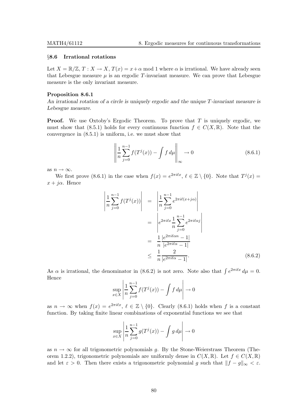## §8.6 Irrational rotations

Let  $X = \mathbb{R}/\mathbb{Z}, T : X \to X, T(x) = x + \alpha \text{ mod } 1$  where  $\alpha$  is irrational. We have already seen that Lebesgue measure  $\mu$  is an ergodic T-invariant measure. We can prove that Lebesgue measure is the only invariant measure.

#### Proposition 8.6.1

An irrational rotation of a circle is uniquely ergodic and the unique T-invariant measure is Lebesgue measure.

**Proof.** We use Oxtoby's Ergodic Theorem. To prove that  $T$  is uniquely ergodic, we must show that (8.5.1) holds for every continuous function  $f \in C(X,\mathbb{R})$ . Note that the convergence in (8.5.1) is uniform, i.e. we must show that

$$
\left\| \frac{1}{n} \sum_{j=0}^{n-1} f(T^j(x)) - \int f \, d\mu \right\|_{\infty} \to 0 \tag{8.6.1}
$$

as  $n \to \infty$ .

 $\bigg\}$  $\begin{array}{c} \begin{array}{c} \begin{array}{c} \begin{array}{c} \end{array} \\ \begin{array}{c} \end{array} \end{array} \end{array} \end{array}$  $\overline{\phantom{a}}$ 

We first prove (8.6.1) in the case when  $f(x) = e^{2\pi i \ell x}, \ell \in \mathbb{Z} \setminus \{0\}$ . Note that  $T^j(x) =$  $x + i\alpha$ . Hence

$$
\frac{1}{n} \sum_{j=0}^{n-1} f(T^{j}(x)) \Big| = \left| \frac{1}{n} \sum_{j=0}^{n-1} e^{2\pi i \ell (x+j\alpha)} \right|
$$
  
\n
$$
= \left| e^{2\pi i \ell x} \frac{1}{n} \sum_{j=0}^{n-1} e^{2\pi i \ell \alpha j} \right|
$$
  
\n
$$
= \frac{1}{n} \frac{|e^{2\pi i \ell \alpha} - 1|}{|e^{2\pi i \ell \alpha} - 1|}
$$
  
\n
$$
\leq \frac{1}{n} \frac{2}{|e^{2\pi i \ell \alpha} - 1|}.
$$
 (8.6.2)

As  $\alpha$  is irrational, the denominator in (8.6.2) is not zero. Note also that  $\int e^{2\pi i \ell x} d\mu = 0$ . Hence

$$
\sup_{x \in X} \left| \frac{1}{n} \sum_{j=0}^{n-1} f(T^j(x)) - \int f \, d\mu \right| \to 0
$$

as  $n \to \infty$  when  $f(x) = e^{2\pi i \ell x}, \ell \in \mathbb{Z} \setminus \{0\}$ . Clearly (8.6.1) holds when f is a constant function. By taking finite linear combinations of exponential functions we see that

$$
\sup_{x \in X} \left| \frac{1}{n} \sum_{j=0}^{n-1} g(T^j(x)) - \int g \, d\mu \right| \to 0
$$

as  $n \to \infty$  for all trigonometric polynomials g. By the Stone-Weierstrass Theorem (Theorem 1.2.2), trigonometric polynomials are uniformly dense in  $C(X, \mathbb{R})$ . Let  $f \in C(X, \mathbb{R})$ and let  $\varepsilon > 0$ . Then there exists a trigonometric polynomial g such that  $||f - g||_{\infty} < \varepsilon$ .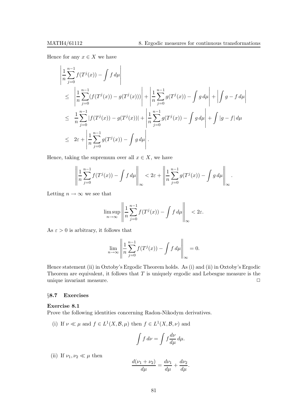Hence for any  $x \in X$  we have

$$
\left| \frac{1}{n} \sum_{j=0}^{n-1} f(T^{j}(x)) - \int f d\mu \right|
$$
\n
$$
\leq \left| \frac{1}{n} \sum_{j=0}^{n-1} (f(T^{j}(x)) - g(T^{j}(x))) \right| + \left| \frac{1}{n} \sum_{j=0}^{n-1} g(T^{j}(x)) - \int g d\mu \right| + \left| \int g - f d\mu \right|
$$
\n
$$
\leq \frac{1}{n} \sum_{j=0}^{n-1} |f(T^{j}(x)) - g(T^{j}(x))| + \left| \frac{1}{n} \sum_{j=0}^{n-1} g(T^{j}(x)) - \int g d\mu \right| + \int |g - f| d\mu
$$
\n
$$
\leq 2\varepsilon + \left| \frac{1}{n} \sum_{j=0}^{n-1} g(T^{j}(x)) - \int g d\mu \right|.
$$

Hence, taking the supremum over all  $x \in X$ , we have

 $\overline{1}$ 

$$
\left\|\frac{1}{n}\sum_{j=0}^{n-1}f(T^j(x)) - \int f d\mu\right\|_{\infty} < 2\varepsilon + \left\|\frac{1}{n}\sum_{j=0}^{n-1}g(T^j(x)) - \int g d\mu\right\|_{\infty}.
$$

Letting  $n \to \infty$  we see that

$$
\limsup_{n \to \infty} \left\| \frac{1}{n} \sum_{j=0}^{n-1} f(T^j(x)) - \int f \, d\mu \right\|_{\infty} < 2\varepsilon.
$$

As  $\varepsilon > 0$  is arbitrary, it follows that

$$
\lim_{n \to \infty} \left\| \frac{1}{n} \sum_{j=0}^{n-1} f(T^j(x)) - \int f \, d\mu \right\|_{\infty} = 0.
$$

Hence statement (ii) in Oxtoby's Ergodic Theorem holds. As (i) and (ii) in Oxtoby's Ergodic Theorem are equivalent, it follows that  $T$  is uniquely ergodic and Lebesgue measure is the unique invariant measure.  $\Box$ 

# §8.7 Exercises

# Exercise 8.1

Prove the following identities concerning Radon-Nikodym derivatives.

(i) If  $\nu \ll \mu$  and  $f \in L^1(X, \mathcal{B}, \mu)$  then  $f \in L^1(X, \mathcal{B}, \nu)$  and

$$
\int f \, d\nu = \int f \frac{d\nu}{d\mu} \, d\mu.
$$

(ii) If  $\nu_1, \nu_2 \ll \mu$  then

$$
\frac{d(\nu_1 + \nu_2)}{d\mu} = \frac{d\nu_1}{d\mu} + \frac{d\nu_2}{d\mu}.
$$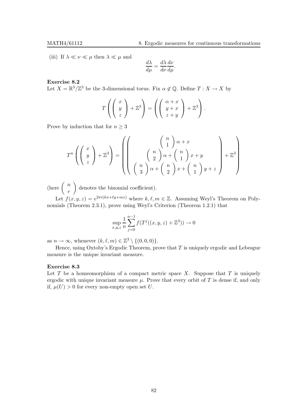(iii) If  $\lambda \ll \nu \ll \mu$  then  $\lambda \ll \mu$  and

$$
\frac{d\lambda}{d\mu} = \frac{d\lambda}{d\nu}\frac{d\nu}{d\mu}.
$$

## Exercise 8.2

Let  $X = \mathbb{R}^3/\mathbb{Z}^3$  be the 3-dimensional torus. Fix  $\alpha \notin \mathbb{Q}$ . Define  $T : X \to X$  by

$$
T\left(\left(\begin{array}{c}x\\y\\z\end{array}\right)+\mathbb{Z}^3\right)=\left(\left(\begin{array}{c}\alpha+x\\y+x\\z+y\end{array}\right)+\mathbb{Z}^3\right).
$$

Prove by induction that for  $n \geq 3$ 

$$
T^n \left( \left( \begin{array}{c} x \\ y \\ z \end{array} \right) + \mathbb{Z}^3 \right) = \left( \left( \begin{array}{c} \binom{n}{1} \alpha + x \\ \binom{n}{2} \alpha + \binom{n}{1} x + y \\ \binom{n}{3} \alpha + \binom{n}{2} x + \binom{n}{1} y + z \end{array} \right) + \mathbb{Z}^3 \right)
$$

(here  $\begin{pmatrix} n \\ n \end{pmatrix}$ r denotes the binomial coefficient).

Let  $f(x, y, z) = e^{2\pi i (kx + \ell y + mz)}$  where  $k, \ell, m \in \mathbb{Z}$ . Assuming Weyl's Theorem on Polynomials (Theorem 2.3.1), prove using Weyl's Criterion (Theorem 1.2.1) that

$$
\sup_{x,y,z} \frac{1}{n} \sum_{j=0}^{n-1} f(T^{j}((x,y,z)+\mathbb{Z}^{3})) \to 0
$$

as  $n \to \infty$ , whenever  $(k, \ell, m) \in \mathbb{Z}^3 \setminus \{(0, 0, 0)\}.$ 

Hence, using Oxtoby's Ergodic Theorem, prove that  $T$  is uniquely ergodic and Lebesgue measure is the unique invariant measure.

# Exercise 8.3

Let  $T$  be a homeomorphism of a compact metric space  $X$ . Suppose that  $T$  is uniquely ergodic with unique invariant measure  $\mu$ . Prove that every orbit of T is dense if, and only if,  $\mu(U) > 0$  for every non-empty open set U.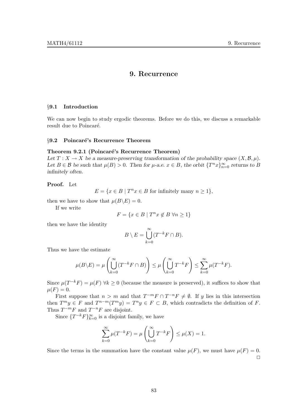# 9. Recurrence

# §9.1 Introduction

We can now begin to study ergodic theorems. Before we do this, we discuss a remarkable result due to Poincaré.

#### §9.2 Poincaré's Recurrence Theorem

# Theorem 9.2.1 (Poincaré's Recurrence Theorem)

Let  $T : X \to X$  be a measure-preserving transformation of the probability space  $(X, \mathcal{B}, \mu)$ . Let  $B \in \mathcal{B}$  be such that  $\mu(B) > 0$ . Then for  $\mu$ -a.e.  $x \in B$ , the orbit  $\{T^n x\}_{n=0}^{\infty}$  returns to B infinitely often.

# Proof. Let

 $E = \{x \in B \mid T^n x \in B \text{ for infinitely many } n \geq 1\},\$ 

then we have to show that  $\mu(B\backslash E) = 0$ .

If we write

$$
F = \{x \in B \mid T^n x \not\in B \; \forall n \geq 1\}
$$

then we have the identity

$$
B \setminus E = \bigcup_{k=0}^{\infty} (T^{-k}F \cap B).
$$

Thus we have the estimate

$$
\mu(B \setminus E) = \mu\left(\bigcup_{k=0}^{\infty} (T^{-k}F \cap B)\right) \le \mu\left(\bigcup_{k=0}^{\infty} T^{-k}F\right) \le \sum_{k=0}^{\infty} \mu(T^{-k}F).
$$

Since  $\mu(T^{-k}F) = \mu(F)$   $\forall k \ge 0$  (because the measure is preserved), it suffices to show that  $\mu(F) = 0.$ 

First suppose that  $n > m$  and that  $T^{-m}F \cap T^{-n}F \neq \emptyset$ . If y lies in this intersection then  $T^m y \in F$  and  $T^{n-m}(T^m y) = T^n y \in F \subset B$ , which contradicts the definition of F. Thus  $T^{-m}F$  and  $T^{-n}F$  are disjoint.

Since  $\{T^{-k}F\}_{k=0}^{\infty}$  is a disjoint family, we have

$$
\sum_{k=0}^{\infty} \mu(T^{-k}F) = \mu\left(\bigcup_{k=0}^{\infty} T^{-k}F\right) \le \mu(X) = 1.
$$

Since the terms in the summation have the constant value  $\mu(F)$ , we must have  $\mu(F) = 0$ .  $\Box$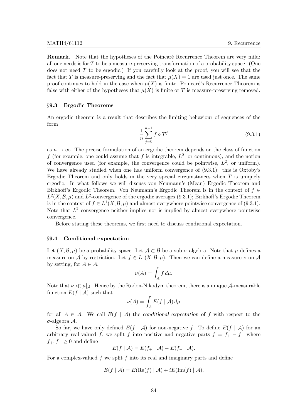**Remark.** Note that the hypotheses of the Poincaré Recurrence Theorem are very mild: all one needs is for  $T$  to be a measure-preserving transformation of a probability space. (One does not need  $T$  to be ergodic.) If you carefully look at the proof, you will see that the fact that T is measure-preserving and the fact that  $\mu(X) = 1$  are used just once. The same proof continues to hold in the case when  $\mu(X)$  is finite. Poincaré's Recurrence Theorem is false with either of the hypotheses that  $\mu(X)$  is finite or T is measure-preserving removed.

## §9.3 Ergodic Theorems

An ergodic theorem is a result that describes the limiting behaviour of sequences of the form

$$
\frac{1}{n} \sum_{j=0}^{n-1} f \circ T^j \tag{9.3.1}
$$

as  $n \to \infty$ . The precise formulation of an ergodic theorem depends on the class of function f (for example, one could assume that f is integrable,  $L^2$ , or continuous), and the notion of convergence used (for example, the convergence could be pointwise,  $L^2$ , or uniform). We have already studied when one has uniform convergence of (9.3.1): this is Oxtoby's Ergodic Theorem and only holds in the very special circumstances when  $T$  is uniquely ergodic. In what follows we will discuss von Neumann's (Mean) Ergodic Theorem and Birkhoff's Ergodic Theorem. Von Neumann's Ergodic Theorem is in the context of  $f \in$  $L^2(X, \mathcal{B}, \mu)$  and  $L^2$ -convergence of the ergodic averages (9.3.1); Birkhoff's Ergodic Theorem is in the context of  $f \in L^1(X, \mathcal{B}, \mu)$  and almost everywhere pointwise convergence of (9.3.1). Note that  $L^2$  convergence neither implies nor is implied by almost everywhere pointwise convergence.

Before stating these theorems, we first need to discuss conditional expectation.

# §9.4 Conditional expectation

Let  $(X,\mathcal{B},\mu)$  be a probability space. Let  $\mathcal{A} \subset \mathcal{B}$  be a sub- $\sigma$ -algebra. Note that  $\mu$  defines a measure on A by restriction. Let  $f \in L^1(X, \mathcal{B}, \mu)$ . Then we can define a measure  $\nu$  on A by setting, for  $A \in \mathcal{A}$ ,

$$
\nu(A) = \int_A f \, d\mu.
$$

Note that  $\nu \ll \mu|_{\mathcal{A}}$ . Hence by the Radon-Nikodym theorem, there is a unique  $\mathcal{A}$ -measurable function  $E(f | \mathcal{A})$  such that

$$
\nu(A) = \int_A E(f \mid \mathcal{A}) \, d\mu
$$

for all  $A \in \mathcal{A}$ . We call  $E(f | \mathcal{A})$  the conditional expectation of f with respect to the σ-algebra A.

So far, we have only defined  $E(f | \mathcal{A})$  for non-negative f. To define  $E(f | \mathcal{A})$  for an arbitrary real-valued f, we split f into positive and negative parts  $f = f_{+} - f_{-}$  where  $f_+, f_- \geq 0$  and define

$$
E(f | \mathcal{A}) = E(f_+ | \mathcal{A}) - E(f_- | \mathcal{A}).
$$

For a complex-valued  $f$  we split  $f$  into its real and imaginary parts and define

$$
E(f | \mathcal{A}) = E(\text{Re}(f) | \mathcal{A}) + iE(\text{Im}(f) | \mathcal{A}).
$$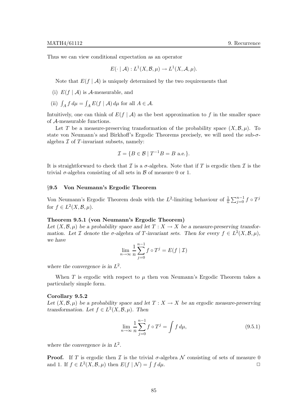Thus we can view conditional expectation as an operator

$$
E(\cdot | \mathcal{A}): L^1(X, \mathcal{B}, \mu) \to L^1(X, \mathcal{A}, \mu).
$$

Note that  $E(f | \mathcal{A})$  is uniquely determined by the two requirements that

- (i)  $E(f | \mathcal{A})$  is A-measurable, and
- (ii)  $\int_A f d\mu = \int_A E(f \mid \mathcal{A}) d\mu$  for all  $A \in \mathcal{A}$ .

Intuitively, one can think of  $E(f | \mathcal{A})$  as the best approximation to f in the smaller space of A-measurable functions.

Let T be a measure-preserving transformation of the probability space  $(X, \mathcal{B}, \mu)$ . To state von Neumann's and Birkhoff's Ergodic Theorems precisely, we will need the sub- $\sigma$ algebra  $\mathcal I$  of  $T$ -invariant subsets, namely:

$$
\mathcal{I} = \{ B \in \mathcal{B} \mid T^{-1}B = B \text{ a.e.} \}.
$$

It is straightforward to check that  $\mathcal I$  is a  $\sigma$ -algebra. Note that if T is ergodic then  $\mathcal I$  is the trivial  $\sigma$ -algebra consisting of all sets in  $\beta$  of measure 0 or 1.

## §9.5 Von Neumann's Ergodic Theorem

Von Neumann's Ergodic Theorem deals with the L<sup>2</sup>-limiting behaviour of  $\frac{1}{n} \sum_{j=0}^{n-1} f \circ T^j$ for  $f \in L^2(X, \mathcal{B}, \mu)$ .

# Theorem 9.5.1 (von Neumann's Ergodic Theorem)

Let  $(X,\mathcal{B},\mu)$  be a probability space and let  $T : X \to X$  be a measure-preserving transformation. Let  $\mathcal I$  denote the  $\sigma$ -algebra of  $T$ -invariant sets. Then for every  $f \in L^2(X, \mathcal B, \mu)$ , we have

$$
\lim_{n \to \infty} \frac{1}{n} \sum_{j=0}^{n-1} f \circ T^j = E(f \mid \mathcal{I})
$$

where the convergence is in  $L^2$ .

When T is ergodic with respect to  $\mu$  then von Neumann's Ergodic Theorem takes a particularly simple form.

#### Corollary 9.5.2

Let  $(X, \mathcal{B}, \mu)$  be a probability space and let  $T : X \to X$  be an ergodic measure-preserving transformation. Let  $f \in L^2(X, \mathcal{B}, \mu)$ . Then

$$
\lim_{n \to \infty} \frac{1}{n} \sum_{j=0}^{n-1} f \circ T^j = \int f \, d\mu,\tag{9.5.1}
$$

where the convergence is in  $L^2$ .

**Proof.** If T is ergodic then  $\mathcal I$  is the trivial  $\sigma$ -algebra  $\mathcal N$  consisting of sets of measure 0 and 1. If  $f \in L^2(X, \mathcal B, \mu)$  then  $E(f \mid \mathcal N) = \int f d\mu$ . and 1. If  $f \in L^2(X, \mathcal{B}, \mu)$  then  $E(f | \mathcal{N}) = \int$  $f d\mu$ .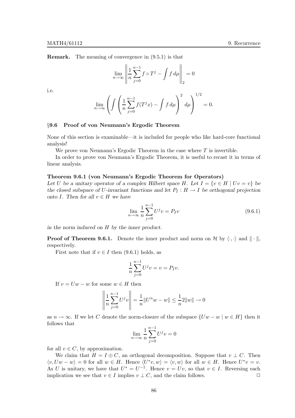Remark. The meaning of convergence in (9.5.1) is that

$$
\lim_{n \to \infty} \left\| \frac{1}{n} \sum_{j=0}^{n-1} f \circ T^j - \int f \, d\mu \right\|_2 = 0
$$

i.e.

$$
\lim_{n \to \infty} \left( \int \left( \frac{1}{n} \sum_{j=0}^{n-1} f(T^j x) - \int f \, d\mu \right)^2 \, d\mu \right)^{1/2} = 0.
$$

#### §9.6 Proof of von Neumann's Ergodic Theorem

None of this section is examinable—it is included for people who like hard-core functional analysis!

We prove von Neumann's Ergodic Theorem in the case where  $T$  is invertible.

In order to prove von Neumann's Ergodic Theorem, it is useful to recast it in terms of linear analysis.

#### Theorem 9.6.1 (von Neumann's Ergodic Theorem for Operators)

Let U be a unitary operator of a complex Hilbert space H. Let  $I = \{v \in H \mid Uv = v\}$  be the closed subspace of U-invariant functions and let  $P_I : H \to I$  be orthogonal projection onto I. Then for all  $v \in H$  we have

$$
\lim_{n \to \infty} \frac{1}{n} \sum_{j=0}^{n-1} U^j v = P_I v \tag{9.6.1}
$$

in the norm induced on H by the inner product.

**Proof of Theorem 9.6.1.** Denote the inner product and norm on H by  $\langle \cdot, \cdot \rangle$  and  $\|\cdot\|$ , respectively.

First note that if  $v \in I$  then (9.6.1) holds, as

$$
\frac{1}{n} \sum_{j=0}^{n-1} U^{j} v = v = P_{I} v.
$$

If  $v = Uw - w$  for some  $w \in H$  then

 $\sim$ 

 $\sim$ 

$$
\left\| \frac{1}{n} \sum_{j=0}^{n-1} U^j v \right\| = \frac{1}{n} \| U^n w - w \| \le \frac{1}{n} 2 \| w \| \to 0
$$

as  $n \to \infty$ . If we let C denote the norm-closure of the subspace  $\{Uw - w \mid w \in H\}$  then it follows that

$$
\lim_{n \to \infty} \frac{1}{n} \sum_{j=0}^{n-1} U^j v = 0
$$

for all  $v \in C$ , by approximation.

We claim that  $H = I \oplus C$ , an orthogonal decomposition. Suppose that  $v \perp C$ . Then  $\langle v, Uw - w \rangle = 0$  for all  $w \in H$ . Hence  $\langle U^*v, w \rangle = \langle v, w \rangle$  for all  $w \in H$ . Hence  $U^*v = v$ . As U is unitary, we have that  $U^* = U^{-1}$ . Hence  $v = Uv$ , so that  $v \in I$ . Reversing each implication we see that  $v \in I$  implies  $v \perp C$ , and the claim follows.  $\Box$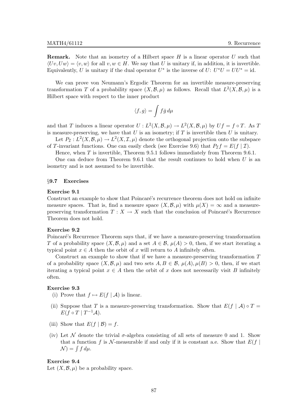**Remark.** Note that an isometry of a Hilbert space  $H$  is a linear operator  $U$  such that  $\langle Uv, Uw \rangle = \langle v, w \rangle$  for all  $v, w \in H$ . We say that U is unitary if, in addition, it is invertible. Equivalently, U is unitary if the dual operator  $U^*$  is the inverse of  $U: U^*U = UU^* = id$ .

We can prove von Neumann's Ergodic Theorem for an invertible measure-preserving transformation T of a probability space  $(X, \mathcal{B}, \mu)$  as follows. Recall that  $L^2(X, \mathcal{B}, \mu)$  is a Hilbert space with respect to the inner product

$$
\langle f,g\rangle=\int f\bar{g}\,d\mu
$$

and that T induces a linear operator  $U: L^2(X, \mathcal{B}, \mu) \to L^2(X, \mathcal{B}, \mu)$  by  $Uf = f \circ T$ . As T is measure-preserving, we have that  $U$  is an isometry; if  $T$  is invertible then  $U$  is unitary.

Let  $P_{\mathcal{I}}: L^2(X, \mathcal{B}, \mu) \to L^2(X, \mathcal{I}, \mu)$  denote the orthogonal projection onto the subspace of T-invariant functions. One can easily check (see Exercise 9.6) that  $P_{\mathcal{I}}f = E(f | \mathcal{I})$ .

Hence, when  $T$  is invertible, Theorem 9.5.1 follows immediately from Theorem 9.6.1.

One can deduce from Theorem 9.6.1 that the result continues to hold when  $U$  is an isometry and is not assumed to be invertible.

#### §9.7 Exercises

#### Exercise 9.1

Construct an example to show that Poincaré's recurrence theorem does not hold on infinite measure spaces. That is, find a measure space  $(X, \mathcal{B}, \mu)$  with  $\mu(X) = \infty$  and a measurepreserving transformation  $T : X \to X$  such that the conclusion of Poincaré's Recurrence Theorem does not hold.

#### Exercise 9.2

Poincaré's Recurrence Theorem says that, if we have a measure-preserving transformation T of a probability space  $(X,\mathcal{B},\mu)$  and a set  $A\in\mathcal{B}$ ,  $\mu(A)>0$ , then, if we start iterating a typical point  $x \in A$  then the orbit of x will return to A infinitely often.

Construct an example to show that if we have a measure-preserving transformation T of a probability space  $(X,\mathcal{B},\mu)$  and two sets  $A, B \in \mathcal{B}$ ,  $\mu(A), \mu(B) > 0$ , then, if we start iterating a typical point  $x \in A$  then the orbit of x does not necessarily visit B infinitely often.

#### Exercise 9.3

- (i) Prove that  $f \mapsto E(f | \mathcal{A})$  is linear.
- (ii) Suppose that T is a measure-preserving transformation. Show that  $E(f | \mathcal{A}) \circ T =$  $E(f \circ T \mid T^{-1}A).$
- (iii) Show that  $E(f | \mathcal{B}) = f$ .
- (iv) Let N denote the trivial  $\sigma$ -algebra consisting of all sets of measure 0 and 1. Show that a function f is N-measurable if and only if it is constant a.e. Show that  $E(f)$  $\mathcal{N}$ ) =  $\int f d\mu$ .

# Exercise 9.4

Let  $(X,\mathcal{B},\mu)$  be a probability space.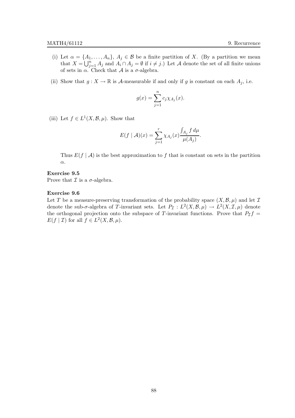- (i) Let  $\alpha = \{A_1, \ldots, A_n\}, A_j \in \mathcal{B}$  be a finite partition of X. (By a partition we mean that  $X = \bigcup_{j=1}^{n} A_j$  and  $A_i \cap A_j = \emptyset$  if  $i \neq j$ .) Let A denote the set of all finite unions of sets in  $\alpha$ . Check that A is a  $\sigma$ -algebra.
- (ii) Show that  $g: X \to \mathbb{R}$  is A-measurable if and only if g is constant on each  $A_j$ , i.e.

$$
g(x) = \sum_{j=1}^{n} c_j \chi_{A_j}(x).
$$

(iii) Let  $f \in L^1(X, \mathcal{B}, \mu)$ . Show that

$$
E(f \mid \mathcal{A})(x) = \sum_{j=1}^{r} \chi_{A_j}(x) \frac{\int_{A_j} f d\mu}{\mu(A_j)}.
$$

Thus  $E(f | \mathcal{A})$  is the best approximation to f that is constant on sets in the partition α.

# Exercise 9.5

Prove that  $\mathcal I$  is a  $\sigma$ -algebra.

### Exercise 9.6

Let T be a measure-preserving transformation of the probability space  $(X, \mathcal{B}, \mu)$  and let T denote the sub- $\sigma$ -algebra of T-invariant sets. Let  $P_{\mathcal{I}}: L^2(X, \mathcal{B}, \mu) \to L^2(X, \mathcal{I}, \mu)$  denote the orthogonal projection onto the subspace of T-invariant functions. Prove that  $P_T f =$  $E(f | \mathcal{I})$  for all  $f \in L^2(X, \mathcal{B}, \mu)$ .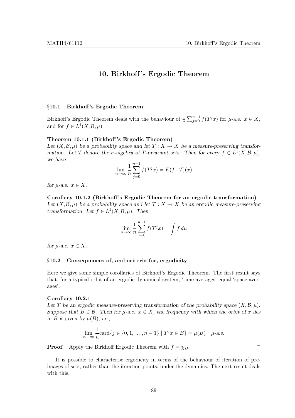# 10. Birkhoff 's Ergodic Theorem

#### §10.1 Birkhoff's Ergodic Theorem

Birkhoff's Ergodic Theorem deals with the behaviour of  $\frac{1}{n} \sum_{j=0}^{n-1} f(T^j x)$  for  $\mu$ -a.e.  $x \in X$ , and for  $f \in L^1(X, \mathcal{B}, \mu)$ .

#### Theorem 10.1.1 (Birkhoff 's Ergodic Theorem)

Let  $(X,\mathcal{B},\mu)$  be a probability space and let  $T : X \to X$  be a measure-preserving transformation. Let  $\mathcal I$  denote the  $\sigma$ -algebra of  $T$ -invariant sets. Then for every  $f \in L^1(X, \mathcal B, \mu)$ , we have

$$
\lim_{n \to \infty} \frac{1}{n} \sum_{j=0}^{n-1} f(T^j x) = E(f | \mathcal{I})(x)
$$

for  $\mu$ -a.e.  $x \in X$ .

Corollary 10.1.2 (Birkhoff 's Ergodic Theorem for an ergodic transformation) Let  $(X,\mathcal{B},\mu)$  be a probability space and let  $T : X \to X$  be an ergodic measure-preserving transformation. Let  $f \in L^1(X, \mathcal{B}, \mu)$ . Then

$$
\lim_{n \to \infty} \frac{1}{n} \sum_{j=0}^{n-1} f(T^j x) = \int f d\mu
$$

for  $\mu$ -a.e.  $x \in X$ .

# §10.2 Consequences of, and criteria for, ergodicity

Here we give some simple corollaries of Birkhoff's Ergodic Theorem. The first result says that, for a typical orbit of an ergodic dynamical system, 'time averages' equal 'space averages'.

# Corollary 10.2.1

Let T be an ergodic measure-preserving transformation of the probability space  $(X, \mathcal{B}, \mu)$ . Suppose that  $B \in \mathcal{B}$ . Then for  $\mu$ -a.e.  $x \in X$ , the frequency with which the orbit of x lies in B is given by  $\mu(B)$ , i.e.,

$$
\lim_{n \to \infty} \frac{1}{n} \text{card}\{j \in \{0, 1, \dots, n-1\} \mid T^j x \in B\} = \mu(B) \quad \mu\text{-a.e.}
$$

**Proof.** Apply the Birkhoff Ergodic Theorem with  $f = \chi_B$ .

It is possible to characterise ergodicity in terms of the behaviour of iteration of preimages of sets, rather than the iteration points, under the dynamics. The next result deals with this.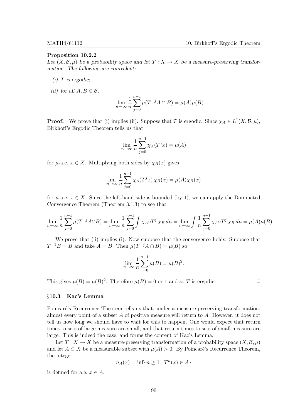#### Proposition 10.2.2

Let  $(X,\mathcal{B},\mu)$  be a probability space and let  $T : X \to X$  be a measure-preserving transformation. The following are equivalent:

- $(i)$  T is ergodic;
- (ii) for all  $A, B \in \mathcal{B}$ ,

$$
\lim_{n \to \infty} \frac{1}{n} \sum_{j=0}^{n-1} \mu(T^{-j}A \cap B) = \mu(A)\mu(B).
$$

**Proof.** We prove that (i) implies (ii). Suppose that T is ergodic. Since  $\chi_A \in L^1(X, \mathcal{B}, \mu)$ , Birkhoff's Ergodic Theorem tells us that

$$
\lim_{n \to \infty} \frac{1}{n} \sum_{j=0}^{n-1} \chi_A(T^j x) = \mu(A)
$$

for  $\mu$ -a.e.  $x \in X$ . Multiplying both sides by  $\chi_B(x)$  gives

$$
\lim_{n \to \infty} \frac{1}{n} \sum_{j=0}^{n-1} \chi_A(T^j x) \chi_B(x) = \mu(A) \chi_B(x)
$$

for  $\mu$ -a.e.  $x \in X$ . Since the left-hand side is bounded (by 1), we can apply the Dominated Convergence Theorem (Theorem 3.1.3) to see that

$$
\lim_{n \to \infty} \frac{1}{n} \sum_{j=0}^{n-1} \mu(T^{-j}A \cap B) = \lim_{n \to \infty} \frac{1}{n} \sum_{j=0}^{n-1} \int \chi_A \circ T^j \chi_B d\mu = \lim_{n \to \infty} \int \frac{1}{n} \sum_{j=0}^{n-1} \chi_A \circ T^j \chi_B d\mu = \mu(A)\mu(B).
$$

We prove that (ii) implies (i). Now suppose that the convergence holds. Suppose that  $T^{-1}B = B$  and take  $A = B$ . Then  $\mu(T^{-j}A \cap B) = \mu(B)$  so

$$
\lim_{n \to \infty} \frac{1}{n} \sum_{j=0}^{n-1} \mu(B) = \mu(B)^2.
$$

This gives  $\mu(B) = \mu(B)^2$ . Therefore  $\mu(B) = 0$  or 1 and so T is ergodic.

# §10.3 Kac's Lemma

Poincaré's Recurrence Theorem tells us that, under a measure-preserving transformation, almost every point of a subset A of positive measure will return to A. However, it does not tell us how long we should have to wait for this to happen. One would expect that return times to sets of large measure are small, and that return times to sets of small measure are large. This is indeed the case, and forms the content of Kac's Lemma.

Let  $T : X \to X$  be a measure-preserving transformation of a probability space  $(X, \mathcal{B}, \mu)$ and let  $A \subset X$  be a measurable subset with  $\mu(A) > 0$ . By Poincaré's Recurrence Theorem, the integer

$$
n_A(x) = \inf\{n \ge 1 \mid T^n(x) \in A\}
$$

is defined for a.e.  $x \in A$ .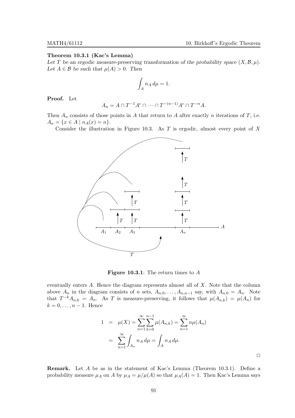#### Theorem 10.3.1 (Kac's Lemma)

Let T be an ergodic measure-preserving transformation of the probability space  $(X,\mathcal{B},\mu)$ . Let  $A \in \mathcal{B}$  be such that  $\mu(A) > 0$ . Then

$$
\int_A n_A \, d\mu = 1.
$$

Proof. Let

$$
A_n = A \cap T^{-1}A^c \cap \dots \cap T^{-(n-1)}A^c \cap T^{-n}A.
$$

Then  $A_n$  consists of those points in A that return to A after exactly n iterations of T, i.e.  $A_n = \{x \in A \mid n_A(x) = n\}.$ 

Consider the illustration in Figure 10.3. As  $T$  is ergodic, almost every point of  $X$ 



**Figure 10.3.1:** The return times to  $\vec{A}$ 

eventually enters A. Hence the diagram represents almost all of X. Note that the column above  $A_n$  in the diagram consists of n sets,  $A_{n,0}, \ldots, A_{n,n-1}$  say, with  $A_{n,0} = A_n$ . Note that  $T^{-k}A_{n,k} = A_n$ . As T is measure-preserving, it follows that  $\mu(A_{n,k}) = \mu(A_n)$  for  $k = 0, \ldots, n-1$ . Hence

$$
1 = \mu(X) = \sum_{n=1}^{\infty} \sum_{k=0}^{n-1} \mu(A_{n,k}) = \sum_{n=1}^{\infty} n\mu(A_n)
$$
  
= 
$$
\sum_{n=1}^{\infty} \int_{A_n} n_A d\mu = \int_A n_A d\mu.
$$

 $\Box$ 

Remark. Let A be as in the statement of Kac's Lemma (Theorem 10.3.1). Define a probability measure  $\mu_A$  on A by  $\mu_A = \mu/\mu(A)$  so that  $\mu_A(A) = 1$ . Then Kac's Lemma says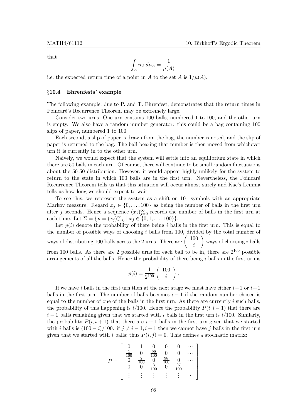that

$$
\int_A n_A d\mu_A = \frac{1}{\mu(A)},
$$

i.e. the expected return time of a point in A to the set A is  $1/\mu(A)$ .

# §10.4 Ehrenfests' example

The following example, due to P. and T. Ehrenfest, demonstrates that the return times in Poincaré's Recurrence Theorem may be extremely large.

Consider two urns. One urn contains 100 balls, numbered 1 to 100, and the other urn is empty. We also have a random number generator: this could be a bag containing 100 slips of paper, numbered 1 to 100.

Each second, a slip of paper is drawn from the bag, the number is noted, and the slip of paper is returned to the bag. The ball bearing that number is then moved from whichever urn it is currently in to the other urn.

Naively, we would expect that the system will settle into an equilibrium state in which there are 50 balls in each urn. Of course, there will continue to be small random fluctuations about the 50-50 distribution. However, it would appear highly unlikely for the system to return to the state in which 100 balls are in the first urn. Nevertheless, the Poincaré Recurrence Theorem tells us that this situation will occur almost surely and Kac's Lemma tells us how long we should expect to wait.

To see this, we represent the system as a shift on 101 symbols with an appropriate Markov measure. Regard  $x_j \in \{0, \ldots, 100\}$  as being the number of balls in the first urn after j seconds. Hence a sequence  $(x_j)_{j=0}^{\infty}$  records the number of balls in the first urn at each time. Let  $\Sigma = {\mathbf{x} = (x_j)_{j=0}^{\infty} | x_j \in \{0, 1, ..., 100\}}.$ 

Let  $p(i)$  denote the probability of there being i balls in the first urn. This is equal to the number of possible ways of choosing  $i$  balls from 100, divided by the total number of ways of distributing 100 balls across the 2 urns. There are  $\begin{pmatrix} 100 \\ 100 \end{pmatrix}$ i ways of choosing i balls from 100 balls. As there are 2 possible urns for each ball to be in, there are  $2^{100}$  possible arrangements of all the balls. Hence the probability of there being  $i$  balls in the first urn is

$$
p(i) = \frac{1}{2^{100}} \left( \begin{array}{c} 100 \\ i \end{array} \right).
$$

If we have i balls in the first urn then at the next stage we must have either  $i-1$  or  $i+1$ balls in the first urn. The number of balls becomes  $i - 1$  if the random number chosen is equal to the number of one of the balls in the first urn. As there are currently  $i$  such balls, the probability of this happening is  $i/100$ . Hence the probability  $P(i, i - 1)$  that there are  $i-1$  balls remaining given that we started with i balls in the first urn is  $i/100$ . Similarly, the probability  $P(i, i + 1)$  that there are  $i + 1$  balls in the first urn given that we started with i balls is  $(100 - i)/100$ . if  $j \neq i - 1, i + 1$  then we cannot have j balls in the first urn given that we started with i balls; thus  $P(i, j) = 0$ . This defines a stochastic matrix:

$$
P = \left[ \begin{array}{cccccc} 0 & 1 & 0 & 0 & 0 & \cdots \\ \frac{1}{100} & 0 & \frac{99}{100} & 0 & 0 & \cdots \\ 0 & \frac{2}{100} & 0 & \frac{98}{100} & 0 & \cdots \\ 0 & 0 & \frac{3}{100} & 0 & \frac{97}{100} & \cdots \\ \vdots & \vdots & \vdots & \vdots & \vdots & \ddots \end{array} \right]
$$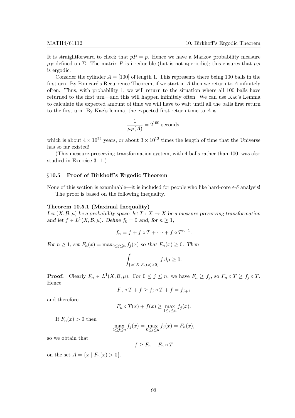It is straightforward to check that  $p = p$ . Hence we have a Markov probability measure  $\mu_P$  defined on  $\Sigma$ . The matrix P is irreducible (but is not aperiodic); this ensures that  $\mu_P$ is ergodic.

Consider the cylinder  $A = [100]$  of length 1. This represents there being 100 balls in the first urn. By Poincaré's Recurrence Theorem, if we start in  $A$  then we return to  $A$  infinitely often. Thus, with probability 1, we will return to the situation where all 100 balls have returned to the first urn—and this will happen infinitely often! We can use Kac's Lemma to calculate the expected amount of time we will have to wait until all the balls first return to the first urn. By Kac's lemma, the expected first return time to A is

$$
\frac{1}{\mu_P(A)} = 2^{100}
$$
 seconds,

which is about  $4 \times 10^{22}$  years, or about  $3 \times 10^{12}$  times the length of time that the Universe has so far existed!

(This measure-preserving transformation system, with 4 balls rather than 100, was also studied in Exercise 3.11.)

#### §10.5 Proof of Birkhoff 's Ergodic Theorem

None of this section is examinable—it is included for people who like hard-core  $\varepsilon$ -δ analysis! The proof is based on the following inequality.

#### Theorem 10.5.1 (Maximal Inequality)

Let  $(X,\mathcal{B},\mu)$  be a probability space, let  $T : X \to X$  be a measure-preserving transformation and let  $f \in L^1(X, \mathcal{B}, \mu)$ . Define  $f_0 = 0$  and, for  $n \ge 1$ ,

$$
f_n = f + f \circ T + \dots + f \circ T^{n-1}.
$$

For  $n \geq 1$ , set  $F_n(x) = \max_{0 \leq j \leq n} f_j(x)$  so that  $F_n(x) \geq 0$ . Then

$$
\int_{\{x\in X|F_n(x)>0\}} f d\mu \ge 0.
$$

**Proof.** Clearly  $F_n \in L^1(X, \mathcal{B}, \mu)$ . For  $0 \le j \le n$ , we have  $F_n \ge f_j$ , so  $F_n \circ T \ge f_j \circ T$ . Hence

$$
F_n \circ T + f \ge f_j \circ T + f = f_{j+1}
$$

and therefore

$$
F_n \circ T(x) + f(x) \ge \max_{1 \le j \le n} f_j(x).
$$

If  $F_n(x) > 0$  then

$$
\max_{1 \le j \le n} f_j(x) = \max_{0 \le j \le n} f_j(x) = F_n(x),
$$

so we obtain that

$$
f \geq F_n - F_n \circ T
$$

on the set  $A = \{x \mid F_n(x) > 0\}.$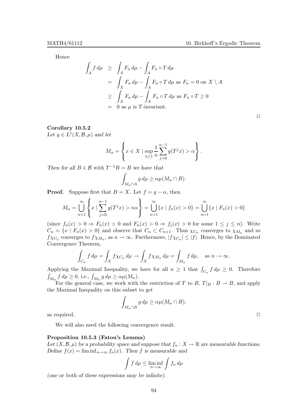Hence

$$
\int_{A} f d\mu \geq \int_{A} F_{n} d\mu - \int_{A} F_{n} \circ T d\mu
$$
\n
$$
= \int_{X} F_{n} d\mu - \int_{A} F_{n} \circ T d\mu \text{ as } F_{n} = 0 \text{ on } X \setminus A
$$
\n
$$
\geq \int_{X} F_{n} d\mu - \int_{X} F_{n} \circ T d\mu \text{ as } F_{n} \circ T \geq 0
$$
\n
$$
= 0 \text{ as } \mu \text{ is } T\text{-invariant.}
$$

# $\Box$

# Corollary 10.5.2

Let  $g \in L^1(X, \mathcal{B}, \mu)$  and let

$$
M_{\alpha} = \left\{ x \in X \mid \sup_{n \ge 1} \frac{1}{n} \sum_{j=0}^{n-1} g(T^{j} x) > \alpha \right\}.
$$

Then for all  $B \in \mathcal{B}$  with  $T^{-1}B = B$  we have that

$$
\int_{M_{\alpha}\cap A} g d\mu \geq \alpha \mu(M_{\alpha}\cap B).
$$

**Proof.** Suppose first that  $B = X$ . Let  $f = g - \alpha$ , then

$$
M_{\alpha} = \bigcup_{n=1}^{\infty} \left\{ x \mid \sum_{j=0}^{n-1} g(T^{j}x) > n\alpha \right\} = \bigcup_{n=1}^{\infty} \left\{ x \mid f_{n}(x) > 0 \right\} = \bigcup_{n=1}^{\infty} \left\{ x \mid F_{n}(x) > 0 \right\}
$$

(since  $f_n(x) > 0 \Rightarrow F_n(x) > 0$  and  $F_n(x) > 0 \Rightarrow f_j(x) > 0$  for some  $1 \leq j \leq n$ ). Write  $C_n = \{x \mid F_n(x) > 0\}$  and observe that  $C_n \subset C_{n+1}$ . Thus  $\chi_{C_n}$  converges to  $\chi_{M_\alpha}$  and so  $f\chi_{C_n}$  converges to  $f\chi_{M_\alpha}$ , as  $n \to \infty$ . Furthermore,  $|f\chi_{C_n}| \leq |f|$ . Hence, by the Dominated Convergence Theorem,

$$
\int_{C_n} f d\mu = \int_X f \chi_{C_n} d\mu \to \int_X f \chi_{M_\alpha} d\mu = \int_{M_\alpha} f d\mu, \text{ as } n \to \infty.
$$

Applying the Maximal Inequality, we have for all  $n \geq 1$  that  $\int_{C_n} f d\mu \geq 0$ . Therefore  $\int_{M_{\alpha}} f d\mu \ge 0$ , i.e.,  $\int_{M_{\alpha}} g d\mu \ge \alpha \mu(M_{\alpha})$ .

For the general case, we work with the restriction of T to B,  $T|_B : B \to B$ , and apply the Maximal Inequality on this subset to get

$$
\int_{M_{\alpha} \cap B} g d\mu \geq \alpha \mu (M_{\alpha} \cap B),
$$

as required.  $\Box$ 

We will also need the following convergence result.

# Proposition 10.5.3 (Fatou's Lemma)

Let  $(X, \mathcal{B}, \mu)$  be a probability space and suppose that  $f_n : X \to \mathbb{R}$  are measurable functions. Define  $f(x) = \liminf_{n \to \infty} f_n(x)$ . Then f is measurable and

$$
\int f d\mu \le \liminf_{n \to \infty} \int f_n d\mu
$$

(one or both of these expressions may be infinite).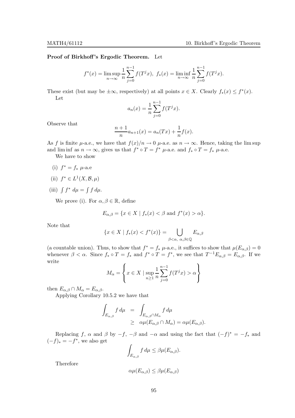## Proof of Birkhoff's Ergodic Theorem. Let

$$
f^*(x) = \limsup_{n \to \infty} \frac{1}{n} \sum_{j=0}^{n-1} f(T^j x), \ f_*(x) = \liminf_{n \to \infty} \frac{1}{n} \sum_{j=0}^{n-1} f(T^j x).
$$

These exist (but may be  $\pm \infty$ , respectively) at all points  $x \in X$ . Clearly  $f_*(x) \leq f^*(x)$ . Let

$$
a_n(x) = \frac{1}{n} \sum_{j=0}^{n-1} f(T^j x).
$$

Observe that

$$
\frac{n+1}{n}a_{n+1}(x) = a_n(Tx) + \frac{1}{n}f(x).
$$

As f is finite  $\mu$ -a.e., we have that  $f(x)/n \to 0$   $\mu$ -a.e. as  $n \to \infty$ . Hence, taking the lim sup and lim inf as  $n \to \infty$ , gives us that  $f^* \circ T = f^* \mu$ -a.e. and  $f_* \circ T = f_* \mu$ -a.e.

We have to show

- (i)  $f^* = f_* \mu$ -a.e
- (ii)  $f^* \in L^1(X, \mathcal{B}, \mu)$
- (iii)  $\int f^* d\mu = \int f d\mu$ .

We prove (i). For  $\alpha, \beta \in \mathbb{R}$ , define

$$
E_{\alpha,\beta} = \{ x \in X \mid f_*(x) < \beta \text{ and } f^*(x) > \alpha \}.
$$

Note that

$$
\{x \in X \mid f_*(x) < f^*(x)\} = \bigcup_{\beta < \alpha, \alpha, \beta \in \mathbb{Q}} E_{\alpha, \beta}
$$

(a countable union). Thus, to show that  $f^* = f_* \mu$ -a.e., it suffices to show that  $\mu(E_{\alpha,\beta}) = 0$ whenever  $\beta < \alpha$ . Since  $f_* \circ T = f_*$  and  $f^* \circ T = f^*$ , we see that  $T^{-1}E_{\alpha,\beta} = E_{\alpha,\beta}$ . If we write

$$
M_{\alpha} = \left\{ x \in X \mid \sup_{n \ge 1} \frac{1}{n} \sum_{j=0}^{n-1} f(T^{j} x) > \alpha \right\}
$$

then  $E_{\alpha,\beta} \cap M_{\alpha} = E_{\alpha,\beta}$ .

Applying Corollary 10.5.2 we have that

$$
\int_{E_{\alpha,\beta}} f d\mu = \int_{E_{\alpha,\beta} \cap M_{\alpha}} f d\mu
$$
  
\n
$$
\geq \alpha \mu(E_{\alpha,\beta} \cap M_{\alpha}) = \alpha \mu(E_{\alpha,\beta}).
$$

Replacing f,  $\alpha$  and  $\beta$  by  $-f$ ,  $-\beta$  and  $-\alpha$  and using the fact that  $(-f)^* = -f_*$  and  $(-f)_* = -f^*$ , we also get

$$
\int_{E_{\alpha,\beta}} f d\mu \leq \beta \mu(E_{\alpha,\beta}).
$$

Therefore

$$
\alpha \mu(E_{\alpha,\beta}) \leq \beta \mu(E_{\alpha,\beta})
$$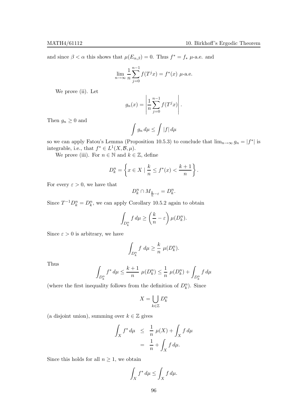and since  $\beta < \alpha$  this shows that  $\mu(E_{\alpha,\beta}) = 0$ . Thus  $f^* = f_* \mu$ -a.e. and

$$
\lim_{n \to \infty} \frac{1}{n} \sum_{j=0}^{n-1} f(T^j x) = f^*(x) \mu
$$
-a.e.

We prove (ii). Let

$$
g_n(x) = \left| \frac{1}{n} \sum_{j=0}^{n-1} f(T^j x) \right|.
$$

Then  $g_n \geq 0$  and

$$
\int g_n \, d\mu \le \int |f| \, d\mu
$$

so we can apply Fatou's Lemma (Proposition 10.5.3) to conclude that  $\lim_{n\to\infty} g_n = |f^*|$  is integrable, i.e., that  $f^* \in L^1(X, \mathcal{B}, \mu)$ .

We prove (iii). For  $n \in \mathbb{N}$  and  $k \in \mathbb{Z}$ , define

$$
D_k^n = \left\{ x \in X \mid \frac{k}{n} \le f^*(x) < \frac{k+1}{n} \right\}.
$$

For every  $\varepsilon > 0$ , we have that

$$
D^n_k\cap M_{\frac{k}{n}-\varepsilon}=D^n_k.
$$

Since  $T^{-1}D_k^n = D_k^n$ , we can apply Corollary 10.5.2 again to obtain

$$
\int_{D_k^n} f d\mu \ge \left(\frac{k}{n} - \varepsilon\right) \mu(D_k^n).
$$

Since  $\varepsilon > 0$  is arbitrary, we have

$$
\int_{D_k^n} f \ d\mu \ge \frac{k}{n} \ \mu(D_k^n).
$$

Thus

$$
\int_{D_k^n} f^* d\mu \le \frac{k+1}{n} \ \mu(D_k^n) \le \frac{1}{n} \ \mu(D_k^n) + \int_{D_k^n} f d\mu
$$

(where the first inequality follows from the definition of  $D_k^n$ ). Since

$$
X = \bigcup_{k \in \mathbb{Z}} D_k^n
$$

(a disjoint union), summing over  $k \in \mathbb{Z}$  gives

$$
\int_X f^* d\mu \leq \frac{1}{n} \mu(X) + \int_X f d\mu
$$

$$
= \frac{1}{n} + \int_X f d\mu.
$$

Since this holds for all  $n \geq 1$ , we obtain

$$
\int_X f^* d\mu \le \int_X f d\mu.
$$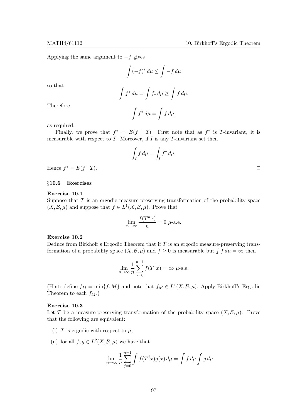Applying the same argument to  $-f$  gives

$$
\int (-f)^* d\mu \le \int -f d\mu
$$

so that

$$
\int f^* d\mu = \int f_* d\mu \ge \int f d\mu.
$$

Therefore

$$
\int f^* d\mu = \int f d\mu,
$$

as required.

Finally, we prove that  $f^* = E(f | \mathcal{I})$ . First note that as  $f^*$  is T-invariant, it is measurable with respect to  $\mathcal I$ . Moreover, if  $I$  is any  $T$ -invariant set then

$$
\int_I f d\mu = \int_I f^* d\mu.
$$

Hence  $f^* = E(f | \mathcal{I}).$ 

# §10.6 Exercises

# Exercise 10.1

Suppose that  $T$  is an ergodic measure-preserving transformation of the probability space  $(X, \mathcal{B}, \mu)$  and suppose that  $f \in L^1(X, \mathcal{B}, \mu)$ . Prove that

$$
\lim_{n \to \infty} \frac{f(T^n x)}{n} = 0 \ \mu\text{-a.e.}
$$

# Exercise 10.2

Deduce from Birkhoff's Ergodic Theorem that if  $T$  is an ergodic measure-preserving transformation of a probability space  $(X, \mathcal{B}, \mu)$  and  $f \geq 0$  is measurable but  $\int f d\mu = \infty$  then

$$
\lim_{n \to \infty} \frac{1}{n} \sum_{j=0}^{n-1} f(T^j x) = \infty \ \mu\text{-a.e.}
$$

(Hint: define  $f_M = \min\{f, M\}$  and note that  $f_M \in L^1(X, \mathcal{B}, \mu)$ . Apply Birkhoff's Ergodic Theorem to each  $f_M$ .)

# Exercise 10.3

Let T be a measure-preserving transformation of the probability space  $(X, \mathcal{B}, \mu)$ . Prove that the following are equivalent:

- (i) T is ergodic with respect to  $\mu$ ,
- (ii) for all  $f, g \in L^2(X, \mathcal{B}, \mu)$  we have that

$$
\lim_{n \to \infty} \frac{1}{n} \sum_{j=0}^{n-1} \int f(T^j x) g(x) \, d\mu = \int f \, d\mu \int g \, d\mu.
$$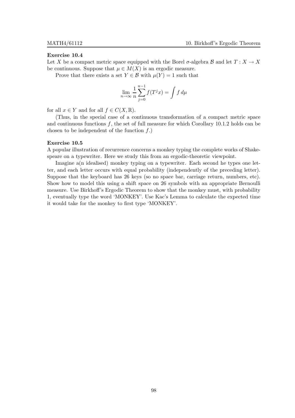#### Exercise 10.4

Let X be a compact metric space equipped with the Borel  $\sigma$ -algebra B and let  $T : X \to X$ be continuous. Suppose that  $\mu \in M(X)$  is an ergodic measure.

Prove that there exists a set  $Y \in \mathcal{B}$  with  $\mu(Y) = 1$  such that

$$
\lim_{n \to \infty} \frac{1}{n} \sum_{j=0}^{n-1} f(T^j x) = \int f d\mu
$$

for all  $x \in Y$  and for all  $f \in C(X, \mathbb{R})$ .

(Thus, in the special case of a continuous transformation of a compact metric space and continuous functions  $f$ , the set of full measure for which Corollary 10.1.2 holds can be chosen to be independent of the function  $f$ .)

#### Exercise 10.5

A popular illustration of recurrence concerns a monkey typing the complete works of Shakespeare on a typewriter. Here we study this from an ergodic-theoretic viewpoint.

Imagine a(n idealised) monkey typing on a typewriter. Each second he types one letter, and each letter occurs with equal probability (independently of the preceding letter). Suppose that the keyboard has 26 keys (so no space bar, carriage return, numbers, etc). Show how to model this using a shift space on 26 symbols with an appropriate Bernoulli measure. Use Birkhoff's Ergodic Theorem to show that the monkey must, with probability 1, eventually type the word 'MONKEY'. Use Kac's Lemma to calculate the expected time it would take for the monkey to first type 'MONKEY'.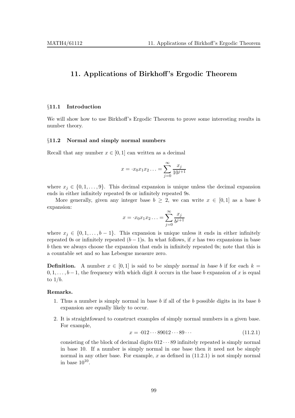# 11. Applications of Birkhoff 's Ergodic Theorem

#### §11.1 Introduction

We will show how to use Birkhoff's Ergodic Theorem to prove some interesting results in number theory.

#### §11.2 Normal and simply normal numbers

Recall that any number  $x \in [0,1]$  can written as a decimal

$$
x = \cdot x_0 x_1 x_2 \dots = \sum_{j=0}^{\infty} \frac{x_j}{10^{j+1}}
$$

where  $x_j \in \{0, 1, \ldots, 9\}$ . This decimal expansion is unique unless the decimal expansion ends in either infinitely repeated 0s or infinitely repeated 9s.

More generally, given any integer base  $b \geq 2$ , we can write  $x \in [0,1]$  as a base b expansion:

$$
x = \cdot x_0 x_1 x_2 \dots = \sum_{j=0}^{\infty} \frac{x_j}{b^{j+1}}
$$

where  $x_j \in \{0, 1, \ldots, b-1\}$ . This expansion is unique unless it ends in either infinitely repeated 0s or infinitely repeated  $(b-1)$ s. In what follows, if x has two expansions in base b then we always choose the expansion that ends in infinitely repeated 0s; note that this is a countable set and so has Lebesgue measure zero.

**Definition.** A number  $x \in [0, 1]$  is said to be simply normal in base b if for each  $k =$  $0, 1, \ldots, b-1$ , the frequency with which digit k occurs in the base b expansion of x is equal to  $1/b$ .

# Remarks.

- 1. Thus a number is simply normal in base  $b$  if all of the  $b$  possible digits in its base  $b$ expansion are equally likely to occur.
- 2. It is straightfoward to construct examples of simply normal numbers in a given base. For example,

$$
x = 0.012 \cdots 89012 \cdots 89 \cdots \tag{11.2.1}
$$

consisting of the block of decimal digits  $012 \cdots 89$  infinitely repeated is simply normal in base 10. If a number is simply normal in one base then it need not be simply normal in any other base. For example,  $x$  as defined in  $(11.2.1)$  is not simply normal in base  $10^{10}$ .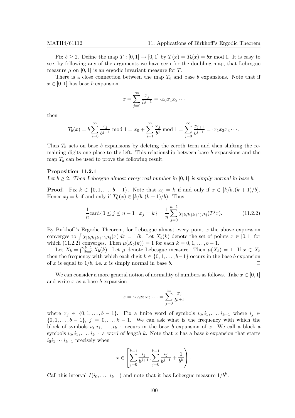Fix  $b \ge 2$ . Define the map  $T : [0,1] \to [0,1]$  by  $T(x) = T_b(x) = bx \text{ mod } 1$ . It is easy to see, by following any of the arguments we have seen for the doubling map, that Lebesgue measure  $\mu$  on [0, 1] is an ergodic invariant measure for T.

There is a close connection between the map  $T_b$  and base b expansions. Note that if  $x \in [0, 1]$  has base b expansion

$$
x = \sum_{j=0}^{\infty} \frac{x_j}{b^{j+1}} = \cdot x_0 x_1 x_2 \cdots
$$

then

$$
T_b(x) = b \sum_{j=0}^{\infty} \frac{x_j}{b^{j+1}} \bmod 1 = x_0 + \sum_{j=1}^{\infty} \frac{x_j}{b^j} \bmod 1 = \sum_{j=0}^{\infty} \frac{x_{j+1}}{b^{j+1}} = \cdot x_1 x_2 x_3 \cdots
$$

Thus  $T_b$  acts on base b expansions by deleting the zeroth term and then shifting the remaining digits one place to the left. This relationship between base  $b$  expansions and the map  $T_b$  can be used to prove the following result.

# Proposition 11.2.1

Let  $b \geq 2$ . Then Lebesgue almost every real number in [0, 1] is simply normal in base b.

**Proof.** Fix  $k \in \{0, 1, \ldots, b-1\}$ . Note that  $x_0 = k$  if and only if  $x \in [k/b, (k+1)/b)$ . Hence  $x_j = k$  if and only if  $T_b^j$  $b<sup>j</sup>(x) \in [k/b, (k+1)/b)$ . Thus

$$
\frac{1}{n}\text{card}\{0 \le j \le n-1 \mid x_j = k\} = \frac{1}{n}\sum_{j=0}^{n-1} \chi_{[k/b,(k+1)/b)}(T^j x). \tag{11.2.2}
$$

By Birkhoff's Ergodic Theorem, for Lebesgue almost every point  $x$  the above expression converges to  $\int \chi_{[k/b,(k+1)/b)}(x) dx = 1/b$ . Let  $X_b(k)$  denote the set of points  $x \in [0,1]$  for which (11.2.2) converges. Then  $\mu(X_b(k)) = 1$  for each  $k = 0, 1, \ldots, b - 1$ .

Let  $X_b = \bigcap_{k=0}^{b-1} X_b(k)$ . Let  $\mu$  denote Lebesgue measure. Then  $\mu(X_b) = 1$ . If  $x \in X_b$ then the frequency with which each digit  $k \in \{0, 1, \ldots, b-1\}$  occurs in the base b expansion of x is equal to  $1/b$ , i.e. x is simply normal in base b.

We can consider a more general notion of normality of numbers as follows. Take  $x \in [0,1]$ and write  $x$  as a base  $b$  expansion

$$
x = x_0 x_1 x_2 \dots = \sum_{j=0}^{\infty} \frac{x_j}{b^{j+1}}
$$

where  $x_j \in \{0, 1, \ldots, b-1\}$ . Fix a finite word of symbols  $i_0, i_1, \ldots, i_{k-1}$  where  $i_j \in$  $\{0, 1, \ldots, b-1\}, j = 0, \ldots, k-1$ . We can ask what is the frequency with which the block of symbols  $i_0, i_1, \ldots, i_{k-1}$  occurs in the base b expansion of x. We call a block a symbols  $i_0, i_1, \ldots, i_{k-1}$  a word of length k. Note that x has a base b expansion that starts  $i_0i_1 \cdots i_{k-1}$  precisely when

$$
x \in \left[\sum_{j=0}^{k-1} \frac{i_j}{b^{j+1}}, \sum_{j=0}^{k-1} \frac{i_j}{b^{j+1}} + \frac{1}{b^k}\right).
$$

Call this interval  $I(i_0, \ldots, i_{k-1})$  and note that it has Lebesgue measure  $1/b^k$ .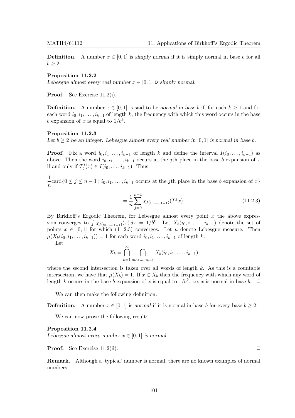**Definition.** A number  $x \in [0, 1]$  is simply normal if it is simply normal in base b for all  $b > 2$ .

## Proposition 11.2.2

Lebesgue almost every real number  $x \in [0,1]$  is simply normal.

**Proof.** See Exercise 11.2(i).  $\Box$ 

**Definition.** A number  $x \in [0,1]$  is said to be normal in base b if, for each  $k \ge 1$  and for each word  $i_0, i_1, \ldots, i_{k-1}$  of length k, the frequency with which this word occurs in the base b expansion of x is equal to  $1/b<sup>k</sup>$ .

# Proposition 11.2.3

Let  $b \geq 2$  be an integer. Lebesgue almost every real number in [0,1] is normal in base b.

**Proof.** Fix a word  $i_0, i_1, \ldots, i_{k-1}$  of length k and define the interval  $I(i_0, \ldots, i_{k-1})$  as above. Then the word  $i_0, i_1, \ldots, i_{k-1}$  occurs at the jth place in the base b expansion of x if and only if  $T_h^j$  $b^{ij}(x) \in I(i_0, \ldots, i_{k-1})$ . Thus

1  $\frac{1}{n}$ card $\{0 \le j \le n-1 \mid i_0, i_1, \ldots, i_{k-1} \text{ occurs at the } j\text{th place in the base } b \text{ expansion of } x\}$ 

$$
=\frac{1}{n}\sum_{j=0}^{n-1}\chi_{I(i_0,\ldots,i_{k-1})}(T^jx).
$$
\n(11.2.3)

By Birkhoff's Ergodic Theorem, for Lebesgue almost every point  $x$  the above expression converges to  $\int \chi_{I(i_0,\ldots,i_{k-1})}(x) dx = 1/b^k$ . Let  $X_b(i_0,i_1,\ldots,i_{k-1})$  denote the set of points  $x \in [0,1]$  for which (11.2.3) converges. Let  $\mu$  denote Lebesgue measure. Then  $\mu(X_b(i_0, i_1, \ldots, i_{k-1})) = 1$  for each word  $i_0, i_1, \ldots, i_{k-1}$  of length k.

Let

$$
X_b = \bigcap_{k=1}^{\infty} \bigcap_{i_0, i_1, \dots, i_{k-1}} X_b(i_0, i_1, \dots, i_{k-1})
$$

where the second intersection is taken over all words of length  $k$ . As this is a countable intersection, we have that  $\mu(X_b) = 1$ . If  $x \in X_b$  then the frequency with which any word of length k occurs in the base b expansion of x is equal to  $1/b^k$ , i.e. x is normal in base b.  $\Box$ 

We can then make the following definition.

**Definition.** A number  $x \in [0, 1]$  is normal if it is normal in base b for every base  $b \geq 2$ .

We can now prove the following result:

Proposition 11.2.4

Lebesgue almost every number  $x \in [0, 1]$  is normal.

**Proof.** See Exercise 11.2(ii).  $\Box$ 

Remark. Although a 'typical' number is normal, there are no known examples of normal numbers!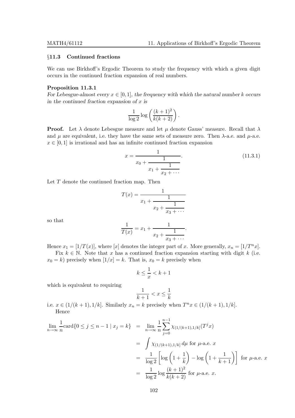# §11.3 Continued fractions

We can use Birkhoff's Ergodic Theorem to study the frequency with which a given digit occurs in the continued fraction expansion of real numbers.

# Proposition 11.3.1

For Lebesgue-almost every  $x \in [0, 1]$ , the frequency with which the natural number k occurs in the continued fraction expansion of  $x$  is

$$
\frac{1}{\log 2} \log \left( \frac{(k+1)^2}{k(k+2)} \right).
$$

**Proof.** Let  $\lambda$  denote Lebesgue measure and let  $\mu$  denote Gauss' measure. Recall that  $\lambda$ and  $\mu$  are equivalent, i.e. they have the same sets of measure zero. Then  $\lambda$ -a.e. and  $\mu$ -a.e.  $x \in [0, 1]$  is irrational and has an infinite continued fraction expansion

$$
x = \frac{1}{x_0 + \frac{1}{x_1 + \frac{1}{x_2 + \dots}}}
$$
\n(11.3.1)

Let  $T$  denote the continued fraction map. Then

$$
T(x) = \cfrac{1}{x_1 + \cfrac{1}{x_2 + \cfrac{1}{x_3 + \cdots}}}.
$$

$$
\cfrac{1}{T(x)} = x_1 + \cfrac{1}{x_2 + \cfrac{1}{x_3 + \cdots}}.
$$

so that

Hence 
$$
x_1 = [1/T(x)]
$$
, where [x] denotes the integer part of x. More generally,  $x_n = [1/T^n x]$ .  
Fix  $k \in \mathbb{N}$ . Note that x has a continued fraction expansion starting with digit k (i.e.

 $x_0 = k$ ) precisely when  $[1/x] = k$ . That is,  $x_0 = k$  precisely when

$$
k \le \frac{1}{x} < k+1
$$

which is equivalent to requiring

$$
\frac{1}{k+1} < x \leq \frac{1}{k}
$$

i.e.  $x \in (1/(k+1), 1/k]$ . Similarly  $x_n = k$  precisely when  $T^n x \in (1/(k+1), 1/k]$ . Hence

$$
\lim_{n \to \infty} \frac{1}{n} \text{card}\{0 \le j \le n - 1 \mid x_j = k\} = \lim_{n \to \infty} \frac{1}{n} \sum_{j=0}^{n-1} \chi_{(1/(k+1), 1/k]}(T^j x)
$$
\n
$$
= \int \chi_{(1/(k+1), 1/k]} d\mu \text{ for } \mu\text{-a.e. } x
$$
\n
$$
= \frac{1}{\log 2} \left[ \log \left( 1 + \frac{1}{k} \right) - \log \left( 1 + \frac{1}{k+1} \right) \right] \text{ for } \mu\text{-a.e. } x
$$
\n
$$
= \frac{1}{\log 2} \log \frac{(k+1)^2}{k(k+2)} \text{ for } \mu\text{-a.e. } x.
$$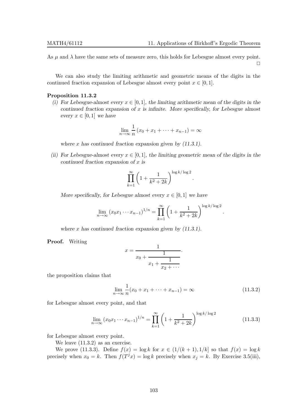.

As  $\mu$  and  $\lambda$  have the same sets of measure zero, this holds for Lebesgue almost every point.  $\Box$ 

We can also study the limiting arithmetic and geometric means of the digits in the continued fraction expansion of Lebesgue almost every point  $x \in [0, 1]$ .

# Proposition 11.3.2

(i) For Lebesgue-almost every  $x \in [0, 1]$ , the limiting arithmetic mean of the digits in the continued fraction expansion of  $x$  is infinite. More specifically, for Lebesgue almost every  $x \in [0, 1]$  we have

$$
\lim_{n \to \infty} \frac{1}{n} (x_0 + x_1 + \dots + x_{n-1}) = \infty
$$

where x has continued fraction expansion given by  $(11.3.1)$ .

(ii) For Lebesgue-almost every  $x \in [0, 1]$ , the limiting geometric mean of the digits in the continued fraction expansion of x is

$$
\prod_{k=1}^{\infty} \left(1 + \frac{1}{k^2 + 2k}\right)^{\log k/\log 2}.
$$

More specifically, for Lebesgue almost every  $x \in [0, 1]$  we have

$$
\lim_{n \to \infty} (x_0 x_1 \cdots x_{n-1})^{1/n} = \prod_{k=1}^{\infty} \left( 1 + \frac{1}{k^2 + 2k} \right)^{\log k / \log 2}
$$

where  $x$  has continued fraction expansion given by  $(11.3.1)$ .

Proof. Writing

$$
x = \frac{1}{x_0 + \frac{1}{x_1 + \frac{1}{x_2 + \dots}}}.
$$

the proposition claims that

$$
\lim_{n \to \infty} \frac{1}{n} (x_0 + x_1 + \dots + x_{n-1}) = \infty
$$
\n(11.3.2)

for Lebesgue almost every point, and that

$$
\lim_{n \to \infty} (x_0 x_1 \cdots x_{n-1})^{1/n} = \prod_{k=1}^{\infty} \left( 1 + \frac{1}{k^2 + 2k} \right)^{\log k / \log 2}
$$
(11.3.3)

for Lebesgue almost every point.

We leave  $(11.3.2)$  as an exercise.

We prove (11.3.3). Define  $f(x) = \log k$  for  $x \in (1/(k+1), 1/k]$  so that  $f(x) = \log k$ precisely when  $x_0 = k$ . Then  $f(T^j x) = \log k$  precisely when  $x_j = k$ . By Exercise 3.5(iii),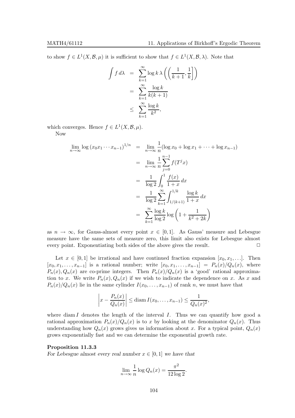to show  $f \in L^1(X, \mathcal{B}, \mu)$  it is sufficient to show that  $f \in L^1(X, \mathcal{B}, \lambda)$ . Note that

$$
\int f \, d\lambda = \sum_{k=1}^{\infty} \log k \lambda \left( \left( \frac{1}{k+1}, \frac{1}{k} \right) \right)
$$

$$
= \sum_{k=1}^{\infty} \frac{\log k}{k(k+1)}
$$

$$
\leq \sum_{k=1}^{\infty} \frac{\log k}{k^2},
$$

which converges. Hence  $f \in L^1(X, \mathcal{B}, \mu)$ . Now

$$
\lim_{n \to \infty} \log (x_0 x_1 \cdots x_{n-1})^{1/n} = \lim_{n \to \infty} \frac{1}{n} (\log x_0 + \log x_1 + \cdots + \log x_{n-1})
$$
  
\n
$$
= \lim_{n \to \infty} \frac{1}{n} \sum_{j=0}^{n-1} f(T^j x)
$$
  
\n
$$
= \frac{1}{\log 2} \int_0^1 \frac{f(x)}{1+x} dx
$$
  
\n
$$
= \frac{1}{\log 2} \sum_{k=1}^{\infty} \int_{1/(k+1)}^{1/k} \frac{\log k}{1+x} dx
$$
  
\n
$$
= \sum_{k=1}^{\infty} \frac{\log k}{\log 2} \log \left(1 + \frac{1}{k^2 + 2k}\right)
$$

as  $n \to \infty$ , for Gauss-almost every point  $x \in [0,1]$ . As Gauss' measure and Lebesgue measure have the same sets of measure zero, this limit also exists for Lebesgue almost every point. Exponentiating both sides of the above gives the result.  $\Box$ 

Let  $x \in [0, 1]$  be irrational and have continued fraction expansion  $[x_0, x_1, \ldots]$ . Then  $[x_0, x_1, \ldots, x_{n-1}]$  is a rational number; write  $[x_0, x_1, \ldots, x_{n-1}] = P_n(x)/Q_n(x)$ , where  $P_n(x), Q_n(x)$  are co-prime integers. Then  $P_n(x)/Q_n(x)$  is a 'good' rational approximation to x. We write  $P_n(x), Q_n(x)$  if we wish to indicate the dependence on x. As x and  $P_n(x)/Q_n(x)$  lie in the same cylinder  $I(x_0, \ldots, x_{n-1})$  of rank n, we must have that

$$
\left|x - \frac{P_n(x)}{Q_n(x)}\right| \leq \text{diam } I(x_0,\ldots,x_{n-1}) \leq \frac{1}{Q_n(x)^2},
$$

where  $\dim I$  denotes the length of the interval  $I$ . Thus we can quantify how good a rational approximation  $P_n(x)/Q_n(x)$  is to x by looking at the denominator  $Q_n(x)$ . Thus understanding how  $Q_n(x)$  grows gives us information about x. For a typical point,  $Q_n(x)$ grows exponentially fast and we can determine the exponential growth rate.

# Proposition 11.3.3

For Lebesgue almost every real number  $x \in [0,1]$  we have that

$$
\lim_{n \to \infty} \frac{1}{n} \log Q_n(x) = \frac{\pi^2}{12 \log 2}.
$$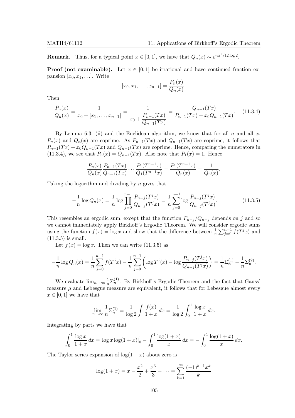**Remark.** Thus, for a typical point  $x \in [0, 1]$ , we have that  $Q_n(x) \sim e^{n\pi^2/12 \log 2}$ .

**Proof (not examinable).** Let  $x \in [0,1]$  be irrational and have continued fraction expansion  $[x_0, x_1, \ldots]$ . Write

$$
[x_0, x_1, \dots, x_{n-1}] = \frac{P_n(x)}{Q_n(x)}.
$$

Then

$$
\frac{P_n(x)}{Q_n(x)} = \frac{1}{x_0 + [x_1, \dots, x_{n-1}]} = \frac{1}{x_0 + \frac{P_{n-1}(Tx)}{Q_{n-1}(Tx)}} = \frac{Q_{n-1}(Tx)}{P_{n-1}(Tx) + x_0 Q_{n-1}(Tx)}.
$$
(11.3.4)

By Lemma 6.3.1(ii) and the Euclidean algorithm, we know that for all n and all x,  $P_n(x)$  and  $Q_n(x)$  are coprime. As  $P_{n-1}(Tx)$  and  $Q_{n-1}(Tx)$  are coprime, it follows that  $P_{n-1}(Tx) + x_0 Q_{n-1}(Tx)$  and  $Q_{n-1}(Tx)$  are coprime. Hence, comparing the numerators in (11.3.4), we see that  $P_n(x) = Q_{n-1}(Tx)$ . Also note that  $P_1(x) = 1$ . Hence

$$
\frac{P_n(x)}{Q_n(x)} \frac{P_{n-1}(Tx)}{Q_{n-1}(Tx)} \cdots \frac{P_1(T^{n-1}x)}{Q_1(T^{n-1}x)} = \frac{P_1(T^{n-1}x)}{Q_n(x)} = \frac{1}{Q_n(x)}.
$$

Taking the logarithm and dividing by  $n$  gives that

$$
-\frac{1}{n}\log Q_n(x) = \frac{1}{n}\log\prod_{j=0}^{n-1}\frac{P_{n-j}(T^jx)}{Q_{n-j}(T^jx)} = \frac{1}{n}\sum_{j=0}^{n-1}\log\frac{P_{n-j}(T^jx)}{Q_{n-j}(T^jx)}.
$$
(11.3.5)

This resembles an ergodic sum, except that the function  $P_{n-j}/Q_{n-j}$  depends on j and so we cannot immediately apply Birkhoff's Ergodic Theorem. We will consider ergodic sums using the function  $f(x) = \log x$  and show that the difference between  $\frac{1}{n} \sum_{j=0}^{n-1} f(T^j x)$  and  $(11.3.5)$  is small.

Let  $f(x) = \log x$ . Then we can write (11.3.5) as

$$
-\frac{1}{n}\log Q_n(x) = \frac{1}{n}\sum_{j=0}^{n-1} f(T^j x) - \frac{1}{n}\sum_{j=0}^{n-1} \left(\log T^j(x) - \log \frac{P_{n-j}(T^j x)}{Q_{n-j}(T^j x)}\right) = \frac{1}{n}\sum_{n=0}^{n-1} \left(\frac{1}{n}\sum_{j=0}^{n-1} P_{n-j}(T^j x)\right)
$$

We evaluate  $\lim_{n\to\infty}\frac{1}{n}\Sigma_n^{(1)}$ . By Birkhoff's Ergodic Theorem and the fact that Gauss' measure  $\mu$  and Lebesgue measure are equivalent, it follows that for Lebesgue almost every  $x \in [0, 1]$  we have that

$$
\lim_{n \to \infty} \frac{1}{n} \Sigma_n^{(1)} = \frac{1}{\log 2} \int \frac{f(x)}{1+x} \, dx = \frac{1}{\log 2} \int_0^1 \frac{\log x}{1+x} \, dx.
$$

Integrating by parts we have that

$$
\int_0^1 \frac{\log x}{1+x} dx = \log x \log(1+x) \Big|_0^1 - \int_0^1 \frac{\log(1+x)}{x} dx = -\int_0^1 \frac{\log(1+x)}{x} dx.
$$

The Taylor series expansion of  $log(1 + x)$  about zero is

$$
\log(1+x) = x - \frac{x^2}{2} + \frac{x^3}{3} - \dots = \sum_{k=1}^{\infty} \frac{(-1)^{k-1} x^k}{k}
$$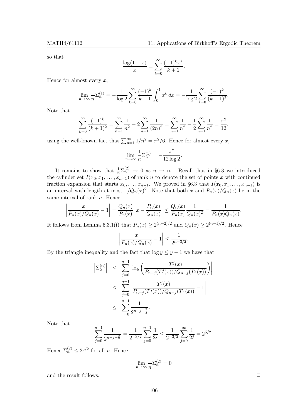so that

$$
\frac{\log(1+x)}{x} = \sum_{k=0}^{\infty} \frac{(-1)^k x^k}{k+1}.
$$

Hence for almost every  $x$ ,

$$
\lim_{n \to \infty} \frac{1}{n} \Sigma_n^{(1)} = -\frac{1}{\log 2} \sum_{k=0}^{\infty} \frac{(-1)^k}{k+1} \int_0^1 x^k dx = -\frac{1}{\log 2} \sum_{k=0}^{\infty} \frac{(-1)^k}{(k+1)^2}.
$$

Note that

$$
\sum_{k=0}^{\infty} \frac{(-1)^k}{(k+1)^2} = \sum_{n=1}^{\infty} \frac{1}{n^2} - 2 \sum_{n=1}^{\infty} \frac{1}{(2n)^2} = \sum_{n=1}^{\infty} \frac{1}{n^2} - \frac{1}{2} \sum_{n=1}^{\infty} \frac{1}{n^2} = \frac{\pi^2}{12},
$$

using the well-known fact that  $\sum_{n=1}^{\infty} 1/n^2 = \pi^2/6$ . Hence for almost every x,

$$
\lim_{n \to \infty} \frac{1}{n} \Sigma_n^{(1)} = -\frac{\pi^2}{12 \log 2}.
$$

It remains to show that  $\frac{1}{n} \Sigma_n^{(2)} \to 0$  as  $n \to \infty$ . Recall that in §6.3 we introduced the cylinder set  $I(x_0, x_1, \ldots, x_{n-1})$  of rank n to denote the set of points x with continued fraction expansion that starts  $x_0, \ldots, x_{n-1}$ . We proved in §6.3 that  $I(x_0, x_1, \ldots, x_{n-1})$  is an interval with length at most  $1/Q_n(x)^2$ . Note that both x and  $P_n(x)/Q_n(x)$  lie in the same interval of rank n. Hence

$$
\left|\frac{x}{P_n(x)/Q_n(x)} - 1\right| = \frac{Q_n(x)}{P_n(x)} \left| x - \frac{P_n(x)}{Q_n(x)} \right| \le \frac{Q_n(x)}{P_n(x)} \frac{1}{Q_n(x)^2} = \frac{1}{P_n(x)Q_n(x)}.
$$

It follows from Lemma 6.3.1(i) that  $P_n(x) \ge 2^{(n-2)/2}$  and  $Q_n(x) \ge 2^{(n-1)/2}$ . Hence

$$
\left| \frac{x}{P_n(x)/Q_n(x)} - 1 \right| \le \frac{1}{2^{n-3/2}}.
$$

By the triangle inequality and the fact that  $\log y \leq y - 1$  we have that

$$
\left| \Sigma_2^{(n)} \right| \leq \sum_{j=0}^{n-1} \left| \log \left( \frac{T^j(x)}{P_{n-j}(T^j(x))/Q_{n-j}(T^j(x))} \right) \right|
$$
  

$$
\leq \sum_{j=0}^{n-1} \left| \frac{T^j(x)}{P_{n-j}(T^j(x))/Q_{n-j}(T^j(x))} - 1 \right|
$$
  

$$
\leq \sum_{j=0}^{n-1} \frac{1}{2^{n-j-\frac{3}{2}}}.
$$

Note that

$$
\sum_{j=0}^{n-1} \frac{1}{2^{n-j-\frac{3}{2}}} = \frac{1}{2^{-3/2}} \sum_{j=0}^{n-1} \frac{1}{2^j} \le \frac{1}{2^{-3/2}} \sum_{j=0}^{\infty} \frac{1}{2^j} = 2^{5/2}.
$$

Hence  $\Sigma_n^{(2)} \leq 2^{5/2}$  for all *n*. Hence

$$
\lim_{n \to \infty} \frac{1}{n} \Sigma_n^{(2)} = 0
$$

and the result follows.  $\Box$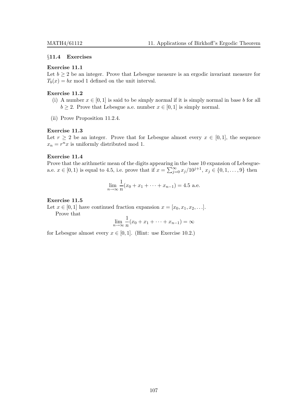#### §11.4 Exercises

## Exercise 11.1

Let  $b \geq 2$  be an integer. Prove that Lebesgue measure is an ergodic invariant measure for  $T_b(x) = bx \mod 1$  defined on the unit interval.

# Exercise 11.2

- (i) A number  $x \in [0,1]$  is said to be simply normal if it is simply normal in base b for all  $b \geq 2$ . Prove that Lebesgue a.e. number  $x \in [0, 1]$  is simply normal.
- (ii) Prove Proposition 11.2.4.

#### Exercise 11.3

Let  $r \geq 2$  be an integer. Prove that for Lebesgue almost every  $x \in [0,1]$ , the sequence  $x_n = r^n x$  is uniformly distributed mod 1.

# Exercise 11.4

Prove that the arithmetic mean of the digits appearing in the base 10 expansion of Lebesguea.e.  $x \in [0, 1)$  is equal to 4.5, i.e. prove that if  $x = \sum_{j=0}^{\infty} x_j/10^{j+1}, x_j \in \{0, 1, ..., 9\}$  then

$$
\lim_{n \to \infty} \frac{1}{n} (x_0 + x_1 + \dots + x_{n-1}) = 4.5 \text{ a.e.}
$$

#### Exercise 11.5

Let  $x \in [0,1]$  have continued fraction expansion  $x = [x_0, x_1, x_2, \ldots]$ .

Prove that

$$
\lim_{n \to \infty} \frac{1}{n}(x_0 + x_1 + \dots + x_{n-1}) = \infty
$$

for Lebesgue almost every  $x \in [0, 1]$ . (Hint: use Exercise 10.2.)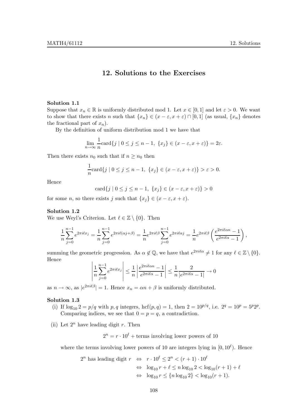# 12. Solutions to the Exercises

#### Solution 1.1

Suppose that  $x_n \in \mathbb{R}$  is uniformly distributed mod 1. Let  $x \in [0,1]$  and let  $\varepsilon > 0$ . We want to show that there exists n such that  $\{x_n\} \in (x - \varepsilon, x + \varepsilon) \cap [0, 1]$  (as usual,  $\{x_n\}$  denotes the fractional part of  $x_n$ ).

By the definition of uniform distribution mod 1 we have that

$$
\lim_{n \to \infty} \frac{1}{n} \text{card}\{j \mid 0 \le j \le n-1, \ \{x_j\} \in (x - \varepsilon, x + \varepsilon)\} = 2\varepsilon.
$$

Then there exists  $n_0$  such that if  $n \geq n_0$  then

$$
\frac{1}{n}\text{card}\{j \mid 0 \le j \le n-1, \ \{x_j\} \in (x-\varepsilon, x+\varepsilon)\} > \varepsilon > 0.
$$

Hence

$$
card{j | 0 \le j \le n-1, \{x_j\} \in (x-\varepsilon, x+\varepsilon)\} > 0
$$

for some n, so there exists j such that  $\{x_i\} \in (x - \varepsilon, x + \varepsilon)$ .

#### Solution 1.2

We use Weyl's Criterion. Let  $\ell \in \mathbb{Z} \setminus \{0\}$ . Then

$$
\frac{1}{n}\sum_{j=0}^{n-1}e^{2\pi i \ell x_j} = \frac{1}{n}\sum_{j=0}^{n-1}e^{2\pi i \ell(\alpha j+\beta)} = \frac{1}{n}e^{2\pi i \ell \beta}\sum_{j=0}^{n-1}e^{2\pi i \ell \alpha j} = \frac{1}{n}e^{2\pi i \ell \beta}\left(\frac{e^{2\pi i \ell \alpha n} - 1}{e^{2\pi i \ell \alpha} - 1}\right),
$$

summing the geometric progression. As  $\alpha \notin \mathbb{Q}$ , we have that  $e^{2\pi i \ell \alpha} \neq 1$  for any  $\ell \in \mathbb{Z} \setminus \{0\}$ . Hence

$$
\left| \frac{1}{n} \sum_{j=0}^{n-1} e^{2\pi i \ell x_j} \right| \le \frac{1}{n} \left| \frac{e^{2\pi i \ell \alpha n} - 1}{e^{2\pi i \ell \alpha} - 1} \right| \le \frac{1}{n} \frac{2}{|e^{2\pi i \ell \alpha} - 1|} \to 0
$$

as  $n \to \infty$ , as  $|e^{2\pi i \ell \beta}| = 1$ . Hence  $x_n = \alpha n + \beta$  is uniformly distributed.

### Solution 1.3

- (i) If  $\log_{10} 2 = p/q$  with p, q integers,  $\mathrm{hcf}(p,q) = 1$ , then  $2 = 10^{p/q}$ , i.e.  $2^q = 10^p = 5^p 2^p$ . Comparing indices, we see that  $0 = p = q$ , a contradiction.
- (ii) Let  $2^n$  have leading digit r. Then

 $2^{n} = r \cdot 10^{\ell} + \text{terms involving lower powers of } 10$ 

where the terms involving lower powers of 10 are integers lying in  $[0, 10^{\ell})$ . Hence

$$
2^n \text{ has leading digit } r \Leftrightarrow r \cdot 10^{\ell} \le 2^n < (r+1) \cdot 10^{\ell} \\
 \Leftrightarrow \log_{10} r + \ell < n \log_{10} 2 < \log_{10} (r+1) + \ell \\
 \Leftrightarrow \log_{10} r \le \{n \log_{10} 2\} < \log_{10} (r+1).
$$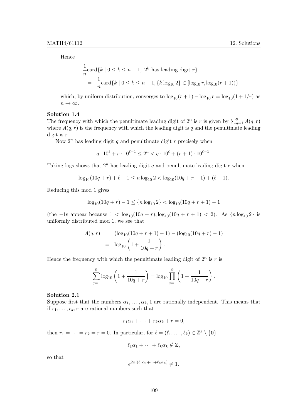Hence

$$
\frac{1}{n}\text{card}\{k \mid 0 \le k \le n-1, 2^k \text{ has leading digit } r\}
$$
\n
$$
= \frac{1}{n}\text{card}\{k \mid 0 \le k \le n-1, \{k \log_{10} 2\} \in [\log_{10} r, \log_{10}(r+1))\}
$$

which, by uniform distribution, converges to  $\log_{10}(r+1) - \log_{10} r = \log_{10}(1 + 1/r)$  as  $n\to\infty.$ 

# Solution 1.4

The frequency with which the penultimate leading digit of  $2^n$  is r is given by  $\sum_{q=1}^{9} A(q, r)$ where  $A(q, r)$  is the frequency with which the leading digit is q and the penultimate leading digit is r.

Now  $2^n$  has leading digit q and penultimate digit r precisely when

$$
q \cdot 10^{\ell} + r \cdot 10^{\ell - 1} \le 2^{n} < q \cdot 10^{\ell} + (r + 1) \cdot 10^{\ell - 1}.
$$

Taking logs shows that  $2^n$  has leading digit q and penultimate leading digit r when

$$
\log_{10}(10q+r) + \ell - 1 \le n \log_{10} 2 < \log_{10}(10q+r+1) + (\ell - 1).
$$

Reducing this mod 1 gives

$$
\log_{10}(10q+r) - 1 \le \{n \log_{10} 2\} < \log_{10}(10q+r+1) - 1
$$

(the -1s appear because  $1 < \log_{10}(10q + r)$ ,  $\log_{10}(10q + r + 1) < 2$ ). As  ${n \log_{10} 2}$  is uniformly distributed mod 1, we see that

$$
A(q,r) = (\log_{10}(10q + r + 1) - 1) - (\log_{10}(10q + r) - 1)
$$
  
=  $\log_{10}\left(1 + \frac{1}{10q + r}\right)$ .

Hence the frequency with which the penultimate leading digit of  $2^n$  is r is

$$
\sum_{q=1}^{9} \log_{10} \left( 1 + \frac{1}{10q + r} \right) = \log_{10} \prod_{q=1}^{9} \left( 1 + \frac{1}{10q + r} \right).
$$

#### Solution 2.1

Suppose first that the numbers  $\alpha_1, \ldots, \alpha_k, 1$  are rationally independent. This means that if  $r_1, \ldots, r_k, r$  are rational numbers such that

$$
r_1\alpha_1 + \cdots + r_k\alpha_k + r = 0,
$$

then  $r_1 = \cdots = r_k = r = 0$ . In particular, for  $\ell = (\ell_1, \ldots, \ell_k) \in \mathbb{Z}^k \setminus \{0\}$ 

$$
\ell_1\alpha_1+\cdots+\ell_k\alpha_k\notin\mathbb{Z},
$$

so that

$$
e^{2\pi i(\ell_1\alpha_1+\cdots+\ell_k\alpha_k)} \neq 1.
$$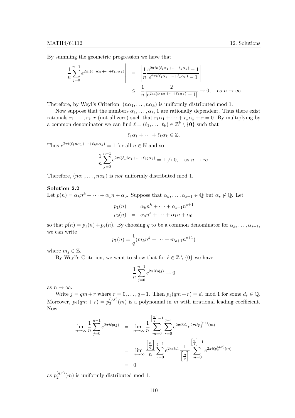By summing the geometric progression we have that

$$
\left| \frac{1}{n} \sum_{j=0}^{n-1} e^{2\pi i (\ell_1 j \alpha_1 + \dots + \ell_k j \alpha_k)} \right| = \left| \frac{1}{n} \frac{e^{2\pi i n (\ell_1 \alpha_1 + \dots + \ell_k \alpha_k)} - 1}{e^{2\pi i (\ell_1 \alpha_1 + \dots + \ell_k \alpha_k)} - 1} \right|
$$
  

$$
\leq \frac{1}{n} \frac{2}{|e^{2\pi i (\ell_1 \alpha_1 + \dots + \ell_k \alpha_k)} - 1|} \to 0, \text{ as } n \to \infty.
$$

Therefore, by Weyl's Criterion,  $(n\alpha_1, \ldots, n\alpha_k)$  is uniformly distributed mod 1.

Now suppose that the numbers  $\alpha_1, \ldots, \alpha_k$ , 1 are rationally dependent. Thus there exist rationals  $r_1, \ldots, r_k, r$  (not all zero) such that  $r_1\alpha_1 + \cdots + r_k\alpha_k + r = 0$ . By multiplying by a common denominator we can find  $\ell = (\ell_1, \ldots, \ell_k) \in \mathbb{Z}^k \setminus \{0\}$  such that

 $\ell_1\alpha_1 + \cdots + \ell_k\alpha_k \in \mathbb{Z}$ .

Thus  $e^{2\pi i(\ell_1 n\alpha_1 + \cdots + \ell_k n\alpha_k)} = 1$  for all  $n \in \mathbb{N}$  and so

$$
\frac{1}{n}\sum_{j=0}^{n-1}e^{2\pi i(\ell_1 j\alpha_1+\cdots+\ell_k j\alpha_k)} = 1 \neq 0, \text{ as } n \to \infty.
$$

Therefore,  $(n\alpha_1, \ldots, n\alpha_k)$  is not uniformly distributed mod 1.

#### Solution 2.2

Let  $p(n) = \alpha_k n^k + \cdots + \alpha_1 n + \alpha_0$ . Suppose that  $\alpha_k, \ldots, \alpha_{s+1} \in \mathbb{Q}$  but  $\alpha_s \notin \mathbb{Q}$ . Let

$$
p_1(n) = \alpha_k n^k + \dots + \alpha_{s+1} n^{s+1}
$$
  

$$
p_2(n) = \alpha_s n^s + \dots + \alpha_1 n + \alpha_0
$$

so that  $p(n) = p_1(n) + p_2(n)$ . By choosing q to be a common denominator for  $\alpha_k, \ldots, \alpha_{s+1}$ , we can write

$$
p_1(n) = \frac{1}{q}(m_k n^k + \dots + m_{s+1} n^{s+1})
$$

where  $m_j \in \mathbb{Z}$ .

By Weyl's Criterion, we want to show that for  $\ell \in \mathbb{Z} \setminus \{0\}$  we have

$$
\frac{1}{n} \sum_{j=0}^{n-1} e^{2\pi i \ell p(j)} \to 0
$$

as  $n \to \infty$ .

Write  $j = qm + r$  where  $r = 0, \ldots, q-1$ . Then  $p_1(qm+r) = d_r \mod 1$  for some  $d_r \in \mathbb{Q}$ . Moreover,  $p_2(qm + r) = p_2^{(q,r)}$  $2^{(q,r)}(m)$  is a polynomial in m with irrational leading coefficient. Now

$$
\lim_{n \to \infty} \frac{1}{n} \sum_{j=0}^{n-1} e^{2\pi i \ell p(j)} = \lim_{n \to \infty} \frac{1}{n} \sum_{m=0}^{\left[\frac{n}{q}\right]-1} \sum_{r=0}^{q-1} e^{2\pi i \ell d_r} e^{2\pi i \ell p_2^{(q,r)}(m)}
$$
\n
$$
= \lim_{n \to \infty} \frac{\left[\frac{n}{q}\right]}{n} \sum_{r=0}^{q-1} e^{2\pi i \ell d_r} \frac{1}{\left[\frac{n}{q}\right]} \sum_{m=0}^{\left[\frac{n}{q}\right]-1} e^{2\pi i \ell p_2^{(q,r)}(m)}
$$
\n
$$
= 0
$$

as  $p_2^{(q,r)}$  $\mathcal{L}_2^{(q,r)}(m)$  is uniformly distributed mod 1.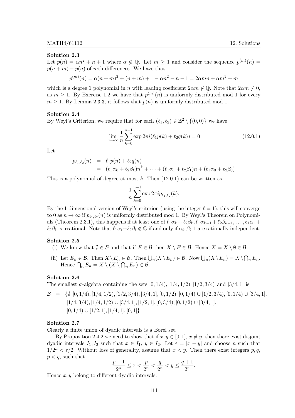Let  $p(n) = \alpha n^2 + n + 1$  where  $\alpha \notin \mathbb{Q}$ . Let  $m \ge 1$  and consider the sequence  $p^{(m)}(n) =$  $p(n + m) - p(n)$  of mth differences. We have that

$$
p^{(m)}(n) = \alpha(n+m)^2 + (n+m) + 1 - \alpha n^2 - n - 1 = 2\alpha mn + \alpha m^2 + m
$$

which is a degree 1 polynomial in n with leading coefficient  $2 \alpha m \notin \mathbb{Q}$ . Note that  $2 \alpha m \neq 0$ , as  $m \geq 1$ . By Exercise 1.2 we have that  $p^{(m)}(n)$  is uniformly distributed mod 1 for every  $m \geq 1$ . By Lemma 2.3.3, it follows that  $p(n)$  is uniformly distributed mod 1.

# Solution 2.4

By Weyl's Criterion, we require that for each  $(\ell_1, \ell_2) \in \mathbb{Z}^2 \setminus \{(0,0)\}\$ we have

$$
\lim_{n \to \infty} \frac{1}{n} \sum_{k=0}^{n-1} \exp 2\pi i (\ell_1 p(k) + \ell_2 q(k)) = 0
$$
\n(12.0.1)

Let

$$
p_{\ell_1,\ell_2}(n) = \ell_1 p(n) + \ell_2 q(n)
$$
  
=  $(\ell_1 \alpha_k + \ell_2 \beta_k) n^k + \cdots + (\ell_1 \alpha_1 + \ell_2 \beta_1) n + (\ell_1 \alpha_0 + \ell_2 \beta_0)$ 

This is a polynomial of degree at most  $k$ . Then  $(12.0.1)$  can be written as

$$
\frac{1}{n}\sum_{k=0}^{n-1}\exp 2\pi i p_{\ell_1,\ell_2}(k).
$$

By the 1-dimensional version of Weyl's criterion (using the integer  $\ell = 1$ ), this will converge to 0 as  $n \to \infty$  if  $p_{\ell_1,\ell_2}(n)$  is uniformly distributed mod 1. By Weyl's Theorem on Polynomials (Theorem 2.3.1), this happens if at least one of  $\ell_1\alpha_k + \ell_2\beta_k, \ell_1\alpha_{k-1} + \ell_2\beta_{k-1}, \ldots, \ell_1\alpha_1 + \ell_2\alpha_2$  $\ell_2\beta_1$  is irrational. Note that  $\ell_1\alpha_i+\ell_2\beta_i \notin \mathbb{Q}$  if and only if  $\alpha_i, \beta_i, 1$  are rationally independent.

# Solution 2.5

- (i) We know that  $\emptyset \in \mathcal{B}$  and that if  $E \in \mathcal{B}$  then  $X \setminus E \in \mathcal{B}$ . Hence  $X = X \setminus \emptyset \in \mathcal{B}$ .
- (ii) Let  $E_n \in \mathcal{B}$ . Then  $X \setminus E_n \in \mathcal{B}$ . Then  $\bigcup_n (X \setminus E_n) \in \mathcal{B}$ . Now  $\bigcup_n (X \setminus E_n) = X \setminus \bigcap_n E_n$ . Hence  $\bigcap_n E_n = X \setminus (X \setminus \bigcap_n E_n) \in \mathcal{B}$ .

# Solution 2.6

The smallest  $\sigma$ -algebra containing the sets  $[0, 1/4), [1/4, 1/2), [1/2, 3/4)$  and  $[3/4, 1]$  is

 $\mathcal{B} = \{\emptyset, [0, 1/4), [1/4, 1/2), [1/2, 3/4), [3/4, 1], [0, 1/2), [0, 1/4) \cup [1/2, 3/4), [0, 1/4) \cup [3/4, 1],\}$  $[1/4, 3/4), [1/4, 1/2) \cup [3/4, 1], [1/2, 1], [0, 3/4), [0, 1/2) \cup [3/4, 1],$  $[0, 1/4) \cup [1/2, 1], [1/4, 1], [0, 1]$ 

### Solution 2.7

Clearly a finite union of dyadic intervals is a Borel set.

By Proposition 2.4.2 we need to show that if  $x, y \in [0, 1], x \neq y$ , then there exist disjoint dyadic intervals  $I_1, I_2$  such that  $x \in I_1, y \in I_2$ . Let  $\varepsilon = |x - y|$  and choose n such that  $1/2^{n} < \varepsilon/2$ . Without loss of generality, assume that  $x < y$ . Then there exist integers p, q,  $p < q$ , such that

$$
\frac{p-1}{2^n} \le x < \frac{p}{2^n} < \frac{q}{2^n} < y \le \frac{q+1}{2^n}.
$$

Hence  $x, y$  belong to different dyadic intervals.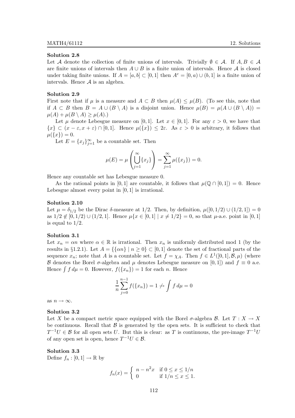#### Solution 2.8

Let A denote the collection of finite unions of intervals. Trivially  $\emptyset \in \mathcal{A}$ . If  $A, B \in \mathcal{A}$ are finite unions of intervals then  $A \cup B$  is a finite union of intervals. Hence  $A$  is closed under taking finite unions. If  $A = [a, b] \subset [0, 1]$  then  $A<sup>c</sup> = [0, a] \cup (b, 1]$  is a finite union of intervals. Hence  $A$  is an algebra.

## Solution 2.9

First note that if  $\mu$  is a measure and  $A \subset B$  then  $\mu(A) \leq \mu(B)$ . (To see this, note that if  $A \subset B$  then  $B = A \cup (B \setminus A)$  is a disjoint union. Hence  $\mu(B) = \mu(A \cup (B \setminus A))$  $\mu(A) + \mu(B \setminus A) \geq \mu(A).$ 

Let  $\mu$  denote Lebesgue measure on [0, 1]. Let  $x \in [0, 1]$ . For any  $\varepsilon > 0$ , we have that  ${x \in (x - \varepsilon, x + \varepsilon) \cap [0, 1]}$ . Hence  $\mu({x}) \leq 2\varepsilon$ . As  $\varepsilon > 0$  is arbitrary, it follows that  $\mu({x}) = 0.$ 

Let  $E = \{x_j\}_{j=1}^{\infty}$  be a countable set. Then

$$
\mu(E) = \mu\left(\bigcup_{j=1}^{\infty} \{x_j\}\right) = \sum_{j=1}^{\infty} \mu(\{x_j\}) = 0.
$$

Hence any countable set has Lebesgue measure 0.

As the rational points in [0, 1] are countable, it follows that  $\mu(\mathbb{Q} \cap [0,1]) = 0$ . Hence Lebesgue almost every point in  $[0, 1]$  is irrational.

#### Solution 2.10

Let  $\mu = \delta_{1/2}$  be the Dirac  $\delta$ -measure at 1/2. Then, by definition,  $\mu([0, 1/2) \cup (1/2, 1]) = 0$ as  $1/2 \notin [0, 1/2) \cup (1/2, 1]$ . Hence  $\mu\{x \in [0, 1] \mid x \neq 1/2\} = 0$ , so that  $\mu$ -a.e. point in [0, 1] is equal to 1/2.

# Solution 3.1

Let  $x_n = \alpha n$  where  $\alpha \in \mathbb{R}$  is irrational. Then  $x_n$  is uniformly distributed mod 1 (by the results in §1.2.1). Let  $A = {\{\alpha n\} \mid n \ge 0\} \subset [0,1]$  denote the set of fractional parts of the sequence  $x_n$ ; note that A is a countable set. Let  $f = \chi_A$ . Then  $f \in L^1([0,1], \mathcal{B}, \mu)$  (where B denotes the Borel  $\sigma$ -algebra and  $\mu$  denotes Lebesgue measure on [0,1]) and  $f \equiv 0$  a.e. Hence  $\int f d\mu = 0$ . However,  $f({x_n}) = 1$  for each n. Hence

$$
\frac{1}{n}\sum_{j=0}^{n-1} f(\{x_n\}) = 1 \nleftrightarrow \int f d\mu = 0
$$

as  $n \to \infty$ .

#### Solution 3.2

Let X be a compact metric space equipped with the Borel  $\sigma$ -algebra B. Let  $T : X \to X$ be continuous. Recall that  $\beta$  is generated by the open sets. It is sufficient to check that  $T^{-1}U \in \mathcal{B}$  for all open sets U. But this is clear: as T is continuous, the pre-image  $T^{-1}U$ of any open set is open, hence  $T^{-1}U \in \mathcal{B}$ .

# Solution 3.3

Define  $f_n : [0,1] \to \mathbb{R}$  by

$$
f_n(x) = \begin{cases} n - n^2 x & \text{if } 0 \le x \le 1/n \\ 0 & \text{if } 1/n \le x \le 1. \end{cases}
$$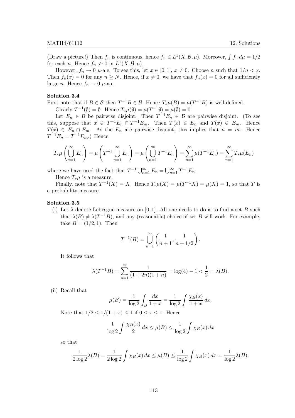(Draw a picture!) Then  $f_n$  is continuous, hence  $f_n \in L^1(X, \mathcal{B}, \mu)$ . Moreover,  $\int f_n d\mu = 1/2$ for each *n*. Hence  $f_n \nightharpoonup 0$  in  $L^1(X, \mathcal{B}, \mu)$ .

However,  $f_n \to 0$   $\mu$ -a.e. To see this, let  $x \in [0,1]$ ,  $x \neq 0$ . Choose n such that  $1/n < x$ . Then  $f_n(x) = 0$  for any  $n \geq N$ . Hence, if  $x \neq 0$ , we have that  $f_n(x) = 0$  for all sufficiently large *n*. Hence  $f_n \to 0$   $\mu$ -a.e.

# Solution 3.4

First note that if  $B \in \mathcal{B}$  then  $T^{-1}B \in \mathcal{B}$ . Hence  $T_*\mu(B) = \mu(T^{-1}B)$  is well-defined.

Clearly  $T^{-1}(\emptyset) = \emptyset$ . Hence  $T_*\mu(\emptyset) = \mu(T^{-1}\emptyset) = \mu(\emptyset) = 0$ .

Let  $E_n \in \mathcal{B}$  be pairwise disjoint. Then  $T^{-1}E_n \in \mathcal{B}$  are pairwise disjoint. (To see this, suppose that  $x \in T^{-1}E_n \cap T^{-1}E_m$ . Then  $T(x) \in E_n$  and  $T(x) \in E_m$ . Hence  $T(x) \in E_n \cap E_m$ . As the  $E_n$  are pairwise disjoint, this implies that  $n = m$ . Hence  $T^{-1}E_n = T^{-1}E_m$ .) Hence

$$
T_*\mu\left(\bigcup_{n=1}^{\infty} E_n\right) = \mu\left(T^{-1}\bigcup_{n=1}^{\infty} E_n\right) = \mu\left(\bigcup_{n=1}^{\infty} T^{-1}E_n\right) = \sum_{n=1}^{\infty} \mu(T^{-1}E_n) = \sum_{n=1}^{\infty} T_*\mu(E_n)
$$

where we have used the fact that  $T^{-1}\bigcup_{n=1}^{\infty} E_n = \bigcup_{n=1}^{\infty} T^{-1}E_n$ .

Hence  $T_*\mu$  is a measure.

Finally, note that  $T^{-1}(X) = X$ . Hence  $T_*\mu(X) = \mu(T^{-1}X) = \mu(X) = 1$ , so that T is a probability measure.

# Solution 3.5

(i) Let  $\lambda$  denote Lebesgue measure on [0, 1]. All one needs to do is to find a set B such that  $\lambda(B) \neq \lambda(T^{-1}B)$ , and any (reasonable) choice of set B will work. For example, take  $B = (1/2, 1)$ . Then

$$
T^{-1}(B) = \bigcup_{n=1}^{\infty} \left( \frac{1}{n+1}, \frac{1}{n+1/2} \right).
$$

It follows that

$$
\lambda(T^{-1}B) = \sum_{n=1}^{\infty} \frac{1}{(1+2n)(1+n)} = \log(4) - 1 < \frac{1}{2} = \lambda(B).
$$

(ii) Recall that

$$
\mu(B) = \frac{1}{\log 2} \int_B \frac{dx}{1+x} = \frac{1}{\log 2} \int \frac{\chi_B(x)}{1+x} \, dx.
$$

Note that  $1/2 \leq 1/(1+x) \leq 1$  if  $0 \leq x \leq 1$ . Hence

$$
\frac{1}{\log 2} \int \frac{\chi_B(x)}{2} dx \le \mu(B) \le \frac{1}{\log 2} \int \chi_B(x) dx
$$

so that

$$
\frac{1}{2\log 2}\lambda(B) = \frac{1}{2\log 2}\int \chi_B(x) dx \le \mu(B) \le \frac{1}{\log 2}\int \chi_B(x) dx = \frac{1}{\log 2}\lambda(B).
$$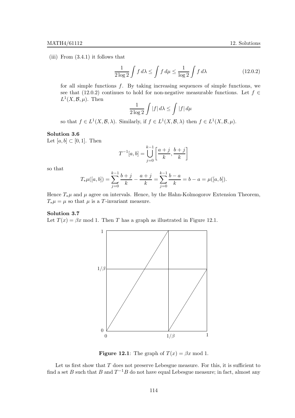(iii) From  $(3.4.1)$  it follows that

$$
\frac{1}{2\log 2} \int f \, d\lambda \le \int f \, d\mu \le \frac{1}{\log 2} \int f \, d\lambda \tag{12.0.2}
$$

for all simple functions  $f$ . By taking increasing sequences of simple functions, we see that (12.0.2) continues to hold for non-negative measurable functions. Let  $f \in$  $L^1(X, \mathcal{B}, \mu)$ . Then

$$
\frac{1}{2\log 2}\int |f| \, d\lambda \le \int |f| \, d\mu
$$

so that  $f \in L^1(X, \mathcal{B}, \lambda)$ . Similarly, if  $f \in L^1(X, \mathcal{B}, \lambda)$  then  $f \in L^1(X, \mathcal{B}, \mu)$ .

# Solution 3.6

Let  $[a, b] \subset [0, 1]$ . Then

$$
T^{-1}[a,b] = \bigcup_{j=0}^{k-1} \left[ \frac{a+j}{k}, \frac{b+j}{k} \right]
$$

so that

$$
T_*\mu([a,b]) = \sum_{j=0}^{k-1} \frac{b+j}{k} - \frac{a+j}{k} = \sum_{j=0}^{k-1} \frac{b-a}{k} = b - a = \mu([a,b]).
$$

Hence  $T_*\mu$  and  $\mu$  agree on intervals. Hence, by the Hahn-Kolmogorov Extension Theorem,  $T_*\mu = \mu$  so that  $\mu$  is a T-invariant measure.

### Solution 3.7

Let  $T(x) = \beta x \mod 1$ . Then T has a graph as illustrated in Figure 12.1.



**Figure 12.1:** The graph of  $T(x) = \beta x \text{ mod } 1$ .

Let us first show that  $T$  does not preserve Lebesgue measure. For this, it is sufficient to find a set B such that B and  $T^{-1}B$  do not have equal Lebesgue measure; in fact, almost any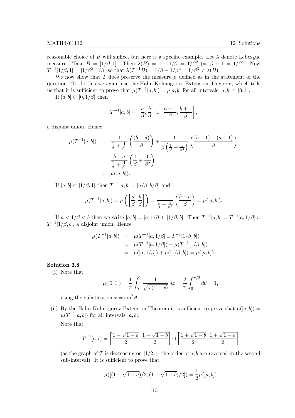reasonable choice of B will suffice, but here is a specific example. Let  $\lambda$  denote Lebesgue measure. Take  $B = [1/\beta, 1]$ . Then  $\lambda(B) = 1 - 1/\beta = 1/\beta^2$  (as  $\beta - 1 = 1/\beta$ ). Now  $T^{-1}[1/\beta, 1] = [1/\beta^2, 1/\beta]$  so that  $\lambda(T^{-1}B) = 1/\beta - 1/\beta^2 = 1/\beta^3 \neq \lambda(B)$ .

We now show that  $T$  does preserve the measure  $\mu$  defined as in the statement of the question. To do this we again use the Hahn-Kolmogorov Extension Theorem, which tells us that it is sufficient to prove that  $\mu(T^{-1}[a, b]) = \mu[a, b]$  for all intervals  $[a, b] \subset [0, 1]$ .

If  $[a, b] \subset [0, 1/\beta]$  then

$$
T^{-1}[a,b] = \left[\frac{a}{\beta}, \frac{b}{\beta}\right] \cup \left[\frac{a+1}{\beta}, \frac{b+1}{\beta}\right],
$$

a disjoint union. Hence,

$$
\mu(T^{-1}[a, b]) = \frac{1}{\frac{1}{\beta} + \frac{1}{\beta^3}} \left( \frac{(b - a)}{\beta} \right) + \frac{1}{\beta \left( \frac{1}{\beta} + \frac{1}{\beta^3} \right)} \left( \frac{(b + 1) - (a + 1)}{\beta} \right)
$$
  
= 
$$
\frac{b - a}{\frac{1}{\beta} + \frac{1}{\beta^3}} \left( \frac{1}{\beta} + \frac{1}{\beta^2} \right)
$$
  
= 
$$
\mu([a, b]).
$$

If  $[a, b] \subset [1/\beta, 1]$  then  $T^{-1}[a, b] = [a/\beta, b/\beta]$  and

$$
\mu(T^{-1}[a,b]) = \mu\left(\left[\frac{a}{\beta},\frac{b}{\beta}\right]\right) = \frac{1}{\frac{1}{\beta} + \frac{1}{\beta^3}}\left(\frac{b-a}{\beta}\right) = \mu([a,b]).
$$

If  $a < 1/\beta < b$  then we write  $[a, b] = [a, 1/\beta] \cup [1/\beta, b]$ . Then  $T^{-1}[a, b] = T^{-1}[a, 1/\beta] \cup$  $T^{-1}[1/\beta, b]$ , a disjoint union. Hence

$$
\mu(T^{-1}[a,b]) = \mu(T^{-1}[a,1/\beta] \cup T^{-1}[1/\beta,b])
$$
  
= 
$$
\mu(T^{-1}[a,1/\beta]) + \mu(T^{-1}[1/\beta,b])
$$
  
= 
$$
\mu([a,1/\beta]) + \mu([1/\beta,b]) = \mu([a,b]).
$$

# Solution 3.8

(i) Note that

$$
\mu([0,1]) = \frac{1}{\pi} \int_0^1 \frac{1}{\sqrt{x(1-x)}} dx = \frac{2}{\pi} \int_0^{\pi/2} d\theta = 1,
$$

using the substitution  $x = \sin^2 \theta$ .

(ii) By the Hahn-Kolmogorov Extension Theorem it is sufficient to prove that  $\mu([a, b]) =$  $\mu(T^{-1}[a, b])$  for all intervals  $[a, b]$ .

Note that

$$
T^{-1}[a,b] = \left[\frac{1-\sqrt{1-a}}{2}, \frac{1-\sqrt{1-b}}{2}\right] \cup \left[\frac{1+\sqrt{1-b}}{2}, \frac{1+\sqrt{1-a}}{2}\right]
$$

(as the graph of T is decreasing on [1/2, 1] the order of a, b are reversed in the second sub-interval). It is sufficient to prove that

$$
\mu([(1-\sqrt{1-a})/2,(1-\sqrt{1-b})/2]) = \frac{1}{2}\mu([a,b])
$$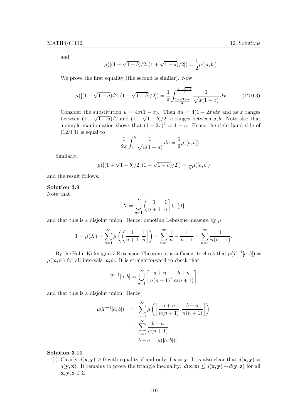and

$$
\mu([(1+\sqrt{1-b})/2,(1+\sqrt{1-a})/2]) = \frac{1}{2}\mu([a,b])
$$

We prove the first equality (the second is similar). Now

$$
\mu([(1-\sqrt{1-a})/2,(1-\sqrt{1-b})/2]) = \frac{1}{\pi} \int_{\frac{1-\sqrt{1-a}}{2}}^{\frac{1-\sqrt{1-b}}{2}} \frac{1}{\sqrt{x(1-x)}} dx.
$$
 (12.0.3)

Consider the substitution  $u = 4x(1-x)$ . Then  $du = 4(1-2x)dx$  and as x ranges between  $(1 - \sqrt{1-a})/2$  and  $(1 - \sqrt{1-b})/2$ , u ranges between a, b. Note also that a simple manipulation shows that  $(1 - 2x)^2 = 1 - u$ . Hence the right-hand side of  $(12.0.3)$  is equal to

$$
\frac{1}{2\pi} \int_{a}^{b} \frac{1}{\sqrt{u(1-u)}} du = \frac{1}{2} \mu([a, b]).
$$

Similarly,

$$
\mu([(1+\sqrt{1-b})/2,(1+\sqrt{1-a})/2]) = \frac{1}{2}\mu([a,b])
$$

and the result follows.

#### Solution 3.9

Note that

$$
X=\bigcup_{n=1}^\infty \left(\frac{1}{n+1},\frac{1}{n}\right]\cup\{0\}
$$

and that this is a disjoint union. Hence, denoting Lebesgue measure by  $\mu$ ,

$$
1 = \mu(X) = \sum_{n=1}^{\infty} \mu\left(\left(\frac{1}{n+1}, \frac{1}{n}\right)\right) = \sum_{n=1}^{\infty} \frac{1}{n} - \frac{1}{n+1} = \sum_{n=1}^{\infty} \frac{1}{n(n+1)}.
$$

By the Hahn-Kolmogorov Extension Theorem, it is sufficient to check that  $\mu(T^{-1}[a, b]) =$  $\mu([a, b])$  for all intervals [a, b]. It is straightforward to check that

$$
T^{-1}[a, b] = \bigcup_{n=1}^{\infty} \left[ \frac{a+n}{n(n+1)}, \frac{b+n}{n(n+1)} \right]
$$

and that this is a disjoint union. Hence

$$
\mu(T^{-1}[a,b]) = \sum_{n=1}^{\infty} \mu\left(\left[\frac{a+n}{n(n+1)}, \frac{b+n}{n(n+1)}\right]\right)
$$

$$
= \sum_{n=1}^{\infty} \frac{b-a}{n(n+1)}
$$

$$
= b-a = \mu([a,b]).
$$

### Solution 3.10

(i) Clearly  $d(\mathbf{x}, \mathbf{y}) \ge 0$  with equality if and only if  $\mathbf{x} = \mathbf{y}$ . It is also clear that  $d(\mathbf{x}, \mathbf{y}) =$  $d(\mathbf{y}, \mathbf{x})$ . It remains to prove the triangle inequality:  $d(\mathbf{x}, \mathbf{z}) \leq d(\mathbf{x}, \mathbf{y}) + d(\mathbf{y}, \mathbf{z})$  for all  $\mathbf{x}, \mathbf{y}, \mathbf{z} \in \Sigma.$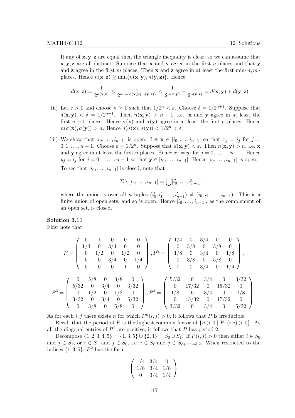If any of  $x, y, z$  are equal then the triangle inequality is clear, so we can assume that  $x, y, z$  are all distinct. Suppose that x and y agree in the first n places and that y and **z** agree in the first m places. Then **x** and **z** agree in at least the first  $\min\{n, m\}$ places. Hence  $n(\mathbf{x}, \mathbf{z}) \ge \min\{n(\mathbf{x}, \mathbf{y}), n(\mathbf{y}, \mathbf{z})\}$ . Hence

$$
d(\mathbf{x},\mathbf{z}) = \frac{1}{2^{n(\mathbf{x},\mathbf{z})}} \leq \frac{1}{2^{\min\{n(\mathbf{x},\mathbf{y}),n(\mathbf{y},\mathbf{z})\}}} \leq \frac{1}{2^{n(\mathbf{x},\mathbf{y})}} + \frac{1}{2^{n(\mathbf{y},\mathbf{z})}} = d(\mathbf{x},\mathbf{y}) + d(\mathbf{y},\mathbf{z}).
$$

- (ii) Let  $\varepsilon > 0$  and choose  $n \ge 1$  such that  $1/2^n < \varepsilon$ . Choose  $\delta = 1/2^{n+1}$ . Suppose that  $d(\mathbf{x}, \mathbf{y}) < \delta = 1/2^{n+1}$ . Then  $n(\mathbf{x}, \mathbf{y}) > n+1$ , i.e. **x** and **y** agree in at least the first  $n + 1$  places. Hence  $\sigma(\mathbf{x})$  and  $\sigma(\mathbf{y})$  agree in at least the first n places. Hence  $n(\sigma(\mathbf{x}), \sigma(\mathbf{y})) > n$ . Hence  $d(\sigma(\mathbf{x}), \sigma(\mathbf{y})) < 1/2^n < \varepsilon$ .
- (iii) We show that  $[i_0, \ldots, i_{n-1}]$  is open. Let  $\mathbf{x} \in [i_0, \ldots, i_{n-1}]$  so that  $x_j = i_j$  for  $j =$  $0, 1, \ldots, n-1$ . Choose  $\varepsilon = 1/2^n$ . Suppose that  $d(\mathbf{x}, \mathbf{y}) < \varepsilon$ . Then  $n(\mathbf{x}, \mathbf{y}) > n$ , i.e.  $\mathbf{x}$ and y agree in at least the first n places. Hence  $x_j = y_j$  for  $j = 0, 1, ..., n - 1$ . Hence  $y_j = i_j$  for  $j = 0, 1, \ldots, n - 1$  so that  $y \in [i_0, \ldots, i_{n-1}]$ . Hence  $[i_0, \ldots, i_{n-1}]$  is open. To see that  $[i_0, \ldots, i_{n-1}]$  is closed, note that

$$
\Sigma \setminus [i_0, \ldots, i_{n-1}] = \bigcup [i'_0, \ldots, i'_{n-1}]
$$

where the union is over all *n*-tuples  $(i'_0, i'_1, \ldots, i'_{n-1}) \neq (i_0, i_1, \ldots, i_{n-1})$ . This is a finite union of open sets, and so is open. Hence  $[i_0, \ldots, i_{n-1}]$ , as the complement of an open set, is closed.

# Solution 3.11

First note that

P

$$
P = \begin{pmatrix} 0 & 1 & 0 & 0 & 0 \\ 1/4 & 0 & 3/4 & 0 & 0 \\ 0 & 1/2 & 0 & 1/2 & 0 \\ 0 & 0 & 3/4 & 0 & 1/4 \\ 0 & 0 & 0 & 1 & 0 \end{pmatrix}, P^{2} = \begin{pmatrix} 1/4 & 0 & 3/4 & 0 & 0 \\ 0 & 5/8 & 0 & 3/8 & 0 \\ 1/8 & 0 & 3/4 & 0 & 1/8 \\ 0 & 3/8 & 0 & 5/8 & 0 \\ 0 & 0 & 3/4 & 0 & 1/4 \end{pmatrix},
$$
  

$$
P^{3} = \begin{pmatrix} 0 & 5/8 & 0 & 3/8 & 0 \\ 5/32 & 0 & 3/4 & 0 & 3/32 \\ 0 & 1/2 & 0 & 1/2 & 0 \\ 3/32 & 0 & 3/4 & 0 & 5/32 \\ 0 & 3/8 & 0 & 5/8 & 0 \end{pmatrix}, P^{4} = \begin{pmatrix} 5/32 & 0 & 3/4 & 0 & 3/32 \\ 0 & 17/32 & 0 & 15/32 & 0 \\ 1/8 & 0 & 3/4 & 0 & 1/8 \\ 0 & 15/32 & 0 & 17/32 & 0 \\ 3/32 & 0 & 3/4 & 0 & 5/32 \end{pmatrix}.
$$

As for each i, j there exists n for which  $P<sup>n</sup>(i, j) > 0$ , it follows that P is irreducible.

Recall that the period of P is the highest common factor of  $\{n > 0 \mid P^n(i, i) > 0\}$ . As all the diagonal entries of  $P^2$  are positive, it follows that P has period 2.

Decompose  $\{1, 2, 3, 4, 5\} = \{1, 3, 5\} \cup \{2, 4\} = S_0 \cup S_1$ . If  $P(i, j) > 0$  then either  $i \in S_0$ and  $j \in S_1$ , or  $i \in S_1$  and  $j \in S_0$ , i.e.  $i \in S_\ell$  and  $j \in S_{\ell+1 \mod 2}$ . When restricted to the indices  $\{1, 3, 5\}$ ,  $P^2$  has the form

$$
\left(\begin{array}{ccc}\n1/4 & 3/4 & 0\\
1/8 & 3/4 & 1/8\\
0 & 3/4 & 1/4\n\end{array}\right)
$$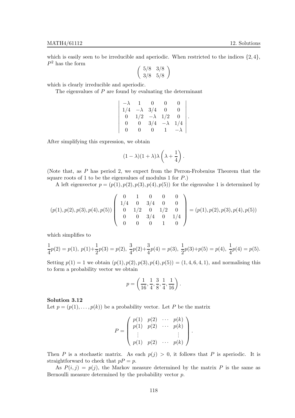which is easily seen to be irreducible and aperiodic. When restricted to the indices  $\{2, 4\}$ ,  $P^2$  has the form

$$
\left(\begin{array}{cc}5/8 & 3/8\\3/8 & 5/8\end{array}\right)
$$

which is clearly irreducible and aperiodic.

The eigenvalues of  $P$  are found by evaluating the determinant

$$
\begin{vmatrix}\n-\lambda & 1 & 0 & 0 & 0 \\
1/4 & -\lambda & 3/4 & 0 & 0 \\
0 & 1/2 & -\lambda & 1/2 & 0 \\
0 & 0 & 3/4 & -\lambda & 1/4 \\
0 & 0 & 0 & 1 & -\lambda\n\end{vmatrix}.
$$

After simplifying this expression, we obtain

$$
(1 - \lambda)(1 + \lambda)\lambda\left(\lambda + \frac{1}{4}\right).
$$

(Note that, as P has period 2, we expect from the Perron-Frobenius Theorem that the square roots of 1 to be the eigenvalues of modulus 1 for  $P$ .)

A left eigenvector  $p = (p(1), p(2), p(3), p(4), p(5))$  for the eigenvalue 1 is determined by

$$
(p(1), p(2), p(3), p(4), p(5)) \left( \begin{array}{cccc} 0 & 1 & 0 & 0 & 0 \\ 1/4 & 0 & 3/4 & 0 & 0 \\ 0 & 1/2 & 0 & 1/2 & 0 \\ 0 & 0 & 3/4 & 0 & 1/4 \\ 0 & 0 & 0 & 1 & 0 \end{array} \right) = (p(1), p(2), p(3), p(4), p(5))
$$

which simplifies to

$$
\frac{1}{4}p(2)=p(1),\ p(1)+\frac{1}{2}p(3)=p(2),\ \frac{3}{4}p(2)+\frac{3}{4}p(4)=p(3),\ \frac{1}{2}p(3)+p(5)=p(4),\ \frac{1}{4}p(4)=p(5).
$$

Setting  $p(1) = 1$  we obtain  $(p(1), p(2), p(3), p(4), p(5)) = (1, 4, 6, 4, 1)$ , and normalising this to form a probability vector we obtain

$$
p = \left(\frac{1}{16}, \frac{1}{4}, \frac{3}{8}, \frac{1}{4}, \frac{1}{16}\right).
$$

Solution 3.12

Let  $p = (p(1), \ldots, p(k))$  be a probability vector. Let P be the matrix

$$
P = \begin{pmatrix} p(1) & p(2) & \cdots & p(k) \\ p(1) & p(2) & \cdots & p(k) \\ \vdots & & & \vdots \\ p(1) & p(2) & \cdots & p(k) \end{pmatrix}.
$$

Then P is a stochastic matrix. As each  $p(j) > 0$ , it follows that P is aperiodic. It is straightforward to check that  $pP = p$ .

As  $P(i, j) = p(j)$ , the Markov measure determined by the matrix P is the same as Bernoulli measure determined by the probability vector p.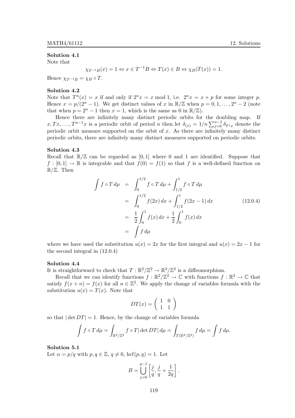# Solution 4.1

Note that

$$
\chi_{T^{-1}B}(x) = 1 \Leftrightarrow x \in T^{-1}B \Leftrightarrow T(x) \in B \Leftrightarrow \chi_B(T(x)) = 1.
$$

Hence  $\chi_{T^{-1}B} = \chi_B \circ T$ .

# Solution 4.2

Note that  $T^n(x) = x$  if and only if  $2^n x = x \mod 1$ , i.e.  $2^n x = x + p$  for some integer p. Hence  $x = p/(2^n - 1)$ . We get distinct values of x in  $\mathbb{R}/\mathbb{Z}$  when  $p = 0, 1, ..., 2^n - 2$  (note that when  $p = 2^n - 1$  then  $x = 1$ , which is the same as 0 in  $\mathbb{R}/\mathbb{Z}$ ).

Hence there are infinitely many distinct periodic orbits for the doubling map. If  $x, Tx, \ldots, T^{n-1}x$  is a periodic orbit of period n then let  $\delta_{(x)} = 1/n \sum_{j=0}^{n-1} \delta_{T^jx}$  denote the periodic orbit measure supported on the orbit of  $x$ . As there are infinitely many distinct periodic orbits, there are infinitely many distinct measures supported on periodic orbits.

# Solution 4.3

Recall that  $\mathbb{R}/\mathbb{Z}$  can be regarded as [0,1] where 0 and 1 are identified. Suppose that  $f:[0,1] \to \mathbb{R}$  is integrable and that  $f(0) = f(1)$  so that f is a well-defined function on  $\mathbb{R}/\mathbb{Z}$ . Then

$$
\int f \circ T d\mu = \int_0^{1/2} f \circ T d\mu + \int_{1/2}^1 f \circ T d\mu
$$
  
= 
$$
\int_0^{1/2} f(2x) dx + \int_{1/2}^1 f(2x - 1) dx
$$
  
= 
$$
\frac{1}{2} \int_0^1 f(x) dx + \frac{1}{2} \int_0^1 f(x) dx
$$
  
= 
$$
\int f d\mu
$$
 (12.0.4)

where we have used the substitution  $u(x) = 2x$  for the first integral and  $u(x) = 2x - 1$  for the second integral in (12.0.4)

# Solution 4.4

It is straightforward to check that  $T : \mathbb{R}^2/\mathbb{Z}^2 \to \mathbb{R}^2/\mathbb{Z}^2$  is a diffeomorphism.

Recall that we can identify functions  $f : \mathbb{R}^2/\mathbb{Z}^2 \to \mathbb{C}$  with functions  $f : \mathbb{R}^2 \to \mathbb{C}$  that satisfy  $f(x+n) = f(x)$  for all  $n \in \mathbb{Z}^2$ . We apply the change of variables formula with the substitution  $u(x) = T(x)$ . Note that

$$
DT(x) = \left(\begin{array}{cc} 1 & 0 \\ 1 & 1 \end{array}\right)
$$

so that  $|\det DT| = 1$ . Hence, by the change of variables formula

$$
\int f \circ T d\mu = \int_{\mathbb{R}^2/\mathbb{Z}^2} f \circ T |\det DT| d\mu = \int_{T(\mathbb{R}^2/\mathbb{Z}^2)} f d\mu = \int f d\mu.
$$

#### Solution 5.1

Let  $\alpha = p/q$  with  $p, q \in \mathbb{Z}, q \neq 0$ , hcf $(p, q) = 1$ . Let

$$
B = \bigcup_{j=0}^{q-1} \left[ \frac{j}{q}, \frac{j}{q} + \frac{1}{2q} \right].
$$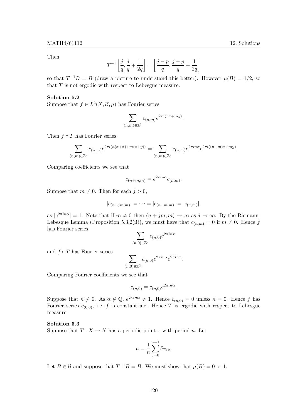Then

$$
T^{-1}\left[\frac{j}{q},\frac{j}{q}+\frac{1}{2q}\right]=\left[\frac{j-p}{q},\frac{j-p}{q}+\frac{1}{2q}\right]
$$

so that  $T^{-1}B = B$  (draw a picture to understand this better). However  $\mu(B) = 1/2$ , so that  $T$  is not ergodic with respect to Lebesgue measure.

# Solution 5.2

Suppose that  $f \in L^2(X, \mathcal{B}, \mu)$  has Fourier series

$$
\sum_{(n,m)\in\mathbb{Z}^2}c_{(n,m)}e^{2\pi i(nx+my)}.
$$

Then  $f \circ T$  has Fourier series

$$
\sum_{(n,m)\in\mathbb{Z}^2} c_{(n,m)}e^{2\pi i (n(x+\alpha)+m(x+y))} = \sum_{(n,m)\in\mathbb{Z}^2} c_{(n,m)}e^{2\pi i n\alpha}e^{2\pi i ((n+m)x+my)}.
$$

Comparing coefficients we see that

$$
c_{(n+m,m)} = e^{2\pi i n\alpha} c_{(n,m)}.
$$

Suppose that  $m \neq 0$ . Then for each  $j > 0$ ,

$$
|c_{(n+jm,m)}| = \cdots = |c_{(n+m,m)}| = |c_{(n,m)}|,
$$

as  $|e^{2\pi in\alpha}| = 1$ . Note that if  $m \neq 0$  then  $(n + jm, m) \to \infty$  as  $j \to \infty$ . By the Riemann-Lebesgue Lemma (Proposition 5.3.2(ii)), we must have that  $c_{(n,m)} = 0$  if  $m \neq 0$ . Hence f has Fourier series

$$
\sum_{(n,0)\in\mathbb{Z}^2} c_{(n,0)}e^{2\pi i nx}
$$

and  $f \circ T$  has Fourier series

$$
\sum_{(n,0)\in\mathbb{Z}^2}c_{(n,0)}e^{2\pi in\alpha}e^{2\pi inx}.
$$

Comparing Fourier coefficients we see that

$$
c_{(n,0)} = c_{(n,0)} e^{2\pi i n\alpha}.
$$

Suppose that  $n \neq 0$ . As  $\alpha \notin \mathbb{Q}$ ,  $e^{2\pi in\alpha} \neq 1$ . Hence  $c_{(n,0)} = 0$  unless  $n = 0$ . Hence f has Fourier series  $c_{(0,0)}$ , i.e. f is constant a.e. Hence T is ergodic with respect to Lebesgue measure.

# Solution 5.3

Suppose that  $T: X \to X$  has a periodic point x with period n. Let

$$
\mu = \frac{1}{n} \sum_{j=0}^{n-1} \delta_{T^j x}.
$$

Let  $B \in \mathcal{B}$  and suppose that  $T^{-1}B = B$ . We must show that  $\mu(B) = 0$  or 1.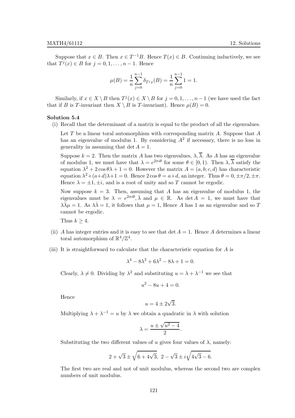Suppose that  $x \in B$ . Then  $x \in T^{-1}B$ . Hence  $T(x) \in B$ . Continuing inductively, we see that  $T^j(x) \in B$  for  $j = 0, 1, \ldots, n - 1$ . Hence

$$
\mu(B) = \frac{1}{n} \sum_{j=0}^{n-1} \delta_{T^j x}(B) = \frac{1}{n} \sum_{j=0}^{n-1} 1 = 1.
$$

Similarly, if  $x \in X \setminus B$  then  $T^j(x) \in X \setminus B$  for  $j = 0, 1, \ldots, n-1$  (we have used the fact that if B is T-invariant then  $X \setminus B$  is T-invariant). Hence  $\mu(B) = 0$ .

#### Solution 5.4

(i) Recall that the determinant of a matrix is equal to the product of all the eigenvalues.

Let T be a linear toral automorphism with corresponding matrix A. Suppose that  $A$ has an eigenvalue of modulus 1. By considering  $A^2$  if necessary, there is no loss in generality in assuming that det  $A = 1$ .

Suppose  $k = 2$ . Then the matrix A has two eigenvalues,  $\lambda$ ,  $\overline{\lambda}$ . As A has an eigenvalue of modulus 1, we must have that  $\lambda = e^{2\pi i \theta}$  for some  $\theta \in [0, 1)$ . Then  $\lambda$ ,  $\overline{\lambda}$  satisfy the equation  $\lambda^2 + 2 \cos \theta \lambda + 1 = 0$ . However the matrix  $A = (a, b; c, d)$  has characteristic equation  $\lambda^2 + (a+d)\lambda + 1 = 0$ . Hence  $2\cos\theta = a+d$ , an integer. Thus  $\theta = 0, \pm \pi/2, \pm \pi$ . Hence  $\lambda = \pm 1, \pm i$ , and is a root of unity and so T cannot be ergodic.

Now suppose  $k = 3$ . Then, assuming that A has an eigenvalue of modulus 1, the eigenvalues must be  $\lambda = e^{2\pi i \theta}, \bar{\lambda}$  and  $\mu \in \mathbb{R}$ . As det  $A = 1$ , we must have that  $\lambda \bar{\lambda} \mu = 1$ . As  $\lambda \bar{\lambda} = 1$ , it follows that  $\mu = 1$ , Hence A has 1 as an eigenvalue and so T cannot be ergodic.

Thus  $k \geq 4$ .

- (ii) A has integer entries and it is easy to see that  $\det A = 1$ . Hence A determines a linear toral automorphism of  $\mathbb{R}^4/\mathbb{Z}^4$ .
- (iii) It is straightforward to calculate that the characteristic equation for A is

$$
\lambda^4 - 8\lambda^3 + 6\lambda^2 - 8\lambda + 1 = 0.
$$

Clearly,  $\lambda \neq 0$ . Dividing by  $\lambda^2$  and substituting  $u = \lambda + \lambda^{-1}$  we see that

$$
u^2 - 8u + 4 = 0.
$$

Hence

$$
u = 4 \pm 2\sqrt{3}.
$$

Multiplying  $\lambda + \lambda^{-1} = u$  by  $\lambda$  we obtain a quadratic in  $\lambda$  with solution

$$
\lambda = \frac{u \pm \sqrt{u^2 - 4}}{2}.
$$

Substituting the two different values of u gives four values of  $\lambda$ , namely:

$$
2 + \sqrt{3} \pm \sqrt{6 + 4\sqrt{3}}, \ 2 - \sqrt{3} \pm i\sqrt{4\sqrt{3} - 6}.
$$

The first two are real and not of unit modulus, whereas the second two are complex numbers of unit modulus.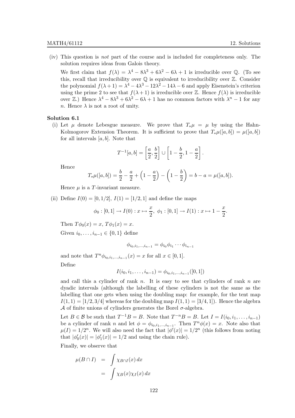(iv) This question is not part of the course and is included for completeness only. The solution requires ideas from Galois theory.

We first claim that  $f(\lambda) = \lambda^4 - 8\lambda^3 + 6\lambda^2 - 6\lambda + 1$  is irreducible over Q. (To see this, recall that irreducibility over  $\mathbb Q$  is equivalent to irreducibility over  $\mathbb Z$ . Consider the polynomial  $f(\lambda + 1) = \lambda^4 - 4\lambda^3 - 12\lambda^2 - 14\lambda - 6$  and apply Eisenstein's criterion using the prime 2 to see that  $f(\lambda + 1)$  is irreducible over Z. Hence  $f(\lambda)$  is irreducible over  $\mathbb{Z}$ .) Hence  $\lambda^4 - 8\lambda^3 + 6\lambda^2 - 6\lambda + 1$  has no common factors with  $\lambda^n - 1$  for any n. Hence  $\lambda$  is not a root of unity.

#### Solution 6.1

(i) Let  $\mu$  denote Lebesgue measure. We prove that  $T_*\mu = \mu$  by using the Hahn-Kolmogorov Extension Theorem. It is sufficient to prove that  $T_*\mu([a, b]) = \mu([a, b])$ for all intervals  $[a, b]$ . Note that

$$
T^{-1}[a,b] = \left[\frac{a}{2},\frac{b}{2}\right] \cup \left[1 - \frac{b}{2}, 1 - \frac{a}{2}\right].
$$

Hence

$$
T_*\mu([a,b]) = \frac{b}{2} - \frac{a}{2} + \left(1 - \frac{a}{2}\right) - \left(1 - \frac{b}{2}\right) = b - a = \mu([a,b]).
$$

Hence  $\mu$  is a T-invariant measure.

(ii) Define  $I(0) = [0, 1/2], I(1) = [1/2, 1]$  and define the maps

$$
\phi_0: [0,1] \to I(0): x \mapsto \frac{x}{2}, \ \phi_1: [0,1] \to I(1): x \mapsto 1 - \frac{x}{2}.
$$

Then  $T\phi_0(x) = x$ ,  $T\phi_1(x) = x$ . Given  $i_0, \ldots, i_{n-1} \in \{0, 1\}$  define

$$
\phi_{i_0,i_1,...,i_{n-1}} = \phi_{i_0}\phi_{i_1}\cdots\phi_{i_{n-1}}
$$

and note that  $T^n \phi_{i_0, i_1, ..., i_{n-1}}(x) = x$  for all  $x \in [0, 1]$ .

Define

$$
I(i_0, i_1, \ldots, i_{n-1}) = \phi_{i_0, i_1, \ldots, i_{n-1}}([0, 1])
$$

and call this a cylinder of rank  $n$ . It is easy to see that cylinders of rank  $n$  are dyadic intervals (although the labelling of these cylinders is not the same as the labelling that one gets when using the doubling map: for example, for the tent map  $I(1,1) = \left[\frac{1}{2}, \frac{3}{4}\right]$  whereas for the doubling map  $I(1,1) = \left[\frac{3}{4}, 1\right]$ . Hence the algebra A of finite unions of cylinders generates the Borel  $\sigma$ -algebra.

Let  $B \in \mathcal{B}$  be such that  $T^{-1}B = B$ . Note that  $T^{-n}B = B$ . Let  $I = I(i_0, i_1, \ldots, i_{n-1})$ be a cylinder of rank n and let  $\phi = \phi_{i_0, i_1, \dots, i_{n-1}}$ . Then  $T^n \phi(x) = x$ . Note also that  $\mu(I) = 1/2^n$ . We will also need the fact that  $|\phi'(x)| = 1/2^n$  (this follows from noting that  $|\phi'_0(x)| = |\phi'_1(x)| = 1/2$  and using the chain rule).

Finally, we observe that

$$
\mu(B \cap I) = \int \chi_{B \cap I}(x) dx
$$

$$
= \int \chi_B(x) \chi_I(x) dx
$$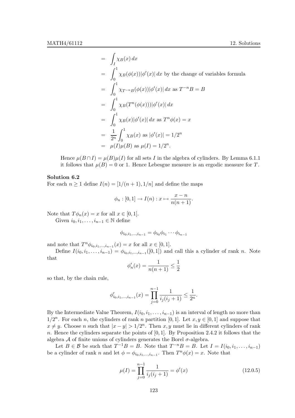$$
= \int_I \chi_B(x) dx
$$
  
\n
$$
= \int_0^1 \chi_B(\phi(x)) |\phi'(x)| dx \text{ by the change of variables formula}
$$
  
\n
$$
= \int_0^1 \chi_{T^{-n}B}(\phi(x)) |\phi'(x)| dx \text{ as } T^{-n}B = B
$$
  
\n
$$
= \int_0^1 \chi_B(T^n(\phi(x))) |\phi'(x)| dx
$$
  
\n
$$
= \int_0^1 \chi_B(x) |\phi'(x)| dx \text{ as } T^n \phi(x) = x
$$
  
\n
$$
= \frac{1}{2^n} \int_0^1 \chi_B(x) \text{ as } |\phi'(x)| = 1/2^n
$$
  
\n
$$
= \mu(I)\mu(B) \text{ as } \mu(I) = 1/2^n.
$$

Hence  $\mu(B \cap I) = \mu(B)\mu(I)$  for all sets I in the algebra of cylinders. By Lemma 6.1.1 it follows that  $\mu(B) = 0$  or 1. Hence Lebesgue measure is an ergodic measure for T.

## Solution 6.2

For each  $n \geq 1$  define  $I(n) = [1/(n+1), 1/n]$  and define the maps

$$
\phi_n : [0,1] \to I(n) : x \mapsto \frac{x-n}{n(n+1)}.
$$

Note that  $T\phi_n(x) = x$  for all  $x \in [0,1]$ .

Given  $i_0, i_1, \ldots, i_{n-1} \in \mathbb{N}$  define

$$
\phi_{i_0,i_1,...,i_{n-1}} = \phi_{i_0}\phi_{i_1}\cdots\phi_{i_{n-1}}
$$

and note that  $T^n \phi_{i_0,i_1,...,i_{n-1}}(x) = x$  for all  $x \in [0,1]$ .

Define  $I(i_0, i_1, \ldots, i_{n-1}) = \phi_{i_0, i_1, \ldots, i_{n-1}}([0, 1])$  and call this a cylinder of rank n. Note that

$$
\phi'_n(x) = \frac{1}{n(n+1)} \le \frac{1}{2}
$$

so that, by the chain rule,

$$
\phi'_{i_0, i_1, \dots, i_{n-1}}(x) = \prod_{j=0}^{n-1} \frac{1}{i_j(i_j+1)} \le \frac{1}{2^n}.
$$

By the Intermediate Value Theorem,  $I(i_0, i_1, \ldots, i_{n-1})$  is an interval of length no more than  $1/2^n$ . For each n, the cylinders of rank n partition [0, 1]. Let  $x, y \in [0, 1]$  and suppose that  $x \neq y$ . Choose n such that  $|x - y| > 1/2^n$ . Then x, y must lie in different cylinders of rank n. Hence the cylinders separate the points of  $[0, 1]$ . By Proposition 2.4.2 it follows that the algebra  ${\mathcal A}$  of finite unions of cylinders generates the Borel  $\sigma$ -algebra.

Let  $B \in \mathcal{B}$  be such that  $T^{-1}B = B$ . Note that  $T^{-n}B = B$ . Let  $I = I(i_0, i_1, \ldots, i_{n-1})$ be a cylinder of rank n and let  $\phi = \phi_{i_0, i_1, \dots, i_{n-1}}$ . Then  $T^n \phi(x) = x$ . Note that

$$
\mu(I) = \prod_{j=0}^{n-1} \frac{1}{i_j(i_j+1)} = \phi'(x) \tag{12.0.5}
$$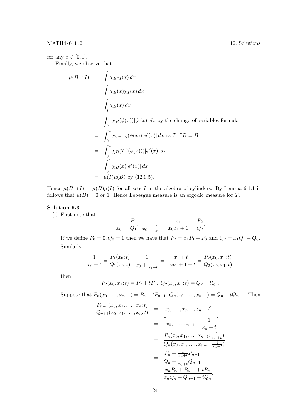for any  $x \in [0, 1]$ .

Finally, we observe that

$$
\mu(B \cap I) = \int \chi_{B \cap I}(x) dx
$$
  
\n
$$
= \int \chi_B(x) \chi_I(x) dx
$$
  
\n
$$
= \int_I \chi_B(x) dx
$$
  
\n
$$
= \int_0^1 \chi_B(\phi(x)) |\phi'(x)| dx \text{ by the change of variables formula}
$$
  
\n
$$
= \int_0^1 \chi_{T^{-n}B}(\phi(x)) |\phi'(x)| dx \text{ as } T^{-n}B = B
$$
  
\n
$$
= \int_0^1 \chi_B(T^n(\phi(x))) |\phi'(x)| dx
$$
  
\n
$$
= \int_0^1 \chi_B(x) |\phi'(x)| dx
$$
  
\n
$$
= \mu(I)\mu(B) \text{ by (12.0.5)}.
$$

Hence  $\mu(B \cap I) = \mu(B)\mu(I)$  for all sets I in the algebra of cylinders. By Lemma 6.1.1 it follows that  $\mu(B) = 0$  or 1. Hence Lebesgue measure is an ergodic measure for T.

# Solution 6.3

(i) First note that

$$
\frac{1}{x_0} = \frac{P_1}{Q_1}, \ \frac{1}{x_0 + \frac{1}{x_1}} = \frac{x_1}{x_0 x_1 + 1} = \frac{P_2}{Q_2}.
$$

If we define  $P_0 = 0, Q_0 = 1$  then we have that  $P_2 = x_1 P_1 + P_0$  and  $Q_2 = x_1 Q_1 + Q_0$ . Similarly,

$$
\frac{1}{x_0+t}=\frac{P_1(x_0;t)}{Q_1(x_0;t)},\ \frac{1}{x_0+\frac{1}{x_1+t}}=\frac{x_1+t}{x_0x_1+1+t}=\frac{P_2(x_0,x_1;t)}{Q_2(x_0,x_1;t)}.
$$

then

$$
P_2(x_0, x_1; t) = P_2 + tP_1, \ Q_2(x_0, x_1; t) = Q_2 + tQ_1.
$$

Suppose that  $P_n(x_0, \ldots, x_{n-1}) = P_n + tP_{n-1}, Q_n(x_0, \ldots, x_{n-1}) = Q_n + tQ_{n-1}.$  Then

$$
\frac{P_{n+1}(x_0, x_1, \dots, x_n; t)}{Q_{n+1}(x_0, x_1, \dots, x_n; t)} = [x_0, \dots, x_{n-1}, x_n + t]
$$
\n
$$
= \left[x_0, \dots, x_{n-1} + \frac{1}{x_n + t}\right]
$$
\n
$$
= \frac{P_n(x_0, x_1, \dots, x_{n-1}; \frac{1}{x_n + t})}{Q_n(x_0, x_1, \dots, x_{n-1}; \frac{1}{x_n + t})}
$$
\n
$$
= \frac{P_n + \frac{1}{x_n + t} P_{n-1}}{Q_n + \frac{1}{x_n + t} Q_{n-1}}
$$
\n
$$
= \frac{x_n P_n + P_{n-1} + t P_n}{x_n Q_n + Q_{n-1} + t Q_n}.
$$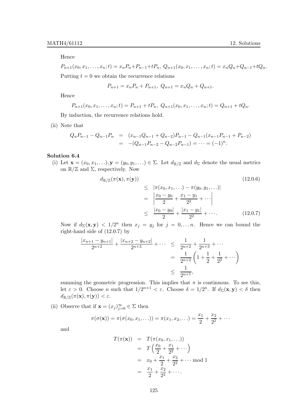Hence

 $P_{n+1}(x_0, x_1, \ldots, x_n; t) = x_n P_n + P_{n-1} + t P_n, Q_{n+1}(x_0, x_1, \ldots, x_n; t) = x_n Q_n + Q_{n-1} + t Q_n.$ Putting  $t = 0$  we obtain the recurrence relations

$$
P_{n+1} = x_n P_n + P_{n+1}, \ Q_{n+1} = x_n Q_n + Q_{n+1}.
$$

Hence

$$
P_{n+1}(x_0, x_1, \ldots, x_n; t) = P_{n+1} + t P_n, \ Q_{n+1}(x_0, x_1, \ldots, x_n; t) = Q_{n+1} + t Q_n.
$$

By induction, the recurrence relations hold.

(ii) Note that

$$
Q_n P_{n-1} - Q_{n-1} P_n = (x_{n-1} Q_{n-1} + Q_{n-2}) P_{n-1} - Q_{n-1} (x_{n-1} P_{n-1} + P_{n-2})
$$
  
= -(Q<sub>n-1</sub> P<sub>n-2</sub> - Q<sub>n-2</sub> P<sub>n-1</sub>) = ··· = (-1)<sup>n</sup>.

# Solution 6.4

(i) Let  $\mathbf{x} = (x_0, x_1, \ldots), \mathbf{y} = (y_0, y_1, \ldots) \in \Sigma$ . Let  $d_{\mathbb{R}/\mathbb{Z}}$  and  $d_{\Sigma}$  denote the usual metrics on  $\mathbb{R}/\mathbb{Z}$  and  $\Sigma$ , respectively. Now

$$
d_{\mathbb{R}/\mathbb{Z}}(\pi(\mathbf{x}), \pi(\mathbf{y}))
$$
\n
$$
\leq |\pi(x_0, x_1, \ldots) - \pi(y_0, y_1, \ldots)|
$$
\n
$$
= \left| \frac{x_0 - y_0}{2} + \frac{x_1 - y_1}{2^2} + \cdots \right|
$$
\n
$$
\leq \frac{|x_0 - y_0|}{2} + \frac{|x_1 - y_1|}{2^2} + \cdots
$$
\n(12.0.7)

Now if  $d_{\Sigma}(\mathbf{x}, \mathbf{y}) < 1/2^n$  then  $x_j = y_j$  for  $j = 0, \ldots n$ . Hence we can bound the right-hand side of (12.0.7) by

$$
\frac{|x_{n+1} - y_{n+1}|}{2^{n+2}} + \frac{|x_{n+2} - y_{n+2}|}{2^{n+3}} + \cdots \le \frac{1}{2^{n+2}} + \frac{1}{2^{n+3}} + \cdots
$$

$$
= \frac{1}{2^{n+2}} \left( 1 + \frac{1}{2} + \frac{1}{2^2} + \cdots \right)
$$

$$
\le \frac{1}{2^{n+1}},
$$

summing the geometric progression. This implies that  $\pi$  is continuous. To see this, let  $\varepsilon > 0$ . Choose *n* such that  $1/2^{n+1} < \varepsilon$ . Choose  $\delta = 1/2^n$ . If  $d_{\Sigma}(\mathbf{x}, \mathbf{y}) < \delta$  then  $d_{\mathbb{R}/\mathbb{Z}}(\pi(\mathbf{x}), \pi(\mathbf{y})) < \varepsilon.$ 

(ii) Observe that if  $\mathbf{x} = (x_j)_{j=0}^{\infty} \in \Sigma$  then

$$
\pi(\sigma(\mathbf{x})) = \pi(\sigma(x_0, x_1, \ldots)) = \pi(x_1, x_2, \ldots) = \frac{x_1}{2} + \frac{x_2}{2^2} + \cdots
$$

and

$$
T(\pi(\mathbf{x})) = T(\pi(x_0, x_1, ...))
$$
  
=  $T\left(\frac{x_0}{2} + \frac{x_1}{2^2} + ...\right)$   
=  $x_0 + \frac{x_1}{2} + \frac{x_2}{2^2} + ...$  mod 1  
=  $\frac{x_1}{2} + \frac{x_2}{2^2} + ...$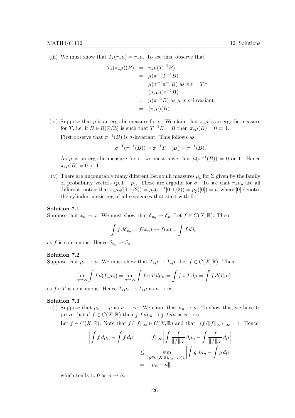(iii) We must show that  $T_*(\pi_*\mu) = \pi_*\mu$ . To see this, observe that

$$
T_*(\pi_*\mu)(B) = \pi_*\mu(T^{-1}B)
$$
  
\n
$$
= \mu(\pi^{-1}T^{-1}B)
$$
  
\n
$$
= \mu(\sigma^{-1}\pi^{-1}B) \text{ as } \pi\sigma = T\pi
$$
  
\n
$$
= (\sigma_*\mu)(\pi^{-1}B)
$$
  
\n
$$
= \mu(\pi^{-1}B) \text{ as } \mu \text{ is } \sigma\text{-invariant}
$$
  
\n
$$
= (\pi_*\mu)(B).
$$

(iv) Suppose that  $\mu$  is an ergodic measure for  $\sigma$ . We claim that  $\pi_*\mu$  is an ergodic measure for T, i.e. if  $B \in \mathcal{B}(\mathbb{R}/\mathbb{Z})$  is such that  $T^{-1}B = B$  then  $\pi_*\mu(B) = 0$  or 1.

First observe that  $\pi^{-1}(B)$  is  $\sigma$ -invariant. This follows as:

$$
\sigma^{-1}(\pi^{-1}(B)) = \pi^{-1}T^{-1}(B) = \pi^{-1}(B).
$$

As  $\mu$  is an ergodic measure for  $\sigma$ , we must have that  $\mu(\pi^{-1}(B)) = 0$  or 1. Hence  $\pi_*\mu(B) = 0$  or 1.

(v) There are uncountably many different Bernoulli measures  $\mu_p$  for  $\Sigma$  given by the family of probability vectors  $(p, 1-p)$ . These are ergodic for  $\sigma$ . To see that  $\pi_*\mu_p$  are all different, notice that  $\pi_* \mu_p([0, 1/2)) = \mu_p(\pi^{-1}[0, 1/2)) = \mu_p([0]) = p$ , where [0] denotes the cylinder consisting of all sequences that start with 0.

# Solution 7.1

Suppose that  $x_n \to x$ . We must show that  $\delta_{x_n} \to \delta_x$ . Let  $f \in C(X, \mathbb{R})$ . Then

$$
\int f d\delta_{x_n} = f(x_n) \to f(x) = \int f d\delta_x
$$

as f is continuous. Hence  $\delta_{x_n} \rightharpoonup \delta_x$ .

# Solution 7.2

Suppose that  $\mu_n \rightharpoonup \mu$ . We must show that  $T_*\mu \rightharpoonup T_*\mu$ . Let  $f \in C(X, \mathbb{R})$ . Then

$$
\lim_{n \to \infty} \int f d(T_* \mu_n) = \lim_{n \to \infty} \int f \circ T d\mu_n = \int f \circ T d\mu = \int f d(T_* \mu)
$$

as  $f \circ T$  is continuous. Hence  $T_* \mu_n \rightharpoonup T_* \mu$  as  $n \to \infty$ .

# Solution 7.3

(i) Suppose that  $\mu_n \to \mu$  as  $n \to \infty$ . We claim that  $\mu_n \to \mu$ . To show this, we have to prove that if  $f \in C(X, \mathbb{R})$  then  $\int f d\mu_n \to \int f d\mu$  as  $n \to \infty$ .

Let 
$$
f \in C(X, \mathbb{R})
$$
. Note that  $f/||f||_{\infty} \in C(X, \mathbb{R})$  and that  $||(f/||f||_{\infty})||_{\infty} = 1$ . Hence

$$
\left| \int f d\mu_n - \int f d\mu \right| = \|f\|_{\infty} \left| \int \frac{f}{\|f\|_{\infty}} d\mu_n - \int \frac{f}{\|f\|_{\infty}} d\mu \right|
$$
  
\n
$$
\leq \sup_{g \in C(X,\mathbb{R}), \|g\|_{\infty} \leq 1} \left| \int g d\mu_n - \int g d\mu \right|
$$
  
\n
$$
= \|\mu_n - \mu\|,
$$

which tends to 0 as  $n \to \infty$ .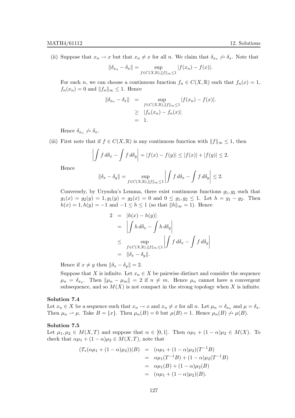(ii) Suppose that  $x_n \to x$  but that  $x_n \neq x$  for all n. We claim that  $\delta_{x_n} \not \to \delta_x$ . Note that

$$
\|\delta_{x_n} - \delta_x\| = \sup_{f \in C(X,\mathbb{R}), \|f\|_{\infty} \le 1} |f(x_n) - f(x)|.
$$

For each *n*, we can choose a continuous function  $f_n \in C(X, \mathbb{R})$  such that  $f_n(x) = 1$ ,  $f_n(x_n) = 0$  and  $||f_n||_{\infty} \leq 1$ . Hence

$$
\begin{array}{rcl}\n\|\delta_{x_n} - \delta_x\| & = & \sup_{f \in C(X, \mathbb{R}), \|f\|_{\infty} \le 1} |f(x_n) - f(x)|. \\
& \geq & |f_n(x_n) - f_n(x)| \\
& = & 1.\n\end{array}
$$

Hence  $\delta_{x_n} \not \to \delta_{x}$ .

(iii) First note that if  $f \in C(X, \mathbb{R})$  is any continuous function with  $||f||_{\infty} \leq 1$ , then

$$
\left| \int f d\delta_x - \int f d\delta_y \right| = |f(x) - f(y)| \le |f(x)| + |f(y)| \le 2.
$$

Hence

$$
\|\delta_x - \delta_y\| = \sup_{f \in C(X,\mathbb{R}), \|f\|_{\infty} \le 1} \left| \int f \, d\delta_x - \int f \, d\delta_y \right| \le 2.
$$

Conversely, by Urysohn's Lemma, there exist continuous functions  $g_1, g_2$  such that  $g_1(x) = g_2(y) = 1, g_1(y) = g_2(x) = 0$  and  $0 \le g_1, g_2 \le 1$ . Let  $h = g_1 - g_2$ . Then  $h(x) = 1, h(y) = -1$  and  $-1 \leq h \leq 1$  (so that  $||h||_{\infty} = 1$ ). Hence

$$
2 = |h(x) - h(y)|
$$
  
\n
$$
= \left| \int h \, d\delta_x - \int h \, d\delta_y \right|
$$
  
\n
$$
\leq \sup_{f \in C(X,\mathbb{R}), ||f||_{\infty} \leq 1} \left| \int f \, d\delta_x - \int f \, d\delta_y \right|
$$
  
\n
$$
= ||\delta_x - \delta_y||.
$$

Hence if  $x \neq y$  then  $\|\delta_x - \delta_y\| = 2$ .

Suppose that X is infinite. Let  $x_n \in X$  be pairwise distinct and consider the sequence  $\mu_n = \delta_{x_n}$ . Then  $\|\mu_n - \mu_m\| = 2$  if  $n \neq m$ . Hence  $\mu_n$  cannot have a convergent subsequence, and so  $M(X)$  is not compact in the strong topology when X is infinite.

#### Solution 7.4

Let  $x_n \in X$  be a sequence such that  $x_n \to x$  and  $x_n \neq x$  for all n. Let  $\mu_n = \delta_{x_n}$  and  $\mu = \delta_x$ . Then  $\mu_n \rightharpoonup \mu$ . Take  $B = \{x\}$ . Then  $\mu_n(B) = 0$  but  $\mu(B) = 1$ . Hence  $\mu_n(B) \nightharpoonup \mu(B)$ .

# Solution 7.5

Let  $\mu_1, \mu_2 \in M(X,T)$  and suppose that  $\alpha \in [0,1]$ . Then  $\alpha\mu_1 + (1-\alpha)\mu_2 \in M(X)$ . To check that  $\alpha\mu_1 + (1 - \alpha)\mu_2 \in M(X,T)$ , note that

$$
(T_*(\alpha\mu_1 + (1 - \alpha)\mu_2))(B) = (\alpha\mu_1 + (1 - \alpha)\mu_2)(T^{-1}B)
$$
  
=  $\alpha\mu_1(T^{-1}B) + (1 - \alpha)\mu_2(T^{-1}B)$   
=  $\alpha\mu_1(B) + (1 - \alpha)\mu_2(B)$   
=  $(\alpha\mu_1 + (1 - \alpha)\mu_2)(B).$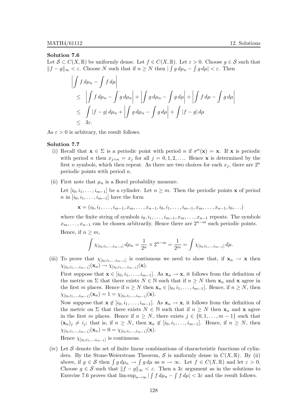#### Solution 7.6

Let  $\mathcal{S} \subset C(X,\mathbb{R})$  be uniformly dense. Let  $f \in C(X,\mathbb{R})$ . Let  $\varepsilon > 0$ . Choose  $g \in \mathcal{S}$  such that  $||f - g||_{\infty} < \varepsilon$ . Choose N such that if  $n \geq N$  then  $|\int g d\mu_n - \int g d\mu| < \varepsilon$ . Then

$$
\left| \int f d\mu_n - \int f d\mu \right|
$$
  
\n
$$
\leq \left| \int f d\mu_n - \int g d\mu_n \right| + \left| \int g d\mu_n - \int g d\mu \right| + \left| \int f d\mu - \int g d\mu \right|
$$
  
\n
$$
\leq \int |f - g| d\mu_n + \left| \int g d\mu_n - \int g d\mu \right| + \int |f - g| d\mu
$$
  
\n
$$
\leq 3\varepsilon.
$$

As  $\varepsilon > 0$  is arbitrary, the result follows.

#### Solution 7.7

- (i) Recall that  $\mathbf{x} \in \Sigma$  is a periodic point with period n if  $\sigma^n(\mathbf{x}) = \mathbf{x}$ . If  $\mathbf{x}$  is periodic with period *n* then  $x_{j+n} = x_j$  for all  $j = 0, 1, 2, \ldots$  Hence **x** is determined by the first n symbols, which then repeat. As there are two choices for each  $x_j$ , there are  $2^n$ periodic points with period n.
- (ii) First note that  $\mu_n$  is a Borel probability measure.

Let  $[i_0, i_1, \ldots, i_{m-1}]$  be a cylinder. Let  $n \geq m$ . Then the periodic points **x** of period  $n \in [i_0, i_1, \ldots, i_{m-1}]$  have the form

$$
\mathbf{x}=(i_0,i_1,\ldots,i_{m-1},x_m,\ldots,x_{n-1},i_0,i_1,\ldots,i_{m-1},x_m,\ldots,x_{n-1},i_0,\ldots)
$$

where the finite string of symbols  $i_0, i_1, \ldots, i_{m-1}, x_m, \ldots, x_{n-1}$  repeats. The symbols  $x_m, \ldots, x_{n-1}$  can be chosen arbitrarily. Hence there are  $2^{n-m}$  such periodic points. Hence, if  $n \geq m$ ,

$$
\int \chi_{[i_0,i_1,\dots,i_{m-1}]} d\mu_n = \frac{1}{2^n} \times 2^{n-m} = \frac{1}{2^m} = \int \chi_{[i_0,i_1,\dots,i_{m-1}]} d\mu.
$$

(iii) To prove that  $\chi_{[i_0,i_1,...,i_{m-1}]}$  is continuous we need to show that, if  $\mathbf{x}_n \to \mathbf{x}$  then  $\chi_{[i_0,i_1,...,i_{m-1}]}(\mathbf{x}_n) \to \chi_{[i_0,i_1,...,i_{m-1}]}(\mathbf{x}).$ 

First suppose that  $\mathbf{x} \in [i_0, i_1, \ldots, i_{m-1}]$ . As  $\mathbf{x}_n \to \mathbf{x}$ , it follows from the definition of the metric on  $\Sigma$  that there exists  $N \in \mathbb{N}$  such that if  $n \geq N$  then  $\mathbf{x}_n$  and  $\mathbf{x}$  agree in the first m places. Hence if  $n \geq N$  then  $\mathbf{x}_n \in [i_0, i_1, \ldots, i_{m-1}]$ . Hence, if  $n \geq N$ , then  $\chi_{[i_0,i_1,...,i_{m-1}]}(\mathbf{x}_n) = 1 = \chi_{[i_0,i_1,...,i_{m-1}]}(\mathbf{x}).$ 

Now suppose that  $\mathbf{x} \notin [i_0, i_1, \ldots, i_{m-1}]$ . As  $\mathbf{x}_n \to \mathbf{x}$ , it follows from the definition of the metric on  $\Sigma$  that there exists  $N \in \mathbb{N}$  such that if  $n \geq N$  then  $\mathbf{x}_n$  and  $\mathbf{x}$  agree in the first m places. Hence if  $n \geq N$ , there exists  $j \in \{0, 1, \ldots, m-1\}$  such that  $(\mathbf{x}_n)_j \neq i_j$ ; that is, if  $n \geq N$ , then  $\mathbf{x}_n \notin [i_0, i_1, \ldots, i_{m-1}]$ . Hence, if  $n \geq N$ , then  $\chi_{[i_0,i_1,...,i_{m-1}]}(\mathbf{x}_n) = 0 = \chi_{[i_0,i_1,...,i_{m-1}]}(\mathbf{x}).$ Hence  $\chi_{[i_0,i_1,\ldots,i_{m-1}]}$  is continuous.

(iv) Let  $S$  denote the set of finite linear combinations of characteristic functions of cylinders. By the Stone-Weierstrass Theorem, S is uniformly dense in  $C(X,\mathbb{R})$ . By (ii) above, if  $g \in \mathcal{S}$  then  $\int g d\mu_n \to \int g d\mu$  as  $n \to \infty$ . Let  $f \in C(X, \mathbb{R})$  and let  $\varepsilon > 0$ . Choose  $g \in \mathcal{S}$  such that  $||f - g||_{\infty} < \varepsilon$ . Then a 3 $\varepsilon$  argument as in the solutions to Exercise 7.6 proves that  $\limsup_{n\to\infty} |\int f d\mu_n - \int f d\mu| < 3\varepsilon$  and the result follows.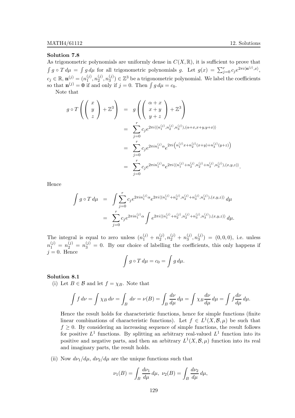# Solution 7.8

As trigonometric polynomials are uniformly dense in  $C(X, \mathbb{R})$ , it is sufficient to prove that  $\int g \circ T d\mu = \int g d\mu$  for all trigonometric polynomials g. Let  $g(x) = \sum_{j=0}^{r} c_j e^{2\pi i \langle \mathbf{n}^{(j)}, x \rangle}$ ,  $c_j \in \mathbb{R}, \, \mathbf{n}_{(j)}^{(j)} = (n_1^{(j)})$  $\binom{(j)}{1},n_2^{(j)}$  $\binom{(j)}{2},n\binom{(j)}{3}$  $\binom{3}{3}$   $\in \mathbb{Z}^3$  be a trigonometric polynomial. We label the coefficients so that  $\mathbf{n}^{(j)} = \mathbf{0}$  if and only if  $j = 0$ . Then  $\int g d\mu = c_0$ .

Note that

$$
g \circ T \left( \begin{pmatrix} x \\ y \\ z \end{pmatrix} + \mathbb{Z}^3 \right) = g \left( \begin{pmatrix} \alpha + x \\ x + y \\ y + z \end{pmatrix} + \mathbb{Z}^3 \right)
$$
  

$$
= \sum_{j=0}^r c_j e^{2\pi i \langle (n_1^{(j)}, n_2^{(j)}, n_3^{(j)}), (\alpha + x, x + y, y + x) \rangle}
$$
  

$$
= \sum_{j=0}^r c_j e^{2\pi i n_1^{(j)} \alpha} e^{2\pi i \left( n_1^{(j)} x + n_2^{(j)} (x + y) + n_3^{(j)} (y + z) \right)}
$$
  

$$
= \sum_{j=0}^r c_j e^{2\pi i n_1^{(j)} \alpha} e^{2\pi i \langle (n_1^{(j)} + n_2^{(j)}, n_2^{(j)} + n_3^{(j)}, n_3^{(j)}), (x, y, z) \rangle}.
$$

Hence

$$
\int g \circ T d\mu = \int \sum_{j=0}^{r} c_j e^{2\pi i n_1^{(j)} \alpha} e^{2\pi i \langle (n_1^{(j)} + n_2^{(j)}, n_2^{(j)} + n_3^{(j)}, n_3^{(j)}), (x, y, z) \rangle} d\mu
$$

$$
= \sum_{j=0}^{r} c_j e^{2\pi i n_1^{(j)} \alpha} \int e^{2\pi i \langle (n_1^{(j)} + n_2^{(j)}, n_2^{(j)} + n_3^{(j)}, n_3^{(j)}), (x, y, z) \rangle} d\mu.
$$

The integral is equal to zero unless  $(n_1^{(j)} + n_2^{(j)})$  $n_2^{(j)}$ ,  $n_2^{(j)}$  +  $n_3^{(j)}$  $_3^{(j)}, n_3^{(j)}$  $\binom{0}{3} = (0,0,0),$  i.e. unless  $n_1^{(j)} = n_2^{(j)} = n_3^{(j)} = 0$ . By our choice of labelling the coefficients, this only happens if  $j = 0$ . Hence

$$
\int g\circ T\,d\mu=c_0=\int g\,d\mu.
$$

### Solution 8.1

(i) Let  $B \in \mathcal{B}$  and let  $f = \chi_B$ . Note that

$$
\int f \, d\nu = \int \chi_B \, d\nu = \int_B \, d\nu = \nu(B) = \int_B \frac{d\nu}{d\mu} \, d\mu = \int \chi_B \frac{d\nu}{d\mu} \, d\mu = \int f \frac{d\nu}{d\mu} \, d\mu.
$$

Hence the result holds for characteristic functions, hence for simple functions (finite linear combinations of characteristic functions). Let  $f \in L^1(X, \mathcal{B}, \mu)$  be such that  $f \geq 0$ . By considering an increasing sequence of simple functions, the result follows for positive  $L^1$  functions. By splitting an arbitrary real-valued  $L^1$  function into its positive and negative parts, and then an arbitrary  $L^1(X, \mathcal{B}, \mu)$  function into its real and imaginary parts, the result holds.

(ii) Now  $d\nu_1/d\mu$ ,  $d\nu_2/d\mu$  are the unique functions such that

$$
\nu_1(B) = \int_B \frac{d\nu_1}{d\mu} \, d\mu, \ \nu_2(B) = \int_B \frac{d\nu_2}{d\mu} \, d\mu,
$$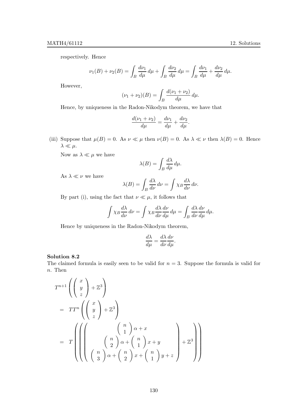respectively. Hence

$$
\nu_1(B) + \nu_2(B) = \int_B \frac{d\nu_1}{d\mu} d\mu + \int_B \frac{d\nu_2}{d\mu} d\mu = \int_B \frac{d\nu_1}{d\mu} + \frac{d\nu_2}{d\mu} d\mu.
$$

However,

$$
(\nu_1 + \nu_2)(B) = \int_B \frac{d(\nu_1 + \nu_2)}{d\mu} d\mu.
$$

Hence, by uniqueness in the Radon-Nikodym theorem, we have that

$$
\frac{d(\nu_1 + \nu_2)}{d\mu} = \frac{d\nu_1}{d\mu} + \frac{d\nu_2}{d\mu}.
$$

(iii) Suppose that  $\mu(B) = 0$ . As  $\nu \ll \mu$  then  $\nu(B) = 0$ . As  $\lambda \ll \nu$  then  $\lambda(B) = 0$ . Hence  $\lambda \ll \mu$ .

Now as  $\lambda \ll \mu$  we have

$$
\lambda(B) = \int_B \frac{d\lambda}{d\mu} d\mu.
$$

As  $\lambda \ll \nu$  we have

$$
\lambda(B) = \int_B \frac{d\lambda}{d\nu} \, d\nu = \int \chi_B \frac{d\lambda}{d\nu} \, d\nu.
$$

By part (i), using the fact that  $\nu \ll \mu$ , it follows that

$$
\int \chi_B \frac{d\lambda}{d\nu} d\nu = \int \chi_B \frac{d\lambda}{d\nu} \frac{d\nu}{d\mu} d\mu = \int_B \frac{d\lambda}{d\nu} \frac{d\nu}{d\mu} d\mu.
$$

Hence by uniqueness in the Radon-Nikodym theorem,

$$
\frac{d\lambda}{d\mu} = \frac{d\lambda}{d\nu}\frac{d\nu}{d\mu}.
$$

#### Solution 8.2

The claimed formula is easily seen to be valid for  $n = 3$ . Suppose the formula is valid for n. Then

$$
T^{n+1}\left(\begin{pmatrix} x \\ y \\ z \end{pmatrix} + \mathbb{Z}^3\right)
$$
  
=  $TT^n\left(\begin{pmatrix} x \\ y \\ z \end{pmatrix} + \mathbb{Z}^3\right)$   
=  $T\left(\left(\begin{pmatrix} n \\ 1 \end{pmatrix} \alpha + x \begin{pmatrix} n \\ 1 \end{pmatrix} x + y \begin{pmatrix} n \\ 2 \end{pmatrix} \alpha + \begin{pmatrix} n \\ 1 \end{pmatrix} x + y \begin{pmatrix} n \\ 2 \end{pmatrix} x + \begin{pmatrix} n \\ 2 \end{pmatrix} x + \begin{pmatrix} n \\ 1 \end{pmatrix} y + z \end{pmatrix} + \mathbb{Z}^3\right)$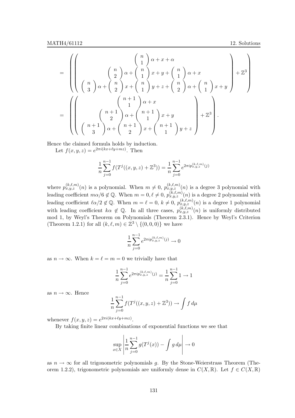$$
= \left( \left( \begin{array}{c} n \\ n \\ \left(\frac{n}{2}\right) \alpha + \left(\frac{n}{2}\right) x + y + \left(\frac{n}{2}\right) \alpha + x \\ \left(\frac{n}{2}\right) \alpha + \left(\frac{n}{2}\right) x + \left(\frac{n}{2}\right) y + z + \left(\frac{n}{2}\right) \alpha + \left(\frac{n}{2}\right) x + y \end{array} \right) + \mathbb{Z}^{3} \right)
$$
  
= 
$$
\left( \left( \begin{array}{c} n+1 \\ n \left(\frac{n+1}{2}\right) \alpha + \left(\frac{n+1}{2}\right) x + y \\ \left(\frac{n+1}{2}\right) \alpha + \left(\frac{n+1}{2}\right) x + \left(\frac{n+1}{2}\right) y + z \end{array} \right) + \mathbb{Z}^{3} \right).
$$

Hence the claimed formula holds by induction.

Let  $f(x, y, z) = e^{2\pi i (kx + \ell y + mz)}$ . Then

$$
\frac{1}{n}\sum_{j=0}^{n-1} f(T^{j}((x,y,z)+\mathbb{Z}^{3})) = \frac{1}{n}\sum_{j=0}^{n-1} e^{2\pi i p_{x,y,z}^{(k,\ell,m)}(j)}
$$

where  $p_{x,y,z}^{(k,\ell,m)}(n)$  is a polynomial. When  $m \neq 0$ ,  $p_{x,y,z}^{(k,\ell,m)}(n)$  is a degree 3 polynomial with leading coefficient  $m\alpha/6 \notin \mathbb{Q}$ . When  $m = 0, \ell \neq 0$ ,  $p_{x,y,z}^{(k,\ell,m)}(n)$  is a degree 2 polynomial with leading coefficient  $\ell \alpha/2 \notin \mathbb{Q}$ . When  $m = \ell = 0, k \neq 0, p_{x,y,z}^{(k,\ell,m)}(n)$  is a degree 1 polynomial with leading coefficient  $k\alpha \notin \mathbb{Q}$ . In all three cases,  $p_{x,y,z}^{(k,\ell,m)}(n)$  is uniformly distributed mod 1, by Weyl's Theorem on Polynomials (Theorem 2.3.1). Hence by Weyl's Criterion (Theorem 1.2.1) for all  $(k, \ell, m) \in \mathbb{Z}^3 \setminus \{(0, 0, 0)\}\$  we have

$$
\frac{1}{n}\sum_{j=0}^{n-1}e^{2\pi i p_{x,y,z}^{(k,\ell,m)}(j)}\to 0
$$

as  $n \to \infty$ . When  $k = \ell = m = 0$  we trivially have that

$$
\frac{1}{n}\sum_{j=0}^{n-1} e^{2\pi i p_{x,y,z}^{(k,\ell,m)}(j)} = \frac{1}{n}\sum_{j=0}^{n-1} 1 \to 1
$$

as  $n \to \infty$ . Hence

$$
\frac{1}{n}\sum_{j=0}^{n-1} f(T^{j}((x,y,z)+\mathbb{Z}^{3})) \to \int f d\mu
$$

whenever  $f(x, y, z) = e^{2\pi i (kx + \ell y + mz)}$ .

By taking finite linear combinations of exponential functions we see that

$$
\sup_{x \in X} \left| \frac{1}{n} \sum_{j=0}^{n-1} g(T^j(x)) - \int g \, d\mu \right| \to 0
$$

as  $n \to \infty$  for all trigonometric polynomials g. By the Stone-Weierstrass Theorem (Theorem 1.2.2), trigonometric polynomials are uniformly dense in  $C(X,\mathbb{R})$ . Let  $f \in C(X,\mathbb{R})$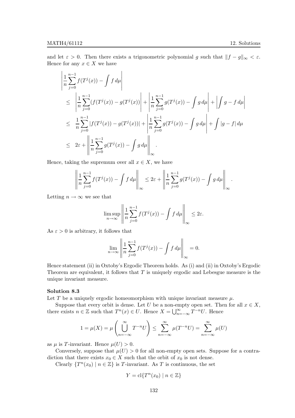and let  $\varepsilon > 0$ . Then there exists a trigonometric polynomial g such that  $||f - g||_{\infty} < \varepsilon$ . Hence for any  $x \in X$  we have

$$
\left| \frac{1}{n} \sum_{j=0}^{n-1} f(T^j(x)) - \int f d\mu \right| \leq \left| \frac{1}{n} \sum_{j=0}^{n-1} (f(T^j(x)) - g(T^j(x))) \right| + \left| \frac{1}{n} \sum_{j=0}^{n-1} g(T^j(x)) - \int g d\mu \right| + \left| \int g - f d\mu \right| \leq \frac{1}{n} \sum_{j=0}^{n-1} |f(T^j(x)) - g(T^j(x))| + \left| \frac{1}{n} \sum_{j=0}^{n-1} g(T^j(x)) - \int g d\mu \right| + \int |g - f| d\mu \leq 2\varepsilon + \left| \frac{1}{n} \sum_{j=0}^{n-1} g(T^j(x)) - \int g d\mu \right| \leq
$$

Hence, taking the supremum over all  $x \in X$ , we have

$$
\left\| \frac{1}{n} \sum_{j=0}^{n-1} f(T^j(x)) - \int f d\mu \right\|_{\infty} \leq 2\varepsilon + \left\| \frac{1}{n} \sum_{j=0}^{n-1} g(T^j(x)) - \int g d\mu \right\|_{\infty}.
$$

Letting  $n \to \infty$  we see that

$$
\limsup_{n \to \infty} \left\| \frac{1}{n} \sum_{j=0}^{n-1} f(T^j(x)) - \int f \, d\mu \right\|_{\infty} \leq 2\varepsilon.
$$

As  $\varepsilon > 0$  is arbitrary, it follows that

$$
\lim_{n \to \infty} \left\| \frac{1}{n} \sum_{j=0}^{n-1} f(T^j(x)) - \int f \, d\mu \right\|_{\infty} = 0.
$$

Hence statement (ii) in Oxtoby's Ergodic Theorem holds. As (i) and (ii) in Oxtoby's Ergodic Theorem are equivalent, it follows that  $T$  is uniquely ergodic and Lebesgue measure is the unique invariant measure.

# Solution 8.3

Let T be a uniquely ergodic homeomorphism with unique invariant measure  $\mu$ .

Suppose that every orbit is dense. Let U be a non-empty open set. Then for all  $x \in X$ , there exists  $n \in \mathbb{Z}$  such that  $T^n(x) \in U$ . Hence  $X = \bigcup_{n=-\infty}^{\infty} T^{-n}U$ . Hence

$$
1 = \mu(X) = \mu\left(\bigcup_{n=-\infty}^{\infty} T^{-n} U\right) \le \sum_{n=-\infty}^{\infty} \mu(T^{-n} U) = \sum_{n=-\infty}^{\infty} \mu(U)
$$

as  $\mu$  is T-invariant. Hence  $\mu(U) > 0$ .

Conversely, suppose that  $\mu(U) > 0$  for all non-empty open sets. Suppose for a contradiction that there exists  $x_0 \in X$  such that the orbit of  $x_0$  is not dense.

Clearly  $\{T^n(x_0) \mid n \in \mathbb{Z}\}$  is T-invariant. As T is continuous, the set

$$
Y = \operatorname{cl} \{ T^n(x_0) \mid n \in \mathbb{Z} \}
$$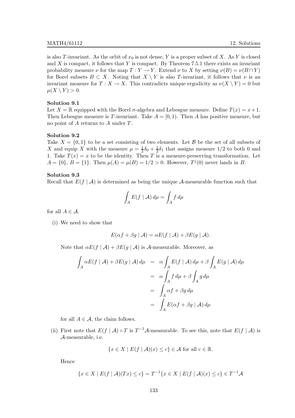is also T-invariant. As the orbit of  $x_0$  is not dense, Y is a proper subset of X. As Y is closed and  $X$  is compact, it follows that Y is compact. By Theorem 7.5.1 there exists an invariant probability measure  $\nu$  for the map  $T : Y \to Y$ . Extend  $\nu$  to X by setting  $\nu(B) = \nu(B \cap Y)$ for Borel subsets  $B \subset X$ . Noting that  $X \setminus Y$  is also T-invariant, it follows that  $\nu$  is an invariant measure for  $T : X \to X$ . This contradicts unique ergodicity as  $\nu(X \setminus Y) = 0$  but  $\mu(X \setminus Y) > 0.$ 

# Solution 9.1

Let  $X = \mathbb{R}$  equipped with the Borel  $\sigma$ -algebra and Lebesgue measure. Define  $T(x) = x + 1$ . Then Lebesgue measure is T-invariant. Take  $A = [0, 1)$ . Then A has positive measure, but no point of A returns to A under T.

# Solution 9.2

Take  $X = \{0, 1\}$  to be a set consisting of two elements. Let B be the set of all subsets of X and equip X with the measure  $\mu = \frac{1}{2}$  $rac{1}{2}\delta_0 + \frac{1}{2}$  $\frac{1}{2}\delta_1$  that assigns measure  $1/2$  to both 0 and 1. Take  $T(x) = x$  to be the identity. Then T is a measure-preserving transformation. Let  $A = \{0\}, B = \{1\}.$  Then  $\mu(A) = \mu(B) = 1/2 > 0$ . However,  $T^{j}(0)$  never lands in B.

#### Solution 9.3

Recall that  $E(f | \mathcal{A})$  is determined as being the unique A-measurable function such that

$$
\int_{A} E(f \mid \mathcal{A}) \, d\mu = \int_{A} f \, d\mu
$$

for all  $A \in \mathcal{A}$ .

(i) We need to show that

$$
E(\alpha f + \beta g \mid \mathcal{A}) = \alpha E(f \mid \mathcal{A}) + \beta E(g \mid \mathcal{A}).
$$

Note that  $\alpha E(f | \mathcal{A}) + \beta E(g | \mathcal{A})$  is A-measurable. Moreover, as

$$
\int_{A} \alpha E(f | A) + \beta E(g | A) d\mu = \alpha \int_{A} E(f | A) d\mu + \beta \int_{A} E(g | A) d\mu
$$

$$
= \alpha \int_{A} f d\mu + \beta \int_{A} g d\mu
$$

$$
= \int_{A} \alpha f + \beta g d\mu
$$

$$
= \int_{A} E(\alpha f + \beta g | A) d\mu
$$

for all  $A \in \mathcal{A}$ , the claim follows.

(ii) First note that  $E(f | \mathcal{A}) \circ T$  is  $T^{-1}\mathcal{A}$ -measurable. To see this, note that  $E(f | \mathcal{A})$  is A-measurable, i.e.

$$
\{x \in X \mid E(f \mid \mathcal{A})(x) \le c\} \in \mathcal{A} \text{ for all } c \in \mathbb{R}.
$$

Hence

$$
\{x \in X \mid E(f \mid \mathcal{A})(Tx) \le c\} = T^{-1}\{x \in X \mid E(f \mid \mathcal{A})(x) \le c\} \in T^{-1}\mathcal{A}
$$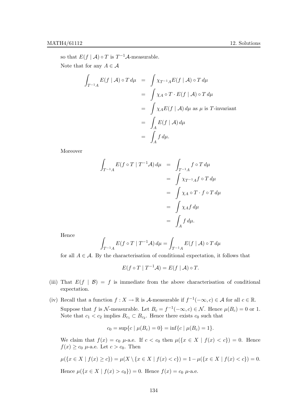so that  $E(f | \mathcal{A}) \circ T$  is  $T^{-1}\mathcal{A}$ -measurable.

Note that for any  $A \in \mathcal{A}$ 

$$
\int_{T^{-1}A} E(f | \mathcal{A}) \circ T d\mu = \int \chi_{T^{-1}A} E(f | \mathcal{A}) \circ T d\mu
$$

$$
= \int \chi_A \circ T \cdot E(f | \mathcal{A}) \circ T d\mu
$$

$$
= \int \chi_A E(f | \mathcal{A}) d\mu \text{ as } \mu \text{ is } T\text{-invariant}
$$

$$
= \int_A E(f | \mathcal{A}) d\mu
$$

$$
= \int_A f d\mu.
$$

Moreover

$$
\int_{T^{-1}A} E(f \circ T | T^{-1}A) d\mu = \int_{T^{-1}A} f \circ T d\mu
$$

$$
= \int \chi_{T^{-1}A} f \circ T d\mu
$$

$$
= \int \chi_A \circ T \cdot f \circ T d\mu
$$

$$
= \int \chi_A f d\mu
$$

$$
= \int_A f d\mu.
$$

Hence

$$
\int_{T^{-1}A} E(f \circ T \mid T^{-1}A) d\mu = \int_{T^{-1}A} E(f \mid A) \circ T d\mu
$$

for all  $A \in \mathcal{A}$ . By the characterisation of conditional expectation, it follows that

$$
E(f \circ T \mid T^{-1}A) = E(f \mid A) \circ T.
$$

- (iii) That  $E(f | \mathcal{B}) = f$  is immediate from the above characterisation of conditional expectation.
- (iv) Recall that a function  $f: X \to \mathbb{R}$  is A-measurable if  $f^{-1}(-\infty, c) \in \mathcal{A}$  for all  $c \in \mathbb{R}$ . Suppose that f is N-measurable. Let  $B_c = f^{-1}(-\infty, c) \in \mathcal{N}$ . Hence  $\mu(B_c) = 0$  or 1. Note that  $c_1 < c_2$  implies  $B_{c_1} \subset B_{c_2}$ . Hence there exists  $c_0$  such that

$$
c_0 = \sup\{c \mid \mu(B_c) = 0\} = \inf\{c \mid \mu(B_c) = 1\}.
$$

We claim that  $f(x) = c_0$   $\mu$ -a.e. If  $c < c_0$  then  $\mu({x \in X \mid f(x) < c}) = 0$ . Hence  $f(x) \geq c_0$   $\mu$ -a.e. Let  $c > c_0$ . Then

$$
\mu({x \in X \mid f(x) \ge c}) = \mu(X \setminus {x \in X \mid f(x) < c}) = 1 - \mu({x \in X \mid f(x) < c}) = 0.
$$
\nHence

\n
$$
\mu({x \in X \mid f(x) > c_0}) = 0. \text{ Hence } f(x) = c_0 \mu\text{-a.e.}
$$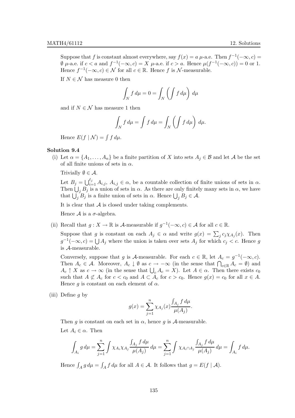Suppose that f is constant almost everywhere, say  $f(x) = a \mu$ -a.e. Then  $f^{-1}(-\infty, c) =$  $\emptyset$   $\mu$ -a.e. if  $c < a$  and  $f^{-1}(-\infty, c) = X$   $\mu$ -a.e. if  $c > a$ . Hence  $\mu(f^{-1}(-\infty, c)) = 0$  or 1. Hence  $f^{-1}(-\infty, c) \in \mathcal{N}$  for all  $c \in \mathbb{R}$ . Hence f is  $\mathcal{N}$ -measurable.

If  $N \in \mathcal{N}$  has measure 0 then

$$
\int_N f d\mu = 0 = \int_N \left( \int f d\mu \right) d\mu
$$

and if  $N \in \mathcal{N}$  has measure 1 then

$$
\int_N f d\mu = \int f d\mu = \int_N \left( \int f d\mu \right) d\mu.
$$

Hence  $E(f | \mathcal{N}) = \int f d\mu$ .

# Solution 9.4

(i) Let  $\alpha = \{A_1, \ldots, A_n\}$  be a finite partition of X into sets  $A_j \in \mathcal{B}$  and let A be the set of all finite unions of sets in  $\alpha$ .

Trivially  $\emptyset \in \mathcal{A}$ .

Let  $B_j = \bigcup_{i=1}^{\ell_j} A_{i,j}, A_{i,j} \in \alpha$ , be a countable collection of finite unions of sets in  $\alpha$ . Then  $\bigcup_j B_j$  is a union of sets in  $\alpha$ . As there are only finitely many sets in  $\alpha$ , we have that  $\bigcup_j B_j$  is a finite union of sets in  $\alpha$ . Hence  $\bigcup_j B_j \in \mathcal{A}$ .

It is clear that  $A$  is closed under taking complements.

Hence  $\mathcal A$  is a  $\sigma$ -algebra.

(ii) Recall that  $g: X \to \mathbb{R}$  is A-measurable if  $g^{-1}(-\infty, c) \in \mathcal{A}$  for all  $c \in \mathbb{R}$ .

Suppose that g is constant on each  $A_j \in \alpha$  and write  $g(x) = \sum_j c_j \chi_{A_j}(x)$ . Then  $g^{-1}(-\infty, c) = \bigcup A_j$  where the union is taken over sets  $A_j$  for which  $c_j < c$ . Hence g is A-measurable.

Conversely, suppose that g is A-measurable. For each  $c \in \mathbb{R}$ , let  $A_c = g^{-1}(-\infty, c)$ . Then  $A_c \in \mathcal{A}$ . Moreover,  $A_c \downarrow \emptyset$  as  $c \to -\infty$  (in the sense that  $\bigcap_{c \in \mathbb{R}} A_c = \emptyset$ ) and  $A_c \uparrow X$  as  $c \to \infty$  (in the sense that  $\bigcup_c A_c = X$ ). Let  $A \in \alpha$ . Then there exists  $c_0$ such that  $A \not\subset A_c$  for  $c < c_0$  and  $A \subset A_c$  for  $c > c_0$ . Hence  $g(x) = c_0$  for all  $x \in A$ . Hence g is constant on each element of  $\alpha$ .

(iii) Define  $q$  by

$$
g(x) = \sum_{j=1}^{n} \chi_{A_j}(x) \frac{\int_{A_j} f d\mu}{\mu(A_j)}.
$$

Then g is constant on each set in  $\alpha$ , hence g is A-measurable. Let  $A_i \in \alpha$ . Then

$$
\int_{A_i} g d\mu = \sum_{j=1}^n \int \chi_{A_i} \chi_{A_j} \frac{\int_{A_j} f d\mu}{\mu(A_j)} d\mu = \sum_{j=1}^n \int \chi_{A_i \cap A_j} \frac{\int_{A_j} f d\mu}{\mu(A_j)} d\mu = \int_{A_i} f d\mu.
$$

Hence  $\int_A g d\mu = \int_A f d\mu$  for all  $A \in \mathcal{A}$ . It follows that  $g = E(f | \mathcal{A})$ .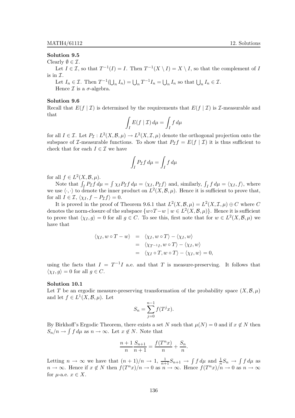### Solution 9.5

Clearly  $\emptyset \in \mathcal{I}$ .

Let  $I \in \mathcal{I}$ , so that  $T^{-1}(I) = I$ . Then  $T^{-1}(X \setminus I) = X \setminus I$ , so that the complement of I is in  $\mathcal{I}.$ 

Let  $I_n \in \mathcal{I}$ . Then  $T^{-1}(\bigcup_n I_n) = \bigcup_n T^{-1}I_n = \bigcup_n I_n$  so that  $\bigcup_n I_n \in \mathcal{I}$ . Hence  $\mathcal I$  is a  $\sigma$ -algebra.

#### Solution 9.6

Recall that  $E(f | \mathcal{I})$  is determined by the requirements that  $E(f | \mathcal{I})$  is *T*-measurable and that

$$
\int_I E(f \mid \mathcal{I}) \, d\mu = \int_I f \, d\mu
$$

for all  $I \in \mathcal{I}$ . Let  $P_{\mathcal{I}}: L^2(X, \mathcal{B}, \mu) \to L^2(X, \mathcal{I}, \mu)$  denote the orthogonal projection onto the subspace of *I*-measurable functions. To show that  $P_{\mathcal{I}} f = E(f | \mathcal{I})$  it is thus sufficient to check that for each  $I \in \mathcal{I}$  we have

$$
\int_I P_{\mathcal{I}} f \, d\mu = \int_I f \, d\mu
$$

for all  $f \in L^2(X, \mathcal{B}, \mu)$ .

Note that  $\int_I P_{\mathcal{I}} f d\mu = \int \chi_I P_{\mathcal{I}} f d\mu = \langle \chi_I, P_{\mathcal{I}} f \rangle$  and, similarly,  $\int_I f d\mu = \langle \chi_I, f \rangle$ , where we use  $\langle \cdot, \cdot \rangle$  to denote the inner product on  $L^2(X, \mathcal{B}, \mu)$ . Hence it is sufficient to prove that, for all  $I \in \mathcal{I}, \langle \chi_I, f - P_{\mathcal{I}}f \rangle = 0.$ 

It is proved in the proof of Theorem 9.6.1 that  $L^2(X, \mathcal{B}, \mu) = L^2(X, \mathcal{I}, \mu) \oplus C$  where C denotes the norm-closure of the subspace  $\{w \circ T - w \mid w \in L^2(X, \mathcal{B}, \mu)\}\.$  Hence it is sufficient to prove that  $\langle \chi_I, g \rangle = 0$  for all  $g \in C$ . To see this, first note that for  $w \in L^2(X, \mathcal{B}, \mu)$  we have that

$$
\langle \chi_I, w \circ T - w \rangle = \langle \chi_I, w \circ T \rangle - \langle \chi_I, w \rangle
$$
  
=  $\langle \chi_{T^{-1}I}, w \circ T \rangle - \langle \chi_I, w \rangle$   
=  $\langle \chi_I \circ T, w \circ T \rangle - \langle \chi_I, w \rangle = 0$ 

using the facts that  $I = T^{-1}I$  a.e. and that T is measure-preserving. It follows that  $\langle \chi_I, g \rangle = 0$  for all  $g \in C$ .

#### Solution 10.1

Let T be an ergodic measure-preserving transformation of the probability space  $(X,\mathcal{B},\mu)$ and let  $f \in L^1(X, \mathcal{B}, \mu)$ . Let

$$
S_n = \sum_{j=0}^{n-1} f(T^j x).
$$

By Birkhoff's Ergodic Theorem, there exists a set N such that  $\mu(N) = 0$  and if  $x \notin N$  then  $S_n/n \to \int f d\mu$  as  $n \to \infty$ . Let  $x \notin N$ . Note that

$$
\frac{n+1}{n} \frac{S_{n+1}}{n+1} = \frac{f(T^n x)}{n} + \frac{S_n}{n}.
$$

Letting  $n \to \infty$  we have that  $(n+1)/n \to 1$ ,  $\frac{1}{n+1}S_{n+1} \to \int f d\mu$  and  $\frac{1}{n}S_n \to \int f d\mu$  as  $n \to \infty$ . Hence if  $x \notin N$  then  $f(T^n x)/n \to 0$  as  $n \to \infty$ . Hence  $f(T^n x)/n \to 0$  as  $n \to \infty$ for  $\mu$ -a.e.  $x \in X$ .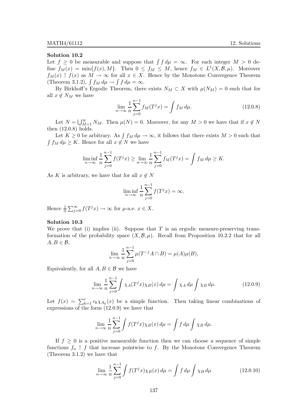Let  $f \geq 0$  be measurable and suppose that  $\int f d\mu = \infty$ . For each integer  $M > 0$  define  $f_M(x) = \min\{f(x), M\}$ . Then  $0 \le f_M \le M$ , hence  $f_M \in L^1(X, \mathcal{B}, \mu)$ . Moreover  $f_M(x) \uparrow f(x)$  as  $M \to \infty$  for all  $x \in X$ . Hence by the Monotone Convergence Theorem (Theorem 3.1.2),  $\int f_M d\mu \to \int f d\mu = \infty$ .

By Birkhoff's Ergodic Theorem, there exists  $N_M \subset X$  with  $\mu(N_M) = 0$  such that for all  $x \notin N_M$  we have

$$
\lim_{n \to \infty} \frac{1}{n} \sum_{j=0}^{n-1} f_M(T^j x) = \int f_M d\mu.
$$
 (12.0.8)

Let  $N = \bigcup_{M=1}^{\infty} N_M$ . Then  $\mu(N) = 0$ . Moreover, for any  $M > 0$  we have that if  $x \notin N$ then (12.0.8) holds.

Let  $K \geq 0$  be arbitrary. As  $\int f_M d\mu \to \infty$ , it follows that there exists  $M > 0$  such that  $\int f_M d\mu \geq K$ . Hence for all  $x \notin N$  we have

$$
\liminf_{n \to \infty} \frac{1}{n} \sum_{j=0}^{n-1} f(T^j x) \ge \lim_{n \to \infty} \frac{1}{n} \sum_{j=0}^{n-1} f_M(T^j x) = \int f_M d\mu \ge K.
$$

As K is arbitrary, we have that for all  $x \notin N$ 

$$
\liminf_{n \to \infty} \frac{1}{n} \sum_{j=0}^{n-1} f(T^j x) = \infty.
$$

Hence  $\frac{1}{n} \sum_{j=0}^{\infty} f(T^j x) \to \infty$  for  $\mu$ -a.e.  $x \in X$ .

#### Solution 10.3

We prove that (i) implies (ii). Suppose that  $T$  is an ergodic measure-preserving transformation of the probability space  $(X, \mathcal{B}, \mu)$ . Recall from Proposition 10.2.2 that for all  $A, B \in \mathcal{B}$ ,

$$
\lim_{n \to \infty} \frac{1}{n} \sum_{j=0}^{n-1} \mu(T^{-j} A \cap B) = \mu(A)\mu(B),
$$

Equivalently, for all  $A, B \in \mathcal{B}$  we have

$$
\lim_{n \to \infty} \frac{1}{n} \sum_{j=0}^{n-1} \int \chi_A(T^j x) \chi_B(x) \, d\mu = \int \chi_A \, d\mu \int \chi_B \, d\mu. \tag{12.0.9}
$$

Let  $f(x) = \sum_{k=1}^{r} c_k \chi_{A_k}(x)$  be a simple function. Then taking linear combinations of expressions of the form (12.0.9) we have that

$$
\lim_{n \to \infty} \frac{1}{n} \sum_{j=0}^{n-1} \int f(T^j x) \chi_B(x) \, d\mu = \int f \, d\mu \int \chi_B \, d\mu.
$$

If  $f \geq 0$  is a positive measurable function then we can choose a sequence of simple functions  $f_n \uparrow f$  that increase pointwise to f. By the Monotone Convergence Theorem (Theorem 3.1.2) we have that

$$
\lim_{n \to \infty} \frac{1}{n} \sum_{j=0}^{n-1} \int f(T^j x) \chi_B(x) \, d\mu = \int f \, d\mu \int \chi_B \, d\mu \tag{12.0.10}
$$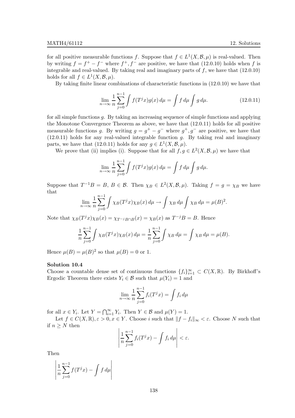for all positive measurable functions f. Suppose that  $f \in L^1(X, \mathcal{B}, \mu)$  is real-valued. Then by writing  $f = f^+ - f^-$  where  $f^+, f^-$  are positive, we have that (12.0.10) holds when f is integrable and real-valued. By taking real and imaginary parts of  $f$ , we have that  $(12.0.10)$ holds for all  $f \in L^1(X, \mathcal{B}, \mu)$ .

By taking finite linear combinations of characteristic functions in (12.0.10) we have that

$$
\lim_{n \to \infty} \frac{1}{n} \sum_{j=0}^{n-1} \int f(T^j x) g(x) \, d\mu = \int f \, d\mu \int g \, d\mu. \tag{12.0.11}
$$

for all simple functions g. By taking an increasing sequence of simple functions and applying the Monotone Convergence Theorem as above, we have that (12.0.11) holds for all positive measurable functions g. By writing  $g = g^+ - g^-$  where  $g^+, g^-$  are positive, we have that  $(12.0.11)$  holds for any real-valued integrable function g. By taking real and imaginary parts, we have that (12.0.11) holds for any  $g \in L^1(X, \mathcal{B}, \mu)$ .

We prove that (ii) implies (i). Suppose that for all  $f, g \in L^2(X, \mathcal{B}, \mu)$  we have that

$$
\lim_{n \to \infty} \frac{1}{n} \sum_{j=0}^{n-1} \int f(T^j x) g(x) \, d\mu = \int f \, d\mu \int g \, d\mu.
$$

Suppose that  $T^{-1}B = B$ ,  $B \in \mathcal{B}$ . Then  $\chi_B \in L^2(X, \mathcal{B}, \mu)$ . Taking  $f = g = \chi_B$  we have that

$$
\lim_{n \to \infty} \frac{1}{n} \sum_{j=0}^{n-1} \int \chi_B(T^j x) \chi_B(x) \, d\mu \to \int \chi_B \, d\mu \int \chi_B \, d\mu = \mu(B)^2.
$$

Note that  $\chi_B(T^j x)\chi_B(x) = \chi_{T^{-j}B \cap B}(x) = \chi_B(x)$  as  $T^{-j}B = B$ . Hence

$$
\frac{1}{n}\sum_{j=0}^{n-1} \int \chi_B(T^j x) \chi_B(x) \, d\mu = \frac{1}{n}\sum_{j=0}^{n-1} \int \chi_B \, d\mu = \int \chi_B \, d\mu = \mu(B).
$$

Hence  $\mu(B) = \mu(B)^2$  so that  $\mu(B) = 0$  or 1.

# Solution 10.4

Choose a countable dense set of continuous functions  $\{f_i\}_{i=1}^{\infty} \subset C(X,\mathbb{R})$ . By Birkhoff's Ergodic Theorem there exists  $Y_i \in \mathcal{B}$  such that  $\mu(Y_i) = 1$  and

$$
\lim_{n \to \infty} \frac{1}{n} \sum_{j=0}^{n-1} f_i(T^j x) = \int f_i d\mu
$$

for all  $x \in Y_i$ . Let  $Y = \bigcap_{i=1}^{\infty} Y_i$ . Then  $Y \in \mathcal{B}$  and  $\mu(Y) = 1$ .

Let  $f \in C(X, \mathbb{R}), \varepsilon > 0, x \in Y$ . Choose i such that  $||f - f_i||_{\infty} < \varepsilon$ . Choose N such that if  $n \geq N$  then

$$
\left|\frac{1}{n}\sum_{j=0}^{n-1}f_i(T^jx)-\int f_i\,d\mu\right|<\varepsilon.
$$

Then

$$
\left|\frac{1}{n}\sum_{j=0}^{n-1}f(T^jx)-\int f\,d\mu\right|
$$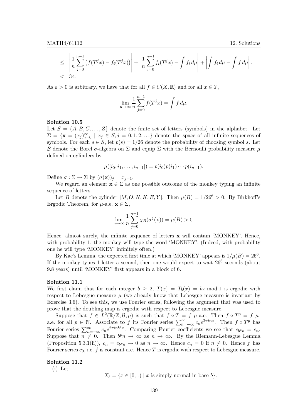$$
\leq \left| \frac{1}{n} \sum_{j=0}^{n-1} \left( f(T^j x) - f_i(T^j x) \right) \right| + \left| \frac{1}{n} \sum_{j=0}^{n-1} f_i(T^j x) - \int f_i d\mu \right| + \left| \int f_i d\mu - \int f d\mu \right|.
$$
  

$$
< 3\varepsilon.
$$

As  $\varepsilon > 0$  is arbitrary, we have that for all  $f \in C(X, \mathbb{R})$  and for all  $x \in Y$ ,

$$
\lim_{n \to \infty} \frac{1}{n} \sum_{j=0}^{n-1} f(T^j x) = \int f d\mu.
$$

#### Solution 10.5

Let  $S = \{A, B, C, \ldots, Z\}$  denote the finite set of letters (symbols) in the alphabet. Let  $\Sigma = {\mathbf{x} = (x_j)_{j=0}^{\infty} \mid x_j \in S, j = 0, 1, 2, \ldots}$  denote the space of all infinite sequences of symbols. For each  $s \in S$ , let  $p(s) = 1/26$  denote the probability of choosing symbol s. Let B denote the Borel  $\sigma$ -algebra on  $\Sigma$  and equip  $\Sigma$  with the Bernoulli probability measure  $\mu$ defined on cylinders by

$$
\mu([i_0, i_1, \ldots, i_{n-1}]) = p(i_0)p(i_1)\cdots p(i_{n-1}).
$$

Define  $\sigma : \Sigma \to \Sigma$  by  $(\sigma(\mathbf{x}))_j = x_{j+1}$ .

We regard an element  $\mathbf{x} \in \Sigma$  as one possible outcome of the monkey typing an infinite sequence of letters.

Let B denote the cylinder  $[M, O, N, K, E, Y]$ . Then  $\mu(B) = 1/26^6 > 0$ . By Birkhoff's Ergodic Theorem, for  $\mu$ -a.e.  $\mathbf{x} \in \Sigma$ ,

$$
\lim_{n \to \infty} \frac{1}{n} \sum_{j=0}^{n-1} \chi_B(\sigma^j(\mathbf{x})) = \mu(B) > 0.
$$

Hence, almost surely, the infinite sequence of letters x will contain 'MONKEY'. Hence, with probability 1, the monkey will type the word 'MONKEY'. (Indeed, with probability one he will type 'MONKEY' infinitely often.)

By Kac's Lemma, the expected first time at which 'MONKEY' appears is  $1/\mu(B) = 26^6$ . If the monkey types 1 letter a second, then one would expect to wait  $26^6$  seconds (about 9.8 years) until 'MONKEY' first appears in a block of 6.

# Solution 11.1

We first claim that for each integer  $b \geq 2$ ,  $T(x) = T<sub>b</sub>(x) = bx \mod 1$  is ergodic with respect to Lebesgue measure  $\mu$  (we already know that Lebesgue measure is invariant by Exercise 3.6). To see this, we use Fourier series, following the argument that was used to prove that the doubling map is ergodic with respect to Lebesgue measure.

Suppose that  $f \in L^2(\mathbb{R}/\mathbb{Z}, \mathcal{B}, \mu)$  is such that  $f \circ T = f \mu$ -a.e. Then  $f \circ T^p = f \mu$ a.e. for all  $p \in \mathbb{N}$ . Associate to f its Fourier series  $\sum_{n=-\infty}^{\infty} c_n e^{2\pi i n x}$ . Then  $f \circ T^p$  has Fourier series  $\sum_{n=-\infty}^{\infty} c_n e^{2\pi i n b^p x}$ . Comparing Fourier coefficients we see that  $c_{b^p n} = c_n$ . Suppose that  $n \neq 0$ . Then  $b^p n \to \infty$  as  $n \to \infty$ . By the Riemann-Lebesgue Lemma (Proposition 5.3.1(ii)),  $c_n = c_{b^p n} \to 0$  as  $n \to \infty$ . Hence  $c_n = 0$  if  $n \neq 0$ . Hence f has Fourier series  $c_0$ , i.e. f is constant a.e. Hence T is ergodic with respect to Lebesgue measure.

#### Solution 11.2

(i) Let

 $X_b = \{x \in [0, 1) \mid x \text{ is simply normal in base } b\}.$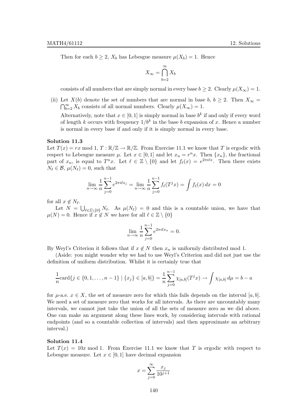Then for each  $b \geq 2$ ,  $X_b$  has Lebesgue measure  $\mu(X_b) = 1$ . Hence

$$
X_{\infty} = \bigcap_{b=2}^{\infty} X_b
$$

consists of all numbers that are simply normal in every base  $b \geq 2$ . Clearly  $\mu(X_{\infty}) = 1$ .

(ii) Let  $X(b)$  denote the set of numbers that are normal in base b,  $b \geq 2$ . Then  $X_{\infty} =$  $\bigcap_{b=2}^{\infty} X_b$  consists of all normal numbers. Clearly  $\mu(X_{\infty}) = 1$ .

Alternatively, note that  $x \in [0,1]$  is simply normal in base  $b^k$  if and only if every word of length k occurs with frequency  $1/b^k$  in the base b expansion of x. Hence a number is normal in every base if and only if it is simply normal in every base.

## Solution 11.3

Let  $T(x) = rx \mod 1$ ,  $T : \mathbb{R}/\mathbb{Z} \to \mathbb{R}/\mathbb{Z}$ . From Exercise 11.1 we know that T is ergodic with respect to Lebesgue measure  $\mu$ . Let  $x \in [0,1]$  and let  $x_n = r^n x$ . Then  $\{x_n\}$ , the fractional part of  $x_n$ , is equal to  $T^n x$ . Let  $\ell \in \mathbb{Z} \setminus \{0\}$  and let  $f_{\ell}(x) = e^{2\pi i \ell x}$ . Then there exists  $N_{\ell} \in \mathcal{B}$ ,  $\mu(N_{\ell}) = 0$ , such that

$$
\lim_{n \to \infty} \frac{1}{n} \sum_{j=0}^{n-1} e^{2\pi i \ell x_j} = \lim_{n \to \infty} \frac{1}{n} \sum_{j=0}^{n-1} f_{\ell}(T^j x) = \int f_{\ell}(x) dx = 0
$$

for all  $x \notin N_{\ell}$ .

Let  $N = \bigcup_{\ell \in \mathbb{Z} \setminus \{0\}} N_{\ell}$ . As  $\mu(N_{\ell}) = 0$  and this is a countable union, we have that  $\mu(N) = 0$ . Hence if  $x \notin N$  we have for all  $\ell \in \mathbb{Z} \setminus \{0\}$ 

$$
\lim_{n \to \infty} \frac{1}{n} \sum_{j=0}^{n-1} e^{2\pi i \ell x_n} = 0.
$$

By Weyl's Criterion it follows that if  $x \notin N$  then  $x_n$  is uniformly distributed mod 1.

(Aside: you might wonder why we had to use Weyl's Criterion and did not just use the definition of uniform distribution. Whilst it is certainly true that

$$
\frac{1}{n}\text{card}\{j \in \{0, 1, \dots, n-1\} \mid \{x_j\} \in [a, b]\} = \frac{1}{n}\sum_{j=0}^{n-1} \chi_{[a,b]}(T^j x) \to \int \chi_{[a,b]} d\mu = b - a
$$

for  $\mu$ -a.e.  $x \in X$ , the set of measure zero for which this fails depends on the interval [a, b]. We need a set of measure zero that works for all intervals. As there are uncountably many intervals, we cannot just take the union of all the sets of measure zero as we did above. One can make an argument along these lines work, by considering intervals with rational endpoints (and so a countable collection of intervals) and then approximate an arbitrary interval.)

#### Solution 11.4

Let  $T(x) = 10x \mod 1$ . From Exercise 11.1 we know that T is ergodic with respect to Lebesgue measure. Let  $x \in [0,1]$  have decimal expansion

$$
x = \sum_{j=0}^{\infty} \frac{x_j}{10^{j+1}}
$$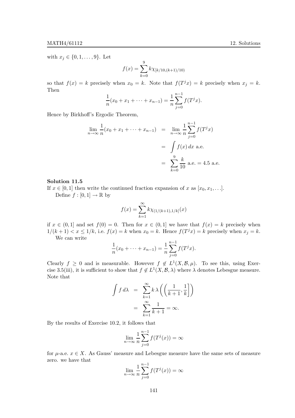with  $x_j \in \{0, 1, \ldots, 9\}$ . Let

$$
f(x) = \sum_{k=0}^{9} k \chi_{[k/10,(k+1)/10)}
$$

so that  $f(x) = k$  precisely when  $x_0 = k$ . Note that  $f(T^j x) = k$  precisely when  $x_j = k$ . Then

$$
\frac{1}{n}(x_0 + x_1 + \dots + x_{n-1}) = \frac{1}{n} \sum_{j=0}^{n-1} f(T^j x).
$$

Hence by Birkhoff's Ergodic Theorem,

$$
\lim_{n \to \infty} \frac{1}{n} (x_0 + x_1 + \dots + x_{n-1}) = \lim_{n \to \infty} \frac{1}{n} \sum_{j=0}^{n-1} f(T^j x)
$$

$$
= \int f(x) dx \text{ a.e.}
$$

$$
= \sum_{k=0}^{9} \frac{k}{10} \text{ a.e.} = 4.5 \text{ a.e.}
$$

# Solution 11.5

If  $x \in [0, 1]$  then write the continued fraction expansion of x as  $[x_0, x_1, \ldots]$ .

Define  $f : [0,1] \to \mathbb{R}$  by

$$
f(x) = \sum_{k=1}^{\infty} k \chi_{(1/(k+1), 1/k]}(x)
$$

if  $x \in (0,1]$  and set  $f(0) = 0$ . Then for  $x \in (0,1]$  we have that  $f(x) = k$  precisely when  $1/(k+1) < x \leq 1/k$ , i.e.  $f(x) = k$  when  $x_0 = k$ . Hence  $f(T^j x) = k$  precisely when  $x_j = k$ .

We can write

$$
\frac{1}{n}(x_0 + \dots + x_{n-1}) = \frac{1}{n} \sum_{j=0}^{n-1} f(T^j x).
$$

Clearly  $f \geq 0$  and is measurable. However  $f \notin L^1(X, \mathcal{B}, \mu)$ . To see this, using Exercise 3.5(iii), it is sufficient to show that  $f \notin L^1(X, \mathcal{B}, \lambda)$  where  $\lambda$  denotes Lebesgue measure. Note that

$$
\int f \, d\lambda = \sum_{k=1}^{\infty} k \lambda \left( \left( \frac{1}{k+1}, \frac{1}{k} \right] \right)
$$

$$
= \sum_{k=1}^{\infty} \frac{1}{k+1} = \infty.
$$

By the results of Exercise 10.2, it follows that

$$
\lim_{n \to \infty} \frac{1}{n} \sum_{j=0}^{n-1} f(T^j(x)) = \infty
$$

for  $\mu$ -a.e.  $x \in X$ . As Gauss' measure and Lebesgue measure have the same sets of measure zero. we have that

$$
\lim_{n \to \infty} \frac{1}{n} \sum_{j=0}^{n-1} f(T^j(x)) = \infty
$$